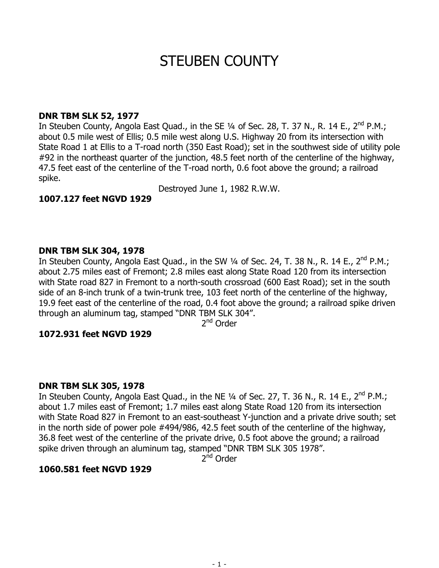# STEUBEN COUNTY

# **DNR TBM SLK 52, 1977**

In Steuben County, Angola East Quad., in the SE 1/4 of Sec. 28, T. 37 N., R. 14 E., 2<sup>nd</sup> P.M.; about 0.5 mile west of Ellis; 0.5 mile west along U.S. Highway 20 from its intersection with State Road 1 at Ellis to a T-road north (350 East Road); set in the southwest side of utility pole #92 in the northeast quarter of the junction, 48.5 feet north of the centerline of the highway, 47.5 feet east of the centerline of the T-road north, 0.6 foot above the ground; a railroad spike.

Destroyed June 1, 1982 R.W.W.

**1007.127 feet NGVD 1929** 

# **DNR TBM SLK 304, 1978**

In Steuben County, Angola East Quad., in the SW 1/4 of Sec. 24, T. 38 N., R. 14 E., 2<sup>nd</sup> P.M.; about 2.75 miles east of Fremont; 2.8 miles east along State Road 120 from its intersection with State road 827 in Fremont to a north-south crossroad (600 East Road); set in the south side of an 8-inch trunk of a twin-trunk tree, 103 feet north of the centerline of the highway, 19.9 feet east of the centerline of the road, 0.4 foot above the ground; a railroad spike driven through an aluminum tag, stamped "DNR TBM SLK 304".

2<sup>nd</sup> Order

# **1072.931 feet NGVD 1929**

# **DNR TBM SLK 305, 1978**

In Steuben County, Angola East Quad., in the NE 1/4 of Sec. 27, T. 36 N., R. 14 E., 2<sup>nd</sup> P.M.; about 1.7 miles east of Fremont; 1.7 miles east along State Road 120 from its intersection with State Road 827 in Fremont to an east-southeast Y-junction and a private drive south; set in the north side of power pole #494/986, 42.5 feet south of the centerline of the highway, 36.8 feet west of the centerline of the private drive, 0.5 foot above the ground; a railroad spike driven through an aluminum tag, stamped "DNR TBM SLK 305 1978".

 $2<sup>nd</sup>$  Order

# **1060.581 feet NGVD 1929**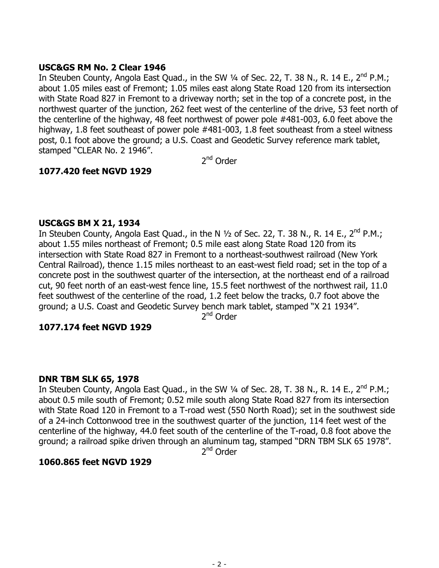# **USC&GS RM No. 2 Clear 1946**

In Steuben County, Angola East Quad., in the SW 1/4 of Sec. 22, T. 38 N., R. 14 E., 2<sup>nd</sup> P.M.: about 1.05 miles east of Fremont; 1.05 miles east along State Road 120 from its intersection with State Road 827 in Fremont to a driveway north; set in the top of a concrete post, in the northwest quarter of the junction, 262 feet west of the centerline of the drive, 53 feet north of the centerline of the highway, 48 feet northwest of power pole #481-003, 6.0 feet above the highway, 1.8 feet southeast of power pole #481-003, 1.8 feet southeast from a steel witness post, 0.1 foot above the ground; a U.S. Coast and Geodetic Survey reference mark tablet, stamped "CLEAR No. 2 1946".

2<sup>nd</sup> Order

# **1077.420 feet NGVD 1929**

# **USC&GS BM X 21, 1934**

In Steuben County, Angola East Quad., in the N  $1/2$  of Sec. 22, T. 38 N., R. 14 E., 2<sup>nd</sup> P.M.; about 1.55 miles northeast of Fremont; 0.5 mile east along State Road 120 from its intersection with State Road 827 in Fremont to a northeast-southwest railroad (New York Central Railroad), thence 1.15 miles northeast to an east-west field road; set in the top of a concrete post in the southwest quarter of the intersection, at the northeast end of a railroad cut, 90 feet north of an east-west fence line, 15.5 feet northwest of the northwest rail, 11.0 feet southwest of the centerline of the road, 1.2 feet below the tracks, 0.7 foot above the ground; a U.S. Coast and Geodetic Survey bench mark tablet, stamped "X 21 1934".

2<sup>nd</sup> Order

# **1077.174 feet NGVD 1929**

# **DNR TBM SLK 65, 1978**

In Steuben County, Angola East Quad., in the SW 1/4 of Sec. 28, T. 38 N., R. 14 E., 2<sup>nd</sup> P.M.; about 0.5 mile south of Fremont; 0.52 mile south along State Road 827 from its intersection with State Road 120 in Fremont to a T-road west (550 North Road); set in the southwest side of a 24-inch Cottonwood tree in the southwest quarter of the junction, 114 feet west of the centerline of the highway, 44.0 feet south of the centerline of the T-road, 0.8 foot above the ground; a railroad spike driven through an aluminum tag, stamped "DRN TBM SLK 65 1978".

2<sup>nd</sup> Order

#### **1060.865 feet NGVD 1929**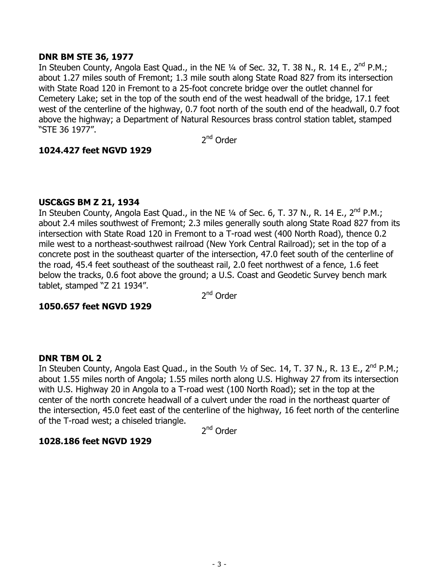# **DNR BM STE 36, 1977**

In Steuben County, Angola East Quad., in the NE 1/4 of Sec. 32, T. 38 N., R. 14 E., 2<sup>nd</sup> P.M.; about 1.27 miles south of Fremont; 1.3 mile south along State Road 827 from its intersection with State Road 120 in Fremont to a 25-foot concrete bridge over the outlet channel for Cemetery Lake; set in the top of the south end of the west headwall of the bridge, 17.1 feet west of the centerline of the highway, 0.7 foot north of the south end of the headwall, 0.7 foot above the highway; a Department of Natural Resources brass control station tablet, stamped "STE 36 1977".

2nd Order

# **1024.427 feet NGVD 1929**

# **USC&GS BM Z 21, 1934**

In Steuben County, Angola East Quad., in the NE  $\frac{1}{4}$  of Sec. 6, T. 37 N., R. 14 E., 2<sup>nd</sup> P.M.; about 2.4 miles southwest of Fremont; 2.3 miles generally south along State Road 827 from its intersection with State Road 120 in Fremont to a T-road west (400 North Road), thence 0.2 mile west to a northeast-southwest railroad (New York Central Railroad); set in the top of a concrete post in the southeast quarter of the intersection, 47.0 feet south of the centerline of the road, 45.4 feet southeast of the southeast rail, 2.0 feet northwest of a fence, 1.6 feet below the tracks, 0.6 foot above the ground; a U.S. Coast and Geodetic Survey bench mark tablet, stamped "Z 21 1934".

2<sup>nd</sup> Order

# **1050.657 feet NGVD 1929**

# **DNR TBM OL 2**

In Steuben County, Angola East Quad., in the South 1/2 of Sec. 14, T. 37 N., R. 13 E., 2<sup>nd</sup> P.M.; about 1.55 miles north of Angola; 1.55 miles north along U.S. Highway 27 from its intersection with U.S. Highway 20 in Angola to a T-road west (100 North Road); set in the top at the center of the north concrete headwall of a culvert under the road in the northeast quarter of the intersection, 45.0 feet east of the centerline of the highway, 16 feet north of the centerline of the T-road west; a chiseled triangle.

2<sup>nd</sup> Order

# **1028.186 feet NGVD 1929**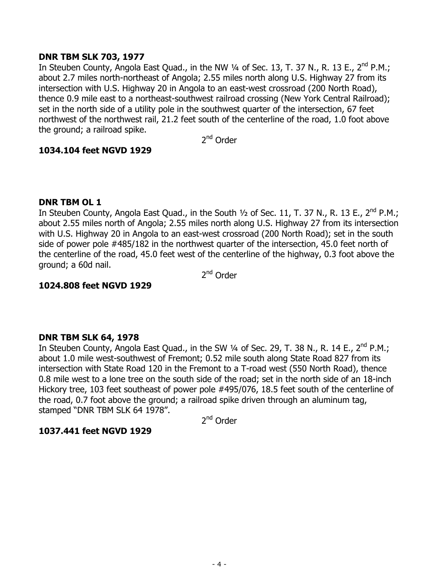# **DNR TBM SLK 703, 1977**

In Steuben County, Angola East Quad., in the NW 1/4 of Sec. 13, T. 37 N., R. 13 E., 2<sup>nd</sup> P.M.; about 2.7 miles north-northeast of Angola; 2.55 miles north along U.S. Highway 27 from its intersection with U.S. Highway 20 in Angola to an east-west crossroad (200 North Road), thence 0.9 mile east to a northeast-southwest railroad crossing (New York Central Railroad); set in the north side of a utility pole in the southwest quarter of the intersection, 67 feet northwest of the northwest rail, 21.2 feet south of the centerline of the road, 1.0 foot above the ground; a railroad spike.

2nd Order

# **1034.104 feet NGVD 1929**

# **DNR TBM OL 1**

In Steuben County, Angola East Quad., in the South  $\frac{1}{2}$  of Sec. 11, T. 37 N., R. 13 E., 2<sup>nd</sup> P.M.; about 2.55 miles north of Angola; 2.55 miles north along U.S. Highway 27 from its intersection with U.S. Highway 20 in Angola to an east-west crossroad (200 North Road); set in the south side of power pole #485/182 in the northwest quarter of the intersection, 45.0 feet north of the centerline of the road, 45.0 feet west of the centerline of the highway, 0.3 foot above the ground; a 60d nail.

2<sup>nd</sup> Order

# **1024.808 feet NGVD 1929**

# **DNR TBM SLK 64, 1978**

In Steuben County, Angola East Quad., in the SW 1/4 of Sec. 29, T. 38 N., R. 14 E., 2<sup>nd</sup> P.M.; about 1.0 mile west-southwest of Fremont; 0.52 mile south along State Road 827 from its intersection with State Road 120 in the Fremont to a T-road west (550 North Road), thence 0.8 mile west to a lone tree on the south side of the road; set in the north side of an 18-inch Hickory tree, 103 feet southeast of power pole #495/076, 18.5 feet south of the centerline of the road, 0.7 foot above the ground; a railroad spike driven through an aluminum tag, stamped "DNR TBM SLK 64 1978".

2nd Order

# **1037.441 feet NGVD 1929**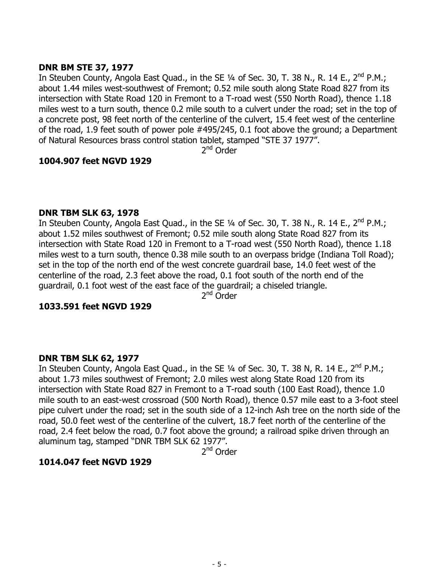# **DNR BM STE 37, 1977**

In Steuben County, Angola East Quad., in the SE 1/4 of Sec. 30, T. 38 N., R. 14 E., 2<sup>nd</sup> P.M.: about 1.44 miles west-southwest of Fremont; 0.52 mile south along State Road 827 from its intersection with State Road 120 in Fremont to a T-road west (550 North Road), thence 1.18 miles west to a turn south, thence 0.2 mile south to a culvert under the road; set in the top of a concrete post, 98 feet north of the centerline of the culvert, 15.4 feet west of the centerline of the road, 1.9 feet south of power pole #495/245, 0.1 foot above the ground; a Department of Natural Resources brass control station tablet, stamped "STE 37 1977".

2<sup>nd</sup> Order

# **1004.907 feet NGVD 1929**

#### **DNR TBM SLK 63, 1978**

In Steuben County, Angola East Quad., in the SE 1/4 of Sec. 30, T. 38 N., R. 14 E., 2<sup>nd</sup> P.M.; about 1.52 miles southwest of Fremont; 0.52 mile south along State Road 827 from its intersection with State Road 120 in Fremont to a T-road west (550 North Road), thence 1.18 miles west to a turn south, thence 0.38 mile south to an overpass bridge (Indiana Toll Road); set in the top of the north end of the west concrete guardrail base, 14.0 feet west of the centerline of the road, 2.3 feet above the road, 0.1 foot south of the north end of the guardrail, 0.1 foot west of the east face of the guardrail; a chiseled triangle.

2<sup>nd</sup> Order

# **1033.591 feet NGVD 1929**

# **DNR TBM SLK 62, 1977**

In Steuben County, Angola East Quad., in the SE  $\frac{1}{4}$  of Sec. 30, T. 38 N, R. 14 E., 2<sup>nd</sup> P.M.; about 1.73 miles southwest of Fremont; 2.0 miles west along State Road 120 from its intersection with State Road 827 in Fremont to a T-road south (100 East Road), thence 1.0 mile south to an east-west crossroad (500 North Road), thence 0.57 mile east to a 3-foot steel pipe culvert under the road; set in the south side of a 12-inch Ash tree on the north side of the road, 50.0 feet west of the centerline of the culvert, 18.7 feet north of the centerline of the road, 2.4 feet below the road, 0.7 foot above the ground; a railroad spike driven through an aluminum tag, stamped "DNR TBM SLK 62 1977".

2<sup>nd</sup> Order

# **1014.047 feet NGVD 1929**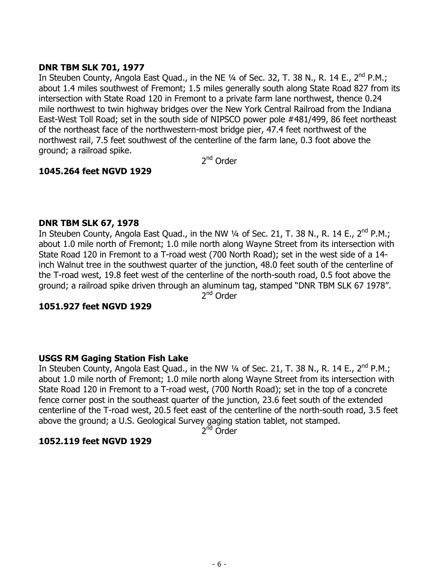# **DNR TBM SLK 701, 1977**

In Steuben County, Angola East Quad., in the NE  $\frac{1}{4}$  of Sec. 32, T. 38 N., R. 14 E., 2<sup>nd</sup> P.M.; about 1.4 miles southwest of Fremont; 1.5 miles generally south along State Road 827 from its intersection with State Road 120 in Fremont to a private farm lane northwest, thence 0.24 mile northwest to twin highway bridges over the New York Central Railroad from the Indiana East-West Toll Road; set in the south side of NIPSCO power pole #481/499, 86 feet northeast of the northeast face of the northwestern-most bridge pier, 47.4 feet northwest of the northwest rail, 7.5 feet southwest of the centerline of the farm lane, 0.3 foot above the ground; a railroad spike.

2<sup>nd</sup> Order

# **1045.264 feet NGVD 1929**

# **DNR TBM SLK 67, 1978**

In Steuben County, Angola East Quad., in the NW  $\frac{1}{4}$  of Sec. 21, T. 38 N., R. 14 E., 2<sup>nd</sup> P.M.; about 1.0 mile north of Fremont; 1.0 mile north along Wayne Street from its intersection with State Road 120 in Fremont to a T-road west (700 North Road); set in the west side of a 14 inch Walnut tree in the southwest quarter of the junction, 48.0 feet south of the centerline of the T-road west, 19.8 feet west of the centerline of the north-south road, 0.5 foot above the ground; a railroad spike driven through an aluminum tag, stamped "DNR TBM SLK 67 1978".

2<sup>nd</sup> Order

# **1051.927 feet NGVD 1929**

# **USGS RM Gaging Station Fish Lake**

In Steuben County, Angola East Quad., in the NW 1/4 of Sec. 21, T. 38 N., R. 14 E., 2<sup>nd</sup> P.M.; about 1.0 mile north of Fremont; 1.0 mile north along Wayne Street from its intersection with State Road 120 in Fremont to a T-road west, (700 North Road); set in the top of a concrete fence corner post in the southeast quarter of the junction, 23.6 feet south of the extended centerline of the T-road west, 20.5 feet east of the centerline of the north-south road, 3.5 feet above the ground; a U.S. Geological Survey gaging station tablet, not stamped.

2<sup>nd</sup> Order

# **1052.119 feet NGVD 1929**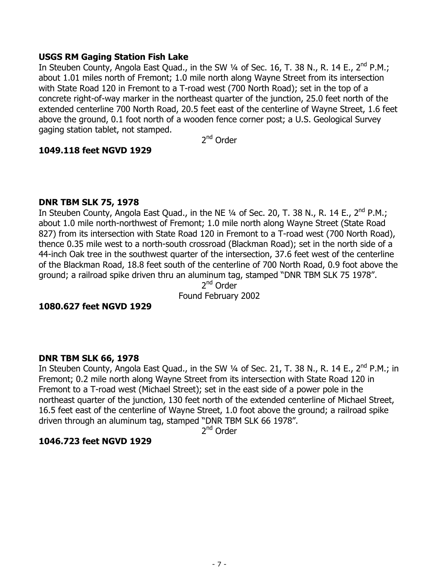### **USGS RM Gaging Station Fish Lake**

In Steuben County, Angola East Quad., in the SW 1/4 of Sec. 16, T. 38 N., R. 14 E., 2<sup>nd</sup> P.M.; about 1.01 miles north of Fremont; 1.0 mile north along Wayne Street from its intersection with State Road 120 in Fremont to a T-road west (700 North Road); set in the top of a concrete right-of-way marker in the northeast quarter of the junction, 25.0 feet north of the extended centerline 700 North Road, 20.5 feet east of the centerline of Wayne Street, 1.6 feet above the ground, 0.1 foot north of a wooden fence corner post; a U.S. Geological Survey gaging station tablet, not stamped.

2nd Order

# **1049.118 feet NGVD 1929**

#### **DNR TBM SLK 75, 1978**

In Steuben County, Angola East Quad., in the NE  $\frac{1}{4}$  of Sec. 20, T. 38 N., R. 14 E., 2<sup>nd</sup> P.M.; about 1.0 mile north-northwest of Fremont; 1.0 mile north along Wayne Street (State Road 827) from its intersection with State Road 120 in Fremont to a T-road west (700 North Road), thence 0.35 mile west to a north-south crossroad (Blackman Road); set in the north side of a 44-inch Oak tree in the southwest quarter of the intersection, 37.6 feet west of the centerline of the Blackman Road, 18.8 feet south of the centerline of 700 North Road, 0.9 foot above the ground; a railroad spike driven thru an aluminum tag, stamped "DNR TBM SLK 75 1978".

2<sup>nd</sup> Order

Found February 2002

# **1080.627 feet NGVD 1929**

# **DNR TBM SLK 66, 1978**

In Steuben County, Angola East Quad., in the SW 1/4 of Sec. 21, T. 38 N., R. 14 E., 2<sup>nd</sup> P.M.; in Fremont; 0.2 mile north along Wayne Street from its intersection with State Road 120 in Fremont to a T-road west (Michael Street); set in the east side of a power pole in the northeast quarter of the junction, 130 feet north of the extended centerline of Michael Street, 16.5 feet east of the centerline of Wayne Street, 1.0 foot above the ground; a railroad spike driven through an aluminum tag, stamped "DNR TBM SLK 66 1978".

2<sup>nd</sup> Order

# **1046.723 feet NGVD 1929**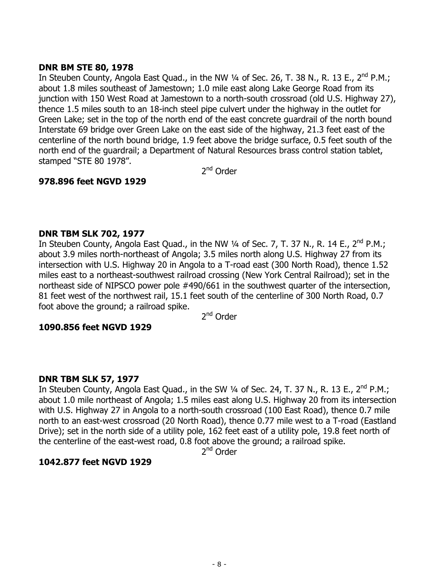# **DNR BM STE 80, 1978**

In Steuben County, Angola East Quad., in the NW 1/4 of Sec. 26, T. 38 N., R. 13 E., 2<sup>nd</sup> P.M.: about 1.8 miles southeast of Jamestown; 1.0 mile east along Lake George Road from its junction with 150 West Road at Jamestown to a north-south crossroad (old U.S. Highway 27), thence 1.5 miles south to an 18-inch steel pipe culvert under the highway in the outlet for Green Lake; set in the top of the north end of the east concrete guardrail of the north bound Interstate 69 bridge over Green Lake on the east side of the highway, 21.3 feet east of the centerline of the north bound bridge, 1.9 feet above the bridge surface, 0.5 feet south of the north end of the guardrail; a Department of Natural Resources brass control station tablet, stamped "STE 80 1978".

2nd Order

# **978.896 feet NGVD 1929**

# **DNR TBM SLK 702, 1977**

In Steuben County, Angola East Quad., in the NW  $\frac{1}{4}$  of Sec. 7, T. 37 N., R. 14 E., 2<sup>nd</sup> P.M.; about 3.9 miles north-northeast of Angola; 3.5 miles north along U.S. Highway 27 from its intersection with U.S. Highway 20 in Angola to a T-road east (300 North Road), thence 1.52 miles east to a northeast-southwest railroad crossing (New York Central Railroad); set in the northeast side of NIPSCO power pole #490/661 in the southwest quarter of the intersection, 81 feet west of the northwest rail, 15.1 feet south of the centerline of 300 North Road, 0.7 foot above the ground; a railroad spike.

2<sup>nd</sup> Order

# **1090.856 feet NGVD 1929**

# **DNR TBM SLK 57, 1977**

In Steuben County, Angola East Quad., in the SW 1/4 of Sec. 24, T. 37 N., R. 13 E., 2<sup>nd</sup> P.M.; about 1.0 mile northeast of Angola; 1.5 miles east along U.S. Highway 20 from its intersection with U.S. Highway 27 in Angola to a north-south crossroad (100 East Road), thence 0.7 mile north to an east-west crossroad (20 North Road), thence 0.77 mile west to a T-road (Eastland Drive); set in the north side of a utility pole, 162 feet east of a utility pole, 19.8 feet north of the centerline of the east-west road, 0.8 foot above the ground; a railroad spike.

2<sup>nd</sup> Order

# **1042.877 feet NGVD 1929**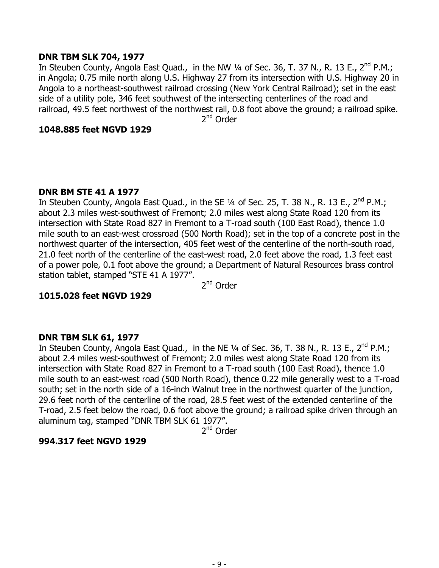### **DNR TBM SLK 704, 1977**

In Steuben County, Angola East Quad., in the NW 1/4 of Sec. 36, T. 37 N., R. 13 E., 2<sup>nd</sup> P.M.; in Angola; 0.75 mile north along U.S. Highway 27 from its intersection with U.S. Highway 20 in Angola to a northeast-southwest railroad crossing (New York Central Railroad); set in the east side of a utility pole, 346 feet southwest of the intersecting centerlines of the road and railroad, 49.5 feet northwest of the northwest rail, 0.8 foot above the ground; a railroad spike.

2<sup>nd</sup> Order

#### **1048.885 feet NGVD 1929**

#### **DNR BM STE 41 A 1977**

In Steuben County, Angola East Quad., in the SE 1/4 of Sec. 25, T. 38 N., R. 13 E., 2<sup>nd</sup> P.M.; about 2.3 miles west-southwest of Fremont; 2.0 miles west along State Road 120 from its intersection with State Road 827 in Fremont to a T-road south (100 East Road), thence 1.0 mile south to an east-west crossroad (500 North Road); set in the top of a concrete post in the northwest quarter of the intersection, 405 feet west of the centerline of the north-south road, 21.0 feet north of the centerline of the east-west road, 2.0 feet above the road, 1.3 feet east of a power pole, 0.1 foot above the ground; a Department of Natural Resources brass control station tablet, stamped "STE 41 A 1977".

2<sup>nd</sup> Order

# **1015.028 feet NGVD 1929**

# **DNR TBM SLK 61, 1977**

In Steuben County, Angola East Quad., in the NE 1/4 of Sec. 36, T. 38 N., R. 13 E., 2<sup>nd</sup> P.M.; about 2.4 miles west-southwest of Fremont; 2.0 miles west along State Road 120 from its intersection with State Road 827 in Fremont to a T-road south (100 East Road), thence 1.0 mile south to an east-west road (500 North Road), thence 0.22 mile generally west to a T-road south; set in the north side of a 16-inch Walnut tree in the northwest quarter of the junction, 29.6 feet north of the centerline of the road, 28.5 feet west of the extended centerline of the T-road, 2.5 feet below the road, 0.6 foot above the ground; a railroad spike driven through an aluminum tag, stamped "DNR TBM SLK 61 1977".

2<sup>nd</sup> Order

# **994.317 feet NGVD 1929**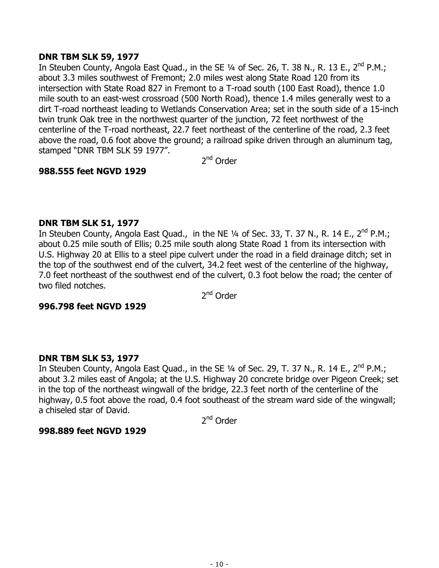# **DNR TBM SLK 59, 1977**

In Steuben County, Angola East Quad., in the SE  $\frac{1}{4}$  of Sec. 26, T. 38 N., R. 13 E., 2<sup>nd</sup> P.M.; about 3.3 miles southwest of Fremont; 2.0 miles west along State Road 120 from its intersection with State Road 827 in Fremont to a T-road south (100 East Road), thence 1.0 mile south to an east-west crossroad (500 North Road), thence 1.4 miles generally west to a dirt T-road northeast leading to Wetlands Conservation Area; set in the south side of a 15-inch twin trunk Oak tree in the northwest quarter of the junction, 72 feet northwest of the centerline of the T-road northeast, 22.7 feet northeast of the centerline of the road, 2.3 feet above the road, 0.6 foot above the ground; a railroad spike driven through an aluminum tag, stamped "DNR TBM SLK 59 1977".

2<sup>nd</sup> Order

# **988.555 feet NGVD 1929**

# **DNR TBM SLK 51, 1977**

In Steuben County, Angola East Quad., in the NE 1/4 of Sec. 33, T. 37 N., R. 14 E., 2<sup>nd</sup> P.M.; about 0.25 mile south of Ellis; 0.25 mile south along State Road 1 from its intersection with U.S. Highway 20 at Ellis to a steel pipe culvert under the road in a field drainage ditch; set in the top of the southwest end of the culvert, 34.2 feet west of the centerline of the highway, 7.0 feet northeast of the southwest end of the culvert, 0.3 foot below the road; the center of two filed notches.

2<sup>nd</sup> Order

# **996.798 feet NGVD 1929**

# **DNR TBM SLK 53, 1977**

In Steuben County, Angola East Quad., in the SE 1/4 of Sec. 29, T. 37 N., R. 14 E., 2<sup>nd</sup> P.M.; about 3.2 miles east of Angola; at the U.S. Highway 20 concrete bridge over Pigeon Creek; set in the top of the northeast wingwall of the bridge, 22.3 feet north of the centerline of the highway, 0.5 foot above the road, 0.4 foot southeast of the stream ward side of the wingwall; a chiseled star of David.

2nd Order

# **998.889 feet NGVD 1929**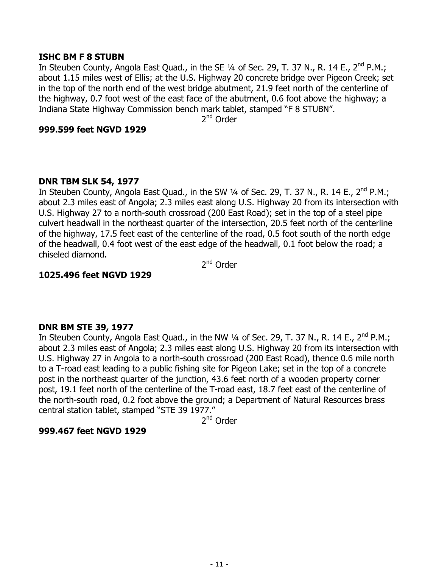#### **ISHC BM F 8 STUBN**

In Steuben County, Angola East Quad., in the SE 1/4 of Sec. 29, T. 37 N., R. 14 E., 2<sup>nd</sup> P.M.; about 1.15 miles west of Ellis; at the U.S. Highway 20 concrete bridge over Pigeon Creek; set in the top of the north end of the west bridge abutment, 21.9 feet north of the centerline of the highway, 0.7 foot west of the east face of the abutment, 0.6 foot above the highway; a Indiana State Highway Commission bench mark tablet, stamped "F 8 STUBN".

2<sup>nd</sup> Order

#### **999.599 feet NGVD 1929**

# **DNR TBM SLK 54, 1977**

In Steuben County, Angola East Quad., in the SW 1/4 of Sec. 29, T. 37 N., R. 14 E., 2<sup>nd</sup> P.M.; about 2.3 miles east of Angola; 2.3 miles east along U.S. Highway 20 from its intersection with U.S. Highway 27 to a north-south crossroad (200 East Road); set in the top of a steel pipe culvert headwall in the northeast quarter of the intersection, 20.5 feet north of the centerline of the highway, 17.5 feet east of the centerline of the road, 0.5 foot south of the north edge of the headwall, 0.4 foot west of the east edge of the headwall, 0.1 foot below the road; a chiseled diamond.

2<sup>nd</sup> Order

# **1025.496 feet NGVD 1929**

# **DNR BM STE 39, 1977**

In Steuben County, Angola East Quad., in the NW 1/4 of Sec. 29, T. 37 N., R. 14 E., 2<sup>nd</sup> P.M.; about 2.3 miles east of Angola; 2.3 miles east along U.S. Highway 20 from its intersection with U.S. Highway 27 in Angola to a north-south crossroad (200 East Road), thence 0.6 mile north to a T-road east leading to a public fishing site for Pigeon Lake; set in the top of a concrete post in the northeast quarter of the junction, 43.6 feet north of a wooden property corner post, 19.1 feet north of the centerline of the T-road east, 18.7 feet east of the centerline of the north-south road, 0.2 foot above the ground; a Department of Natural Resources brass central station tablet, stamped "STE 39 1977."

2<sup>nd</sup> Order

# **999.467 feet NGVD 1929**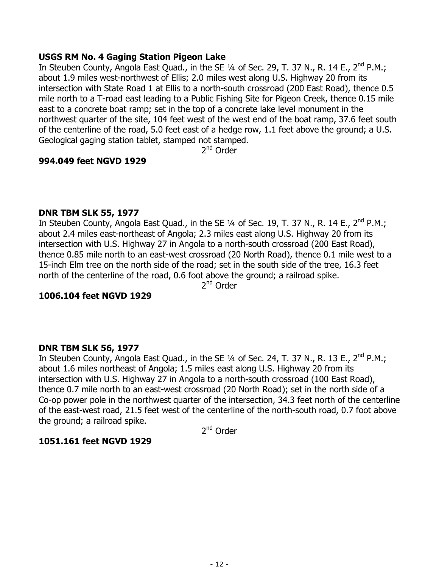# **USGS RM No. 4 Gaging Station Pigeon Lake**

In Steuben County, Angola East Quad., in the SE  $\frac{1}{4}$  of Sec. 29, T. 37 N., R. 14 E., 2<sup>nd</sup> P.M.; about 1.9 miles west-northwest of Ellis; 2.0 miles west along U.S. Highway 20 from its intersection with State Road 1 at Ellis to a north-south crossroad (200 East Road), thence 0.5 mile north to a T-road east leading to a Public Fishing Site for Pigeon Creek, thence 0.15 mile east to a concrete boat ramp; set in the top of a concrete lake level monument in the northwest quarter of the site, 104 feet west of the west end of the boat ramp, 37.6 feet south of the centerline of the road, 5.0 feet east of a hedge row, 1.1 feet above the ground; a U.S. Geological gaging station tablet, stamped not stamped.

2<sup>nd</sup> Order

# **994.049 feet NGVD 1929**

# **DNR TBM SLK 55, 1977**

In Steuben County, Angola East Quad., in the SE 1/4 of Sec. 19, T. 37 N., R. 14 E., 2<sup>nd</sup> P.M.; about 2.4 miles east-northeast of Angola; 2.3 miles east along U.S. Highway 20 from its intersection with U.S. Highway 27 in Angola to a north-south crossroad (200 East Road), thence 0.85 mile north to an east-west crossroad (20 North Road), thence 0.1 mile west to a 15-inch Elm tree on the north side of the road; set in the south side of the tree, 16.3 feet north of the centerline of the road, 0.6 foot above the ground; a railroad spike.

2nd Order

# **1006.104 feet NGVD 1929**

# **DNR TBM SLK 56, 1977**

In Steuben County, Angola East Quad., in the SE 1/4 of Sec. 24, T. 37 N., R. 13 E., 2<sup>nd</sup> P.M.; about 1.6 miles northeast of Angola; 1.5 miles east along U.S. Highway 20 from its intersection with U.S. Highway 27 in Angola to a north-south crossroad (100 East Road), thence 0.7 mile north to an east-west crossroad (20 North Road); set in the north side of a Co-op power pole in the northwest quarter of the intersection, 34.3 feet north of the centerline of the east-west road, 21.5 feet west of the centerline of the north-south road, 0.7 foot above the ground; a railroad spike.

2<sup>nd</sup> Order

# **1051.161 feet NGVD 1929**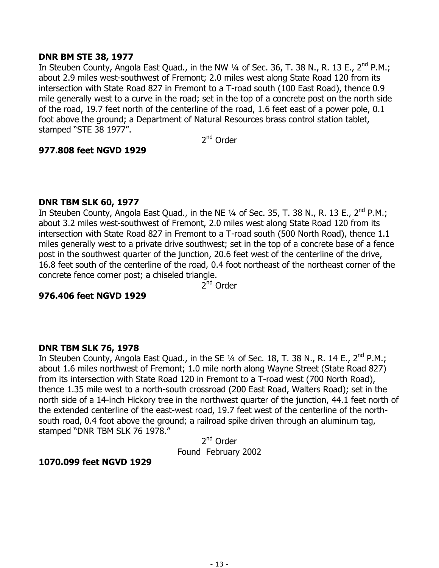### **DNR BM STE 38, 1977**

In Steuben County, Angola East Quad., in the NW 1/4 of Sec. 36, T. 38 N., R. 13 E., 2<sup>nd</sup> P.M.; about 2.9 miles west-southwest of Fremont; 2.0 miles west along State Road 120 from its intersection with State Road 827 in Fremont to a T-road south (100 East Road), thence 0.9 mile generally west to a curve in the road; set in the top of a concrete post on the north side of the road, 19.7 feet north of the centerline of the road, 1.6 feet east of a power pole, 0.1 foot above the ground; a Department of Natural Resources brass control station tablet, stamped "STE 38 1977".

2nd Order

#### **977.808 feet NGVD 1929**

#### **DNR TBM SLK 60, 1977**

In Steuben County, Angola East Quad., in the NE  $\frac{1}{4}$  of Sec. 35, T. 38 N., R. 13 E., 2<sup>nd</sup> P.M.; about 3.2 miles west-southwest of Fremont, 2.0 miles west along State Road 120 from its intersection with State Road 827 in Fremont to a T-road south (500 North Road), thence 1.1 miles generally west to a private drive southwest; set in the top of a concrete base of a fence post in the southwest quarter of the junction, 20.6 feet west of the centerline of the drive, 16.8 feet south of the centerline of the road, 0.4 foot northeast of the northeast corner of the concrete fence corner post; a chiseled triangle.

 $2^{nd}$  Order

# **976.406 feet NGVD 1929**

#### **DNR TBM SLK 76, 1978**

In Steuben County, Angola East Quad., in the SE 1/4 of Sec. 18, T. 38 N., R. 14 E., 2<sup>nd</sup> P.M.; about 1.6 miles northwest of Fremont; 1.0 mile north along Wayne Street (State Road 827) from its intersection with State Road 120 in Fremont to a T-road west (700 North Road), thence 1.35 mile west to a north-south crossroad (200 East Road, Walters Road); set in the north side of a 14-inch Hickory tree in the northwest quarter of the junction, 44.1 feet north of the extended centerline of the east-west road, 19.7 feet west of the centerline of the northsouth road, 0.4 foot above the ground; a railroad spike driven through an aluminum tag, stamped "DNR TBM SLK 76 1978."

2<sup>nd</sup> Order Found February 2002

#### **1070.099 feet NGVD 1929**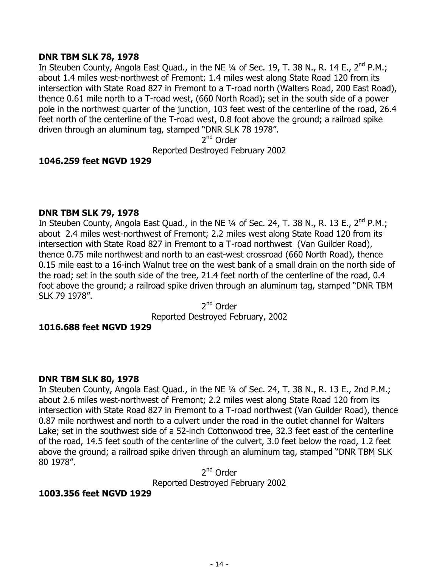# **DNR TBM SLK 78, 1978**

In Steuben County, Angola East Quad., in the NE 1/4 of Sec. 19, T. 38 N., R. 14 E., 2<sup>nd</sup> P.M.; about 1.4 miles west-northwest of Fremont; 1.4 miles west along State Road 120 from its intersection with State Road 827 in Fremont to a T-road north (Walters Road, 200 East Road), thence 0.61 mile north to a T-road west, (660 North Road); set in the south side of a power pole in the northwest quarter of the junction, 103 feet west of the centerline of the road, 26.4 feet north of the centerline of the T-road west, 0.8 foot above the ground; a railroad spike driven through an aluminum tag, stamped "DNR SLK 78 1978".

2nd Order

Reported Destroyed February 2002

# **1046.259 feet NGVD 1929**

# **DNR TBM SLK 79, 1978**

In Steuben County, Angola East Quad., in the NE 1/4 of Sec. 24, T. 38 N., R. 13 E., 2<sup>nd</sup> P.M.; about 2.4 miles west-northwest of Fremont; 2.2 miles west along State Road 120 from its intersection with State Road 827 in Fremont to a T-road northwest (Van Guilder Road), thence 0.75 mile northwest and north to an east-west crossroad (660 North Road), thence 0.15 mile east to a 16-inch Walnut tree on the west bank of a small drain on the north side of the road; set in the south side of the tree, 21.4 feet north of the centerline of the road, 0.4 foot above the ground; a railroad spike driven through an aluminum tag, stamped "DNR TBM SLK 79 1978".

2nd Order Reported Destroyed February, 2002

# **1016.688 feet NGVD 1929**

# **DNR TBM SLK 80, 1978**

In Steuben County, Angola East Quad., in the NE 1/4 of Sec. 24, T. 38 N., R. 13 E., 2nd P.M.; about 2.6 miles west-northwest of Fremont; 2.2 miles west along State Road 120 from its intersection with State Road 827 in Fremont to a T-road northwest (Van Guilder Road), thence 0.87 mile northwest and north to a culvert under the road in the outlet channel for Walters Lake; set in the southwest side of a 52-inch Cottonwood tree, 32.3 feet east of the centerline of the road, 14.5 feet south of the centerline of the culvert, 3.0 feet below the road, 1.2 feet above the ground; a railroad spike driven through an aluminum tag, stamped "DNR TBM SLK 80 1978".

2nd Order Reported Destroyed February 2002

# **1003.356 feet NGVD 1929**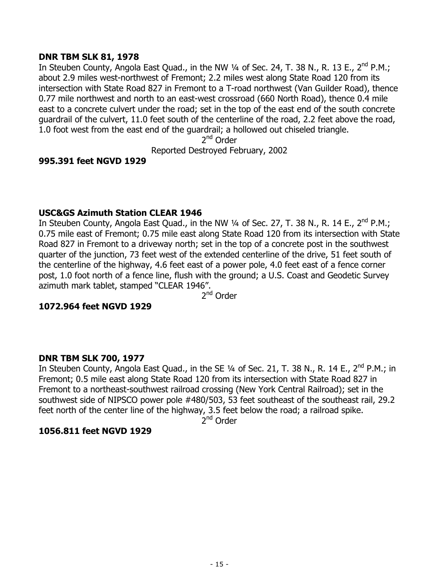# **DNR TBM SLK 81, 1978**

In Steuben County, Angola East Quad., in the NW  $\frac{1}{4}$  of Sec. 24, T. 38 N., R. 13 E., 2<sup>nd</sup> P.M.; about 2.9 miles west-northwest of Fremont; 2.2 miles west along State Road 120 from its intersection with State Road 827 in Fremont to a T-road northwest (Van Guilder Road), thence 0.77 mile northwest and north to an east-west crossroad (660 North Road), thence 0.4 mile east to a concrete culvert under the road; set in the top of the east end of the south concrete guardrail of the culvert, 11.0 feet south of the centerline of the road, 2.2 feet above the road, 1.0 foot west from the east end of the guardrail; a hollowed out chiseled triangle.

2<sup>nd</sup> Order

Reported Destroyed February, 2002

# **995.391 feet NGVD 1929**

# **USC&GS Azimuth Station CLEAR 1946**

In Steuben County, Angola East Quad., in the NW 1/4 of Sec. 27, T. 38 N., R. 14 E., 2<sup>nd</sup> P.M.; 0.75 mile east of Fremont; 0.75 mile east along State Road 120 from its intersection with State Road 827 in Fremont to a driveway north; set in the top of a concrete post in the southwest quarter of the junction, 73 feet west of the extended centerline of the drive, 51 feet south of the centerline of the highway, 4.6 feet east of a power pole, 4.0 feet east of a fence corner post, 1.0 foot north of a fence line, flush with the ground; a U.S. Coast and Geodetic Survey azimuth mark tablet, stamped "CLEAR 1946".

2nd Order

# **1072.964 feet NGVD 1929**

# **DNR TBM SLK 700, 1977**

In Steuben County, Angola East Quad., in the SE  $\frac{1}{4}$  of Sec. 21, T. 38 N., R. 14 E., 2<sup>nd</sup> P.M.; in Fremont; 0.5 mile east along State Road 120 from its intersection with State Road 827 in Fremont to a northeast-southwest railroad crossing (New York Central Railroad); set in the southwest side of NIPSCO power pole #480/503, 53 feet southeast of the southeast rail, 29.2 feet north of the center line of the highway, 3.5 feet below the road; a railroad spike.

 $2<sup>nd</sup>$  Order

# **1056.811 feet NGVD 1929**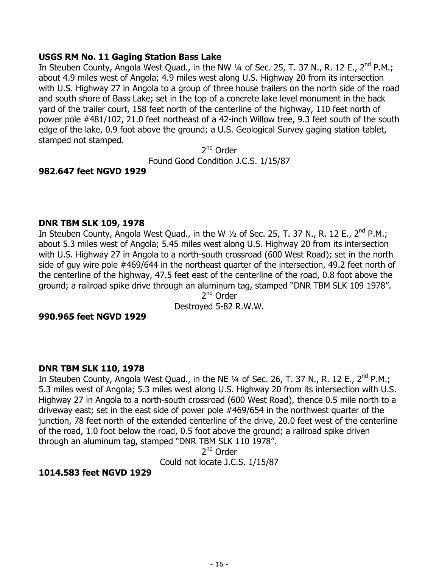### **USGS RM No. 11 Gaging Station Bass Lake**

In Steuben County, Angola West Quad., in the NW 1/4 of Sec. 25, T. 37 N., R. 12 E., 2<sup>nd</sup> P.M.; about 4.9 miles west of Angola; 4.9 miles west along U.S. Highway 20 from its intersection with U.S. Highway 27 in Angola to a group of three house trailers on the north side of the road and south shore of Bass Lake; set in the top of a concrete lake level monument in the back yard of the trailer court, 158 feet north of the centerline of the highway, 110 feet north of power pole #481/102, 21.0 feet northeast of a 42-inch Willow tree, 9.3 feet south of the south edge of the lake, 0.9 foot above the ground; a U.S. Geological Survey gaging station tablet, stamped not stamped.

2<sup>nd</sup> Order Found Good Condition J.C.S. 1/15/87

#### **982.647 feet NGVD 1929**

#### **DNR TBM SLK 109, 1978**

In Steuben County, Angola West Quad., in the W  $\frac{1}{2}$  of Sec. 25, T. 37 N., R. 12 E., 2<sup>nd</sup> P.M.; about 5.3 miles west of Angola; 5.45 miles west along U.S. Highway 20 from its intersection with U.S. Highway 27 in Angola to a north-south crossroad (600 West Road); set in the north side of guy wire pole #469/644 in the northeast quarter of the intersection, 49.2 feet north of the centerline of the highway, 47.5 feet east of the centerline of the road, 0.8 foot above the ground; a railroad spike drive through an aluminum tag, stamped "DNR TBM SLK 109 1978".

2<sup>nd</sup> Order Destroyed 5-82 R.W.W.

#### **990.965 feet NGVD 1929**

#### **DNR TBM SLK 110, 1978**

In Steuben County, Angola West Quad., in the NE  $\frac{1}{4}$  of Sec. 26, T. 37 N., R. 12 E., 2<sup>nd</sup> P.M.; 5.3 miles west of Angola; 5.3 miles west along U.S. Highway 20 from its intersection with U.S. Highway 27 in Angola to a north-south crossroad (600 West Road), thence 0.5 mile north to a driveway east; set in the east side of power pole #469/654 in the northwest quarter of the junction, 78 feet north of the extended centerline of the drive, 20.0 feet west of the centerline of the road, 1.0 foot below the road, 0.5 foot above the ground; a railroad spike driven through an aluminum tag, stamped "DNR TBM SLK 110 1978".

2<sup>nd</sup> Order Could not locate J.C.S. 1/15/87

# **1014.583 feet NGVD 1929**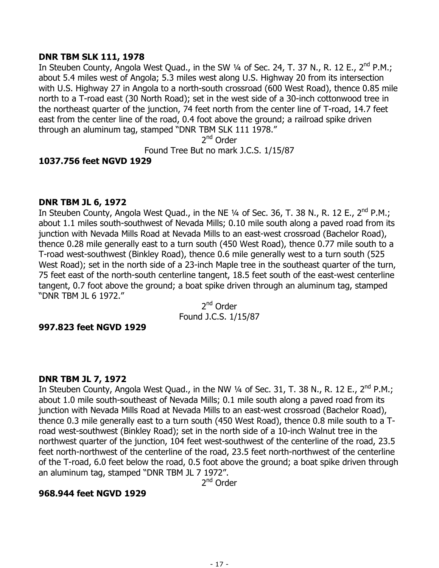# **DNR TBM SLK 111, 1978**

In Steuben County, Angola West Quad., in the SW 1/4 of Sec. 24, T. 37 N., R. 12 E., 2<sup>nd</sup> P.M.; about 5.4 miles west of Angola; 5.3 miles west along U.S. Highway 20 from its intersection with U.S. Highway 27 in Angola to a north-south crossroad (600 West Road), thence 0.85 mile north to a T-road east (30 North Road); set in the west side of a 30-inch cottonwood tree in the northeast quarter of the junction, 74 feet north from the center line of T-road, 14.7 feet east from the center line of the road, 0.4 foot above the ground; a railroad spike driven through an aluminum tag, stamped "DNR TBM SLK 111 1978."

2nd Order

Found Tree But no mark J.C.S. 1/15/87

# **1037.756 feet NGVD 1929**

# **DNR TBM JL 6, 1972**

In Steuben County, Angola West Quad., in the NE  $\frac{1}{4}$  of Sec. 36, T. 38 N., R. 12 E., 2<sup>nd</sup> P.M.; about 1.1 miles south-southwest of Nevada Mills; 0.10 mile south along a paved road from its junction with Nevada Mills Road at Nevada Mills to an east-west crossroad (Bachelor Road), thence 0.28 mile generally east to a turn south (450 West Road), thence 0.77 mile south to a T-road west-southwest (Binkley Road), thence 0.6 mile generally west to a turn south (525 West Road); set in the north side of a 23-inch Maple tree in the southeast quarter of the turn, 75 feet east of the north-south centerline tangent, 18.5 feet south of the east-west centerline tangent, 0.7 foot above the ground; a boat spike driven through an aluminum tag, stamped "DNR TBM JL 6 1972."

2<sup>nd</sup> Order Found J.C.S. 1/15/87

# **997.823 feet NGVD 1929**

# **DNR TBM JL 7, 1972**

In Steuben County, Angola West Quad., in the NW 1/4 of Sec. 31, T. 38 N., R. 12 E., 2<sup>nd</sup> P.M.; about 1.0 mile south-southeast of Nevada Mills; 0.1 mile south along a paved road from its junction with Nevada Mills Road at Nevada Mills to an east-west crossroad (Bachelor Road), thence 0.3 mile generally east to a turn south (450 West Road), thence 0.8 mile south to a Troad west-southwest (Binkley Road); set in the north side of a 10-inch Walnut tree in the northwest quarter of the junction, 104 feet west-southwest of the centerline of the road, 23.5 feet north-northwest of the centerline of the road, 23.5 feet north-northwest of the centerline of the T-road, 6.0 feet below the road, 0.5 foot above the ground; a boat spike driven through an aluminum tag, stamped "DNR TBM JL 7 1972".

2nd Order

# **968.944 feet NGVD 1929**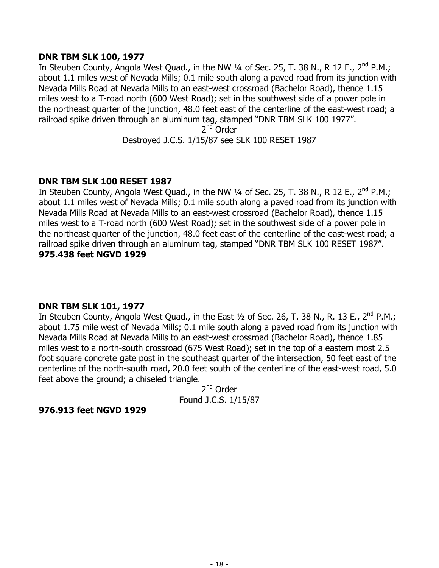# **DNR TBM SLK 100, 1977**

In Steuben County, Angola West Quad., in the NW 1/4 of Sec. 25, T. 38 N., R 12 E., 2<sup>nd</sup> P.M.; about 1.1 miles west of Nevada Mills; 0.1 mile south along a paved road from its junction with Nevada Mills Road at Nevada Mills to an east-west crossroad (Bachelor Road), thence 1.15 miles west to a T-road north (600 West Road); set in the southwest side of a power pole in the northeast quarter of the junction, 48.0 feet east of the centerline of the east-west road; a railroad spike driven through an aluminum tag, stamped "DNR TBM SLK 100 1977".

2<sup>nd</sup> Order

Destroyed J.C.S. 1/15/87 see SLK 100 RESET 1987

#### **DNR TBM SLK 100 RESET 1987**

In Steuben County, Angola West Quad., in the NW  $\frac{1}{4}$  of Sec. 25, T. 38 N., R 12 E., 2<sup>nd</sup> P.M.; about 1.1 miles west of Nevada Mills; 0.1 mile south along a paved road from its junction with Nevada Mills Road at Nevada Mills to an east-west crossroad (Bachelor Road), thence 1.15 miles west to a T-road north (600 West Road); set in the southwest side of a power pole in the northeast quarter of the junction, 48.0 feet east of the centerline of the east-west road; a railroad spike driven through an aluminum tag, stamped "DNR TBM SLK 100 RESET 1987". **975.438 feet NGVD 1929** 

# **DNR TBM SLK 101, 1977**

In Steuben County, Angola West Quad., in the East 1/2 of Sec. 26, T. 38 N., R. 13 E., 2<sup>nd</sup> P.M.; about 1.75 mile west of Nevada Mills; 0.1 mile south along a paved road from its junction with Nevada Mills Road at Nevada Mills to an east-west crossroad (Bachelor Road), thence 1.85 miles west to a north-south crossroad (675 West Road); set in the top of a eastern most 2.5 foot square concrete gate post in the southeast quarter of the intersection, 50 feet east of the centerline of the north-south road, 20.0 feet south of the centerline of the east-west road, 5.0 feet above the ground; a chiseled triangle.

2nd Order Found J.C.S. 1/15/87

#### **976.913 feet NGVD 1929**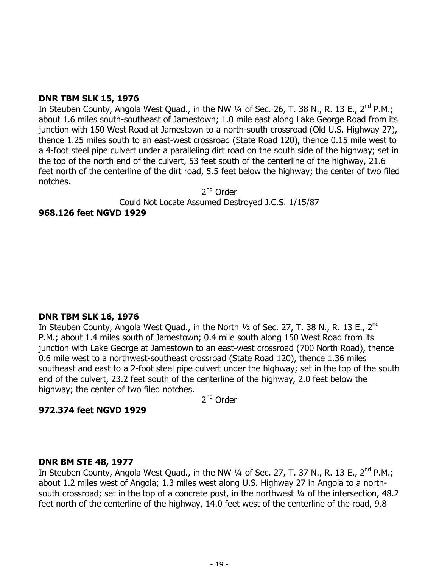# **DNR TBM SLK 15, 1976**

In Steuben County, Angola West Quad., in the NW  $\frac{1}{4}$  of Sec. 26, T. 38 N., R. 13 E., 2<sup>nd</sup> P.M.; about 1.6 miles south-southeast of Jamestown; 1.0 mile east along Lake George Road from its junction with 150 West Road at Jamestown to a north-south crossroad (Old U.S. Highway 27), thence 1.25 miles south to an east-west crossroad (State Road 120), thence 0.15 mile west to a 4-foot steel pipe culvert under a paralleling dirt road on the south side of the highway; set in the top of the north end of the culvert, 53 feet south of the centerline of the highway, 21.6 feet north of the centerline of the dirt road, 5.5 feet below the highway; the center of two filed notches.

2<sup>nd</sup> Order

Could Not Locate Assumed Destroyed J.C.S. 1/15/87

# **968.126 feet NGVD 1929**

# **DNR TBM SLK 16, 1976**

In Steuben County, Angola West Quad., in the North 1/2 of Sec. 27, T. 38 N., R. 13 E., 2<sup>nd</sup> P.M.; about 1.4 miles south of Jamestown; 0.4 mile south along 150 West Road from its junction with Lake George at Jamestown to an east-west crossroad (700 North Road), thence 0.6 mile west to a northwest-southeast crossroad (State Road 120), thence 1.36 miles southeast and east to a 2-foot steel pipe culvert under the highway; set in the top of the south end of the culvert, 23.2 feet south of the centerline of the highway, 2.0 feet below the highway; the center of two filed notches.

2<sup>nd</sup> Order

# **972.374 feet NGVD 1929**

# **DNR BM STE 48, 1977**

In Steuben County, Angola West Quad., in the NW 1/4 of Sec. 27, T. 37 N., R. 13 E., 2<sup>nd</sup> P.M.; about 1.2 miles west of Angola; 1.3 miles west along U.S. Highway 27 in Angola to a northsouth crossroad; set in the top of a concrete post, in the northwest 1/4 of the intersection, 48.2 feet north of the centerline of the highway, 14.0 feet west of the centerline of the road, 9.8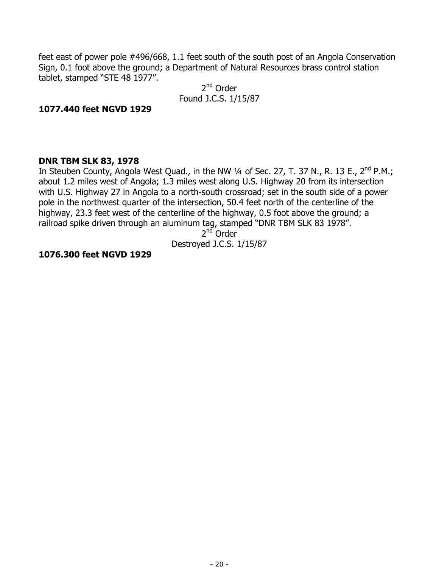feet east of power pole #496/668, 1.1 feet south of the south post of an Angola Conservation Sign, 0.1 foot above the ground; a Department of Natural Resources brass control station tablet, stamped "STE 48 1977".

2<sup>nd</sup> Order Found J.C.S. 1/15/87

### **1077.440 feet NGVD 1929**

#### **DNR TBM SLK 83, 1978**

In Steuben County, Angola West Quad., in the NW 1/4 of Sec. 27, T. 37 N., R. 13 E., 2<sup>nd</sup> P.M.; about 1.2 miles west of Angola; 1.3 miles west along U.S. Highway 20 from its intersection with U.S. Highway 27 in Angola to a north-south crossroad; set in the south side of a power pole in the northwest quarter of the intersection, 50.4 feet north of the centerline of the highway, 23.3 feet west of the centerline of the highway, 0.5 foot above the ground; a railroad spike driven through an aluminum tag, stamped "DNR TBM SLK 83 1978".

 $2<sup>nd</sup>$  Order

Destroyed J.C.S. 1/15/87

#### **1076.300 feet NGVD 1929**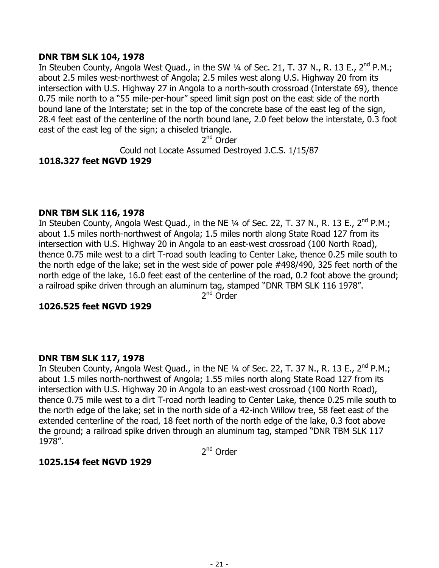### **DNR TBM SLK 104, 1978**

In Steuben County, Angola West Quad., in the SW 1/4 of Sec. 21, T. 37 N., R. 13 E., 2<sup>nd</sup> P.M.; about 2.5 miles west-northwest of Angola; 2.5 miles west along U.S. Highway 20 from its intersection with U.S. Highway 27 in Angola to a north-south crossroad (Interstate 69), thence 0.75 mile north to a "55 mile-per-hour" speed limit sign post on the east side of the north bound lane of the Interstate; set in the top of the concrete base of the east leg of the sign, 28.4 feet east of the centerline of the north bound lane, 2.0 feet below the interstate, 0.3 foot east of the east leg of the sign; a chiseled triangle.

2nd Order

Could not Locate Assumed Destroyed J.C.S. 1/15/87 **1018.327 feet NGVD 1929** 

#### **DNR TBM SLK 116, 1978**

In Steuben County, Angola West Quad., in the NE 1/4 of Sec. 22, T. 37 N., R. 13 E., 2<sup>nd</sup> P.M.; about 1.5 miles north-northwest of Angola; 1.5 miles north along State Road 127 from its intersection with U.S. Highway 20 in Angola to an east-west crossroad (100 North Road), thence 0.75 mile west to a dirt T-road south leading to Center Lake, thence 0.25 mile south to the north edge of the lake; set in the west side of power pole #498/490, 325 feet north of the north edge of the lake, 16.0 feet east of the centerline of the road, 0.2 foot above the ground; a railroad spike driven through an aluminum tag, stamped "DNR TBM SLK 116 1978".

2<sup>nd</sup> Order

# **1026.525 feet NGVD 1929**

# **DNR TBM SLK 117, 1978**

In Steuben County, Angola West Quad., in the NE 1/4 of Sec. 22, T. 37 N., R. 13 E., 2<sup>nd</sup> P.M.; about 1.5 miles north-northwest of Angola; 1.55 miles north along State Road 127 from its intersection with U.S. Highway 20 in Angola to an east-west crossroad (100 North Road), thence 0.75 mile west to a dirt T-road north leading to Center Lake, thence 0.25 mile south to the north edge of the lake; set in the north side of a 42-inch Willow tree, 58 feet east of the extended centerline of the road, 18 feet north of the north edge of the lake, 0.3 foot above the ground; a railroad spike driven through an aluminum tag, stamped "DNR TBM SLK 117 1978".

2<sup>nd</sup> Order

# **1025.154 feet NGVD 1929**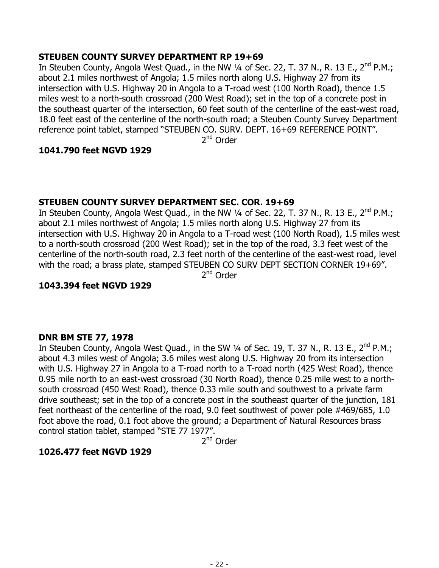# **STEUBEN COUNTY SURVEY DEPARTMENT RP 19+69**

In Steuben County, Angola West Quad., in the NW  $\frac{1}{4}$  of Sec. 22, T. 37 N., R. 13 E., 2<sup>nd</sup> P.M.; about 2.1 miles northwest of Angola; 1.5 miles north along U.S. Highway 27 from its intersection with U.S. Highway 20 in Angola to a T-road west (100 North Road), thence 1.5 miles west to a north-south crossroad (200 West Road); set in the top of a concrete post in the southeast quarter of the intersection, 60 feet south of the centerline of the east-west road, 18.0 feet east of the centerline of the north-south road; a Steuben County Survey Department reference point tablet, stamped "STEUBEN CO. SURV. DEPT. 16+69 REFERENCE POINT".

2<sup>nd</sup> Order

# **1041.790 feet NGVD 1929**

# **STEUBEN COUNTY SURVEY DEPARTMENT SEC. COR. 19+69**

In Steuben County, Angola West Quad., in the NW  $\frac{1}{4}$  of Sec. 22, T. 37 N., R. 13 E., 2<sup>nd</sup> P.M.; about 2.1 miles northwest of Angola; 1.5 miles north along U.S. Highway 27 from its intersection with U.S. Highway 20 in Angola to a T-road west (100 North Road), 1.5 miles west to a north-south crossroad (200 West Road); set in the top of the road, 3.3 feet west of the centerline of the north-south road, 2.3 feet north of the centerline of the east-west road, level with the road; a brass plate, stamped STEUBEN CO SURV DEPT SECTION CORNER 19+69".

2nd Order

# **1043.394 feet NGVD 1929**

# **DNR BM STE 77, 1978**

In Steuben County, Angola West Quad., in the SW 1/4 of Sec. 19, T. 37 N., R. 13 E., 2<sup>nd</sup> P.M.; about 4.3 miles west of Angola; 3.6 miles west along U.S. Highway 20 from its intersection with U.S. Highway 27 in Angola to a T-road north to a T-road north (425 West Road), thence 0.95 mile north to an east-west crossroad (30 North Road), thence 0.25 mile west to a northsouth crossroad (450 West Road), thence 0.33 mile south and southwest to a private farm drive southeast; set in the top of a concrete post in the southeast quarter of the junction, 181 feet northeast of the centerline of the road, 9.0 feet southwest of power pole #469/685, 1.0 foot above the road, 0.1 foot above the ground; a Department of Natural Resources brass control station tablet, stamped "STE 77 1977".

2<sup>nd</sup> Order

# **1026.477 feet NGVD 1929**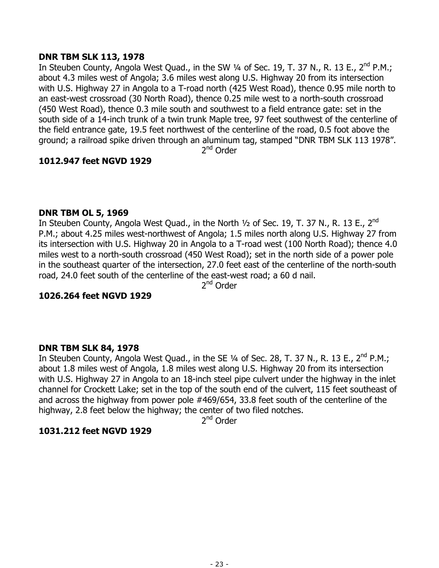# **DNR TBM SLK 113, 1978**

In Steuben County, Angola West Quad., in the SW  $\frac{1}{4}$  of Sec. 19, T. 37 N., R. 13 E., 2<sup>nd</sup> P.M.; about 4.3 miles west of Angola; 3.6 miles west along U.S. Highway 20 from its intersection with U.S. Highway 27 in Angola to a T-road north (425 West Road), thence 0.95 mile north to an east-west crossroad (30 North Road), thence 0.25 mile west to a north-south crossroad (450 West Road), thence 0.3 mile south and southwest to a field entrance gate: set in the south side of a 14-inch trunk of a twin trunk Maple tree, 97 feet southwest of the centerline of the field entrance gate, 19.5 feet northwest of the centerline of the road, 0.5 foot above the ground; a railroad spike driven through an aluminum tag, stamped "DNR TBM SLK 113 1978".

2<sup>nd</sup> Order

# **1012.947 feet NGVD 1929**

# **DNR TBM OL 5, 1969**

In Steuben County, Angola West Quad., in the North 1/2 of Sec. 19, T. 37 N., R. 13 E., 2<sup>nd</sup> P.M.; about 4.25 miles west-northwest of Angola; 1.5 miles north along U.S. Highway 27 from its intersection with U.S. Highway 20 in Angola to a T-road west (100 North Road); thence 4.0 miles west to a north-south crossroad (450 West Road); set in the north side of a power pole in the southeast quarter of the intersection, 27.0 feet east of the centerline of the north-south road, 24.0 feet south of the centerline of the east-west road; a 60 d nail.

2<sup>nd</sup> Order

# **1026.264 feet NGVD 1929**

# **DNR TBM SLK 84, 1978**

In Steuben County, Angola West Quad., in the SE 1/4 of Sec. 28, T. 37 N., R. 13 E., 2<sup>nd</sup> P.M.; about 1.8 miles west of Angola, 1.8 miles west along U.S. Highway 20 from its intersection with U.S. Highway 27 in Angola to an 18-inch steel pipe culvert under the highway in the inlet channel for Crockett Lake; set in the top of the south end of the culvert, 115 feet southeast of and across the highway from power pole #469/654, 33.8 feet south of the centerline of the highway, 2.8 feet below the highway; the center of two filed notches.

2<sup>nd</sup> Order

# **1031.212 feet NGVD 1929**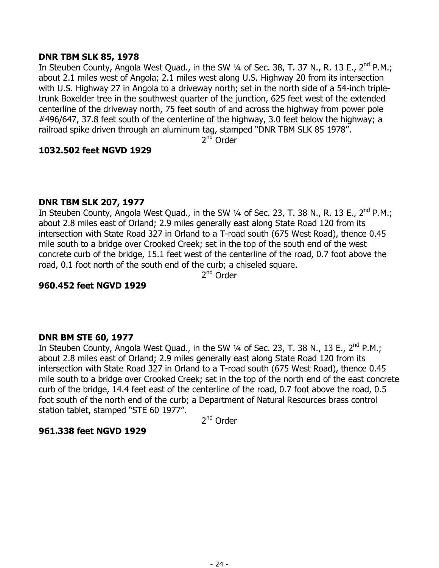# **DNR TBM SLK 85, 1978**

In Steuben County, Angola West Quad., in the SW 1/4 of Sec. 38, T. 37 N., R. 13 E., 2<sup>nd</sup> P.M.; about 2.1 miles west of Angola; 2.1 miles west along U.S. Highway 20 from its intersection with U.S. Highway 27 in Angola to a driveway north; set in the north side of a 54-inch tripletrunk Boxelder tree in the southwest quarter of the junction, 625 feet west of the extended centerline of the driveway north, 75 feet south of and across the highway from power pole #496/647, 37.8 feet south of the centerline of the highway, 3.0 feet below the highway; a railroad spike driven through an aluminum tag, stamped "DNR TBM SLK 85 1978".

2<sup>nd</sup> Order

# **1032.502 feet NGVD 1929**

# **DNR TBM SLK 207, 1977**

In Steuben County, Angola West Quad., in the SW  $\frac{1}{4}$  of Sec. 23, T. 38 N., R. 13 E., 2<sup>nd</sup> P.M.; about 2.8 miles east of Orland; 2.9 miles generally east along State Road 120 from its intersection with State Road 327 in Orland to a T-road south (675 West Road), thence 0.45 mile south to a bridge over Crooked Creek; set in the top of the south end of the west concrete curb of the bridge, 15.1 feet west of the centerline of the road, 0.7 foot above the road, 0.1 foot north of the south end of the curb; a chiseled square.

2nd Order

# **960.452 feet NGVD 1929**

# **DNR BM STE 60, 1977**

In Steuben County, Angola West Quad., in the SW 1/4 of Sec. 23, T. 38 N., 13 E., 2<sup>nd</sup> P.M.; about 2.8 miles east of Orland; 2.9 miles generally east along State Road 120 from its intersection with State Road 327 in Orland to a T-road south (675 West Road), thence 0.45 mile south to a bridge over Crooked Creek; set in the top of the north end of the east concrete curb of the bridge, 14.4 feet east of the centerline of the road, 0.7 foot above the road, 0.5 foot south of the north end of the curb; a Department of Natural Resources brass control station tablet, stamped "STE 60 1977".

2<sup>nd</sup> Order

# **961.338 feet NGVD 1929**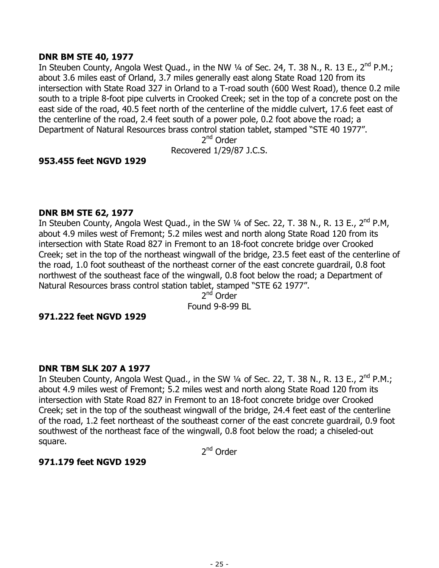# **DNR BM STE 40, 1977**

In Steuben County, Angola West Quad., in the NW 1/4 of Sec. 24, T. 38 N., R. 13 E., 2<sup>nd</sup> P.M.; about 3.6 miles east of Orland, 3.7 miles generally east along State Road 120 from its intersection with State Road 327 in Orland to a T-road south (600 West Road), thence 0.2 mile south to a triple 8-foot pipe culverts in Crooked Creek; set in the top of a concrete post on the east side of the road, 40.5 feet north of the centerline of the middle culvert, 17.6 feet east of the centerline of the road, 2.4 feet south of a power pole, 0.2 foot above the road; a Department of Natural Resources brass control station tablet, stamped "STE 40 1977".

2nd Order

Recovered 1/29/87 J.C.S.

# **953.455 feet NGVD 1929**

#### **DNR BM STE 62, 1977**

In Steuben County, Angola West Quad., in the SW 1/4 of Sec. 22, T. 38 N., R. 13 E., 2<sup>nd</sup> P.M, about 4.9 miles west of Fremont; 5.2 miles west and north along State Road 120 from its intersection with State Road 827 in Fremont to an 18-foot concrete bridge over Crooked Creek; set in the top of the northeast wingwall of the bridge, 23.5 feet east of the centerline of the road, 1.0 foot southeast of the northeast corner of the east concrete guardrail, 0.8 foot northwest of the southeast face of the wingwall, 0.8 foot below the road; a Department of Natural Resources brass control station tablet, stamped "STE 62 1977".

2<sup>nd</sup> Order Found 9-8-99 BL

#### **971.222 feet NGVD 1929**

# **DNR TBM SLK 207 A 1977**

In Steuben County, Angola West Quad., in the SW 1/4 of Sec. 22, T. 38 N., R. 13 E., 2<sup>nd</sup> P.M.; about 4.9 miles west of Fremont; 5.2 miles west and north along State Road 120 from its intersection with State Road 827 in Fremont to an 18-foot concrete bridge over Crooked Creek; set in the top of the southeast wingwall of the bridge, 24.4 feet east of the centerline of the road, 1.2 feet northeast of the southeast corner of the east concrete guardrail, 0.9 foot southwest of the northeast face of the wingwall, 0.8 foot below the road; a chiseled-out square.

2<sup>nd</sup> Order

# **971.179 feet NGVD 1929**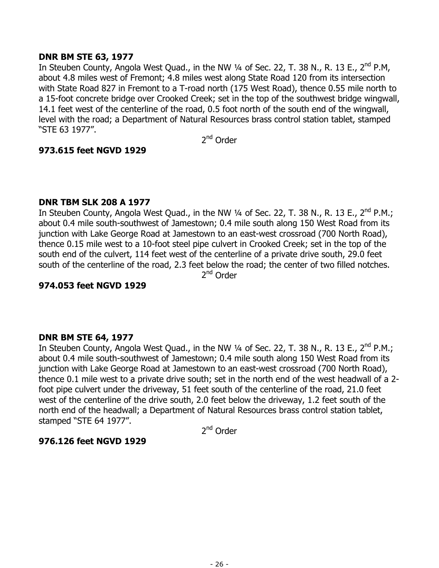# **DNR BM STE 63, 1977**

In Steuben County, Angola West Quad., in the NW 1/4 of Sec. 22, T. 38 N., R. 13 E., 2<sup>nd</sup> P.M, about 4.8 miles west of Fremont; 4.8 miles west along State Road 120 from its intersection with State Road 827 in Fremont to a T-road north (175 West Road), thence 0.55 mile north to a 15-foot concrete bridge over Crooked Creek; set in the top of the southwest bridge wingwall, 14.1 feet west of the centerline of the road, 0.5 foot north of the south end of the wingwall, level with the road; a Department of Natural Resources brass control station tablet, stamped "STE 63 1977".

2nd Order

# **973.615 feet NGVD 1929**

# **DNR TBM SLK 208 A 1977**

In Steuben County, Angola West Quad., in the NW 1/4 of Sec. 22, T. 38 N., R. 13 E., 2<sup>nd</sup> P.M.; about 0.4 mile south-southwest of Jamestown; 0.4 mile south along 150 West Road from its junction with Lake George Road at Jamestown to an east-west crossroad (700 North Road), thence 0.15 mile west to a 10-foot steel pipe culvert in Crooked Creek; set in the top of the south end of the culvert, 114 feet west of the centerline of a private drive south, 29.0 feet south of the centerline of the road, 2.3 feet below the road; the center of two filled notches. 2nd Order

# **974.053 feet NGVD 1929**

# **DNR BM STE 64, 1977**

In Steuben County, Angola West Quad., in the NW 1/4 of Sec. 22, T. 38 N., R. 13 E., 2<sup>nd</sup> P.M.; about 0.4 mile south-southwest of Jamestown; 0.4 mile south along 150 West Road from its junction with Lake George Road at Jamestown to an east-west crossroad (700 North Road), thence 0.1 mile west to a private drive south; set in the north end of the west headwall of a 2 foot pipe culvert under the driveway, 51 feet south of the centerline of the road, 21.0 feet west of the centerline of the drive south, 2.0 feet below the driveway, 1.2 feet south of the north end of the headwall; a Department of Natural Resources brass control station tablet, stamped "STE 64 1977".

2<sup>nd</sup> Order

# **976.126 feet NGVD 1929**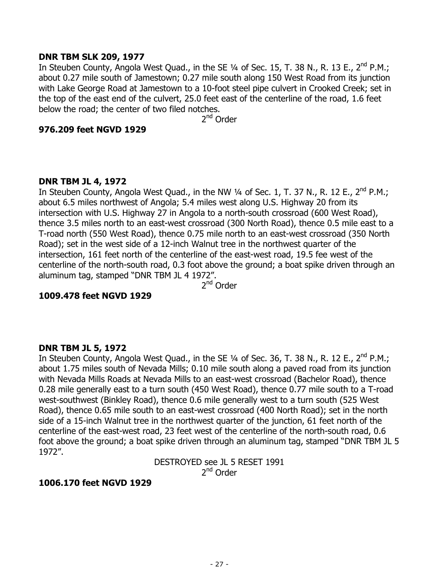#### **DNR TBM SLK 209, 1977**

In Steuben County, Angola West Ouad., in the SE  $\frac{1}{4}$  of Sec. 15, T. 38 N., R. 13 E., 2<sup>nd</sup> P.M.; about 0.27 mile south of Jamestown; 0.27 mile south along 150 West Road from its junction with Lake George Road at Jamestown to a 10-foot steel pipe culvert in Crooked Creek; set in the top of the east end of the culvert, 25.0 feet east of the centerline of the road, 1.6 feet below the road; the center of two filed notches.

2<sup>nd</sup> Order

#### **976.209 feet NGVD 1929**

#### **DNR TBM JL 4, 1972**

In Steuben County, Angola West Quad., in the NW  $\frac{1}{4}$  of Sec. 1, T. 37 N., R. 12 E., 2<sup>nd</sup> P.M.; about 6.5 miles northwest of Angola; 5.4 miles west along U.S. Highway 20 from its intersection with U.S. Highway 27 in Angola to a north-south crossroad (600 West Road), thence 3.5 miles north to an east-west crossroad (300 North Road), thence 0.5 mile east to a T-road north (550 West Road), thence 0.75 mile north to an east-west crossroad (350 North Road); set in the west side of a 12-inch Walnut tree in the northwest quarter of the intersection, 161 feet north of the centerline of the east-west road, 19.5 fee west of the centerline of the north-south road, 0.3 foot above the ground; a boat spike driven through an aluminum tag, stamped "DNR TBM JL 4 1972".

2<sup>nd</sup> Order

# **1009.478 feet NGVD 1929**

# **DNR TBM JL 5, 1972**

In Steuben County, Angola West Quad., in the SE 1/4 of Sec. 36, T. 38 N., R. 12 E., 2<sup>nd</sup> P.M.; about 1.75 miles south of Nevada Mills; 0.10 mile south along a paved road from its junction with Nevada Mills Roads at Nevada Mills to an east-west crossroad (Bachelor Road), thence 0.28 mile generally east to a turn south (450 West Road), thence 0.77 mile south to a T-road west-southwest (Binkley Road), thence 0.6 mile generally west to a turn south (525 West Road), thence 0.65 mile south to an east-west crossroad (400 North Road); set in the north side of a 15-inch Walnut tree in the northwest quarter of the junction, 61 feet north of the centerline of the east-west road, 23 feet west of the centerline of the north-south road, 0.6 foot above the ground; a boat spike driven through an aluminum tag, stamped "DNR TBM JL 5 1972".

> DESTROYED see JL 5 RESET 1991 2<sup>nd</sup> Order

# **1006.170 feet NGVD 1929**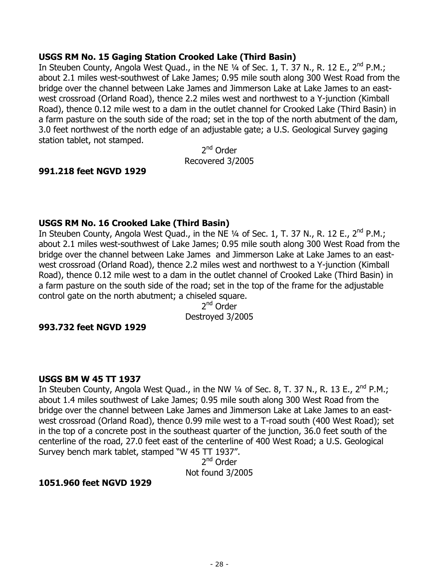# **USGS RM No. 15 Gaging Station Crooked Lake (Third Basin)**

In Steuben County, Angola West Quad., in the NE 1/4 of Sec. 1, T. 37 N., R. 12 E., 2<sup>nd</sup> P.M.; about 2.1 miles west-southwest of Lake James; 0.95 mile south along 300 West Road from the bridge over the channel between Lake James and Jimmerson Lake at Lake James to an eastwest crossroad (Orland Road), thence 2.2 miles west and northwest to a Y-junction (Kimball Road), thence 0.12 mile west to a dam in the outlet channel for Crooked Lake (Third Basin) in a farm pasture on the south side of the road; set in the top of the north abutment of the dam, 3.0 feet northwest of the north edge of an adjustable gate; a U.S. Geological Survey gaging station tablet, not stamped.

2<sup>nd</sup> Order Recovered 3/2005

# **991.218 feet NGVD 1929**

# **USGS RM No. 16 Crooked Lake (Third Basin)**

In Steuben County, Angola West Quad., in the NE 1/4 of Sec. 1, T. 37 N., R. 12 E., 2<sup>nd</sup> P.M.; about 2.1 miles west-southwest of Lake James; 0.95 mile south along 300 West Road from the bridge over the channel between Lake James and Jimmerson Lake at Lake James to an eastwest crossroad (Orland Road), thence 2.2 miles west and northwest to a Y-junction (Kimball Road), thence 0.12 mile west to a dam in the outlet channel of Crooked Lake (Third Basin) in a farm pasture on the south side of the road; set in the top of the frame for the adjustable control gate on the north abutment; a chiseled square.

2<sup>nd</sup> Order Destroyed 3/2005

# **993.732 feet NGVD 1929**

# **USGS BM W 45 TT 1937**

In Steuben County, Angola West Quad., in the NW  $\frac{1}{4}$  of Sec. 8, T. 37 N., R. 13 E., 2<sup>nd</sup> P.M.; about 1.4 miles southwest of Lake James; 0.95 mile south along 300 West Road from the bridge over the channel between Lake James and Jimmerson Lake at Lake James to an eastwest crossroad (Orland Road), thence 0.99 mile west to a T-road south (400 West Road); set in the top of a concrete post in the southeast quarter of the junction, 36.0 feet south of the centerline of the road, 27.0 feet east of the centerline of 400 West Road; a U.S. Geological Survey bench mark tablet, stamped "W 45 TT 1937".

2<sup>nd</sup> Order Not found 3/2005

# **1051.960 feet NGVD 1929**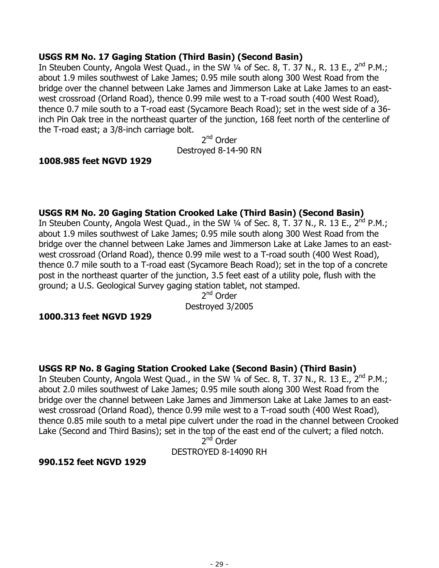# **USGS RM No. 17 Gaging Station (Third Basin) (Second Basin)**

In Steuben County, Angola West Quad., in the SW  $\frac{1}{4}$  of Sec. 8, T. 37 N., R. 13 E., 2<sup>nd</sup> P.M.; about 1.9 miles southwest of Lake James; 0.95 mile south along 300 West Road from the bridge over the channel between Lake James and Jimmerson Lake at Lake James to an eastwest crossroad (Orland Road), thence 0.99 mile west to a T-road south (400 West Road), thence 0.7 mile south to a T-road east (Sycamore Beach Road); set in the west side of a 36 inch Pin Oak tree in the northeast quarter of the junction, 168 feet north of the centerline of the T-road east; a 3/8-inch carriage bolt.

2nd Order Destroyed 8-14-90 RN

# **1008.985 feet NGVD 1929**

# **USGS RM No. 20 Gaging Station Crooked Lake (Third Basin) (Second Basin)**

In Steuben County, Angola West Quad., in the SW  $\frac{1}{4}$  of Sec. 8, T. 37 N., R. 13 E., 2<sup>nd</sup> P.M.; about 1.9 miles southwest of Lake James; 0.95 mile south along 300 West Road from the bridge over the channel between Lake James and Jimmerson Lake at Lake James to an eastwest crossroad (Orland Road), thence 0.99 mile west to a T-road south (400 West Road), thence 0.7 mile south to a T-road east (Sycamore Beach Road); set in the top of a concrete post in the northeast quarter of the junction, 3.5 feet east of a utility pole, flush with the ground; a U.S. Geological Survey gaging station tablet, not stamped.

2<sup>nd</sup> Order Destroyed 3/2005

# **1000.313 feet NGVD 1929**

# **USGS RP No. 8 Gaging Station Crooked Lake (Second Basin) (Third Basin)**

In Steuben County, Angola West Quad., in the SW  $\frac{1}{4}$  of Sec. 8, T. 37 N., R. 13 E., 2<sup>nd</sup> P.M.; about 2.0 miles southwest of Lake James; 0.95 mile south along 300 West Road from the bridge over the channel between Lake James and Jimmerson Lake at Lake James to an eastwest crossroad (Orland Road), thence 0.99 mile west to a T-road south (400 West Road), thence 0.85 mile south to a metal pipe culvert under the road in the channel between Crooked Lake (Second and Third Basins); set in the top of the east end of the culvert; a filed notch.

2<sup>nd</sup> Order DESTROYED 8-14090 RH

#### **990.152 feet NGVD 1929**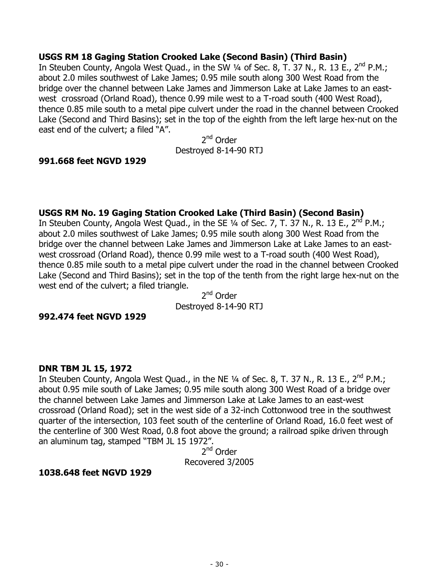# **USGS RM 18 Gaging Station Crooked Lake (Second Basin) (Third Basin)**

In Steuben County, Angola West Quad., in the SW 1/4 of Sec. 8, T. 37 N., R. 13 E., 2<sup>nd</sup> P.M.; about 2.0 miles southwest of Lake James; 0.95 mile south along 300 West Road from the bridge over the channel between Lake James and Jimmerson Lake at Lake James to an eastwest crossroad (Orland Road), thence 0.99 mile west to a T-road south (400 West Road), thence 0.85 mile south to a metal pipe culvert under the road in the channel between Crooked Lake (Second and Third Basins); set in the top of the eighth from the left large hex-nut on the east end of the culvert; a filed "A".

2nd Order Destroyed 8-14-90 RTJ

# **991.668 feet NGVD 1929**

# **USGS RM No. 19 Gaging Station Crooked Lake (Third Basin) (Second Basin)**

In Steuben County, Angola West Quad., in the SE  $\frac{1}{4}$  of Sec. 7, T. 37 N., R. 13 E., 2<sup>nd</sup> P.M.; about 2.0 miles southwest of Lake James; 0.95 mile south along 300 West Road from the bridge over the channel between Lake James and Jimmerson Lake at Lake James to an eastwest crossroad (Orland Road), thence 0.99 mile west to a T-road south (400 West Road), thence 0.85 mile south to a metal pipe culvert under the road in the channel between Crooked Lake (Second and Third Basins); set in the top of the tenth from the right large hex-nut on the west end of the culvert; a filed triangle.

2nd Order Destroyed 8-14-90 RTJ

#### **992.474 feet NGVD 1929**

#### **DNR TBM JL 15, 1972**

In Steuben County, Angola West Quad., in the NE  $\frac{1}{4}$  of Sec. 8, T. 37 N., R. 13 E., 2<sup>nd</sup> P.M.; about 0.95 mile south of Lake James; 0.95 mile south along 300 West Road of a bridge over the channel between Lake James and Jimmerson Lake at Lake James to an east-west crossroad (Orland Road); set in the west side of a 32-inch Cottonwood tree in the southwest quarter of the intersection, 103 feet south of the centerline of Orland Road, 16.0 feet west of the centerline of 300 West Road, 0.8 foot above the ground; a railroad spike driven through an aluminum tag, stamped "TBM JL 15 1972".

2<sup>nd</sup> Order Recovered 3/2005

# **1038.648 feet NGVD 1929**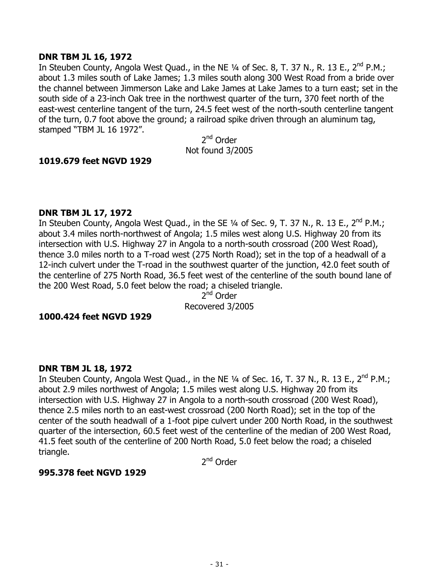### **DNR TBM JL 16, 1972**

In Steuben County, Angola West Ouad., in the NE 1/4 of Sec. 8, T. 37 N., R. 13 E., 2<sup>nd</sup> P.M.; about 1.3 miles south of Lake James; 1.3 miles south along 300 West Road from a bride over the channel between Jimmerson Lake and Lake James at Lake James to a turn east; set in the south side of a 23-inch Oak tree in the northwest quarter of the turn, 370 feet north of the east-west centerline tangent of the turn, 24.5 feet west of the north-south centerline tangent of the turn, 0.7 foot above the ground; a railroad spike driven through an aluminum tag, stamped "TBM JL 16 1972".

2nd Order Not found 3/2005

# **1019.679 feet NGVD 1929**

#### **DNR TBM JL 17, 1972**

In Steuben County, Angola West Quad., in the SE 1/4 of Sec. 9, T. 37 N., R. 13 E., 2<sup>nd</sup> P.M.; about 3.4 miles north-northwest of Angola; 1.5 miles west along U.S. Highway 20 from its intersection with U.S. Highway 27 in Angola to a north-south crossroad (200 West Road), thence 3.0 miles north to a T-road west (275 North Road); set in the top of a headwall of a 12-inch culvert under the T-road in the southwest quarter of the junction, 42.0 feet south of the centerline of 275 North Road, 36.5 feet west of the centerline of the south bound lane of the 200 West Road, 5.0 feet below the road; a chiseled triangle.

2<sup>nd</sup> Order Recovered 3/2005

#### **1000.424 feet NGVD 1929**

#### **DNR TBM JL 18, 1972**

In Steuben County, Angola West Quad., in the NE 1/4 of Sec. 16, T. 37 N., R. 13 E., 2<sup>nd</sup> P.M.; about 2.9 miles northwest of Angola; 1.5 miles west along U.S. Highway 20 from its intersection with U.S. Highway 27 in Angola to a north-south crossroad (200 West Road), thence 2.5 miles north to an east-west crossroad (200 North Road); set in the top of the center of the south headwall of a 1-foot pipe culvert under 200 North Road, in the southwest quarter of the intersection, 60.5 feet west of the centerline of the median of 200 West Road, 41.5 feet south of the centerline of 200 North Road, 5.0 feet below the road; a chiseled triangle.

2<sup>nd</sup> Order

# **995.378 feet NGVD 1929**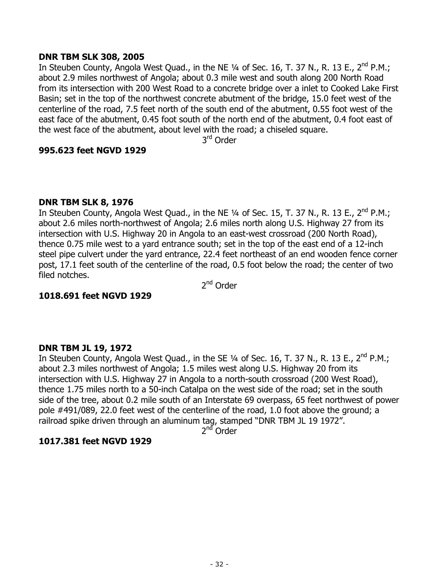### **DNR TBM SLK 308, 2005**

In Steuben County, Angola West Quad., in the NE 1/4 of Sec. 16, T. 37 N., R. 13 E., 2<sup>nd</sup> P.M.; about 2.9 miles northwest of Angola; about 0.3 mile west and south along 200 North Road from its intersection with 200 West Road to a concrete bridge over a inlet to Cooked Lake First Basin; set in the top of the northwest concrete abutment of the bridge, 15.0 feet west of the centerline of the road, 7.5 feet north of the south end of the abutment, 0.55 foot west of the east face of the abutment, 0.45 foot south of the north end of the abutment, 0.4 foot east of the west face of the abutment, about level with the road; a chiseled square.

3rd Order

#### **995.623 feet NGVD 1929**

#### **DNR TBM SLK 8, 1976**

In Steuben County, Angola West Quad., in the NE  $\frac{1}{4}$  of Sec. 15, T. 37 N., R. 13 E., 2<sup>nd</sup> P.M.; about 2.6 miles north-northwest of Angola; 2.6 miles north along U.S. Highway 27 from its intersection with U.S. Highway 20 in Angola to an east-west crossroad (200 North Road), thence 0.75 mile west to a yard entrance south; set in the top of the east end of a 12-inch steel pipe culvert under the yard entrance, 22.4 feet northeast of an end wooden fence corner post, 17.1 feet south of the centerline of the road, 0.5 foot below the road; the center of two filed notches.

2<sup>nd</sup> Order

# **1018.691 feet NGVD 1929**

# **DNR TBM JL 19, 1972**

In Steuben County, Angola West Quad., in the SE 1/4 of Sec. 16, T. 37 N., R. 13 E., 2<sup>nd</sup> P.M.; about 2.3 miles northwest of Angola; 1.5 miles west along U.S. Highway 20 from its intersection with U.S. Highway 27 in Angola to a north-south crossroad (200 West Road), thence 1.75 miles north to a 50-inch Catalpa on the west side of the road; set in the south side of the tree, about 0.2 mile south of an Interstate 69 overpass, 65 feet northwest of power pole #491/089, 22.0 feet west of the centerline of the road, 1.0 foot above the ground; a railroad spike driven through an aluminum tag, stamped "DNR TBM JL 19 1972".

 $2<sup>nd</sup>$  Order

# **1017.381 feet NGVD 1929**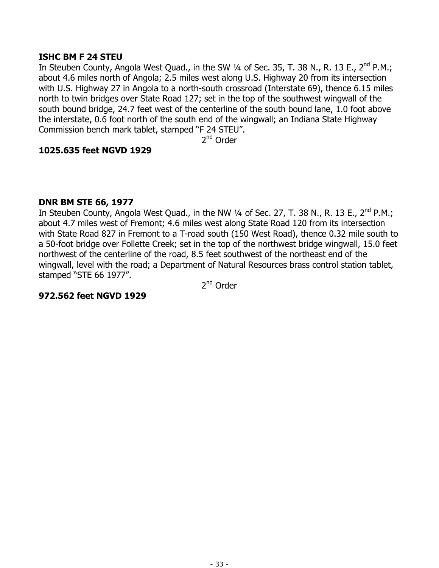# **ISHC BM F 24 STEU**

In Steuben County, Angola West Quad., in the SW 1/4 of Sec. 35, T. 38 N., R. 13 E., 2<sup>nd</sup> P.M.; about 4.6 miles north of Angola; 2.5 miles west along U.S. Highway 20 from its intersection with U.S. Highway 27 in Angola to a north-south crossroad (Interstate 69), thence 6.15 miles north to twin bridges over State Road 127; set in the top of the southwest wingwall of the south bound bridge, 24.7 feet west of the centerline of the south bound lane, 1.0 foot above the interstate, 0.6 foot north of the south end of the wingwall; an Indiana State Highway Commission bench mark tablet, stamped "F 24 STEU".

2nd Order

# **1025.635 feet NGVD 1929**

# **DNR BM STE 66, 1977**

In Steuben County, Angola West Quad., in the NW 1/4 of Sec. 27, T. 38 N., R. 13 E., 2<sup>nd</sup> P.M.; about 4.7 miles west of Fremont; 4.6 miles west along State Road 120 from its intersection with State Road 827 in Fremont to a T-road south (150 West Road), thence 0.32 mile south to a 50-foot bridge over Follette Creek; set in the top of the northwest bridge wingwall, 15.0 feet northwest of the centerline of the road, 8.5 feet southwest of the northeast end of the wingwall, level with the road; a Department of Natural Resources brass control station tablet, stamped "STE 66 1977".

2<sup>nd</sup> Order

# **972.562 feet NGVD 1929**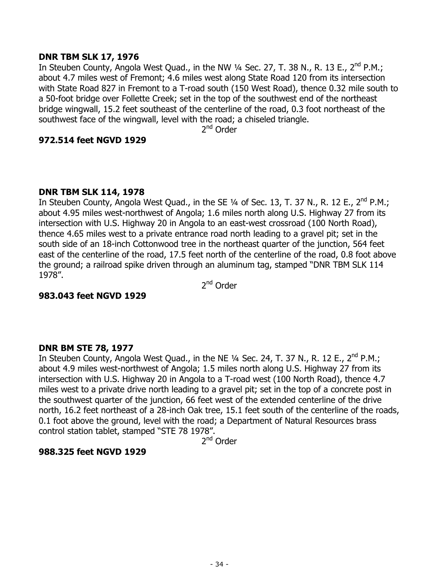# **DNR TBM SLK 17, 1976**

In Steuben County, Angola West Quad., in the NW 1/4 Sec. 27, T. 38 N., R. 13 E., 2<sup>nd</sup> P.M.; about 4.7 miles west of Fremont; 4.6 miles west along State Road 120 from its intersection with State Road 827 in Fremont to a T-road south (150 West Road), thence 0.32 mile south to a 50-foot bridge over Follette Creek; set in the top of the southwest end of the northeast bridge wingwall, 15.2 feet southeast of the centerline of the road, 0.3 foot northeast of the southwest face of the wingwall, level with the road; a chiseled triangle.

2<sup>nd</sup> Order

#### **972.514 feet NGVD 1929**

#### **DNR TBM SLK 114, 1978**

In Steuben County, Angola West Quad., in the SE 1/4 of Sec. 13, T. 37 N., R. 12 E., 2<sup>nd</sup> P.M.; about 4.95 miles west-northwest of Angola; 1.6 miles north along U.S. Highway 27 from its intersection with U.S. Highway 20 in Angola to an east-west crossroad (100 North Road), thence 4.65 miles west to a private entrance road north leading to a gravel pit; set in the south side of an 18-inch Cottonwood tree in the northeast quarter of the junction, 564 feet east of the centerline of the road, 17.5 feet north of the centerline of the road, 0.8 foot above the ground; a railroad spike driven through an aluminum tag, stamped "DNR TBM SLK 114 1978".

2<sup>nd</sup> Order

#### **983.043 feet NGVD 1929**

#### **DNR BM STE 78, 1977**

In Steuben County, Angola West Quad., in the NE 1/4 Sec. 24, T. 37 N., R. 12 E., 2<sup>nd</sup> P.M.; about 4.9 miles west-northwest of Angola; 1.5 miles north along U.S. Highway 27 from its intersection with U.S. Highway 20 in Angola to a T-road west (100 North Road), thence 4.7 miles west to a private drive north leading to a gravel pit; set in the top of a concrete post in the southwest quarter of the junction, 66 feet west of the extended centerline of the drive north, 16.2 feet northeast of a 28-inch Oak tree, 15.1 feet south of the centerline of the roads, 0.1 foot above the ground, level with the road; a Department of Natural Resources brass control station tablet, stamped "STE 78 1978".

2nd Order

# **988.325 feet NGVD 1929**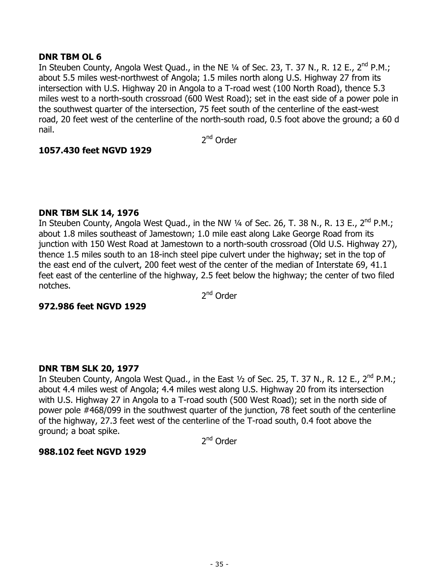# **DNR TBM OL 6**

In Steuben County, Angola West Quad., in the NE 1/4 of Sec. 23, T. 37 N., R. 12 E., 2<sup>nd</sup> P.M.; about 5.5 miles west-northwest of Angola; 1.5 miles north along U.S. Highway 27 from its intersection with U.S. Highway 20 in Angola to a T-road west (100 North Road), thence 5.3 miles west to a north-south crossroad (600 West Road); set in the east side of a power pole in the southwest quarter of the intersection, 75 feet south of the centerline of the east-west road, 20 feet west of the centerline of the north-south road, 0.5 foot above the ground; a 60 d nail.

2nd Order

# **1057.430 feet NGVD 1929**

# **DNR TBM SLK 14, 1976**

In Steuben County, Angola West Quad., in the NW 1/4 of Sec. 26, T. 38 N., R. 13 E., 2<sup>nd</sup> P.M.; about 1.8 miles southeast of Jamestown; 1.0 mile east along Lake George Road from its junction with 150 West Road at Jamestown to a north-south crossroad (Old U.S. Highway 27), thence 1.5 miles south to an 18-inch steel pipe culvert under the highway; set in the top of the east end of the culvert, 200 feet west of the center of the median of Interstate 69, 41.1 feet east of the centerline of the highway, 2.5 feet below the highway; the center of two filed notches.

2<sup>nd</sup> Order

# **972.986 feet NGVD 1929**

# **DNR TBM SLK 20, 1977**

In Steuben County, Angola West Quad., in the East  $\frac{1}{2}$  of Sec. 25, T. 37 N., R. 12 E., 2<sup>nd</sup> P.M.; about 4.4 miles west of Angola; 4.4 miles west along U.S. Highway 20 from its intersection with U.S. Highway 27 in Angola to a T-road south (500 West Road); set in the north side of power pole #468/099 in the southwest quarter of the junction, 78 feet south of the centerline of the highway, 27.3 feet west of the centerline of the T-road south, 0.4 foot above the ground; a boat spike.

2<sup>nd</sup> Order

# **988.102 feet NGVD 1929**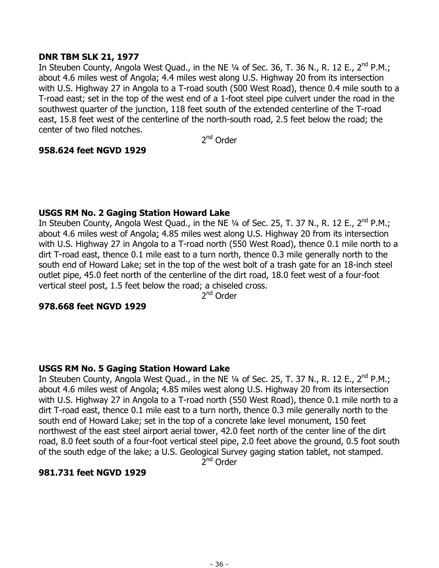# **DNR TBM SLK 21, 1977**

In Steuben County, Angola West Quad., in the NE 1/4 of Sec. 36, T. 36 N., R. 12 E., 2<sup>nd</sup> P.M.; about 4.6 miles west of Angola; 4.4 miles west along U.S. Highway 20 from its intersection with U.S. Highway 27 in Angola to a T-road south (500 West Road), thence 0.4 mile south to a T-road east; set in the top of the west end of a 1-foot steel pipe culvert under the road in the southwest quarter of the junction, 118 feet south of the extended centerline of the T-road east, 15.8 feet west of the centerline of the north-south road, 2.5 feet below the road; the center of two filed notches.

2nd Order

# **958.624 feet NGVD 1929**

# **USGS RM No. 2 Gaging Station Howard Lake**

In Steuben County, Angola West Quad., in the NE 1/4 of Sec. 25, T. 37 N., R. 12 E., 2<sup>nd</sup> P.M.; about 4.6 miles west of Angola; 4.85 miles west along U.S. Highway 20 from its intersection with U.S. Highway 27 in Angola to a T-road north (550 West Road), thence 0.1 mile north to a dirt T-road east, thence 0.1 mile east to a turn north, thence 0.3 mile generally north to the south end of Howard Lake; set in the top of the west bolt of a trash gate for an 18-inch steel outlet pipe, 45.0 feet north of the centerline of the dirt road, 18.0 feet west of a four-foot vertical steel post, 1.5 feet below the road; a chiseled cross.

2<sup>nd</sup> Order

# **978.668 feet NGVD 1929**

# **USGS RM No. 5 Gaging Station Howard Lake**

In Steuben County, Angola West Quad., in the NE 1/4 of Sec. 25, T. 37 N., R. 12 E., 2<sup>nd</sup> P.M.; about 4.6 miles west of Angola; 4.85 miles west along U.S. Highway 20 from its intersection with U.S. Highway 27 in Angola to a T-road north (550 West Road), thence 0.1 mile north to a dirt T-road east, thence 0.1 mile east to a turn north, thence 0.3 mile generally north to the south end of Howard Lake; set in the top of a concrete lake level monument, 150 feet northwest of the east steel airport aerial tower, 42.0 feet north of the center line of the dirt road, 8.0 feet south of a four-foot vertical steel pipe, 2.0 feet above the ground, 0.5 foot south of the south edge of the lake; a U.S. Geological Survey gaging station tablet, not stamped.

2<sup>nd</sup> Order

# **981.731 feet NGVD 1929**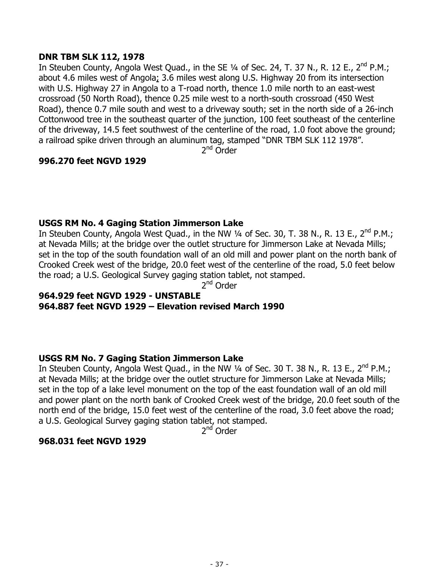### **DNR TBM SLK 112, 1978**

In Steuben County, Angola West Quad., in the SE 1/4 of Sec. 24, T. 37 N., R. 12 E., 2<sup>nd</sup> P.M.; about 4.6 miles west of Angola; 3.6 miles west along U.S. Highway 20 from its intersection with U.S. Highway 27 in Angola to a T-road north, thence 1.0 mile north to an east-west crossroad (50 North Road), thence 0.25 mile west to a north-south crossroad (450 West Road), thence 0.7 mile south and west to a driveway south; set in the north side of a 26-inch Cottonwood tree in the southeast quarter of the junction, 100 feet southeast of the centerline of the driveway, 14.5 feet southwest of the centerline of the road, 1.0 foot above the ground; a railroad spike driven through an aluminum tag, stamped "DNR TBM SLK 112 1978".

2<sup>nd</sup> Order

# **996.270 feet NGVD 1929**

### **USGS RM No. 4 Gaging Station Jimmerson Lake**

In Steuben County, Angola West Quad., in the NW 1/4 of Sec. 30, T. 38 N., R. 13 E., 2<sup>nd</sup> P.M.; at Nevada Mills; at the bridge over the outlet structure for Jimmerson Lake at Nevada Mills; set in the top of the south foundation wall of an old mill and power plant on the north bank of Crooked Creek west of the bridge, 20.0 feet west of the centerline of the road, 5.0 feet below the road; a U.S. Geological Survey gaging station tablet, not stamped.

2<sup>nd</sup> Order

### **964.929 feet NGVD 1929 - UNSTABLE 964.887 feet NGVD 1929 – Elevation revised March 1990**

### **USGS RM No. 7 Gaging Station Jimmerson Lake**

In Steuben County, Angola West Quad., in the NW 1/4 of Sec. 30 T. 38 N., R. 13 E., 2<sup>nd</sup> P.M.; at Nevada Mills; at the bridge over the outlet structure for Jimmerson Lake at Nevada Mills; set in the top of a lake level monument on the top of the east foundation wall of an old mill and power plant on the north bank of Crooked Creek west of the bridge, 20.0 feet south of the north end of the bridge, 15.0 feet west of the centerline of the road, 3.0 feet above the road; a U.S. Geological Survey gaging station tablet, not stamped.

2<sup>nd</sup> Order

#### **968.031 feet NGVD 1929**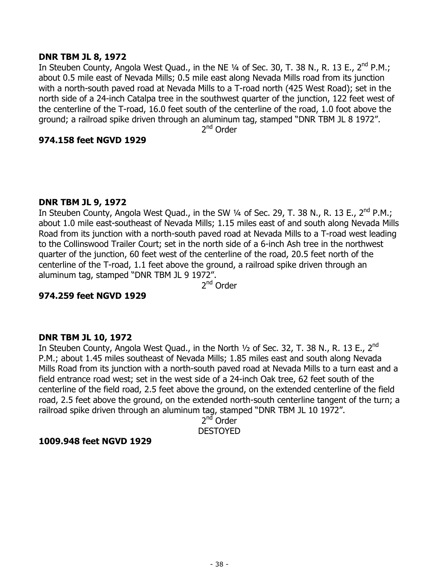### **DNR TBM JL 8, 1972**

In Steuben County, Angola West Quad., in the NE 1/4 of Sec. 30, T. 38 N., R. 13 E., 2<sup>nd</sup> P.M.; about 0.5 mile east of Nevada Mills; 0.5 mile east along Nevada Mills road from its junction with a north-south paved road at Nevada Mills to a T-road north (425 West Road); set in the north side of a 24-inch Catalpa tree in the southwest quarter of the junction, 122 feet west of the centerline of the T-road, 16.0 feet south of the centerline of the road, 1.0 foot above the ground; a railroad spike driven through an aluminum tag, stamped "DNR TBM JL 8 1972".

2<sup>nd</sup> Order

### **974.158 feet NGVD 1929**

#### **DNR TBM JL 9, 1972**

In Steuben County, Angola West Quad., in the SW  $\frac{1}{4}$  of Sec. 29, T. 38 N., R. 13 E., 2<sup>nd</sup> P.M.; about 1.0 mile east-southeast of Nevada Mills; 1.15 miles east of and south along Nevada Mills Road from its junction with a north-south paved road at Nevada Mills to a T-road west leading to the Collinswood Trailer Court; set in the north side of a 6-inch Ash tree in the northwest quarter of the junction, 60 feet west of the centerline of the road, 20.5 feet north of the centerline of the T-road, 1.1 feet above the ground, a railroad spike driven through an aluminum tag, stamped "DNR TBM JL 9 1972".

2<sup>nd</sup> Order

### **974.259 feet NGVD 1929**

### **DNR TBM JL 10, 1972**

In Steuben County, Angola West Quad., in the North  $1/2$  of Sec. 32, T. 38 N., R. 13 E., 2<sup>nd</sup> P.M.; about 1.45 miles southeast of Nevada Mills; 1.85 miles east and south along Nevada Mills Road from its junction with a north-south paved road at Nevada Mills to a turn east and a field entrance road west; set in the west side of a 24-inch Oak tree, 62 feet south of the centerline of the field road, 2.5 feet above the ground, on the extended centerline of the field road, 2.5 feet above the ground, on the extended north-south centerline tangent of the turn; a railroad spike driven through an aluminum tag, stamped "DNR TBM JL 10 1972".

> $2<sup>nd</sup>$  Order DESTOYED

### **1009.948 feet NGVD 1929**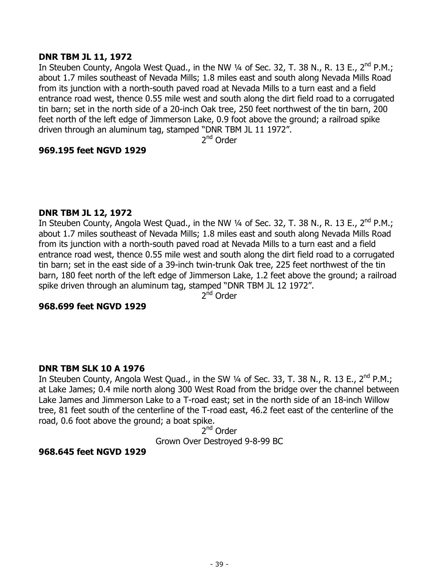### **DNR TBM JL 11, 1972**

In Steuben County, Angola West Quad., in the NW 1/4 of Sec. 32, T. 38 N., R. 13 E., 2<sup>nd</sup> P.M.; about 1.7 miles southeast of Nevada Mills; 1.8 miles east and south along Nevada Mills Road from its junction with a north-south paved road at Nevada Mills to a turn east and a field entrance road west, thence 0.55 mile west and south along the dirt field road to a corrugated tin barn; set in the north side of a 20-inch Oak tree, 250 feet northwest of the tin barn, 200 feet north of the left edge of Jimmerson Lake, 0.9 foot above the ground; a railroad spike driven through an aluminum tag, stamped "DNR TBM JL 11 1972".

2<sup>nd</sup> Order

### **969.195 feet NGVD 1929**

#### **DNR TBM JL 12, 1972**

In Steuben County, Angola West Quad., in the NW 1/4 of Sec. 32, T. 38 N., R. 13 E., 2<sup>nd</sup> P.M.; about 1.7 miles southeast of Nevada Mills; 1.8 miles east and south along Nevada Mills Road from its junction with a north-south paved road at Nevada Mills to a turn east and a field entrance road west, thence 0.55 mile west and south along the dirt field road to a corrugated tin barn; set in the east side of a 39-inch twin-trunk Oak tree, 225 feet northwest of the tin barn, 180 feet north of the left edge of Jimmerson Lake, 1.2 feet above the ground; a railroad spike driven through an aluminum tag, stamped "DNR TBM JL 12 1972".

2<sup>nd</sup> Order

#### **968.699 feet NGVD 1929**

#### **DNR TBM SLK 10 A 1976**

In Steuben County, Angola West Quad., in the SW  $\frac{1}{4}$  of Sec. 33, T. 38 N., R. 13 E., 2<sup>nd</sup> P.M.; at Lake James; 0.4 mile north along 300 West Road from the bridge over the channel between Lake James and Jimmerson Lake to a T-road east; set in the north side of an 18-inch Willow tree, 81 feet south of the centerline of the T-road east, 46.2 feet east of the centerline of the road, 0.6 foot above the ground; a boat spike.

2<sup>nd</sup> Order

Grown Over Destroyed 9-8-99 BC

#### **968.645 feet NGVD 1929**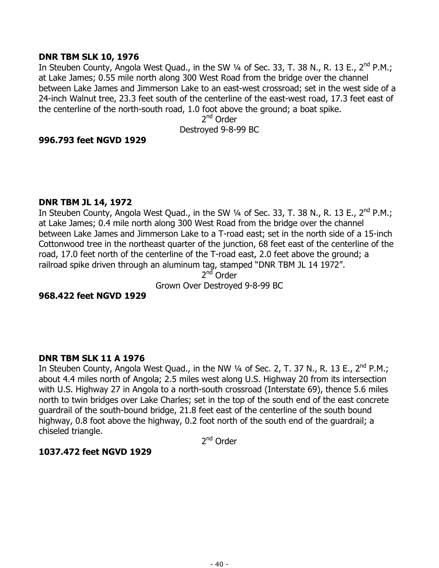### **DNR TBM SLK 10, 1976**

In Steuben County, Angola West Quad., in the SW 1/4 of Sec. 33, T. 38 N., R. 13 E., 2<sup>nd</sup> P.M.; at Lake James; 0.55 mile north along 300 West Road from the bridge over the channel between Lake James and Jimmerson Lake to an east-west crossroad; set in the west side of a 24-inch Walnut tree, 23.3 feet south of the centerline of the east-west road, 17.3 feet east of the centerline of the north-south road, 1.0 foot above the ground; a boat spike.

2<sup>nd</sup> Order Destroyed 9-8-99 BC

### **996.793 feet NGVD 1929**

#### **DNR TBM JL 14, 1972**

In Steuben County, Angola West Quad., in the SW  $\frac{1}{4}$  of Sec. 33, T. 38 N., R. 13 E., 2<sup>nd</sup> P.M.; at Lake James; 0.4 mile north along 300 West Road from the bridge over the channel between Lake James and Jimmerson Lake to a T-road east; set in the north side of a 15-inch Cottonwood tree in the northeast quarter of the junction, 68 feet east of the centerline of the road, 17.0 feet north of the centerline of the T-road east, 2.0 feet above the ground; a railroad spike driven through an aluminum tag, stamped "DNR TBM JL 14 1972".

 $2<sup>nd</sup>$  Order

Grown Over Destroyed 9-8-99 BC

### **968.422 feet NGVD 1929**

### **DNR TBM SLK 11 A 1976**

In Steuben County, Angola West Quad., in the NW 1/4 of Sec. 2, T. 37 N., R. 13 E., 2<sup>nd</sup> P.M.; about 4.4 miles north of Angola; 2.5 miles west along U.S. Highway 20 from its intersection with U.S. Highway 27 in Angola to a north-south crossroad (Interstate 69), thence 5.6 miles north to twin bridges over Lake Charles; set in the top of the south end of the east concrete guardrail of the south-bound bridge, 21.8 feet east of the centerline of the south bound highway, 0.8 foot above the highway, 0.2 foot north of the south end of the guardrail; a chiseled triangle.

2<sup>nd</sup> Order

### **1037.472 feet NGVD 1929**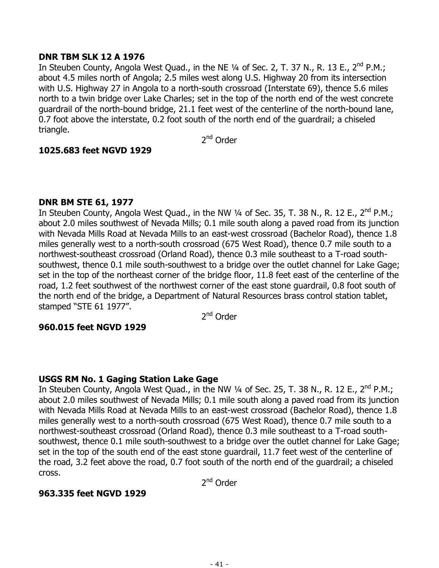## **DNR TBM SLK 12 A 1976**

In Steuben County, Angola West Quad., in the NE 1/4 of Sec. 2, T. 37 N., R. 13 E., 2<sup>nd</sup> P.M.; about 4.5 miles north of Angola; 2.5 miles west along U.S. Highway 20 from its intersection with U.S. Highway 27 in Angola to a north-south crossroad (Interstate 69), thence 5.6 miles north to a twin bridge over Lake Charles; set in the top of the north end of the west concrete guardrail of the north-bound bridge, 21.1 feet west of the centerline of the north-bound lane, 0.7 foot above the interstate, 0.2 foot south of the north end of the guardrail; a chiseled triangle.

2nd Order

# **1025.683 feet NGVD 1929**

# **DNR BM STE 61, 1977**

In Steuben County, Angola West Quad., in the NW 1/4 of Sec. 35, T. 38 N., R. 12 E., 2<sup>nd</sup> P.M.; about 2.0 miles southwest of Nevada Mills; 0.1 mile south along a paved road from its junction with Nevada Mills Road at Nevada Mills to an east-west crossroad (Bachelor Road), thence 1.8 miles generally west to a north-south crossroad (675 West Road), thence 0.7 mile south to a northwest-southeast crossroad (Orland Road), thence 0.3 mile southeast to a T-road southsouthwest, thence 0.1 mile south-southwest to a bridge over the outlet channel for Lake Gage; set in the top of the northeast corner of the bridge floor, 11.8 feet east of the centerline of the road, 1.2 feet southwest of the northwest corner of the east stone guardrail, 0.8 foot south of the north end of the bridge, a Department of Natural Resources brass control station tablet, stamped "STE 61 1977".

2<sup>nd</sup> Order

### **960.015 feet NGVD 1929**

### **USGS RM No. 1 Gaging Station Lake Gage**

In Steuben County, Angola West Quad., in the NW 1/4 of Sec. 25, T. 38 N., R. 12 E., 2<sup>nd</sup> P.M.; about 2.0 miles southwest of Nevada Mills; 0.1 mile south along a paved road from its junction with Nevada Mills Road at Nevada Mills to an east-west crossroad (Bachelor Road), thence 1.8 miles generally west to a north-south crossroad (675 West Road), thence 0.7 mile south to a northwest-southeast crossroad (Orland Road), thence 0.3 mile southeast to a T-road southsouthwest, thence 0.1 mile south-southwest to a bridge over the outlet channel for Lake Gage; set in the top of the south end of the east stone guardrail, 11.7 feet west of the centerline of the road, 3.2 feet above the road, 0.7 foot south of the north end of the guardrail; a chiseled cross.

2<sup>nd</sup> Order

# **963.335 feet NGVD 1929**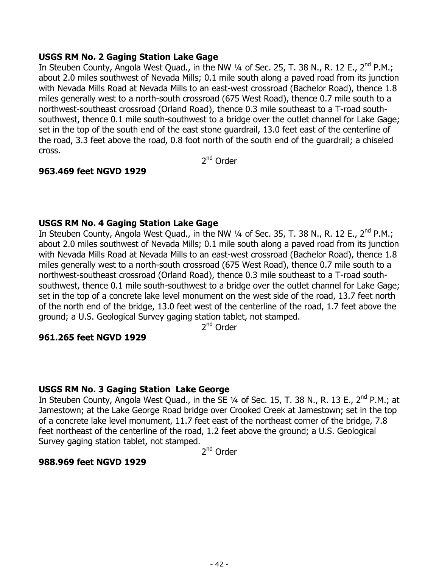### **USGS RM No. 2 Gaging Station Lake Gage**

In Steuben County, Angola West Quad., in the NW 1/4 of Sec. 25, T. 38 N., R. 12 E., 2<sup>nd</sup> P.M.; about 2.0 miles southwest of Nevada Mills; 0.1 mile south along a paved road from its junction with Nevada Mills Road at Nevada Mills to an east-west crossroad (Bachelor Road), thence 1.8 miles generally west to a north-south crossroad (675 West Road), thence 0.7 mile south to a northwest-southeast crossroad (Orland Road), thence 0.3 mile southeast to a T-road southsouthwest, thence 0.1 mile south-southwest to a bridge over the outlet channel for Lake Gage; set in the top of the south end of the east stone guardrail, 13.0 feet east of the centerline of the road, 3.3 feet above the road, 0.8 foot north of the south end of the guardrail; a chiseled cross.

2<sup>nd</sup> Order

# **963.469 feet NGVD 1929**

# **USGS RM No. 4 Gaging Station Lake Gage**

In Steuben County, Angola West Quad., in the NW 1/4 of Sec. 35, T. 38 N., R. 12 E., 2<sup>nd</sup> P.M.; about 2.0 miles southwest of Nevada Mills; 0.1 mile south along a paved road from its junction with Nevada Mills Road at Nevada Mills to an east-west crossroad (Bachelor Road), thence 1.8 miles generally west to a north-south crossroad (675 West Road), thence 0.7 mile south to a northwest-southeast crossroad (Orland Road), thence 0.3 mile southeast to a T-road southsouthwest, thence 0.1 mile south-southwest to a bridge over the outlet channel for Lake Gage; set in the top of a concrete lake level monument on the west side of the road, 13.7 feet north of the north end of the bridge, 13.0 feet west of the centerline of the road, 1.7 feet above the ground; a U.S. Geological Survey gaging station tablet, not stamped.

2<sup>nd</sup> Order

### **961.265 feet NGVD 1929**

### **USGS RM No. 3 Gaging Station Lake George**

In Steuben County, Angola West Quad., in the SE 1/4 of Sec. 15, T. 38 N., R. 13 E., 2<sup>nd</sup> P.M.; at Jamestown; at the Lake George Road bridge over Crooked Creek at Jamestown; set in the top of a concrete lake level monument, 11.7 feet east of the northeast corner of the bridge, 7.8 feet northeast of the centerline of the road, 1.2 feet above the ground; a U.S. Geological Survey gaging station tablet, not stamped.

2<sup>nd</sup> Order

### **988.969 feet NGVD 1929**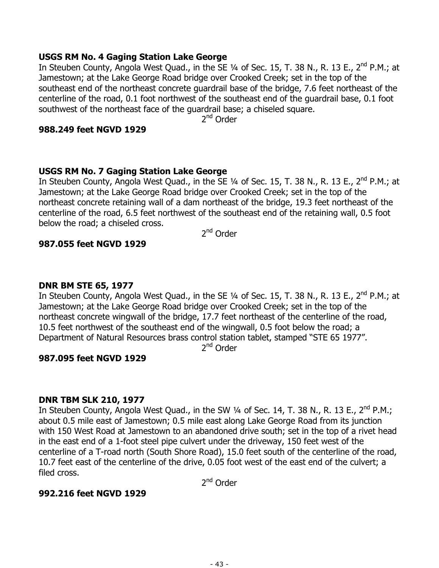## **USGS RM No. 4 Gaging Station Lake George**

In Steuben County, Angola West Quad., in the SE 1/4 of Sec. 15, T. 38 N., R. 13 E., 2<sup>nd</sup> P.M.; at Jamestown; at the Lake George Road bridge over Crooked Creek; set in the top of the southeast end of the northeast concrete guardrail base of the bridge, 7.6 feet northeast of the centerline of the road, 0.1 foot northwest of the southeast end of the guardrail base, 0.1 foot southwest of the northeast face of the guardrail base; a chiseled square.

2<sup>nd</sup> Order

## **988.249 feet NGVD 1929**

# **USGS RM No. 7 Gaging Station Lake George**

In Steuben County, Angola West Quad., in the SE 1/4 of Sec. 15, T. 38 N., R. 13 E., 2<sup>nd</sup> P.M.; at Jamestown; at the Lake George Road bridge over Crooked Creek; set in the top of the northeast concrete retaining wall of a dam northeast of the bridge, 19.3 feet northeast of the centerline of the road, 6.5 feet northwest of the southeast end of the retaining wall, 0.5 foot below the road; a chiseled cross.

2nd Order

# **987.055 feet NGVD 1929**

## **DNR BM STE 65, 1977**

In Steuben County, Angola West Quad., in the SE 1/4 of Sec. 15, T. 38 N., R. 13 E., 2<sup>nd</sup> P.M.; at Jamestown; at the Lake George Road bridge over Crooked Creek; set in the top of the northeast concrete wingwall of the bridge, 17.7 feet northeast of the centerline of the road, 10.5 feet northwest of the southeast end of the wingwall, 0.5 foot below the road; a Department of Natural Resources brass control station tablet, stamped "STE 65 1977".

2<sup>nd</sup> Order

# **987.095 feet NGVD 1929**

### **DNR TBM SLK 210, 1977**

In Steuben County, Angola West Quad., in the SW  $\frac{1}{4}$  of Sec. 14, T. 38 N., R. 13 E., 2<sup>nd</sup> P.M.; about 0.5 mile east of Jamestown; 0.5 mile east along Lake George Road from its junction with 150 West Road at Jamestown to an abandoned drive south; set in the top of a rivet head in the east end of a 1-foot steel pipe culvert under the driveway, 150 feet west of the centerline of a T-road north (South Shore Road), 15.0 feet south of the centerline of the road, 10.7 feet east of the centerline of the drive, 0.05 foot west of the east end of the culvert; a filed cross.

2nd Order

# **992.216 feet NGVD 1929**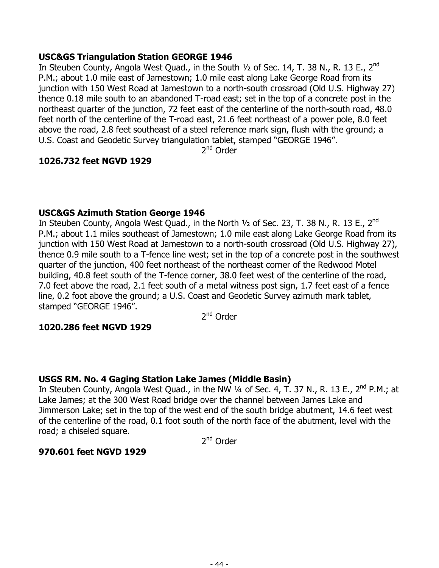# **USC&GS Triangulation Station GEORGE 1946**

In Steuben County, Angola West Quad., in the South  $1/2$  of Sec. 14, T. 38 N., R. 13 E., 2<sup>nd</sup> P.M.; about 1.0 mile east of Jamestown; 1.0 mile east along Lake George Road from its junction with 150 West Road at Jamestown to a north-south crossroad (Old U.S. Highway 27) thence 0.18 mile south to an abandoned T-road east; set in the top of a concrete post in the northeast quarter of the junction, 72 feet east of the centerline of the north-south road, 48.0 feet north of the centerline of the T-road east, 21.6 feet northeast of a power pole, 8.0 feet above the road, 2.8 feet southeast of a steel reference mark sign, flush with the ground; a U.S. Coast and Geodetic Survey triangulation tablet, stamped "GEORGE 1946".

2<sup>nd</sup> Order

# **1026.732 feet NGVD 1929**

# **USC&GS Azimuth Station George 1946**

In Steuben County, Angola West Quad., in the North 1/2 of Sec. 23, T. 38 N., R. 13 E., 2<sup>nd</sup> P.M.; about 1.1 miles southeast of Jamestown; 1.0 mile east along Lake George Road from its junction with 150 West Road at Jamestown to a north-south crossroad (Old U.S. Highway 27), thence 0.9 mile south to a T-fence line west; set in the top of a concrete post in the southwest quarter of the junction, 400 feet northeast of the northeast corner of the Redwood Motel building, 40.8 feet south of the T-fence corner, 38.0 feet west of the centerline of the road, 7.0 feet above the road, 2.1 feet south of a metal witness post sign, 1.7 feet east of a fence line, 0.2 foot above the ground; a U.S. Coast and Geodetic Survey azimuth mark tablet, stamped "GEORGE 1946".

2<sup>nd</sup> Order

# **1020.286 feet NGVD 1929**

### **USGS RM. No. 4 Gaging Station Lake James (Middle Basin)**

In Steuben County, Angola West Quad., in the NW  $\frac{1}{4}$  of Sec. 4, T. 37 N., R. 13 E., 2<sup>nd</sup> P.M.; at Lake James; at the 300 West Road bridge over the channel between James Lake and Jimmerson Lake; set in the top of the west end of the south bridge abutment, 14.6 feet west of the centerline of the road, 0.1 foot south of the north face of the abutment, level with the road; a chiseled square.

2nd Order

### **970.601 feet NGVD 1929**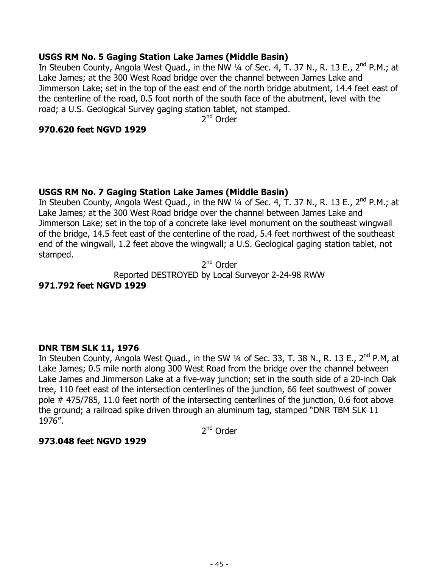# **USGS RM No. 5 Gaging Station Lake James (Middle Basin)**

In Steuben County, Angola West Quad., in the NW  $\frac{1}{4}$  of Sec. 4, T. 37 N., R. 13 E., 2<sup>nd</sup> P.M.; at Lake James; at the 300 West Road bridge over the channel between James Lake and Jimmerson Lake; set in the top of the east end of the north bridge abutment, 14.4 feet east of the centerline of the road, 0.5 foot north of the south face of the abutment, level with the road; a U.S. Geological Survey gaging station tablet, not stamped.

2<sup>nd</sup> Order

### **970.620 feet NGVD 1929**

# **USGS RM No. 7 Gaging Station Lake James (Middle Basin)**

In Steuben County, Angola West Quad., in the NW 1/4 of Sec. 4, T. 37 N., R. 13 E., 2<sup>nd</sup> P.M.; at Lake James; at the 300 West Road bridge over the channel between James Lake and Jimmerson Lake; set in the top of a concrete lake level monument on the southeast wingwall of the bridge, 14.5 feet east of the centerline of the road, 5.4 feet northwest of the southeast end of the wingwall, 1.2 feet above the wingwall; a U.S. Geological gaging station tablet, not stamped.

2<sup>nd</sup> Order Reported DESTROYED by Local Surveyor 2-24-98 RWW

# **971.792 feet NGVD 1929**

### **DNR TBM SLK 11, 1976**

In Steuben County, Angola West Quad., in the SW 1/4 of Sec. 33, T. 38 N., R. 13 E., 2<sup>nd</sup> P.M, at Lake James; 0.5 mile north along 300 West Road from the bridge over the channel between Lake James and Jimmerson Lake at a five-way junction; set in the south side of a 20-inch Oak tree, 110 feet east of the intersection centerlines of the junction, 66 feet southwest of power pole # 475/785, 11.0 feet north of the intersecting centerlines of the junction, 0.6 foot above the ground; a railroad spike driven through an aluminum tag, stamped "DNR TBM SLK 11 1976".

2<sup>nd</sup> Order

### **973.048 feet NGVD 1929**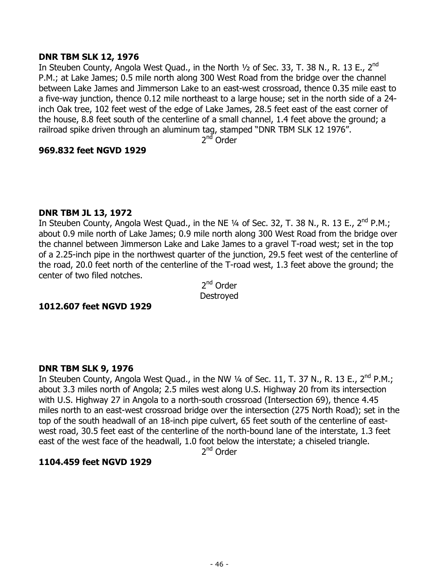### **DNR TBM SLK 12, 1976**

In Steuben County, Angola West Quad., in the North 1/2 of Sec. 33, T. 38 N., R. 13 E., 2<sup>nd</sup> P.M.; at Lake James; 0.5 mile north along 300 West Road from the bridge over the channel between Lake James and Jimmerson Lake to an east-west crossroad, thence 0.35 mile east to a five-way junction, thence 0.12 mile northeast to a large house; set in the north side of a 24 inch Oak tree, 102 feet west of the edge of Lake James, 28.5 feet east of the east corner of the house, 8.8 feet south of the centerline of a small channel, 1.4 feet above the ground; a railroad spike driven through an aluminum tag, stamped "DNR TBM SLK 12 1976".

2<sup>nd</sup> Order

### **969.832 feet NGVD 1929**

#### **DNR TBM JL 13, 1972**

In Steuben County, Angola West Quad., in the NE 1/4 of Sec. 32, T. 38 N., R. 13 E., 2<sup>nd</sup> P.M.; about 0.9 mile north of Lake James; 0.9 mile north along 300 West Road from the bridge over the channel between Jimmerson Lake and Lake James to a gravel T-road west; set in the top of a 2.25-inch pipe in the northwest quarter of the junction, 29.5 feet west of the centerline of the road, 20.0 feet north of the centerline of the T-road west, 1.3 feet above the ground; the center of two filed notches.

2<sup>nd</sup> Order Destroyed

#### **1012.607 feet NGVD 1929**

#### **DNR TBM SLK 9, 1976**

In Steuben County, Angola West Quad., in the NW 1/4 of Sec. 11, T. 37 N., R. 13 E., 2<sup>nd</sup> P.M.; about 3.3 miles north of Angola; 2.5 miles west along U.S. Highway 20 from its intersection with U.S. Highway 27 in Angola to a north-south crossroad (Intersection 69), thence 4.45 miles north to an east-west crossroad bridge over the intersection (275 North Road); set in the top of the south headwall of an 18-inch pipe culvert, 65 feet south of the centerline of eastwest road, 30.5 feet east of the centerline of the north-bound lane of the interstate, 1.3 feet east of the west face of the headwall, 1.0 foot below the interstate; a chiseled triangle.

2<sup>nd</sup> Order

### **1104.459 feet NGVD 1929**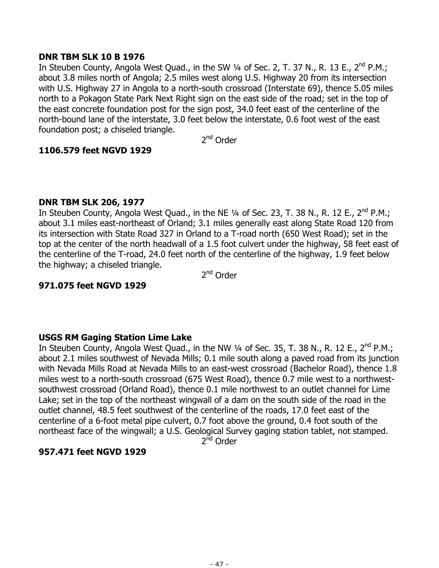## **DNR TBM SLK 10 B 1976**

In Steuben County, Angola West Quad., in the SW 1/4 of Sec. 2, T. 37 N., R. 13 E., 2<sup>nd</sup> P.M.; about 3.8 miles north of Angola; 2.5 miles west along U.S. Highway 20 from its intersection with U.S. Highway 27 in Angola to a north-south crossroad (Interstate 69), thence 5.05 miles north to a Pokagon State Park Next Right sign on the east side of the road; set in the top of the east concrete foundation post for the sign post, 34.0 feet east of the centerline of the north-bound lane of the interstate, 3.0 feet below the interstate, 0.6 foot west of the east foundation post; a chiseled triangle.

2nd Order

# **1106.579 feet NGVD 1929**

# **DNR TBM SLK 206, 1977**

In Steuben County, Angola West Quad., in the NE  $\frac{1}{4}$  of Sec. 23, T. 38 N., R. 12 E., 2<sup>nd</sup> P.M.; about 3.1 miles east-northeast of Orland; 3.1 miles generally east along State Road 120 from its intersection with State Road 327 in Orland to a T-road north (650 West Road); set in the top at the center of the north headwall of a 1.5 foot culvert under the highway, 58 feet east of the centerline of the T-road, 24.0 feet north of the centerline of the highway, 1.9 feet below the highway; a chiseled triangle.

2nd Order

# **971.075 feet NGVD 1929**

# **USGS RM Gaging Station Lime Lake**

In Steuben County, Angola West Quad., in the NW 1/4 of Sec. 35, T. 38 N., R. 12 E., 2<sup>nd</sup> P.M.; about 2.1 miles southwest of Nevada Mills; 0.1 mile south along a paved road from its junction with Nevada Mills Road at Nevada Mills to an east-west crossroad (Bachelor Road), thence 1.8 miles west to a north-south crossroad (675 West Road), thence 0.7 mile west to a northwestsouthwest crossroad (Orland Road), thence 0.1 mile northwest to an outlet channel for Lime Lake; set in the top of the northeast wingwall of a dam on the south side of the road in the outlet channel, 48.5 feet southwest of the centerline of the roads, 17.0 feet east of the centerline of a 6-foot metal pipe culvert, 0.7 foot above the ground, 0.4 foot south of the northeast face of the wingwall; a U.S. Geological Survey gaging station tablet, not stamped.

2<sup>nd</sup> Order

# **957.471 feet NGVD 1929**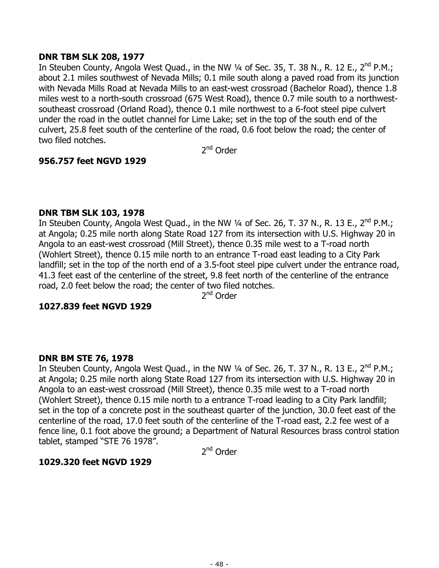## **DNR TBM SLK 208, 1977**

In Steuben County, Angola West Quad., in the NW 1/4 of Sec. 35, T. 38 N., R. 12 E., 2<sup>nd</sup> P.M.; about 2.1 miles southwest of Nevada Mills; 0.1 mile south along a paved road from its junction with Nevada Mills Road at Nevada Mills to an east-west crossroad (Bachelor Road), thence 1.8 miles west to a north-south crossroad (675 West Road), thence 0.7 mile south to a northwestsoutheast crossroad (Orland Road), thence 0.1 mile northwest to a 6-foot steel pipe culvert under the road in the outlet channel for Lime Lake; set in the top of the south end of the culvert, 25.8 feet south of the centerline of the road, 0.6 foot below the road; the center of two filed notches.

2<sup>nd</sup> Order

# **956.757 feet NGVD 1929**

### **DNR TBM SLK 103, 1978**

In Steuben County, Angola West Quad., in the NW 1/4 of Sec. 26, T. 37 N., R. 13 E., 2<sup>nd</sup> P.M.; at Angola; 0.25 mile north along State Road 127 from its intersection with U.S. Highway 20 in Angola to an east-west crossroad (Mill Street), thence 0.35 mile west to a T-road north (Wohlert Street), thence 0.15 mile north to an entrance T-road east leading to a City Park landfill; set in the top of the north end of a 3.5-foot steel pipe culvert under the entrance road, 41.3 feet east of the centerline of the street, 9.8 feet north of the centerline of the entrance road, 2.0 feet below the road; the center of two filed notches.

2<sup>nd</sup> Order

### **1027.839 feet NGVD 1929**

# **DNR BM STE 76, 1978**

In Steuben County, Angola West Quad., in the NW 1/4 of Sec. 26, T. 37 N., R. 13 E., 2<sup>nd</sup> P.M.; at Angola; 0.25 mile north along State Road 127 from its intersection with U.S. Highway 20 in Angola to an east-west crossroad (Mill Street), thence 0.35 mile west to a T-road north (Wohlert Street), thence 0.15 mile north to a entrance T-road leading to a City Park landfill; set in the top of a concrete post in the southeast quarter of the junction, 30.0 feet east of the centerline of the road, 17.0 feet south of the centerline of the T-road east, 2.2 fee west of a fence line, 0.1 foot above the ground; a Department of Natural Resources brass control station tablet, stamped "STE 76 1978".

2<sup>nd</sup> Order

# **1029.320 feet NGVD 1929**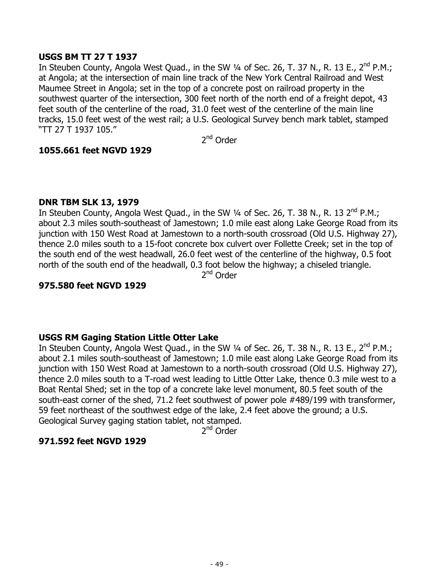### **USGS BM TT 27 T 1937**

In Steuben County, Angola West Quad., in the SW 1/4 of Sec. 26, T. 37 N., R. 13 E., 2<sup>nd</sup> P.M.; at Angola; at the intersection of main line track of the New York Central Railroad and West Maumee Street in Angola; set in the top of a concrete post on railroad property in the southwest quarter of the intersection, 300 feet north of the north end of a freight depot, 43 feet south of the centerline of the road, 31.0 feet west of the centerline of the main line tracks, 15.0 feet west of the west rail; a U.S. Geological Survey bench mark tablet, stamped "TT 27 T 1937 105."

2nd Order

### **1055.661 feet NGVD 1929**

#### **DNR TBM SLK 13, 1979**

In Steuben County, Angola West Quad., in the SW 1/4 of Sec. 26, T. 38 N., R. 13 2<sup>nd</sup> P.M.; about 2.3 miles south-southeast of Jamestown; 1.0 mile east along Lake George Road from its junction with 150 West Road at Jamestown to a north-south crossroad (Old U.S. Highway 27), thence 2.0 miles south to a 15-foot concrete box culvert over Follette Creek; set in the top of the south end of the west headwall, 26.0 feet west of the centerline of the highway, 0.5 foot north of the south end of the headwall, 0.3 foot below the highway; a chiseled triangle.

2nd Order

### **975.580 feet NGVD 1929**

### **USGS RM Gaging Station Little Otter Lake**

In Steuben County, Angola West Quad., in the SW 1/4 of Sec. 26, T. 38 N., R. 13 E., 2<sup>nd</sup> P.M.; about 2.1 miles south-southeast of Jamestown; 1.0 mile east along Lake George Road from its junction with 150 West Road at Jamestown to a north-south crossroad (Old U.S. Highway 27), thence 2.0 miles south to a T-road west leading to Little Otter Lake, thence 0.3 mile west to a Boat Rental Shed; set in the top of a concrete lake level monument, 80.5 feet south of the south-east corner of the shed, 71.2 feet southwest of power pole #489/199 with transformer, 59 feet northeast of the southwest edge of the lake, 2.4 feet above the ground; a U.S. Geological Survey gaging station tablet, not stamped.

2<sup>nd</sup> Order

### **971.592 feet NGVD 1929**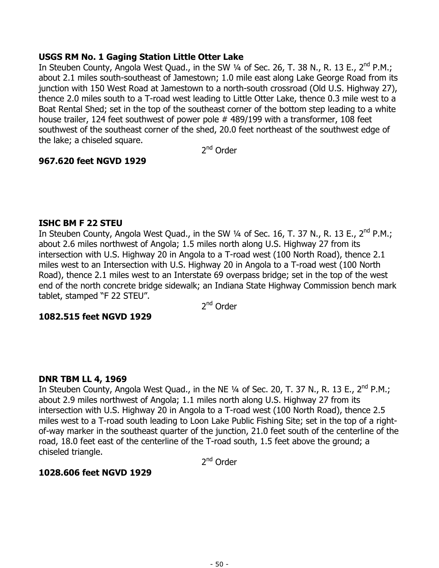### **USGS RM No. 1 Gaging Station Little Otter Lake**

In Steuben County, Angola West Quad., in the SW 1/4 of Sec. 26, T. 38 N., R. 13 E., 2<sup>nd</sup> P.M.; about 2.1 miles south-southeast of Jamestown; 1.0 mile east along Lake George Road from its junction with 150 West Road at Jamestown to a north-south crossroad (Old U.S. Highway 27), thence 2.0 miles south to a T-road west leading to Little Otter Lake, thence 0.3 mile west to a Boat Rental Shed; set in the top of the southeast corner of the bottom step leading to a white house trailer, 124 feet southwest of power pole # 489/199 with a transformer, 108 feet southwest of the southeast corner of the shed, 20.0 feet northeast of the southwest edge of the lake; a chiseled square.

2<sup>nd</sup> Order

# **967.620 feet NGVD 1929**

#### **ISHC BM F 22 STEU**

In Steuben County, Angola West Quad., in the SW 1/4 of Sec. 16, T. 37 N., R. 13 E., 2<sup>nd</sup> P.M.; about 2.6 miles northwest of Angola; 1.5 miles north along U.S. Highway 27 from its intersection with U.S. Highway 20 in Angola to a T-road west (100 North Road), thence 2.1 miles west to an Intersection with U.S. Highway 20 in Angola to a T-road west (100 North Road), thence 2.1 miles west to an Interstate 69 overpass bridge; set in the top of the west end of the north concrete bridge sidewalk; an Indiana State Highway Commission bench mark tablet, stamped "F 22 STEU".

2<sup>nd</sup> Order

### **1082.515 feet NGVD 1929**

### **DNR TBM LL 4, 1969**

In Steuben County, Angola West Quad., in the NE  $\frac{1}{4}$  of Sec. 20, T. 37 N., R. 13 E., 2<sup>nd</sup> P.M.; about 2.9 miles northwest of Angola; 1.1 miles north along U.S. Highway 27 from its intersection with U.S. Highway 20 in Angola to a T-road west (100 North Road), thence 2.5 miles west to a T-road south leading to Loon Lake Public Fishing Site; set in the top of a rightof-way marker in the southeast quarter of the junction, 21.0 feet south of the centerline of the road, 18.0 feet east of the centerline of the T-road south, 1.5 feet above the ground; a chiseled triangle.

2<sup>nd</sup> Order

### **1028.606 feet NGVD 1929**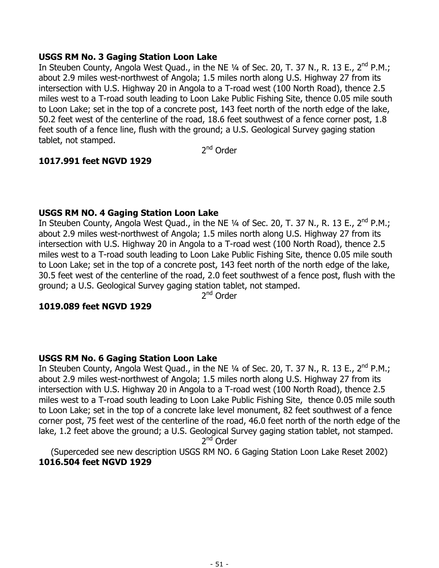### **USGS RM No. 3 Gaging Station Loon Lake**

In Steuben County, Angola West Quad., in the NE 1/4 of Sec. 20, T. 37 N., R. 13 E., 2<sup>nd</sup> P.M.; about 2.9 miles west-northwest of Angola; 1.5 miles north along U.S. Highway 27 from its intersection with U.S. Highway 20 in Angola to a T-road west (100 North Road), thence 2.5 miles west to a T-road south leading to Loon Lake Public Fishing Site, thence 0.05 mile south to Loon Lake; set in the top of a concrete post, 143 feet north of the north edge of the lake, 50.2 feet west of the centerline of the road, 18.6 feet southwest of a fence corner post, 1.8 feet south of a fence line, flush with the ground; a U.S. Geological Survey gaging station tablet, not stamped.

2<sup>nd</sup> Order

# **1017.991 feet NGVD 1929**

# **USGS RM NO. 4 Gaging Station Loon Lake**

In Steuben County, Angola West Quad., in the NE 1/4 of Sec. 20, T. 37 N., R. 13 E., 2<sup>nd</sup> P.M.; about 2.9 miles west-northwest of Angola; 1.5 miles north along U.S. Highway 27 from its intersection with U.S. Highway 20 in Angola to a T-road west (100 North Road), thence 2.5 miles west to a T-road south leading to Loon Lake Public Fishing Site, thence 0.05 mile south to Loon Lake; set in the top of a concrete post, 143 feet north of the north edge of the lake, 30.5 feet west of the centerline of the road, 2.0 feet southwest of a fence post, flush with the ground; a U.S. Geological Survey gaging station tablet, not stamped.

2<sup>nd</sup> Order

#### **1019.089 feet NGVD 1929**

### **USGS RM No. 6 Gaging Station Loon Lake**

In Steuben County, Angola West Quad., in the NE 1/4 of Sec. 20, T. 37 N., R. 13 E., 2<sup>nd</sup> P.M.; about 2.9 miles west-northwest of Angola; 1.5 miles north along U.S. Highway 27 from its intersection with U.S. Highway 20 in Angola to a T-road west (100 North Road), thence 2.5 miles west to a T-road south leading to Loon Lake Public Fishing Site, thence 0.05 mile south to Loon Lake; set in the top of a concrete lake level monument, 82 feet southwest of a fence corner post, 75 feet west of the centerline of the road, 46.0 feet north of the north edge of the lake, 1.2 feet above the ground; a U.S. Geological Survey gaging station tablet, not stamped. 2<sup>nd</sup> Order

(Superceded see new description USGS RM NO. 6 Gaging Station Loon Lake Reset 2002) **1016.504 feet NGVD 1929**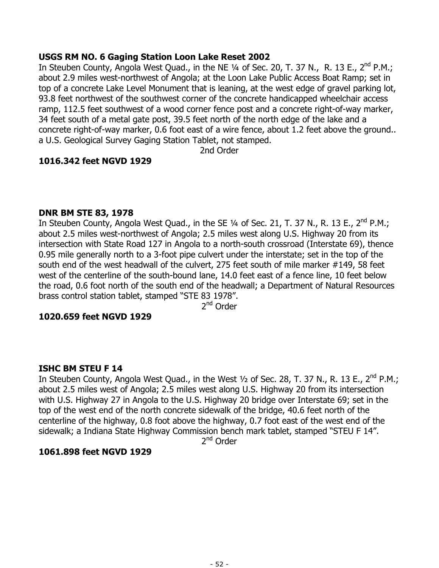### **USGS RM NO. 6 Gaging Station Loon Lake Reset 2002**

In Steuben County, Angola West Ouad., in the NE  $\frac{1}{4}$  of Sec. 20, T. 37 N., R. 13 E., 2<sup>nd</sup> P.M.; about 2.9 miles west-northwest of Angola; at the Loon Lake Public Access Boat Ramp; set in top of a concrete Lake Level Monument that is leaning, at the west edge of gravel parking lot, 93.8 feet northwest of the southwest corner of the concrete handicapped wheelchair access ramp, 112.5 feet southwest of a wood corner fence post and a concrete right-of-way marker, 34 feet south of a metal gate post, 39.5 feet north of the north edge of the lake and a concrete right-of-way marker, 0.6 foot east of a wire fence, about 1.2 feet above the ground.. a U.S. Geological Survey Gaging Station Tablet, not stamped.

2nd Order

### **1016.342 feet NGVD 1929**

#### **DNR BM STE 83, 1978**

In Steuben County, Angola West Quad., in the SE 1/4 of Sec. 21, T. 37 N., R. 13 E., 2<sup>nd</sup> P.M.; about 2.5 miles west-northwest of Angola; 2.5 miles west along U.S. Highway 20 from its intersection with State Road 127 in Angola to a north-south crossroad (Interstate 69), thence 0.95 mile generally north to a 3-foot pipe culvert under the interstate; set in the top of the south end of the west headwall of the culvert, 275 feet south of mile marker #149, 58 feet west of the centerline of the south-bound lane, 14.0 feet east of a fence line, 10 feet below the road, 0.6 foot north of the south end of the headwall; a Department of Natural Resources brass control station tablet, stamped "STE 83 1978".

2nd Order

### **1020.659 feet NGVD 1929**

#### **ISHC BM STEU F 14**

In Steuben County, Angola West Quad., in the West  $\frac{1}{2}$  of Sec. 28, T. 37 N., R. 13 E., 2<sup>nd</sup> P.M.; about 2.5 miles west of Angola; 2.5 miles west along U.S. Highway 20 from its intersection with U.S. Highway 27 in Angola to the U.S. Highway 20 bridge over Interstate 69; set in the top of the west end of the north concrete sidewalk of the bridge, 40.6 feet north of the centerline of the highway, 0.8 foot above the highway, 0.7 foot east of the west end of the sidewalk; a Indiana State Highway Commission bench mark tablet, stamped "STEU F 14".

2nd Order

#### **1061.898 feet NGVD 1929**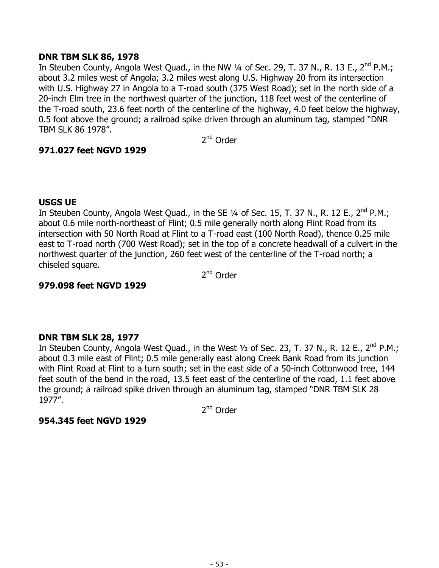## **DNR TBM SLK 86, 1978**

In Steuben County, Angola West Quad., in the NW  $\frac{1}{4}$  of Sec. 29, T. 37 N., R. 13 E., 2<sup>nd</sup> P.M.; about 3.2 miles west of Angola; 3.2 miles west along U.S. Highway 20 from its intersection with U.S. Highway 27 in Angola to a T-road south (375 West Road); set in the north side of a 20-inch Elm tree in the northwest quarter of the junction, 118 feet west of the centerline of the T-road south, 23.6 feet north of the centerline of the highway, 4.0 feet below the highway, 0.5 foot above the ground; a railroad spike driven through an aluminum tag, stamped "DNR TBM SLK 86 1978".

2nd Order

### **971.027 feet NGVD 1929**

# **USGS UE**

In Steuben County, Angola West Quad., in the SE  $\frac{1}{4}$  of Sec. 15, T. 37 N., R. 12 E., 2<sup>nd</sup> P.M.; about 0.6 mile north-northeast of Flint; 0.5 mile generally north along Flint Road from its intersection with 50 North Road at Flint to a T-road east (100 North Road), thence 0.25 mile east to T-road north (700 West Road); set in the top of a concrete headwall of a culvert in the northwest quarter of the junction, 260 feet west of the centerline of the T-road north; a chiseled square.

2<sup>nd</sup> Order

## **979.098 feet NGVD 1929**

# **DNR TBM SLK 28, 1977**

In Steuben County, Angola West Quad., in the West  $\frac{1}{2}$  of Sec. 23, T. 37 N., R. 12 E., 2<sup>nd</sup> P.M.; about 0.3 mile east of Flint; 0.5 mile generally east along Creek Bank Road from its junction with Flint Road at Flint to a turn south; set in the east side of a 50-inch Cottonwood tree, 144 feet south of the bend in the road, 13.5 feet east of the centerline of the road, 1.1 feet above the ground; a railroad spike driven through an aluminum tag, stamped "DNR TBM SLK 28 1977".

2<sup>nd</sup> Order

### **954.345 feet NGVD 1929**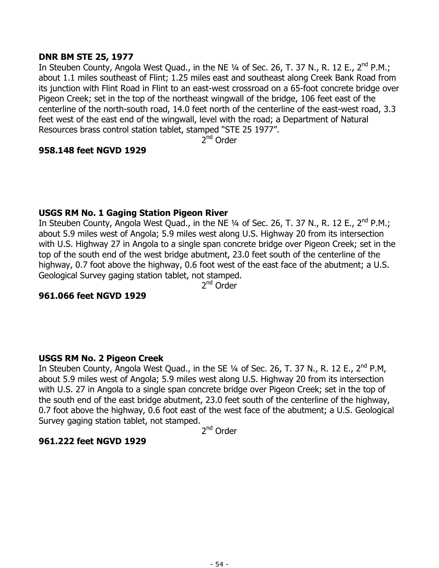### **DNR BM STE 25, 1977**

In Steuben County, Angola West Quad., in the NE 1/4 of Sec. 26, T. 37 N., R. 12 E., 2<sup>nd</sup> P.M.; about 1.1 miles southeast of Flint; 1.25 miles east and southeast along Creek Bank Road from its junction with Flint Road in Flint to an east-west crossroad on a 65-foot concrete bridge over Pigeon Creek; set in the top of the northeast wingwall of the bridge, 106 feet east of the centerline of the north-south road, 14.0 feet north of the centerline of the east-west road, 3.3 feet west of the east end of the wingwall, level with the road; a Department of Natural Resources brass control station tablet, stamped "STE 25 1977".

 $2^{nd}$  Order

#### **958.148 feet NGVD 1929**

#### **USGS RM No. 1 Gaging Station Pigeon River**

In Steuben County, Angola West Quad., in the NE 1/4 of Sec. 26, T. 37 N., R. 12 E., 2<sup>nd</sup> P.M.; about 5.9 miles west of Angola; 5.9 miles west along U.S. Highway 20 from its intersection with U.S. Highway 27 in Angola to a single span concrete bridge over Pigeon Creek; set in the top of the south end of the west bridge abutment, 23.0 feet south of the centerline of the highway, 0.7 foot above the highway, 0.6 foot west of the east face of the abutment; a U.S. Geological Survey gaging station tablet, not stamped.

2nd Order

### **961.066 feet NGVD 1929**

#### **USGS RM No. 2 Pigeon Creek**

In Steuben County, Angola West Quad., in the SE 1/4 of Sec. 26, T. 37 N., R. 12 E., 2<sup>nd</sup> P.M, about 5.9 miles west of Angola; 5.9 miles west along U.S. Highway 20 from its intersection with U.S. 27 in Angola to a single span concrete bridge over Pigeon Creek; set in the top of the south end of the east bridge abutment, 23.0 feet south of the centerline of the highway, 0.7 foot above the highway, 0.6 foot east of the west face of the abutment; a U.S. Geological Survey gaging station tablet, not stamped.

2nd Order

### **961.222 feet NGVD 1929**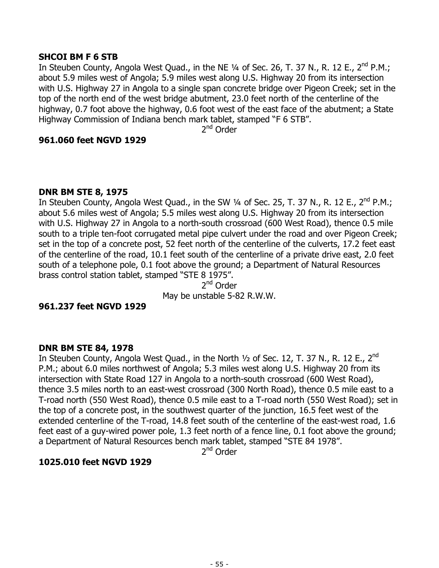## **SHCOI BM F 6 STB**

In Steuben County, Angola West Ouad., in the NE  $\frac{1}{4}$  of Sec. 26, T. 37 N., R. 12 E., 2<sup>nd</sup> P.M.; about 5.9 miles west of Angola; 5.9 miles west along U.S. Highway 20 from its intersection with U.S. Highway 27 in Angola to a single span concrete bridge over Pigeon Creek; set in the top of the north end of the west bridge abutment, 23.0 feet north of the centerline of the highway, 0.7 foot above the highway, 0.6 foot west of the east face of the abutment; a State Highway Commission of Indiana bench mark tablet, stamped "F 6 STB".

2<sup>nd</sup> Order

### **961.060 feet NGVD 1929**

### **DNR BM STE 8, 1975**

In Steuben County, Angola West Quad., in the SW 1/4 of Sec. 25, T. 37 N., R. 12 E., 2<sup>nd</sup> P.M.; about 5.6 miles west of Angola; 5.5 miles west along U.S. Highway 20 from its intersection with U.S. Highway 27 in Angola to a north-south crossroad (600 West Road), thence 0.5 mile south to a triple ten-foot corrugated metal pipe culvert under the road and over Pigeon Creek; set in the top of a concrete post, 52 feet north of the centerline of the culverts, 17.2 feet east of the centerline of the road, 10.1 feet south of the centerline of a private drive east, 2.0 feet south of a telephone pole, 0.1 foot above the ground; a Department of Natural Resources brass control station tablet, stamped "STE 8 1975".

2<sup>nd</sup> Order May be unstable 5-82 R.W.W.

### **961.237 feet NGVD 1929**

### **DNR BM STE 84, 1978**

In Steuben County, Angola West Quad., in the North 1/2 of Sec. 12, T. 37 N., R. 12 E., 2<sup>nd</sup> P.M.; about 6.0 miles northwest of Angola; 5.3 miles west along U.S. Highway 20 from its intersection with State Road 127 in Angola to a north-south crossroad (600 West Road), thence 3.5 miles north to an east-west crossroad (300 North Road), thence 0.5 mile east to a T-road north (550 West Road), thence 0.5 mile east to a T-road north (550 West Road); set in the top of a concrete post, in the southwest quarter of the junction, 16.5 feet west of the extended centerline of the T-road, 14.8 feet south of the centerline of the east-west road, 1.6 feet east of a guy-wired power pole, 1.3 feet north of a fence line, 0.1 foot above the ground; a Department of Natural Resources bench mark tablet, stamped "STE 84 1978".

2<sup>nd</sup> Order

### **1025.010 feet NGVD 1929**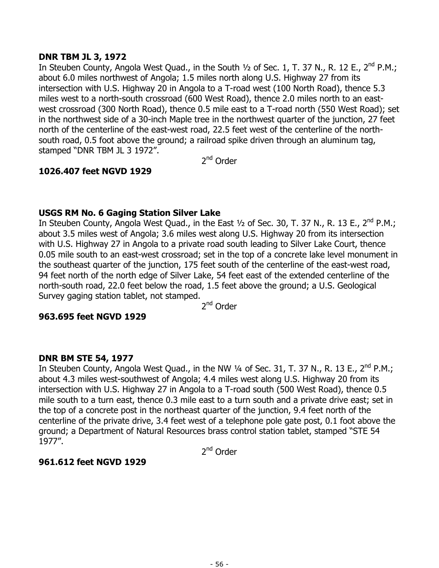## **DNR TBM JL 3, 1972**

In Steuben County, Angola West Ouad., in the South  $\frac{1}{2}$  of Sec. 1, T. 37 N., R. 12 E., 2<sup>nd</sup> P.M.; about 6.0 miles northwest of Angola; 1.5 miles north along U.S. Highway 27 from its intersection with U.S. Highway 20 in Angola to a T-road west (100 North Road), thence 5.3 miles west to a north-south crossroad (600 West Road), thence 2.0 miles north to an eastwest crossroad (300 North Road), thence 0.5 mile east to a T-road north (550 West Road); set in the northwest side of a 30-inch Maple tree in the northwest quarter of the junction, 27 feet north of the centerline of the east-west road, 22.5 feet west of the centerline of the northsouth road, 0.5 foot above the ground; a railroad spike driven through an aluminum tag, stamped "DNR TBM JL 3 1972".

2<sup>nd</sup> Order

# **1026.407 feet NGVD 1929**

# **USGS RM No. 6 Gaging Station Silver Lake**

In Steuben County, Angola West Quad., in the East 1/2 of Sec. 30, T. 37 N., R. 13 E., 2<sup>nd</sup> P.M.; about 3.5 miles west of Angola; 3.6 miles west along U.S. Highway 20 from its intersection with U.S. Highway 27 in Angola to a private road south leading to Silver Lake Court, thence 0.05 mile south to an east-west crossroad; set in the top of a concrete lake level monument in the southeast quarter of the junction, 175 feet south of the centerline of the east-west road, 94 feet north of the north edge of Silver Lake, 54 feet east of the extended centerline of the north-south road, 22.0 feet below the road, 1.5 feet above the ground; a U.S. Geological Survey gaging station tablet, not stamped.

2nd Order

### **963.695 feet NGVD 1929**

### **DNR BM STE 54, 1977**

In Steuben County, Angola West Quad., in the NW 1/4 of Sec. 31, T. 37 N., R. 13 E., 2<sup>nd</sup> P.M.; about 4.3 miles west-southwest of Angola; 4.4 miles west along U.S. Highway 20 from its intersection with U.S. Highway 27 in Angola to a T-road south (500 West Road), thence 0.5 mile south to a turn east, thence 0.3 mile east to a turn south and a private drive east; set in the top of a concrete post in the northeast quarter of the junction, 9.4 feet north of the centerline of the private drive, 3.4 feet west of a telephone pole gate post, 0.1 foot above the ground; a Department of Natural Resources brass control station tablet, stamped "STE 54 1977".

2<sup>nd</sup> Order

### **961.612 feet NGVD 1929**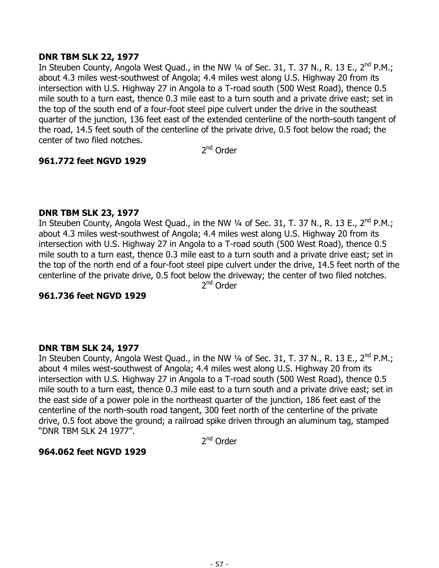## **DNR TBM SLK 22, 1977**

In Steuben County, Angola West Quad., in the NW 1/4 of Sec. 31, T. 37 N., R. 13 E., 2<sup>nd</sup> P.M.; about 4.3 miles west-southwest of Angola; 4.4 miles west along U.S. Highway 20 from its intersection with U.S. Highway 27 in Angola to a T-road south (500 West Road), thence 0.5 mile south to a turn east, thence 0.3 mile east to a turn south and a private drive east; set in the top of the south end of a four-foot steel pipe culvert under the drive in the southeast quarter of the junction, 136 feet east of the extended centerline of the north-south tangent of the road, 14.5 feet south of the centerline of the private drive, 0.5 foot below the road; the center of two filed notches.

2<sup>nd</sup> Order

# **961.772 feet NGVD 1929**

### **DNR TBM SLK 23, 1977**

In Steuben County, Angola West Quad., in the NW 1/4 of Sec. 31, T. 37 N., R. 13 E., 2<sup>nd</sup> P.M.; about 4.3 miles west-southwest of Angola; 4.4 miles west along U.S. Highway 20 from its intersection with U.S. Highway 27 in Angola to a T-road south (500 West Road), thence 0.5 mile south to a turn east, thence 0.3 mile east to a turn south and a private drive east; set in the top of the north end of a four-foot steel pipe culvert under the drive, 14.5 feet north of the centerline of the private drive, 0.5 foot below the driveway; the center of two filed notches. 2nd Order

### **961.736 feet NGVD 1929**

### **DNR TBM SLK 24, 1977**

In Steuben County, Angola West Quad., in the NW 1/4 of Sec. 31, T. 37 N., R. 13 E., 2<sup>nd</sup> P.M.; about 4 miles west-southwest of Angola; 4.4 miles west along U.S. Highway 20 from its intersection with U.S. Highway 27 in Angola to a T-road south (500 West Road), thence 0.5 mile south to a turn east, thence 0.3 mile east to a turn south and a private drive east; set in the east side of a power pole in the northeast quarter of the junction, 186 feet east of the centerline of the north-south road tangent, 300 feet north of the centerline of the private drive, 0.5 foot above the ground; a railroad spike driven through an aluminum tag, stamped "DNR TBM SLK 24 1977".

2nd Order

### **964.062 feet NGVD 1929**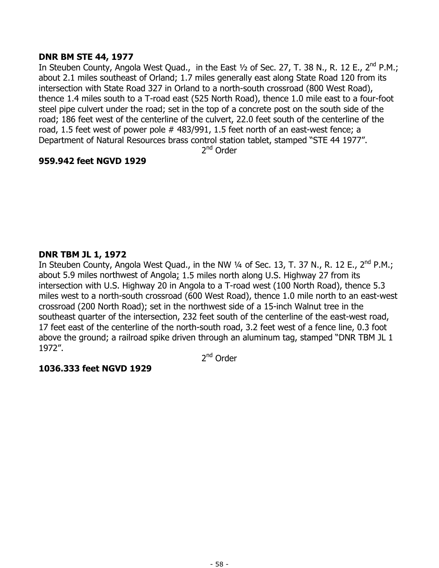## **DNR BM STE 44, 1977**

In Steuben County, Angola West Quad., in the East 1/2 of Sec. 27, T. 38 N., R. 12 E., 2<sup>nd</sup> P.M.; about 2.1 miles southeast of Orland; 1.7 miles generally east along State Road 120 from its intersection with State Road 327 in Orland to a north-south crossroad (800 West Road), thence 1.4 miles south to a T-road east (525 North Road), thence 1.0 mile east to a four-foot steel pipe culvert under the road; set in the top of a concrete post on the south side of the road; 186 feet west of the centerline of the culvert, 22.0 feet south of the centerline of the road, 1.5 feet west of power pole # 483/991, 1.5 feet north of an east-west fence; a Department of Natural Resources brass control station tablet, stamped "STE 44 1977".

2<sup>nd</sup> Order

# **959.942 feet NGVD 1929**

# **DNR TBM JL 1, 1972**

In Steuben County, Angola West Quad., in the NW  $\frac{1}{4}$  of Sec. 13, T. 37 N., R. 12 E., 2<sup>nd</sup> P.M.; about 5.9 miles northwest of Angola; 1.5 miles north along U.S. Highway 27 from its intersection with U.S. Highway 20 in Angola to a T-road west (100 North Road), thence 5.3 miles west to a north-south crossroad (600 West Road), thence 1.0 mile north to an east-west crossroad (200 North Road); set in the northwest side of a 15-inch Walnut tree in the southeast quarter of the intersection, 232 feet south of the centerline of the east-west road, 17 feet east of the centerline of the north-south road, 3.2 feet west of a fence line, 0.3 foot above the ground; a railroad spike driven through an aluminum tag, stamped "DNR TBM JL 1 1972".

2<sup>nd</sup> Order

# **1036.333 feet NGVD 1929**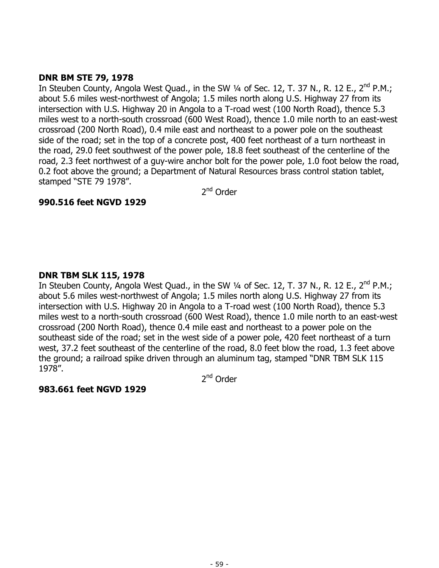# **DNR BM STE 79, 1978**

In Steuben County, Angola West Quad., in the SW 1/4 of Sec. 12, T. 37 N., R. 12 E., 2<sup>nd</sup> P.M.; about 5.6 miles west-northwest of Angola; 1.5 miles north along U.S. Highway 27 from its intersection with U.S. Highway 20 in Angola to a T-road west (100 North Road), thence 5.3 miles west to a north-south crossroad (600 West Road), thence 1.0 mile north to an east-west crossroad (200 North Road), 0.4 mile east and northeast to a power pole on the southeast side of the road; set in the top of a concrete post, 400 feet northeast of a turn northeast in the road, 29.0 feet southwest of the power pole, 18.8 feet southeast of the centerline of the road, 2.3 feet northwest of a guy-wire anchor bolt for the power pole, 1.0 foot below the road, 0.2 foot above the ground; a Department of Natural Resources brass control station tablet, stamped "STE 79 1978".

2<sup>nd</sup> Order

# **990.516 feet NGVD 1929**

# **DNR TBM SLK 115, 1978**

In Steuben County, Angola West Quad., in the SW 1/4 of Sec. 12, T. 37 N., R. 12 E., 2<sup>nd</sup> P.M.; about 5.6 miles west-northwest of Angola; 1.5 miles north along U.S. Highway 27 from its intersection with U.S. Highway 20 in Angola to a T-road west (100 North Road), thence 5.3 miles west to a north-south crossroad (600 West Road), thence 1.0 mile north to an east-west crossroad (200 North Road), thence 0.4 mile east and northeast to a power pole on the southeast side of the road; set in the west side of a power pole, 420 feet northeast of a turn west, 37.2 feet southeast of the centerline of the road, 8.0 feet blow the road, 1.3 feet above the ground; a railroad spike driven through an aluminum tag, stamped "DNR TBM SLK 115 1978".

2<sup>nd</sup> Order

# **983.661 feet NGVD 1929**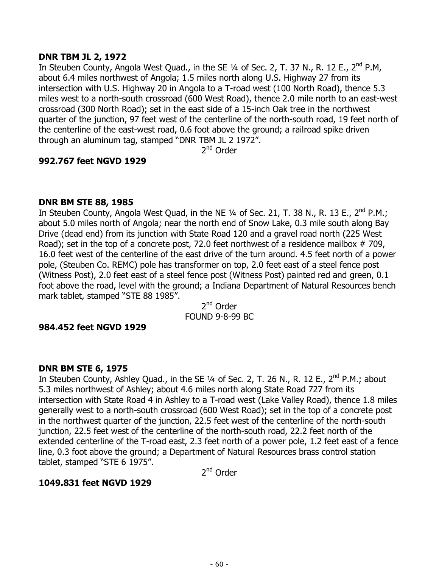### **DNR TBM JL 2, 1972**

In Steuben County, Angola West Ouad., in the SE  $\frac{1}{4}$  of Sec. 2, T. 37 N., R. 12 E., 2<sup>nd</sup> P.M. about 6.4 miles northwest of Angola; 1.5 miles north along U.S. Highway 27 from its intersection with U.S. Highway 20 in Angola to a T-road west (100 North Road), thence 5.3 miles west to a north-south crossroad (600 West Road), thence 2.0 mile north to an east-west crossroad (300 North Road); set in the east side of a 15-inch Oak tree in the northwest quarter of the junction, 97 feet west of the centerline of the north-south road, 19 feet north of the centerline of the east-west road, 0.6 foot above the ground; a railroad spike driven through an aluminum tag, stamped "DNR TBM JL 2 1972".

2<sup>nd</sup> Order

# **992.767 feet NGVD 1929**

### **DNR BM STE 88, 1985**

In Steuben County, Angola West Quad, in the NE 1/4 of Sec. 21, T. 38 N., R. 13 E., 2<sup>nd</sup> P.M.; about 5.0 miles north of Angola; near the north end of Snow Lake, 0.3 mile south along Bay Drive (dead end) from its junction with State Road 120 and a gravel road north (225 West Road); set in the top of a concrete post, 72.0 feet northwest of a residence mailbox  $# 709$ , 16.0 feet west of the centerline of the east drive of the turn around. 4.5 feet north of a power pole, (Steuben Co. REMC) pole has transformer on top, 2.0 feet east of a steel fence post (Witness Post), 2.0 feet east of a steel fence post (Witness Post) painted red and green, 0.1 foot above the road, level with the ground; a Indiana Department of Natural Resources bench mark tablet, stamped "STE 88 1985".

2<sup>nd</sup> Order FOUND 9-8-99 BC

### **984.452 feet NGVD 1929**

### **DNR BM STE 6, 1975**

In Steuben County, Ashley Quad., in the SE  $\frac{1}{4}$  of Sec. 2, T. 26 N., R. 12 E., 2<sup>nd</sup> P.M.; about 5.3 miles northwest of Ashley; about 4.6 miles north along State Road 727 from its intersection with State Road 4 in Ashley to a T-road west (Lake Valley Road), thence 1.8 miles generally west to a north-south crossroad (600 West Road); set in the top of a concrete post in the northwest quarter of the junction, 22.5 feet west of the centerline of the north-south junction, 22.5 feet west of the centerline of the north-south road, 22.2 feet north of the extended centerline of the T-road east, 2.3 feet north of a power pole, 1.2 feet east of a fence line, 0.3 foot above the ground; a Department of Natural Resources brass control station tablet, stamped "STE 6 1975".

2<sup>nd</sup> Order

# **1049.831 feet NGVD 1929**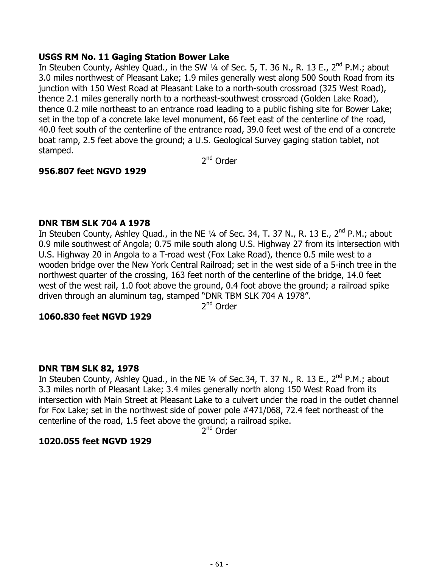### **USGS RM No. 11 Gaging Station Bower Lake**

In Steuben County, Ashley Quad., in the SW 1/4 of Sec. 5, T. 36 N., R. 13 E., 2<sup>nd</sup> P.M.; about 3.0 miles northwest of Pleasant Lake; 1.9 miles generally west along 500 South Road from its junction with 150 West Road at Pleasant Lake to a north-south crossroad (325 West Road), thence 2.1 miles generally north to a northeast-southwest crossroad (Golden Lake Road), thence 0.2 mile northeast to an entrance road leading to a public fishing site for Bower Lake; set in the top of a concrete lake level monument, 66 feet east of the centerline of the road, 40.0 feet south of the centerline of the entrance road, 39.0 feet west of the end of a concrete boat ramp, 2.5 feet above the ground; a U.S. Geological Survey gaging station tablet, not stamped.

2<sup>nd</sup> Order

# **956.807 feet NGVD 1929**

#### **DNR TBM SLK 704 A 1978**

In Steuben County, Ashley Quad., in the NE  $\frac{1}{4}$  of Sec. 34, T. 37 N., R. 13 E., 2<sup>nd</sup> P.M.; about 0.9 mile southwest of Angola; 0.75 mile south along U.S. Highway 27 from its intersection with U.S. Highway 20 in Angola to a T-road west (Fox Lake Road), thence 0.5 mile west to a wooden bridge over the New York Central Railroad; set in the west side of a 5-inch tree in the northwest quarter of the crossing, 163 feet north of the centerline of the bridge, 14.0 feet west of the west rail, 1.0 foot above the ground, 0.4 foot above the ground; a railroad spike driven through an aluminum tag, stamped "DNR TBM SLK 704 A 1978".

2<sup>nd</sup> Order

### **1060.830 feet NGVD 1929**

#### **DNR TBM SLK 82, 1978**

In Steuben County, Ashley Quad., in the NE 1/4 of Sec.34, T. 37 N., R. 13 E., 2<sup>nd</sup> P.M.; about 3.3 miles north of Pleasant Lake; 3.4 miles generally north along 150 West Road from its intersection with Main Street at Pleasant Lake to a culvert under the road in the outlet channel for Fox Lake; set in the northwest side of power pole #471/068, 72.4 feet northeast of the centerline of the road, 1.5 feet above the ground; a railroad spike.

2<sup>nd</sup> Order

### **1020.055 feet NGVD 1929**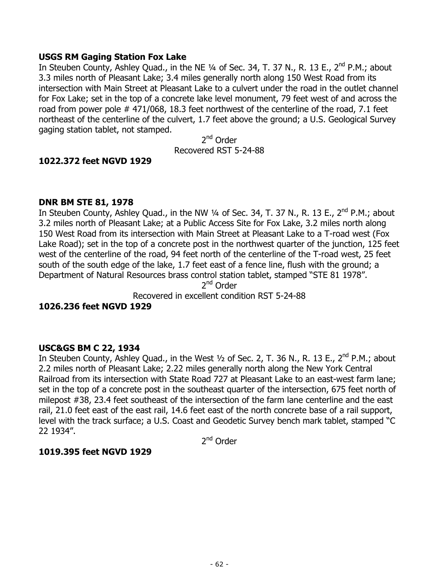### **USGS RM Gaging Station Fox Lake**

In Steuben County, Ashley Quad., in the NE 1/4 of Sec. 34, T. 37 N., R. 13 E., 2<sup>nd</sup> P.M.; about 3.3 miles north of Pleasant Lake; 3.4 miles generally north along 150 West Road from its intersection with Main Street at Pleasant Lake to a culvert under the road in the outlet channel for Fox Lake; set in the top of a concrete lake level monument, 79 feet west of and across the road from power pole # 471/068, 18.3 feet northwest of the centerline of the road, 7.1 feet northeast of the centerline of the culvert, 1.7 feet above the ground; a U.S. Geological Survey gaging station tablet, not stamped.

2nd Order Recovered RST 5-24-88

# **1022.372 feet NGVD 1929**

#### **DNR BM STE 81, 1978**

In Steuben County, Ashley Quad., in the NW  $\frac{1}{4}$  of Sec. 34, T. 37 N., R. 13 E., 2<sup>nd</sup> P.M.; about 3.2 miles north of Pleasant Lake; at a Public Access Site for Fox Lake, 3.2 miles north along 150 West Road from its intersection with Main Street at Pleasant Lake to a T-road west (Fox Lake Road); set in the top of a concrete post in the northwest quarter of the junction, 125 feet west of the centerline of the road, 94 feet north of the centerline of the T-road west, 25 feet south of the south edge of the lake, 1.7 feet east of a fence line, flush with the ground; a Department of Natural Resources brass control station tablet, stamped "STE 81 1978".

2<sup>nd</sup> Order

Recovered in excellent condition RST 5-24-88

### **1026.236 feet NGVD 1929**

#### **USC&GS BM C 22, 1934**

In Steuben County, Ashley Quad., in the West 1/2 of Sec. 2, T. 36 N., R. 13 E., 2<sup>nd</sup> P.M.; about 2.2 miles north of Pleasant Lake; 2.22 miles generally north along the New York Central Railroad from its intersection with State Road 727 at Pleasant Lake to an east-west farm lane; set in the top of a concrete post in the southeast quarter of the intersection, 675 feet north of milepost #38, 23.4 feet southeast of the intersection of the farm lane centerline and the east rail, 21.0 feet east of the east rail, 14.6 feet east of the north concrete base of a rail support, level with the track surface; a U.S. Coast and Geodetic Survey bench mark tablet, stamped "C 22 1934".

2nd Order

#### **1019.395 feet NGVD 1929**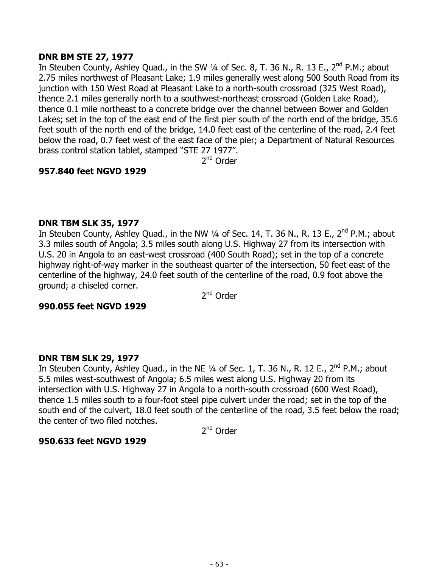# **DNR BM STE 27, 1977**

In Steuben County, Ashley Quad., in the SW 1/4 of Sec. 8, T. 36 N., R. 13 E., 2<sup>nd</sup> P.M.; about 2.75 miles northwest of Pleasant Lake; 1.9 miles generally west along 500 South Road from its junction with 150 West Road at Pleasant Lake to a north-south crossroad (325 West Road), thence 2.1 miles generally north to a southwest-northeast crossroad (Golden Lake Road), thence 0.1 mile northeast to a concrete bridge over the channel between Bower and Golden Lakes; set in the top of the east end of the first pier south of the north end of the bridge, 35.6 feet south of the north end of the bridge, 14.0 feet east of the centerline of the road, 2.4 feet below the road, 0.7 feet west of the east face of the pier; a Department of Natural Resources brass control station tablet, stamped "STE 27 1977".

2<sup>nd</sup> Order

# **957.840 feet NGVD 1929**

### **DNR TBM SLK 35, 1977**

In Steuben County, Ashley Quad., in the NW  $\frac{1}{4}$  of Sec. 14, T. 36 N., R. 13 E., 2<sup>nd</sup> P.M.; about 3.3 miles south of Angola; 3.5 miles south along U.S. Highway 27 from its intersection with U.S. 20 in Angola to an east-west crossroad (400 South Road); set in the top of a concrete highway right-of-way marker in the southeast quarter of the intersection, 50 feet east of the centerline of the highway, 24.0 feet south of the centerline of the road, 0.9 foot above the ground; a chiseled corner.

2<sup>nd</sup> Order

### **990.055 feet NGVD 1929**

# **DNR TBM SLK 29, 1977**

In Steuben County, Ashley Quad., in the NE  $\frac{1}{4}$  of Sec. 1, T. 36 N., R. 12 E., 2<sup>nd</sup> P.M.; about 5.5 miles west-southwest of Angola; 6.5 miles west along U.S. Highway 20 from its intersection with U.S. Highway 27 in Angola to a north-south crossroad (600 West Road), thence 1.5 miles south to a four-foot steel pipe culvert under the road; set in the top of the south end of the culvert, 18.0 feet south of the centerline of the road, 3.5 feet below the road; the center of two filed notches.

2<sup>nd</sup> Order

# **950.633 feet NGVD 1929**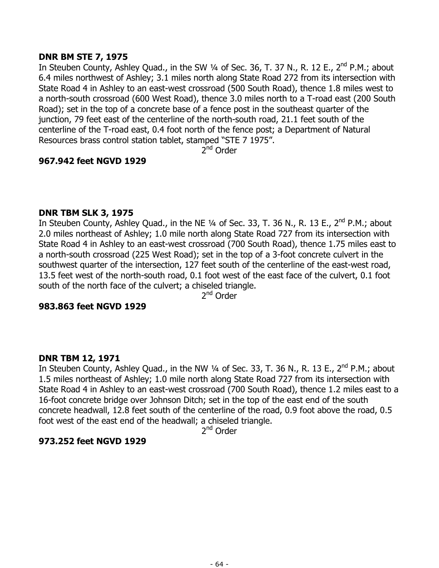## **DNR BM STE 7, 1975**

In Steuben County, Ashley Quad., in the SW  $\frac{1}{4}$  of Sec. 36, T. 37 N., R. 12 E., 2<sup>nd</sup> P.M.; about 6.4 miles northwest of Ashley; 3.1 miles north along State Road 272 from its intersection with State Road 4 in Ashley to an east-west crossroad (500 South Road), thence 1.8 miles west to a north-south crossroad (600 West Road), thence 3.0 miles north to a T-road east (200 South Road); set in the top of a concrete base of a fence post in the southeast quarter of the junction, 79 feet east of the centerline of the north-south road, 21.1 feet south of the centerline of the T-road east, 0.4 foot north of the fence post; a Department of Natural Resources brass control station tablet, stamped "STE 7 1975".

 $2^{nd}$  Order

# **967.942 feet NGVD 1929**

### **DNR TBM SLK 3, 1975**

In Steuben County, Ashley Quad., in the NE 1/4 of Sec. 33, T. 36 N., R. 13 E., 2<sup>nd</sup> P.M.; about 2.0 miles northeast of Ashley; 1.0 mile north along State Road 727 from its intersection with State Road 4 in Ashley to an east-west crossroad (700 South Road), thence 1.75 miles east to a north-south crossroad (225 West Road); set in the top of a 3-foot concrete culvert in the southwest quarter of the intersection, 127 feet south of the centerline of the east-west road, 13.5 feet west of the north-south road, 0.1 foot west of the east face of the culvert, 0.1 foot south of the north face of the culvert; a chiseled triangle.

2<sup>nd</sup> Order

### **983.863 feet NGVD 1929**

### **DNR TBM 12, 1971**

In Steuben County, Ashley Quad., in the NW 1/4 of Sec. 33, T. 36 N., R. 13 E., 2<sup>nd</sup> P.M.; about 1.5 miles northeast of Ashley; 1.0 mile north along State Road 727 from its intersection with State Road 4 in Ashley to an east-west crossroad (700 South Road), thence 1.2 miles east to a 16-foot concrete bridge over Johnson Ditch; set in the top of the east end of the south concrete headwall, 12.8 feet south of the centerline of the road, 0.9 foot above the road, 0.5 foot west of the east end of the headwall; a chiseled triangle.

2<sup>nd</sup> Order

### **973.252 feet NGVD 1929**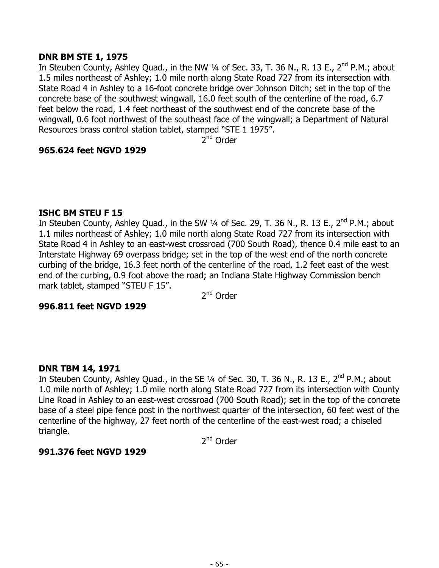## **DNR BM STE 1, 1975**

In Steuben County, Ashley Quad., in the NW 1/4 of Sec. 33, T. 36 N., R. 13 E., 2<sup>nd</sup> P.M.; about 1.5 miles northeast of Ashley; 1.0 mile north along State Road 727 from its intersection with State Road 4 in Ashley to a 16-foot concrete bridge over Johnson Ditch; set in the top of the concrete base of the southwest wingwall, 16.0 feet south of the centerline of the road, 6.7 feet below the road, 1.4 feet northeast of the southwest end of the concrete base of the wingwall, 0.6 foot northwest of the southeast face of the wingwall; a Department of Natural Resources brass control station tablet, stamped "STE 1 1975".

 $2^{nd}$  Order

# **965.624 feet NGVD 1929**

### **ISHC BM STEU F 15**

In Steuben County, Ashley Quad., in the SW 1/4 of Sec. 29, T. 36 N., R. 13 E., 2<sup>nd</sup> P.M.; about 1.1 miles northeast of Ashley; 1.0 mile north along State Road 727 from its intersection with State Road 4 in Ashley to an east-west crossroad (700 South Road), thence 0.4 mile east to an Interstate Highway 69 overpass bridge; set in the top of the west end of the north concrete curbing of the bridge, 16.3 feet north of the centerline of the road, 1.2 feet east of the west end of the curbing, 0.9 foot above the road; an Indiana State Highway Commission bench mark tablet, stamped "STEU F 15".

2<sup>nd</sup> Order

### **996.811 feet NGVD 1929**

### **DNR TBM 14, 1971**

In Steuben County, Ashley Quad., in the SE  $\frac{1}{4}$  of Sec. 30, T. 36 N., R. 13 E.,  $2^{nd}$  P.M.; about 1.0 mile north of Ashley; 1.0 mile north along State Road 727 from its intersection with County Line Road in Ashley to an east-west crossroad (700 South Road); set in the top of the concrete base of a steel pipe fence post in the northwest quarter of the intersection, 60 feet west of the centerline of the highway, 27 feet north of the centerline of the east-west road; a chiseled triangle.

2<sup>nd</sup> Order

### **991.376 feet NGVD 1929**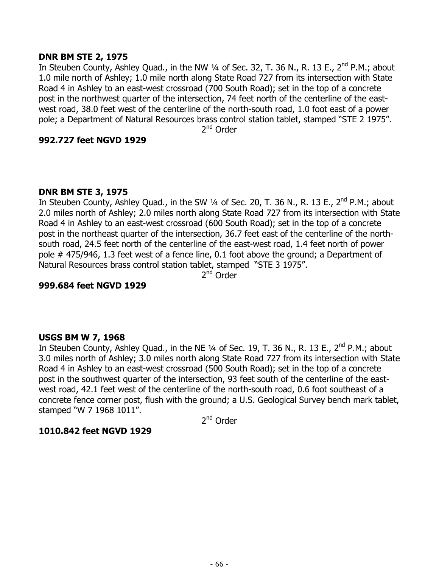## **DNR BM STE 2, 1975**

In Steuben County, Ashley Quad., in the NW  $\frac{1}{4}$  of Sec. 32, T. 36 N., R. 13 E., 2<sup>nd</sup> P.M.; about 1.0 mile north of Ashley; 1.0 mile north along State Road 727 from its intersection with State Road 4 in Ashley to an east-west crossroad (700 South Road); set in the top of a concrete post in the northwest quarter of the intersection, 74 feet north of the centerline of the eastwest road, 38.0 feet west of the centerline of the north-south road, 1.0 foot east of a power pole; a Department of Natural Resources brass control station tablet, stamped "STE 2 1975".

2<sup>nd</sup> Order

# **992.727 feet NGVD 1929**

# **DNR BM STE 3, 1975**

In Steuben County, Ashley Quad., in the SW 1/4 of Sec. 20, T. 36 N., R. 13 E., 2<sup>nd</sup> P.M.; about 2.0 miles north of Ashley; 2.0 miles north along State Road 727 from its intersection with State Road 4 in Ashley to an east-west crossroad (600 South Road); set in the top of a concrete post in the northeast quarter of the intersection, 36.7 feet east of the centerline of the northsouth road, 24.5 feet north of the centerline of the east-west road, 1.4 feet north of power pole # 475/946, 1.3 feet west of a fence line, 0.1 foot above the ground; a Department of Natural Resources brass control station tablet, stamped "STE 3 1975".

2<sup>nd</sup> Order

# **999.684 feet NGVD 1929**

# **USGS BM W 7, 1968**

In Steuben County, Ashley Quad., in the NE 1/4 of Sec. 19, T. 36 N., R. 13 E., 2<sup>nd</sup> P.M.; about 3.0 miles north of Ashley; 3.0 miles north along State Road 727 from its intersection with State Road 4 in Ashley to an east-west crossroad (500 South Road); set in the top of a concrete post in the southwest quarter of the intersection, 93 feet south of the centerline of the eastwest road, 42.1 feet west of the centerline of the north-south road, 0.6 foot southeast of a concrete fence corner post, flush with the ground; a U.S. Geological Survey bench mark tablet, stamped "W 7 1968 1011".

2<sup>nd</sup> Order

# **1010.842 feet NGVD 1929**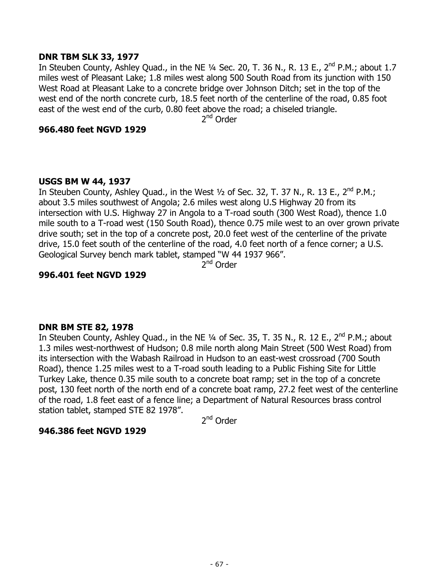### **DNR TBM SLK 33, 1977**

In Steuben County, Ashley Quad., in the NE  $\frac{1}{4}$  Sec. 20, T. 36 N., R. 13 E., 2<sup>nd</sup> P.M.; about 1.7 miles west of Pleasant Lake; 1.8 miles west along 500 South Road from its junction with 150 West Road at Pleasant Lake to a concrete bridge over Johnson Ditch; set in the top of the west end of the north concrete curb, 18.5 feet north of the centerline of the road, 0.85 foot east of the west end of the curb, 0.80 feet above the road; a chiseled triangle.

2<sup>nd</sup> Order

#### **966.480 feet NGVD 1929**

#### **USGS BM W 44, 1937**

In Steuben County, Ashley Quad., in the West 1/2 of Sec. 32, T. 37 N., R. 13 E., 2<sup>nd</sup> P.M.; about 3.5 miles southwest of Angola; 2.6 miles west along U.S Highway 20 from its intersection with U.S. Highway 27 in Angola to a T-road south (300 West Road), thence 1.0 mile south to a T-road west (150 South Road), thence 0.75 mile west to an over grown private drive south; set in the top of a concrete post, 20.0 feet west of the centerline of the private drive, 15.0 feet south of the centerline of the road, 4.0 feet north of a fence corner; a U.S. Geological Survey bench mark tablet, stamped "W 44 1937 966".

2<sup>nd</sup> Order

#### **996.401 feet NGVD 1929**

### **DNR BM STE 82, 1978**

In Steuben County, Ashley Quad., in the NE 1/4 of Sec. 35, T. 35 N., R. 12 E., 2<sup>nd</sup> P.M.; about 1.3 miles west-northwest of Hudson; 0.8 mile north along Main Street (500 West Road) from its intersection with the Wabash Railroad in Hudson to an east-west crossroad (700 South Road), thence 1.25 miles west to a T-road south leading to a Public Fishing Site for Little Turkey Lake, thence 0.35 mile south to a concrete boat ramp; set in the top of a concrete post, 130 feet north of the north end of a concrete boat ramp, 27.2 feet west of the centerline of the road, 1.8 feet east of a fence line; a Department of Natural Resources brass control station tablet, stamped STE 82 1978".

2nd Order

### **946.386 feet NGVD 1929**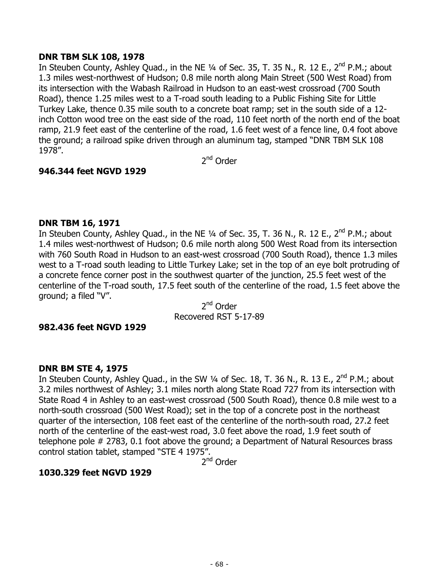### **DNR TBM SLK 108, 1978**

In Steuben County, Ashley Ouad., in the NE  $\frac{1}{4}$  of Sec. 35, T. 35 N., R. 12 E., 2<sup>nd</sup> P.M.; about 1.3 miles west-northwest of Hudson; 0.8 mile north along Main Street (500 West Road) from its intersection with the Wabash Railroad in Hudson to an east-west crossroad (700 South Road), thence 1.25 miles west to a T-road south leading to a Public Fishing Site for Little Turkey Lake, thence 0.35 mile south to a concrete boat ramp; set in the south side of a 12 inch Cotton wood tree on the east side of the road, 110 feet north of the north end of the boat ramp, 21.9 feet east of the centerline of the road, 1.6 feet west of a fence line, 0.4 foot above the ground; a railroad spike driven through an aluminum tag, stamped "DNR TBM SLK 108 1978".

2<sup>nd</sup> Order

# **946.344 feet NGVD 1929**

#### **DNR TBM 16, 1971**

In Steuben County, Ashley Quad., in the NE 1/4 of Sec. 35, T. 36 N., R. 12 E., 2<sup>nd</sup> P.M.; about 1.4 miles west-northwest of Hudson; 0.6 mile north along 500 West Road from its intersection with 760 South Road in Hudson to an east-west crossroad (700 South Road), thence 1.3 miles west to a T-road south leading to Little Turkey Lake; set in the top of an eye bolt protruding of a concrete fence corner post in the southwest quarter of the junction, 25.5 feet west of the centerline of the T-road south, 17.5 feet south of the centerline of the road, 1.5 feet above the ground; a filed "V".

2<sup>nd</sup> Order Recovered RST 5-17-89

#### **982.436 feet NGVD 1929**

### **DNR BM STE 4, 1975**

In Steuben County, Ashley Quad., in the SW  $\frac{1}{4}$  of Sec. 18, T. 36 N., R. 13 E.,  $2^{nd}$  P.M.; about 3.2 miles northwest of Ashley; 3.1 miles north along State Road 727 from its intersection with State Road 4 in Ashley to an east-west crossroad (500 South Road), thence 0.8 mile west to a north-south crossroad (500 West Road); set in the top of a concrete post in the northeast quarter of the intersection, 108 feet east of the centerline of the north-south road, 27.2 feet north of the centerline of the east-west road, 3.0 feet above the road, 1.9 feet south of telephone pole # 2783, 0.1 foot above the ground; a Department of Natural Resources brass control station tablet, stamped "STE 4 1975".

2<sup>nd</sup> Order

### **1030.329 feet NGVD 1929**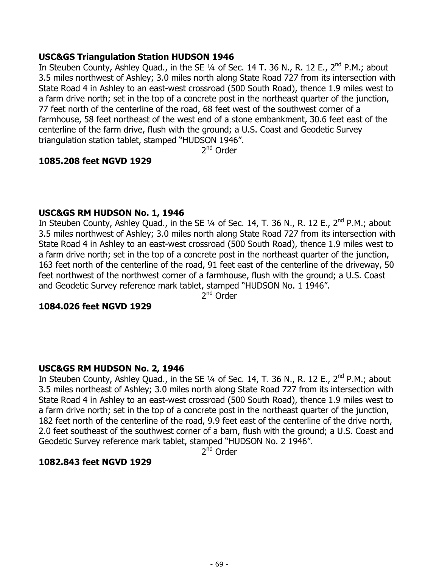### **USC&GS Triangulation Station HUDSON 1946**

In Steuben County, Ashley Quad., in the SE  $\frac{1}{4}$  of Sec. 14 T. 36 N., R. 12 E., 2<sup>nd</sup> P.M.; about 3.5 miles northwest of Ashley; 3.0 miles north along State Road 727 from its intersection with State Road 4 in Ashley to an east-west crossroad (500 South Road), thence 1.9 miles west to a farm drive north; set in the top of a concrete post in the northeast quarter of the junction, 77 feet north of the centerline of the road, 68 feet west of the southwest corner of a farmhouse, 58 feet northeast of the west end of a stone embankment, 30.6 feet east of the centerline of the farm drive, flush with the ground; a U.S. Coast and Geodetic Survey triangulation station tablet, stamped "HUDSON 1946".

2<sup>nd</sup> Order

# **1085.208 feet NGVD 1929**

# **USC&GS RM HUDSON No. 1, 1946**

In Steuben County, Ashley Quad., in the SE  $\frac{1}{4}$  of Sec. 14, T. 36 N., R. 12 E., 2<sup>nd</sup> P.M.; about 3.5 miles northwest of Ashley; 3.0 miles north along State Road 727 from its intersection with State Road 4 in Ashley to an east-west crossroad (500 South Road), thence 1.9 miles west to a farm drive north; set in the top of a concrete post in the northeast quarter of the junction, 163 feet north of the centerline of the road, 91 feet east of the centerline of the driveway, 50 feet northwest of the northwest corner of a farmhouse, flush with the ground; a U.S. Coast and Geodetic Survey reference mark tablet, stamped "HUDSON No. 1 1946".

2<sup>nd</sup> Order

### **1084.026 feet NGVD 1929**

# **USC&GS RM HUDSON No. 2, 1946**

In Steuben County, Ashley Quad., in the SE  $\frac{1}{4}$  of Sec. 14, T. 36 N., R. 12 E.,  $2^{nd}$  P.M.; about 3.5 miles northeast of Ashley; 3.0 miles north along State Road 727 from its intersection with State Road 4 in Ashley to an east-west crossroad (500 South Road), thence 1.9 miles west to a farm drive north; set in the top of a concrete post in the northeast quarter of the junction, 182 feet north of the centerline of the road, 9.9 feet east of the centerline of the drive north, 2.0 feet southeast of the southwest corner of a barn, flush with the ground; a U.S. Coast and Geodetic Survey reference mark tablet, stamped "HUDSON No. 2 1946".

2<sup>nd</sup> Order

### **1082.843 feet NGVD 1929**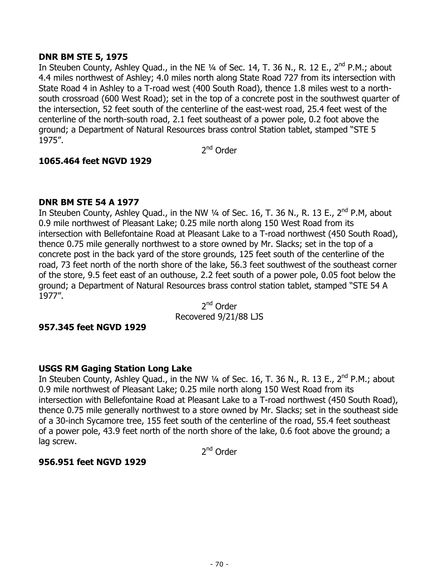# **DNR BM STE 5, 1975**

In Steuben County, Ashley Quad., in the NE 1/4 of Sec. 14, T. 36 N., R. 12 E., 2<sup>nd</sup> P.M.; about 4.4 miles northwest of Ashley; 4.0 miles north along State Road 727 from its intersection with State Road 4 in Ashley to a T-road west (400 South Road), thence 1.8 miles west to a northsouth crossroad (600 West Road); set in the top of a concrete post in the southwest quarter of the intersection, 52 feet south of the centerline of the east-west road, 25.4 feet west of the centerline of the north-south road, 2.1 feet southeast of a power pole, 0.2 foot above the ground; a Department of Natural Resources brass control Station tablet, stamped "STE 5 1975".

2<sup>nd</sup> Order

# **1065.464 feet NGVD 1929**

# **DNR BM STE 54 A 1977**

In Steuben County, Ashley Quad., in the NW  $\frac{1}{4}$  of Sec. 16, T. 36 N., R. 13 E., 2<sup>nd</sup> P.M, about 0.9 mile northwest of Pleasant Lake; 0.25 mile north along 150 West Road from its intersection with Bellefontaine Road at Pleasant Lake to a T-road northwest (450 South Road), thence 0.75 mile generally northwest to a store owned by Mr. Slacks; set in the top of a concrete post in the back yard of the store grounds, 125 feet south of the centerline of the road, 73 feet north of the north shore of the lake, 56.3 feet southwest of the southeast corner of the store, 9.5 feet east of an outhouse, 2.2 feet south of a power pole, 0.05 foot below the ground; a Department of Natural Resources brass control station tablet, stamped "STE 54 A 1977".

2<sup>nd</sup> Order Recovered 9/21/88 LJS

### **957.345 feet NGVD 1929**

# **USGS RM Gaging Station Long Lake**

In Steuben County, Ashley Quad., in the NW 1/4 of Sec. 16, T. 36 N., R. 13 E., 2<sup>nd</sup> P.M.; about 0.9 mile northwest of Pleasant Lake; 0.25 mile north along 150 West Road from its intersection with Bellefontaine Road at Pleasant Lake to a T-road northwest (450 South Road), thence 0.75 mile generally northwest to a store owned by Mr. Slacks; set in the southeast side of a 30-inch Sycamore tree, 155 feet south of the centerline of the road, 55.4 feet southeast of a power pole, 43.9 feet north of the north shore of the lake, 0.6 foot above the ground; a lag screw.

2<sup>nd</sup> Order

# **956.951 feet NGVD 1929**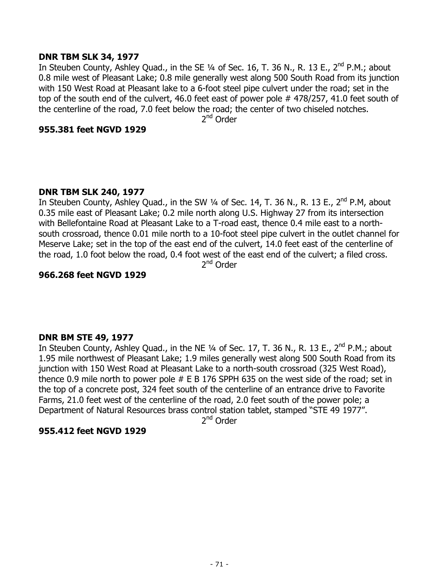### **DNR TBM SLK 34, 1977**

In Steuben County, Ashley Quad., in the SE 1/4 of Sec. 16, T. 36 N., R. 13 E., 2<sup>nd</sup> P.M.; about 0.8 mile west of Pleasant Lake; 0.8 mile generally west along 500 South Road from its junction with 150 West Road at Pleasant lake to a 6-foot steel pipe culvert under the road; set in the top of the south end of the culvert, 46.0 feet east of power pole # 478/257, 41.0 feet south of the centerline of the road, 7.0 feet below the road; the center of two chiseled notches.

2<sup>nd</sup> Order

#### **955.381 feet NGVD 1929**

### **DNR TBM SLK 240, 1977**

In Steuben County, Ashley Quad., in the SW 1/4 of Sec. 14, T. 36 N., R. 13 E., 2<sup>nd</sup> P.M, about 0.35 mile east of Pleasant Lake; 0.2 mile north along U.S. Highway 27 from its intersection with Bellefontaine Road at Pleasant Lake to a T-road east, thence 0.4 mile east to a northsouth crossroad, thence 0.01 mile north to a 10-foot steel pipe culvert in the outlet channel for Meserve Lake; set in the top of the east end of the culvert, 14.0 feet east of the centerline of the road, 1.0 foot below the road, 0.4 foot west of the east end of the culvert; a filed cross.

2<sup>nd</sup> Order

#### **966.268 feet NGVD 1929**

### **DNR BM STE 49, 1977**

In Steuben County, Ashley Quad., in the NE 1/4 of Sec. 17, T. 36 N., R. 13 E., 2<sup>nd</sup> P.M.; about 1.95 mile northwest of Pleasant Lake; 1.9 miles generally west along 500 South Road from its junction with 150 West Road at Pleasant Lake to a north-south crossroad (325 West Road), thence 0.9 mile north to power pole # E B 176 SPPH 635 on the west side of the road; set in the top of a concrete post, 324 feet south of the centerline of an entrance drive to Favorite Farms, 21.0 feet west of the centerline of the road, 2.0 feet south of the power pole; a Department of Natural Resources brass control station tablet, stamped "STE 49 1977".

2<sup>nd</sup> Order

### **955.412 feet NGVD 1929**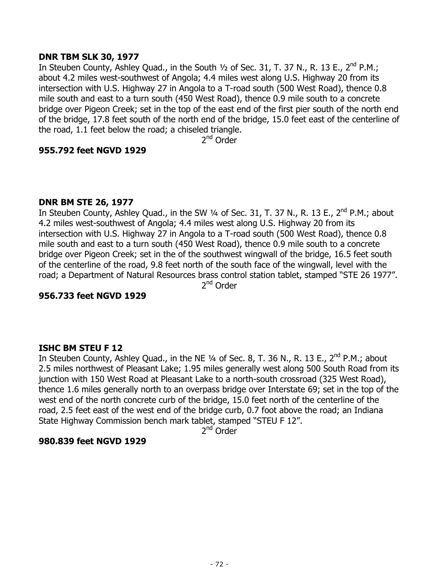## **DNR TBM SLK 30, 1977**

In Steuben County, Ashley Quad., in the South  $1/2$  of Sec. 31, T. 37 N., R. 13 E., 2<sup>nd</sup> P.M.; about 4.2 miles west-southwest of Angola; 4.4 miles west along U.S. Highway 20 from its intersection with U.S. Highway 27 in Angola to a T-road south (500 West Road), thence 0.8 mile south and east to a turn south (450 West Road), thence 0.9 mile south to a concrete bridge over Pigeon Creek; set in the top of the east end of the first pier south of the north end of the bridge, 17.8 feet south of the north end of the bridge, 15.0 feet east of the centerline of the road, 1.1 feet below the road; a chiseled triangle.

2nd Order

# **955.792 feet NGVD 1929**

# **DNR BM STE 26, 1977**

In Steuben County, Ashley Quad., in the SW  $\frac{1}{4}$  of Sec. 31, T. 37 N., R. 13 E.,  $2^{nd}$  P.M.; about 4.2 miles west-southwest of Angola; 4.4 miles west along U.S. Highway 20 from its intersection with U.S. Highway 27 in Angola to a T-road south (500 West Road), thence 0.8 mile south and east to a turn south (450 West Road), thence 0.9 mile south to a concrete bridge over Pigeon Creek; set in the of the southwest wingwall of the bridge, 16.5 feet south of the centerline of the road, 9.8 feet north of the south face of the wingwall, level with the road; a Department of Natural Resources brass control station tablet, stamped "STE 26 1977". 2<sup>nd</sup> Order

### **956.733 feet NGVD 1929**

### **ISHC BM STEU F 12**

In Steuben County, Ashley Quad., in the NE 1/4 of Sec. 8, T. 36 N., R. 13 E., 2<sup>nd</sup> P.M.; about 2.5 miles northwest of Pleasant Lake; 1.95 miles generally west along 500 South Road from its junction with 150 West Road at Pleasant Lake to a north-south crossroad (325 West Road), thence 1.6 miles generally north to an overpass bridge over Interstate 69; set in the top of the west end of the north concrete curb of the bridge, 15.0 feet north of the centerline of the road, 2.5 feet east of the west end of the bridge curb, 0.7 foot above the road; an Indiana State Highway Commission bench mark tablet, stamped "STEU F 12".

2<sup>nd</sup> Order

### **980.839 feet NGVD 1929**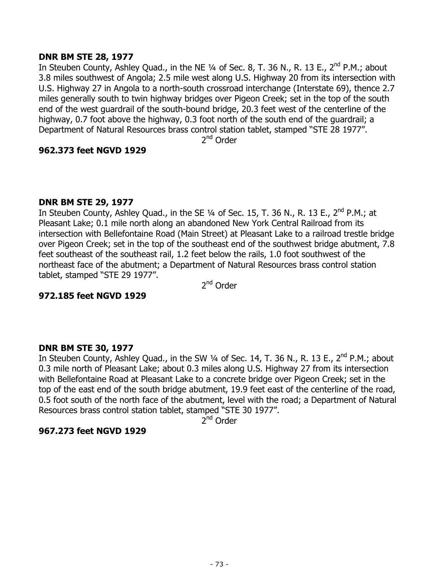### **DNR BM STE 28, 1977**

In Steuben County, Ashley Quad., in the NE  $\frac{1}{4}$  of Sec. 8, T. 36 N., R. 13 E., 2<sup>nd</sup> P.M.; about 3.8 miles southwest of Angola; 2.5 mile west along U.S. Highway 20 from its intersection with U.S. Highway 27 in Angola to a north-south crossroad interchange (Interstate 69), thence 2.7 miles generally south to twin highway bridges over Pigeon Creek; set in the top of the south end of the west guardrail of the south-bound bridge, 20.3 feet west of the centerline of the highway, 0.7 foot above the highway, 0.3 foot north of the south end of the guardrail; a Department of Natural Resources brass control station tablet, stamped "STE 28 1977".

2nd Order

### **962.373 feet NGVD 1929**

# **DNR BM STE 29, 1977**

In Steuben County, Ashley Quad., in the SE  $\frac{1}{4}$  of Sec. 15, T. 36 N., R. 13 E., 2<sup>nd</sup> P.M.; at Pleasant Lake; 0.1 mile north along an abandoned New York Central Railroad from its intersection with Bellefontaine Road (Main Street) at Pleasant Lake to a railroad trestle bridge over Pigeon Creek; set in the top of the southeast end of the southwest bridge abutment, 7.8 feet southeast of the southeast rail, 1.2 feet below the rails, 1.0 foot southwest of the northeast face of the abutment; a Department of Natural Resources brass control station tablet, stamped "STE 29 1977".

2<sup>nd</sup> Order

### **972.185 feet NGVD 1929**

### **DNR BM STE 30, 1977**

In Steuben County, Ashley Quad., in the SW 1/4 of Sec. 14, T. 36 N., R. 13 E., 2<sup>nd</sup> P.M.; about 0.3 mile north of Pleasant Lake; about 0.3 miles along U.S. Highway 27 from its intersection with Bellefontaine Road at Pleasant Lake to a concrete bridge over Pigeon Creek; set in the top of the east end of the south bridge abutment, 19.9 feet east of the centerline of the road, 0.5 foot south of the north face of the abutment, level with the road; a Department of Natural Resources brass control station tablet, stamped "STE 30 1977".

 $2^{nd}$  Order

# **967.273 feet NGVD 1929**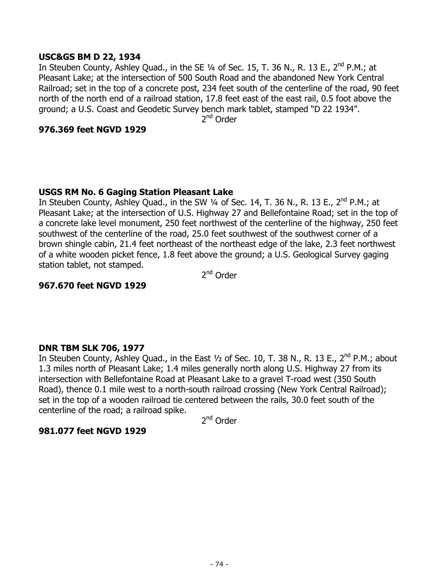### **USC&GS BM D 22, 1934**

In Steuben County, Ashley Quad., in the SE  $\frac{1}{4}$  of Sec. 15, T. 36 N., R. 13 E., 2<sup>nd</sup> P.M.; at Pleasant Lake; at the intersection of 500 South Road and the abandoned New York Central Railroad; set in the top of a concrete post, 234 feet south of the centerline of the road, 90 feet north of the north end of a railroad station, 17.8 feet east of the east rail, 0.5 foot above the ground; a U.S. Coast and Geodetic Survey bench mark tablet, stamped "D 22 1934".

2<sup>nd</sup> Order

### **976.369 feet NGVD 1929**

# **USGS RM No. 6 Gaging Station Pleasant Lake**

In Steuben County, Ashley Quad., in the SW 1/4 of Sec. 14, T. 36 N., R. 13 E., 2<sup>nd</sup> P.M.; at Pleasant Lake; at the intersection of U.S. Highway 27 and Bellefontaine Road; set in the top of a concrete lake level monument, 250 feet northwest of the centerline of the highway, 250 feet southwest of the centerline of the road, 25.0 feet southwest of the southwest corner of a brown shingle cabin, 21.4 feet northeast of the northeast edge of the lake, 2.3 feet northwest of a white wooden picket fence, 1.8 feet above the ground; a U.S. Geological Survey gaging station tablet, not stamped.

2<sup>nd</sup> Order

# **967.670 feet NGVD 1929**

### **DNR TBM SLK 706, 1977**

In Steuben County, Ashley Quad., in the East 1/2 of Sec. 10, T. 38 N., R. 13 E., 2<sup>nd</sup> P.M.; about 1.3 miles north of Pleasant Lake; 1.4 miles generally north along U.S. Highway 27 from its intersection with Bellefontaine Road at Pleasant Lake to a gravel T-road west (350 South Road), thence 0.1 mile west to a north-south railroad crossing (New York Central Railroad); set in the top of a wooden railroad tie centered between the rails, 30.0 feet south of the centerline of the road; a railroad spike.

2<sup>nd</sup> Order

# **981.077 feet NGVD 1929**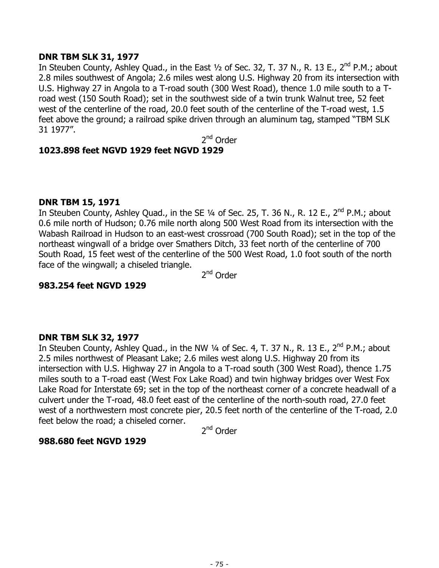### **DNR TBM SLK 31, 1977**

In Steuben County, Ashley Quad., in the East  $\frac{1}{2}$  of Sec. 32, T. 37 N., R. 13 E., 2<sup>nd</sup> P.M.; about 2.8 miles southwest of Angola; 2.6 miles west along U.S. Highway 20 from its intersection with U.S. Highway 27 in Angola to a T-road south (300 West Road), thence 1.0 mile south to a Troad west (150 South Road); set in the southwest side of a twin trunk Walnut tree, 52 feet west of the centerline of the road, 20.0 feet south of the centerline of the T-road west, 1.5 feet above the ground; a railroad spike driven through an aluminum tag, stamped "TBM SLK 31 1977".

2nd Order

# **1023.898 feet NGVD 1929 feet NGVD 1929**

### **DNR TBM 15, 1971**

In Steuben County, Ashley Quad., in the SE 1/4 of Sec. 25, T. 36 N., R. 12 E., 2<sup>nd</sup> P.M.; about 0.6 mile north of Hudson; 0.76 mile north along 500 West Road from its intersection with the Wabash Railroad in Hudson to an east-west crossroad (700 South Road); set in the top of the northeast wingwall of a bridge over Smathers Ditch, 33 feet north of the centerline of 700 South Road, 15 feet west of the centerline of the 500 West Road, 1.0 foot south of the north face of the wingwall; a chiseled triangle.

2<sup>nd</sup> Order

### **983.254 feet NGVD 1929**

### **DNR TBM SLK 32, 1977**

In Steuben County, Ashley Quad., in the NW  $\frac{1}{4}$  of Sec. 4, T. 37 N., R. 13 E., 2<sup>nd</sup> P.M.; about 2.5 miles northwest of Pleasant Lake; 2.6 miles west along U.S. Highway 20 from its intersection with U.S. Highway 27 in Angola to a T-road south (300 West Road), thence 1.75 miles south to a T-road east (West Fox Lake Road) and twin highway bridges over West Fox Lake Road for Interstate 69; set in the top of the northeast corner of a concrete headwall of a culvert under the T-road, 48.0 feet east of the centerline of the north-south road, 27.0 feet west of a northwestern most concrete pier, 20.5 feet north of the centerline of the T-road, 2.0 feet below the road; a chiseled corner.

2<sup>nd</sup> Order

### **988.680 feet NGVD 1929**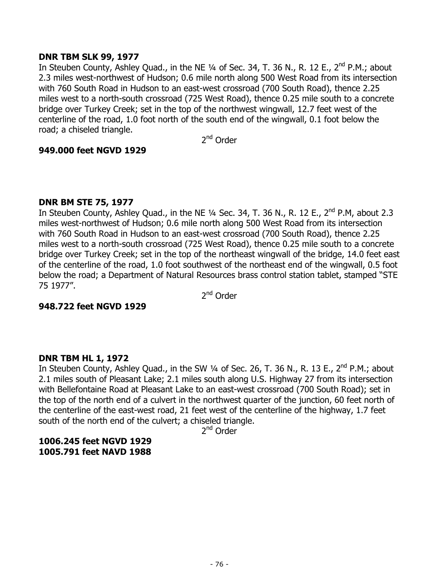### **DNR TBM SLK 99, 1977**

In Steuben County, Ashley Quad., in the NE 1/4 of Sec. 34, T. 36 N., R. 12 E., 2<sup>nd</sup> P.M.; about 2.3 miles west-northwest of Hudson; 0.6 mile north along 500 West Road from its intersection with 760 South Road in Hudson to an east-west crossroad (700 South Road), thence 2.25 miles west to a north-south crossroad (725 West Road), thence 0.25 mile south to a concrete bridge over Turkey Creek; set in the top of the northwest wingwall, 12.7 feet west of the centerline of the road, 1.0 foot north of the south end of the wingwall, 0.1 foot below the road; a chiseled triangle.

2nd Order

### **949.000 feet NGVD 1929**

### **DNR BM STE 75, 1977**

In Steuben County, Ashley Quad., in the NE  $\frac{1}{4}$  Sec. 34, T. 36 N., R. 12 E., 2<sup>nd</sup> P.M, about 2.3 miles west-northwest of Hudson; 0.6 mile north along 500 West Road from its intersection with 760 South Road in Hudson to an east-west crossroad (700 South Road), thence 2.25 miles west to a north-south crossroad (725 West Road), thence 0.25 mile south to a concrete bridge over Turkey Creek; set in the top of the northeast wingwall of the bridge, 14.0 feet east of the centerline of the road, 1.0 foot southwest of the northeast end of the wingwall, 0.5 foot below the road; a Department of Natural Resources brass control station tablet, stamped "STE 75 1977".

2<sup>nd</sup> Order

### **948.722 feet NGVD 1929**

### **DNR TBM HL 1, 1972**

In Steuben County, Ashley Quad., in the SW 1/4 of Sec. 26, T. 36 N., R. 13 E., 2<sup>nd</sup> P.M.; about 2.1 miles south of Pleasant Lake; 2.1 miles south along U.S. Highway 27 from its intersection with Bellefontaine Road at Pleasant Lake to an east-west crossroad (700 South Road); set in the top of the north end of a culvert in the northwest quarter of the junction, 60 feet north of the centerline of the east-west road, 21 feet west of the centerline of the highway, 1.7 feet south of the north end of the culvert; a chiseled triangle.

2<sup>nd</sup> Order

# **1006.245 feet NGVD 1929 1005.791 feet NAVD 1988**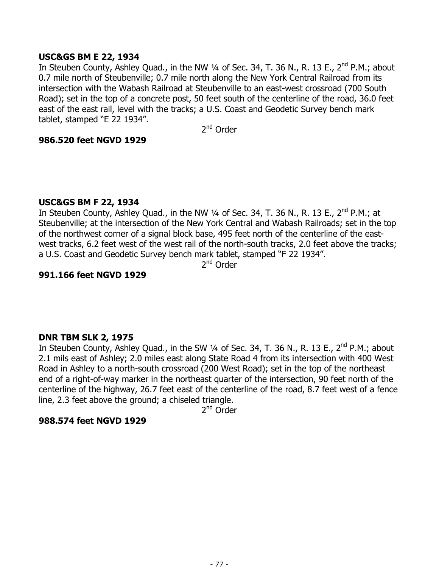### **USC&GS BM E 22, 1934**

In Steuben County, Ashley Quad., in the NW  $\frac{1}{4}$  of Sec. 34, T. 36 N., R. 13 E., 2<sup>nd</sup> P.M.; about 0.7 mile north of Steubenville; 0.7 mile north along the New York Central Railroad from its intersection with the Wabash Railroad at Steubenville to an east-west crossroad (700 South Road); set in the top of a concrete post, 50 feet south of the centerline of the road, 36.0 feet east of the east rail, level with the tracks; a U.S. Coast and Geodetic Survey bench mark tablet, stamped "E 22 1934".

2<sup>nd</sup> Order

# **986.520 feet NGVD 1929**

### **USC&GS BM F 22, 1934**

In Steuben County, Ashley Quad., in the NW 1/4 of Sec. 34, T. 36 N., R. 13 E., 2<sup>nd</sup> P.M.; at Steubenville; at the intersection of the New York Central and Wabash Railroads; set in the top of the northwest corner of a signal block base, 495 feet north of the centerline of the eastwest tracks, 6.2 feet west of the west rail of the north-south tracks, 2.0 feet above the tracks; a U.S. Coast and Geodetic Survey bench mark tablet, stamped "F 22 1934".

2<sup>nd</sup> Order

### **991.166 feet NGVD 1929**

### **DNR TBM SLK 2, 1975**

In Steuben County, Ashley Quad., in the SW  $\frac{1}{4}$  of Sec. 34, T. 36 N., R. 13 E., 2<sup>nd</sup> P.M.; about 2.1 mils east of Ashley; 2.0 miles east along State Road 4 from its intersection with 400 West Road in Ashley to a north-south crossroad (200 West Road); set in the top of the northeast end of a right-of-way marker in the northeast quarter of the intersection, 90 feet north of the centerline of the highway, 26.7 feet east of the centerline of the road, 8.7 feet west of a fence line, 2.3 feet above the ground; a chiseled triangle.

2<sup>nd</sup> Order

#### **988.574 feet NGVD 1929**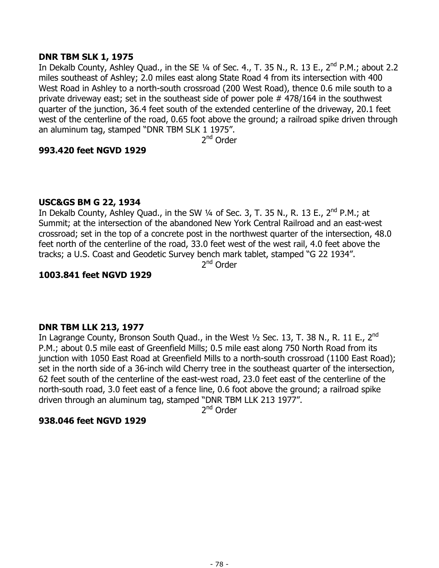### **DNR TBM SLK 1, 1975**

In Dekalb County, Ashley Quad., in the SE 1/4 of Sec. 4., T. 35 N., R. 13 E., 2<sup>nd</sup> P.M.; about 2.2 miles southeast of Ashley; 2.0 miles east along State Road 4 from its intersection with 400 West Road in Ashley to a north-south crossroad (200 West Road), thence 0.6 mile south to a private driveway east; set in the southeast side of power pole # 478/164 in the southwest quarter of the junction, 36.4 feet south of the extended centerline of the driveway, 20.1 feet west of the centerline of the road, 0.65 foot above the ground; a railroad spike driven through an aluminum tag, stamped "DNR TBM SLK 1 1975".

2<sup>nd</sup> Order

# **993.420 feet NGVD 1929**

# **USC&GS BM G 22, 1934**

In Dekalb County, Ashley Quad., in the SW  $\frac{1}{4}$  of Sec. 3, T. 35 N., R. 13 E.,  $2^{nd}$  P.M.; at Summit; at the intersection of the abandoned New York Central Railroad and an east-west crossroad; set in the top of a concrete post in the northwest quarter of the intersection, 48.0 feet north of the centerline of the road, 33.0 feet west of the west rail, 4.0 feet above the tracks; a U.S. Coast and Geodetic Survey bench mark tablet, stamped "G 22 1934".

2<sup>nd</sup> Order

# **1003.841 feet NGVD 1929**

### **DNR TBM LLK 213, 1977**

In Lagrange County, Bronson South Quad., in the West  $\frac{1}{2}$  Sec. 13, T. 38 N., R. 11 E., 2<sup>nd</sup> P.M.; about 0.5 mile east of Greenfield Mills; 0.5 mile east along 750 North Road from its junction with 1050 East Road at Greenfield Mills to a north-south crossroad (1100 East Road); set in the north side of a 36-inch wild Cherry tree in the southeast quarter of the intersection, 62 feet south of the centerline of the east-west road, 23.0 feet east of the centerline of the north-south road, 3.0 feet east of a fence line, 0.6 foot above the ground; a railroad spike driven through an aluminum tag, stamped "DNR TBM LLK 213 1977".

2<sup>nd</sup> Order

### **938.046 feet NGVD 1929**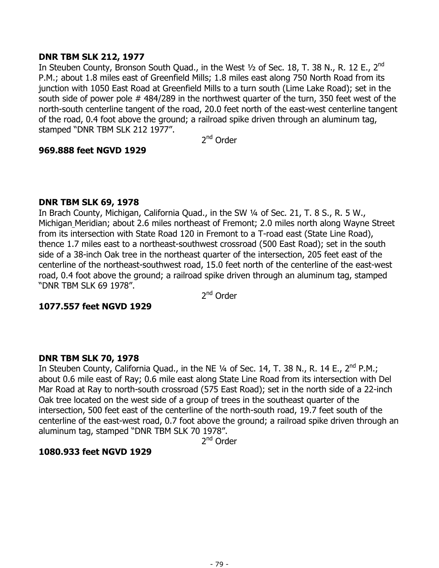### **DNR TBM SLK 212, 1977**

In Steuben County, Bronson South Quad., in the West  $\frac{1}{2}$  of Sec. 18, T. 38 N., R. 12 E., 2<sup>nd</sup> P.M.; about 1.8 miles east of Greenfield Mills; 1.8 miles east along 750 North Road from its junction with 1050 East Road at Greenfield Mills to a turn south (Lime Lake Road); set in the south side of power pole # 484/289 in the northwest quarter of the turn, 350 feet west of the north-south centerline tangent of the road, 20.0 feet north of the east-west centerline tangent of the road, 0.4 foot above the ground; a railroad spike driven through an aluminum tag, stamped "DNR TBM SLK 212 1977".

2nd Order

### **969.888 feet NGVD 1929**

### **DNR TBM SLK 69, 1978**

In Brach County, Michigan, California Quad., in the SW ¼ of Sec. 21, T. 8 S., R. 5 W., Michigan Meridian; about 2.6 miles northeast of Fremont; 2.0 miles north along Wayne Street from its intersection with State Road 120 in Fremont to a T-road east (State Line Road), thence 1.7 miles east to a northeast-southwest crossroad (500 East Road); set in the south side of a 38-inch Oak tree in the northeast quarter of the intersection, 205 feet east of the centerline of the northeast-southwest road, 15.0 feet north of the centerline of the east-west road, 0.4 foot above the ground; a railroad spike driven through an aluminum tag, stamped "DNR TBM SLK 69 1978".

2<sup>nd</sup> Order

# **1077.557 feet NGVD 1929**

# **DNR TBM SLK 70, 1978**

In Steuben County, California Quad., in the NE  $\frac{1}{4}$  of Sec. 14, T. 38 N., R. 14 E., 2<sup>nd</sup> P.M.; about 0.6 mile east of Ray; 0.6 mile east along State Line Road from its intersection with Del Mar Road at Ray to north-south crossroad (575 East Road); set in the north side of a 22-inch Oak tree located on the west side of a group of trees in the southeast quarter of the intersection, 500 feet east of the centerline of the north-south road, 19.7 feet south of the centerline of the east-west road, 0.7 foot above the ground; a railroad spike driven through an aluminum tag, stamped "DNR TBM SLK 70 1978".

2nd Order

# **1080.933 feet NGVD 1929**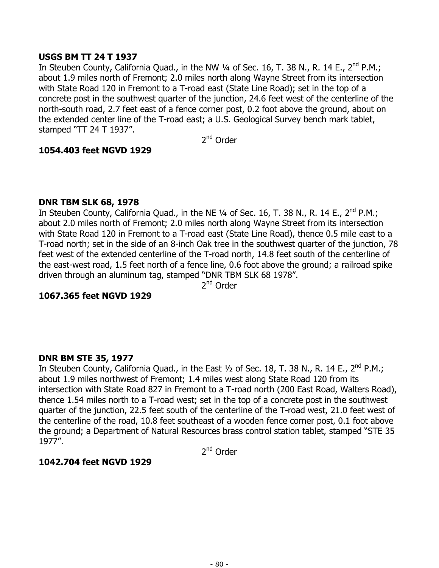### **USGS BM TT 24 T 1937**

In Steuben County, California Quad., in the NW 1/4 of Sec. 16, T. 38 N., R. 14 E., 2<sup>nd</sup> P.M.; about 1.9 miles north of Fremont; 2.0 miles north along Wayne Street from its intersection with State Road 120 in Fremont to a T-road east (State Line Road); set in the top of a concrete post in the southwest quarter of the junction, 24.6 feet west of the centerline of the north-south road, 2.7 feet east of a fence corner post, 0.2 foot above the ground, about on the extended center line of the T-road east; a U.S. Geological Survey bench mark tablet, stamped "TT 24 T 1937".

2nd Order

#### **1054.403 feet NGVD 1929**

#### **DNR TBM SLK 68, 1978**

In Steuben County, California Quad., in the NE  $\frac{1}{4}$  of Sec. 16, T. 38 N., R. 14 E., 2<sup>nd</sup> P.M.; about 2.0 miles north of Fremont; 2.0 miles north along Wayne Street from its intersection with State Road 120 in Fremont to a T-road east (State Line Road), thence 0.5 mile east to a T-road north; set in the side of an 8-inch Oak tree in the southwest quarter of the junction, 78 feet west of the extended centerline of the T-road north, 14.8 feet south of the centerline of the east-west road, 1.5 feet north of a fence line, 0.6 foot above the ground; a railroad spike driven through an aluminum tag, stamped "DNR TBM SLK 68 1978".

2<sup>nd</sup> Order

### **1067.365 feet NGVD 1929**

### **DNR BM STE 35, 1977**

In Steuben County, California Quad., in the East  $\frac{1}{2}$  of Sec. 18, T. 38 N., R. 14 E., 2<sup>nd</sup> P.M.; about 1.9 miles northwest of Fremont; 1.4 miles west along State Road 120 from its intersection with State Road 827 in Fremont to a T-road north (200 East Road, Walters Road), thence 1.54 miles north to a T-road west; set in the top of a concrete post in the southwest quarter of the junction, 22.5 feet south of the centerline of the T-road west, 21.0 feet west of the centerline of the road, 10.8 feet southeast of a wooden fence corner post, 0.1 foot above the ground; a Department of Natural Resources brass control station tablet, stamped "STE 35 1977".

2<sup>nd</sup> Order

### **1042.704 feet NGVD 1929**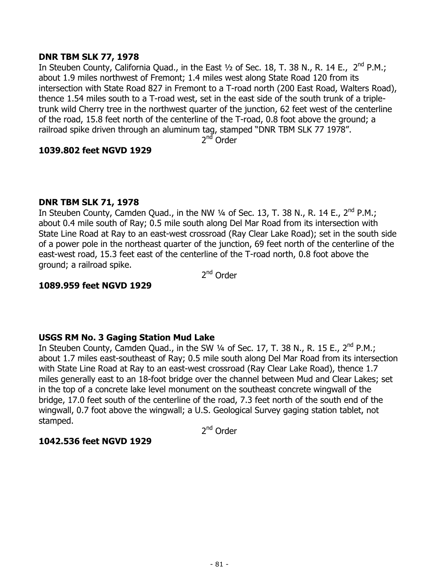### **DNR TBM SLK 77, 1978**

In Steuben County, California Quad., in the East  $1/2$  of Sec. 18, T. 38 N., R. 14 E.,  $2<sup>nd</sup>$  P.M.; about 1.9 miles northwest of Fremont; 1.4 miles west along State Road 120 from its intersection with State Road 827 in Fremont to a T-road north (200 East Road, Walters Road), thence 1.54 miles south to a T-road west, set in the east side of the south trunk of a tripletrunk wild Cherry tree in the northwest quarter of the junction, 62 feet west of the centerline of the road, 15.8 feet north of the centerline of the T-road, 0.8 foot above the ground; a railroad spike driven through an aluminum tag, stamped "DNR TBM SLK 77 1978".

 $2<sup>nd</sup>$  Order

### **1039.802 feet NGVD 1929**

# **DNR TBM SLK 71, 1978**

In Steuben County, Camden Quad., in the NW  $\frac{1}{4}$  of Sec. 13, T. 38 N., R. 14 E., 2<sup>nd</sup> P.M.; about 0.4 mile south of Ray; 0.5 mile south along Del Mar Road from its intersection with State Line Road at Ray to an east-west crossroad (Ray Clear Lake Road); set in the south side of a power pole in the northeast quarter of the junction, 69 feet north of the centerline of the east-west road, 15.3 feet east of the centerline of the T-road north, 0.8 foot above the ground; a railroad spike.

2<sup>nd</sup> Order

# **1089.959 feet NGVD 1929**

# **USGS RM No. 3 Gaging Station Mud Lake**

In Steuben County, Camden Quad., in the SW  $\frac{1}{4}$  of Sec. 17, T. 38 N., R. 15 E., 2<sup>nd</sup> P.M.; about 1.7 miles east-southeast of Ray; 0.5 mile south along Del Mar Road from its intersection with State Line Road at Ray to an east-west crossroad (Ray Clear Lake Road), thence 1.7 miles generally east to an 18-foot bridge over the channel between Mud and Clear Lakes; set in the top of a concrete lake level monument on the southeast concrete wingwall of the bridge, 17.0 feet south of the centerline of the road, 7.3 feet north of the south end of the wingwall, 0.7 foot above the wingwall; a U.S. Geological Survey gaging station tablet, not stamped.

2<sup>nd</sup> Order

# **1042.536 feet NGVD 1929**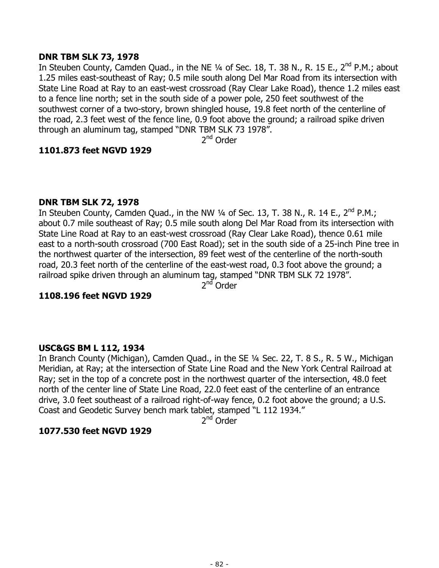### **DNR TBM SLK 73, 1978**

In Steuben County, Camden Quad., in the NE 1/4 of Sec. 18, T. 38 N., R. 15 E., 2<sup>nd</sup> P.M.; about 1.25 miles east-southeast of Ray; 0.5 mile south along Del Mar Road from its intersection with State Line Road at Ray to an east-west crossroad (Ray Clear Lake Road), thence 1.2 miles east to a fence line north; set in the south side of a power pole, 250 feet southwest of the southwest corner of a two-story, brown shingled house, 19.8 feet north of the centerline of the road, 2.3 feet west of the fence line, 0.9 foot above the ground; a railroad spike driven through an aluminum tag, stamped "DNR TBM SLK 73 1978".

2<sup>nd</sup> Order

### **1101.873 feet NGVD 1929**

#### **DNR TBM SLK 72, 1978**

In Steuben County, Camden Quad., in the NW  $\frac{1}{4}$  of Sec. 13, T. 38 N., R. 14 E., 2<sup>nd</sup> P.M.; about 0.7 mile southeast of Ray; 0.5 mile south along Del Mar Road from its intersection with State Line Road at Ray to an east-west crossroad (Ray Clear Lake Road), thence 0.61 mile east to a north-south crossroad (700 East Road); set in the south side of a 25-inch Pine tree in the northwest quarter of the intersection, 89 feet west of the centerline of the north-south road, 20.3 feet north of the centerline of the east-west road, 0.3 foot above the ground; a railroad spike driven through an aluminum tag, stamped "DNR TBM SLK 72 1978".

 $2<sup>nd</sup>$  Order

### **1108.196 feet NGVD 1929**

### **USC&GS BM L 112, 1934**

In Branch County (Michigan), Camden Quad., in the SE 1/4 Sec. 22, T. 8 S., R. 5 W., Michigan Meridian, at Ray; at the intersection of State Line Road and the New York Central Railroad at Ray; set in the top of a concrete post in the northwest quarter of the intersection, 48.0 feet north of the center line of State Line Road, 22.0 feet east of the centerline of an entrance drive, 3.0 feet southeast of a railroad right-of-way fence, 0.2 foot above the ground; a U.S. Coast and Geodetic Survey bench mark tablet, stamped "L 112 1934."

2<sup>nd</sup> Order

### **1077.530 feet NGVD 1929**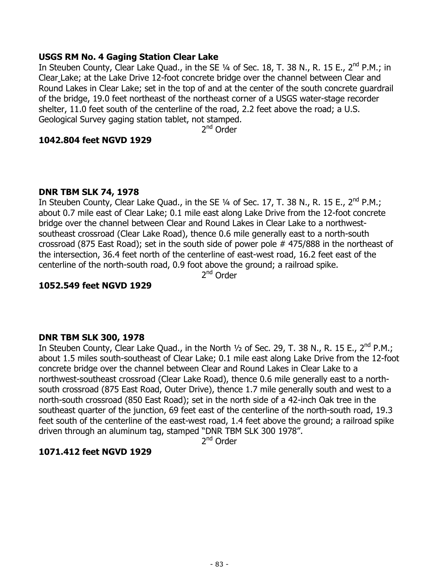### **USGS RM No. 4 Gaging Station Clear Lake**

In Steuben County, Clear Lake Quad., in the SE 1/4 of Sec. 18, T. 38 N., R. 15 E., 2<sup>nd</sup> P.M.; in Clear Lake; at the Lake Drive 12-foot concrete bridge over the channel between Clear and Round Lakes in Clear Lake; set in the top of and at the center of the south concrete guardrail of the bridge, 19.0 feet northeast of the northeast corner of a USGS water-stage recorder shelter, 11.0 feet south of the centerline of the road, 2.2 feet above the road; a U.S. Geological Survey gaging station tablet, not stamped.

2<sup>nd</sup> Order

#### **1042.804 feet NGVD 1929**

#### **DNR TBM SLK 74, 1978**

In Steuben County, Clear Lake Quad., in the SE 1/4 of Sec. 17, T. 38 N., R. 15 E., 2<sup>nd</sup> P.M.; about 0.7 mile east of Clear Lake; 0.1 mile east along Lake Drive from the 12-foot concrete bridge over the channel between Clear and Round Lakes in Clear Lake to a northwestsoutheast crossroad (Clear Lake Road), thence 0.6 mile generally east to a north-south crossroad (875 East Road); set in the south side of power pole # 475/888 in the northeast of the intersection, 36.4 feet north of the centerline of east-west road, 16.2 feet east of the centerline of the north-south road, 0.9 foot above the ground; a railroad spike.

2<sup>nd</sup> Order

### **1052.549 feet NGVD 1929**

#### **DNR TBM SLK 300, 1978**

In Steuben County, Clear Lake Quad., in the North  $1/2$  of Sec. 29, T. 38 N., R. 15 E., 2<sup>nd</sup> P.M.; about 1.5 miles south-southeast of Clear Lake; 0.1 mile east along Lake Drive from the 12-foot concrete bridge over the channel between Clear and Round Lakes in Clear Lake to a northwest-southeast crossroad (Clear Lake Road), thence 0.6 mile generally east to a northsouth crossroad (875 East Road, Outer Drive), thence 1.7 mile generally south and west to a north-south crossroad (850 East Road); set in the north side of a 42-inch Oak tree in the southeast quarter of the junction, 69 feet east of the centerline of the north-south road, 19.3 feet south of the centerline of the east-west road, 1.4 feet above the ground; a railroad spike driven through an aluminum tag, stamped "DNR TBM SLK 300 1978".

2nd Order

### **1071.412 feet NGVD 1929**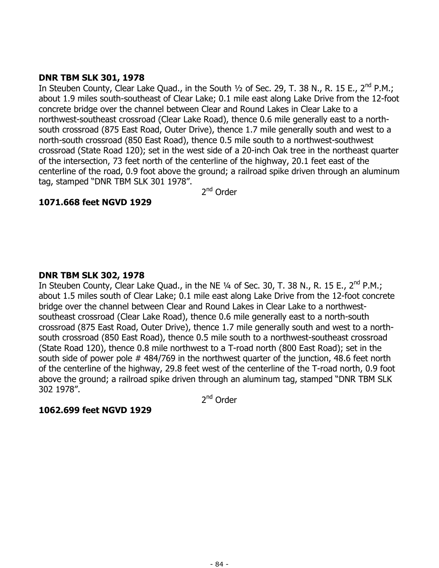### **DNR TBM SLK 301, 1978**

In Steuben County, Clear Lake Quad., in the South  $1/2$  of Sec. 29, T. 38 N., R. 15 E., 2<sup>nd</sup> P.M.; about 1.9 miles south-southeast of Clear Lake; 0.1 mile east along Lake Drive from the 12-foot concrete bridge over the channel between Clear and Round Lakes in Clear Lake to a northwest-southeast crossroad (Clear Lake Road), thence 0.6 mile generally east to a northsouth crossroad (875 East Road, Outer Drive), thence 1.7 mile generally south and west to a north-south crossroad (850 East Road), thence 0.5 mile south to a northwest-southwest crossroad (State Road 120); set in the west side of a 20-inch Oak tree in the northeast quarter of the intersection, 73 feet north of the centerline of the highway, 20.1 feet east of the centerline of the road, 0.9 foot above the ground; a railroad spike driven through an aluminum tag, stamped "DNR TBM SLK 301 1978".

2<sup>nd</sup> Order

# **1071.668 feet NGVD 1929**

# **DNR TBM SLK 302, 1978**

In Steuben County, Clear Lake Quad., in the NE 1/4 of Sec. 30, T. 38 N., R. 15 E., 2<sup>nd</sup> P.M.; about 1.5 miles south of Clear Lake; 0.1 mile east along Lake Drive from the 12-foot concrete bridge over the channel between Clear and Round Lakes in Clear Lake to a northwestsoutheast crossroad (Clear Lake Road), thence 0.6 mile generally east to a north-south crossroad (875 East Road, Outer Drive), thence 1.7 mile generally south and west to a northsouth crossroad (850 East Road), thence 0.5 mile south to a northwest-southeast crossroad (State Road 120), thence 0.8 mile northwest to a T-road north (800 East Road); set in the south side of power pole # 484/769 in the northwest quarter of the junction, 48.6 feet north of the centerline of the highway, 29.8 feet west of the centerline of the T-road north, 0.9 foot above the ground; a railroad spike driven through an aluminum tag, stamped "DNR TBM SLK 302 1978".

2<sup>nd</sup> Order

### **1062.699 feet NGVD 1929**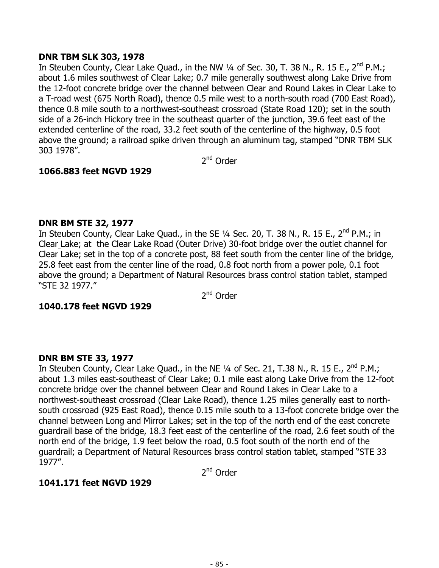### **DNR TBM SLK 303, 1978**

In Steuben County, Clear Lake Quad., in the NW  $\frac{1}{4}$  of Sec. 30, T. 38 N., R. 15 E., 2<sup>nd</sup> P.M.; about 1.6 miles southwest of Clear Lake; 0.7 mile generally southwest along Lake Drive from the 12-foot concrete bridge over the channel between Clear and Round Lakes in Clear Lake to a T-road west (675 North Road), thence 0.5 mile west to a north-south road (700 East Road), thence 0.8 mile south to a northwest-southeast crossroad (State Road 120); set in the south side of a 26-inch Hickory tree in the southeast quarter of the junction, 39.6 feet east of the extended centerline of the road, 33.2 feet south of the centerline of the highway, 0.5 foot above the ground; a railroad spike driven through an aluminum tag, stamped "DNR TBM SLK 303 1978".

2<sup>nd</sup> Order

# **1066.883 feet NGVD 1929**

# **DNR BM STE 32, 1977**

In Steuben County, Clear Lake Quad., in the SE  $1/4$  Sec. 20, T. 38 N., R. 15 E., 2<sup>nd</sup> P.M.; in Clear Lake; at the Clear Lake Road (Outer Drive) 30-foot bridge over the outlet channel for Clear Lake; set in the top of a concrete post, 88 feet south from the center line of the bridge, 25.8 feet east from the center line of the road, 0.8 foot north from a power pole, 0.1 foot above the ground; a Department of Natural Resources brass control station tablet, stamped "STE 32 1977."

2<sup>nd</sup> Order

# **1040.178 feet NGVD 1929**

# **DNR BM STE 33, 1977**

In Steuben County, Clear Lake Quad., in the NE 1/4 of Sec. 21, T.38 N., R. 15 E., 2<sup>nd</sup> P.M.; about 1.3 miles east-southeast of Clear Lake; 0.1 mile east along Lake Drive from the 12-foot concrete bridge over the channel between Clear and Round Lakes in Clear Lake to a northwest-southeast crossroad (Clear Lake Road), thence 1.25 miles generally east to northsouth crossroad (925 East Road), thence 0.15 mile south to a 13-foot concrete bridge over the channel between Long and Mirror Lakes; set in the top of the north end of the east concrete guardrail base of the bridge, 18.3 feet east of the centerline of the road, 2.6 feet south of the north end of the bridge, 1.9 feet below the road, 0.5 foot south of the north end of the guardrail; a Department of Natural Resources brass control station tablet, stamped "STE 33 1977".

2<sup>nd</sup> Order

# **1041.171 feet NGVD 1929**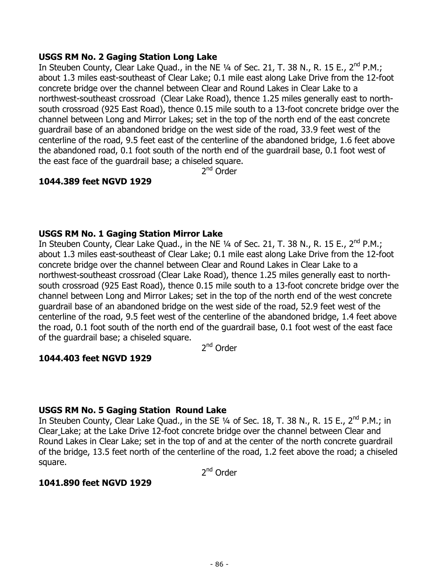### **USGS RM No. 2 Gaging Station Long Lake**

In Steuben County, Clear Lake Quad., in the NE 1/4 of Sec. 21, T. 38 N., R. 15 E., 2<sup>nd</sup> P.M.; about 1.3 miles east-southeast of Clear Lake; 0.1 mile east along Lake Drive from the 12-foot concrete bridge over the channel between Clear and Round Lakes in Clear Lake to a northwest-southeast crossroad (Clear Lake Road), thence 1.25 miles generally east to northsouth crossroad (925 East Road), thence 0.15 mile south to a 13-foot concrete bridge over the channel between Long and Mirror Lakes; set in the top of the north end of the east concrete guardrail base of an abandoned bridge on the west side of the road, 33.9 feet west of the centerline of the road, 9.5 feet east of the centerline of the abandoned bridge, 1.6 feet above the abandoned road, 0.1 foot south of the north end of the guardrail base, 0.1 foot west of the east face of the guardrail base; a chiseled square.

2nd Order

# **1044.389 feet NGVD 1929**

# **USGS RM No. 1 Gaging Station Mirror Lake**

In Steuben County, Clear Lake Quad., in the NE  $\frac{1}{4}$  of Sec. 21, T. 38 N., R. 15 E., 2<sup>nd</sup> P.M.; about 1.3 miles east-southeast of Clear Lake; 0.1 mile east along Lake Drive from the 12-foot concrete bridge over the channel between Clear and Round Lakes in Clear Lake to a northwest-southeast crossroad (Clear Lake Road), thence 1.25 miles generally east to northsouth crossroad (925 East Road), thence 0.15 mile south to a 13-foot concrete bridge over the channel between Long and Mirror Lakes; set in the top of the north end of the west concrete guardrail base of an abandoned bridge on the west side of the road, 52.9 feet west of the centerline of the road, 9.5 feet west of the centerline of the abandoned bridge, 1.4 feet above the road, 0.1 foot south of the north end of the guardrail base, 0.1 foot west of the east face of the guardrail base; a chiseled square.

2<sup>nd</sup> Order

# **1044.403 feet NGVD 1929**

### **USGS RM No. 5 Gaging Station Round Lake**

In Steuben County, Clear Lake Quad., in the SE 1/4 of Sec. 18, T. 38 N., R. 15 E., 2<sup>nd</sup> P.M.; in Clear Lake; at the Lake Drive 12-foot concrete bridge over the channel between Clear and Round Lakes in Clear Lake; set in the top of and at the center of the north concrete guardrail of the bridge, 13.5 feet north of the centerline of the road, 1.2 feet above the road; a chiseled square.

2<sup>nd</sup> Order

### **1041.890 feet NGVD 1929**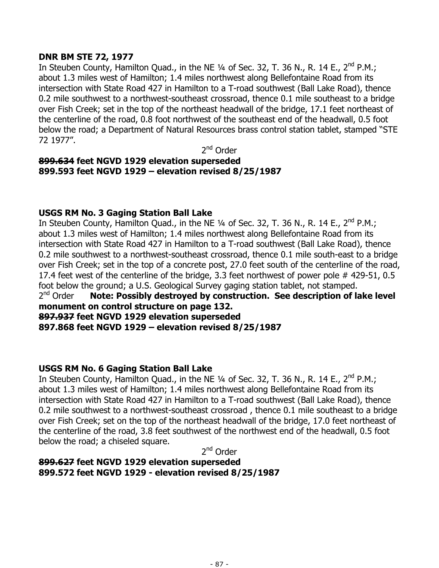# **DNR BM STE 72, 1977**

In Steuben County, Hamilton Quad., in the NE 1/4 of Sec. 32, T. 36 N., R. 14 E., 2<sup>nd</sup> P.M.; about 1.3 miles west of Hamilton; 1.4 miles northwest along Bellefontaine Road from its intersection with State Road 427 in Hamilton to a T-road southwest (Ball Lake Road), thence 0.2 mile southwest to a northwest-southeast crossroad, thence 0.1 mile southeast to a bridge over Fish Creek; set in the top of the northeast headwall of the bridge, 17.1 feet northeast of the centerline of the road, 0.8 foot northwest of the southeast end of the headwall, 0.5 foot below the road; a Department of Natural Resources brass control station tablet, stamped "STE 72 1977".

2nd Order

# **899.634 feet NGVD 1929 elevation superseded 899.593 feet NGVD 1929 – elevation revised 8/25/1987**

# **USGS RM No. 3 Gaging Station Ball Lake**

In Steuben County, Hamilton Quad., in the NE 1/4 of Sec. 32, T. 36 N., R. 14 E., 2<sup>nd</sup> P.M.; about 1.3 miles west of Hamilton; 1.4 miles northwest along Bellefontaine Road from its intersection with State Road 427 in Hamilton to a T-road southwest (Ball Lake Road), thence 0.2 mile southwest to a northwest-southeast crossroad, thence 0.1 mile south-east to a bridge over Fish Creek; set in the top of a concrete post, 27.0 feet south of the centerline of the road, 17.4 feet west of the centerline of the bridge, 3.3 feet northwest of power pole # 429-51, 0.5 foot below the ground; a U.S. Geological Survey gaging station tablet, not stamped.  $2^{nd}$  Order **Note: Possibly destroyed by construction. See description of lake level** 

# **monument on control structure on page 132.**

**897.937 feet NGVD 1929 elevation superseded** 

**897.868 feet NGVD 1929 – elevation revised 8/25/1987** 

# **USGS RM No. 6 Gaging Station Ball Lake**

In Steuben County, Hamilton Quad., in the NE  $\frac{1}{4}$  of Sec. 32, T. 36 N., R. 14 E., 2<sup>nd</sup> P.M.; about 1.3 miles west of Hamilton; 1.4 miles northwest along Bellefontaine Road from its intersection with State Road 427 in Hamilton to a T-road southwest (Ball Lake Road), thence 0.2 mile southwest to a northwest-southeast crossroad , thence 0.1 mile southeast to a bridge over Fish Creek; set on the top of the northeast headwall of the bridge, 17.0 feet northeast of the centerline of the road, 3.8 feet southwest of the northwest end of the headwall, 0.5 foot below the road; a chiseled square.

2nd Order

**899.627 feet NGVD 1929 elevation superseded 899.572 feet NGVD 1929 - elevation revised 8/25/1987**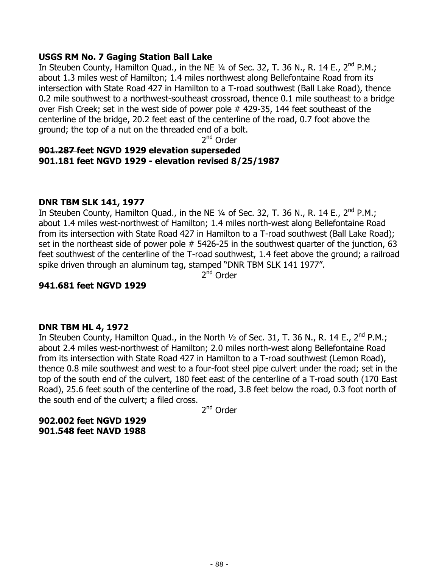### **USGS RM No. 7 Gaging Station Ball Lake**

In Steuben County, Hamilton Quad., in the NE  $\frac{1}{4}$  of Sec. 32, T. 36 N., R. 14 E., 2<sup>nd</sup> P.M.; about 1.3 miles west of Hamilton; 1.4 miles northwest along Bellefontaine Road from its intersection with State Road 427 in Hamilton to a T-road southwest (Ball Lake Road), thence 0.2 mile southwest to a northwest-southeast crossroad, thence 0.1 mile southeast to a bridge over Fish Creek; set in the west side of power pole # 429-35, 144 feet southeast of the centerline of the bridge, 20.2 feet east of the centerline of the road, 0.7 foot above the ground; the top of a nut on the threaded end of a bolt.

2nd Order

# **901.287 feet NGVD 1929 elevation superseded 901.181 feet NGVD 1929 - elevation revised 8/25/1987**

# **DNR TBM SLK 141, 1977**

In Steuben County, Hamilton Quad., in the NE  $\frac{1}{4}$  of Sec. 32, T. 36 N., R. 14 E., 2<sup>nd</sup> P.M.; about 1.4 miles west-northwest of Hamilton; 1.4 miles north-west along Bellefontaine Road from its intersection with State Road 427 in Hamilton to a T-road southwest (Ball Lake Road); set in the northeast side of power pole # 5426-25 in the southwest quarter of the junction, 63 feet southwest of the centerline of the T-road southwest, 1.4 feet above the ground; a railroad spike driven through an aluminum tag, stamped "DNR TBM SLK 141 1977".

 $2<sup>nd</sup>$  Order

# **941.681 feet NGVD 1929**

### **DNR TBM HL 4, 1972**

In Steuben County, Hamilton Quad., in the North 1/2 of Sec. 31, T. 36 N., R. 14 E., 2<sup>nd</sup> P.M.; about 2.4 miles west-northwest of Hamilton; 2.0 miles north-west along Bellefontaine Road from its intersection with State Road 427 in Hamilton to a T-road southwest (Lemon Road), thence 0.8 mile southwest and west to a four-foot steel pipe culvert under the road; set in the top of the south end of the culvert, 180 feet east of the centerline of a T-road south (170 East Road), 25.6 feet south of the centerline of the road, 3.8 feet below the road, 0.3 foot north of the south end of the culvert; a filed cross.

2nd Order

**902.002 feet NGVD 1929 901.548 feet NAVD 1988**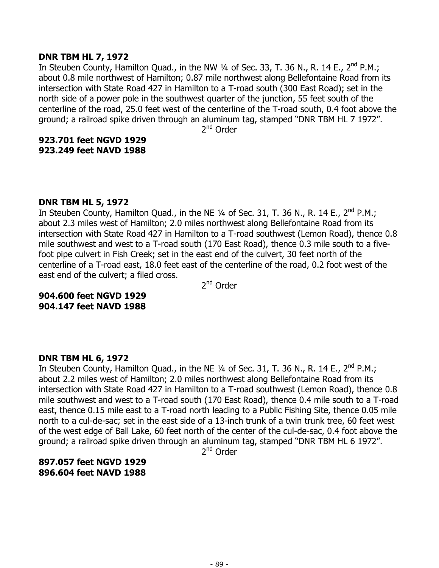#### **DNR TBM HL 7, 1972**

In Steuben County, Hamilton Quad., in the NW 1/4 of Sec. 33, T. 36 N., R. 14 E., 2<sup>nd</sup> P.M.; about 0.8 mile northwest of Hamilton; 0.87 mile northwest along Bellefontaine Road from its intersection with State Road 427 in Hamilton to a T-road south (300 East Road); set in the north side of a power pole in the southwest quarter of the junction, 55 feet south of the centerline of the road, 25.0 feet west of the centerline of the T-road south, 0.4 foot above the ground; a railroad spike driven through an aluminum tag, stamped "DNR TBM HL 7 1972".

2<sup>nd</sup> Order

# **923.701 feet NGVD 1929 923.249 feet NAVD 1988**

### **DNR TBM HL 5, 1972**

In Steuben County, Hamilton Quad., in the NE  $\frac{1}{4}$  of Sec. 31, T. 36 N., R. 14 E., 2<sup>nd</sup> P.M.; about 2.3 miles west of Hamilton; 2.0 miles northwest along Bellefontaine Road from its intersection with State Road 427 in Hamilton to a T-road southwest (Lemon Road), thence 0.8 mile southwest and west to a T-road south (170 East Road), thence 0.3 mile south to a fivefoot pipe culvert in Fish Creek; set in the east end of the culvert, 30 feet north of the centerline of a T-road east, 18.0 feet east of the centerline of the road, 0.2 foot west of the east end of the culvert; a filed cross.

2<sup>nd</sup> Order

#### **904.600 feet NGVD 1929 904.147 feet NAVD 1988**

### **DNR TBM HL 6, 1972**

In Steuben County, Hamilton Quad., in the NE 1/4 of Sec. 31, T. 36 N., R. 14 E., 2<sup>nd</sup> P.M.; about 2.2 miles west of Hamilton; 2.0 miles northwest along Bellefontaine Road from its intersection with State Road 427 in Hamilton to a T-road southwest (Lemon Road), thence 0.8 mile southwest and west to a T-road south (170 East Road), thence 0.4 mile south to a T-road east, thence 0.15 mile east to a T-road north leading to a Public Fishing Site, thence 0.05 mile north to a cul-de-sac; set in the east side of a 13-inch trunk of a twin trunk tree, 60 feet west of the west edge of Ball Lake, 60 feet north of the center of the cul-de-sac, 0.4 foot above the ground; a railroad spike driven through an aluminum tag, stamped "DNR TBM HL 6 1972".

2<sup>nd</sup> Order

**897.057 feet NGVD 1929 896.604 feet NAVD 1988**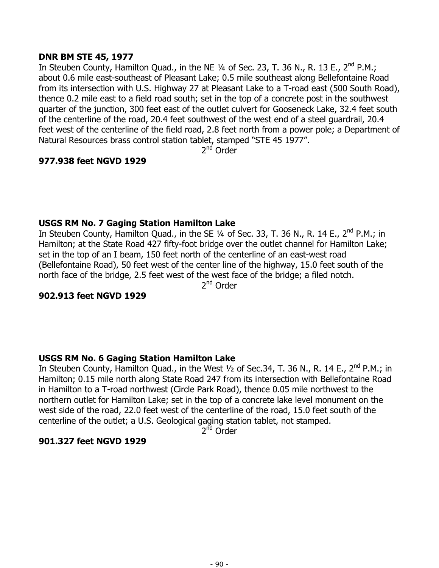### **DNR BM STE 45, 1977**

In Steuben County, Hamilton Quad., in the NE  $\frac{1}{4}$  of Sec. 23, T. 36 N., R. 13 E., 2<sup>nd</sup> P.M.; about 0.6 mile east-southeast of Pleasant Lake; 0.5 mile southeast along Bellefontaine Road from its intersection with U.S. Highway 27 at Pleasant Lake to a T-road east (500 South Road), thence 0.2 mile east to a field road south; set in the top of a concrete post in the southwest quarter of the junction, 300 feet east of the outlet culvert for Gooseneck Lake, 32.4 feet south of the centerline of the road, 20.4 feet southwest of the west end of a steel guardrail, 20.4 feet west of the centerline of the field road, 2.8 feet north from a power pole; a Department of Natural Resources brass control station tablet, stamped "STE 45 1977".

2<sup>nd</sup> Order

# **977.938 feet NGVD 1929**

# **USGS RM No. 7 Gaging Station Hamilton Lake**

In Steuben County, Hamilton Quad., in the SE  $\frac{1}{4}$  of Sec. 33, T. 36 N., R. 14 E., 2<sup>nd</sup> P.M.; in Hamilton; at the State Road 427 fifty-foot bridge over the outlet channel for Hamilton Lake; set in the top of an I beam, 150 feet north of the centerline of an east-west road (Bellefontaine Road), 50 feet west of the center line of the highway, 15.0 feet south of the north face of the bridge, 2.5 feet west of the west face of the bridge; a filed notch.

2nd Order

### **902.913 feet NGVD 1929**

# **USGS RM No. 6 Gaging Station Hamilton Lake**

In Steuben County, Hamilton Quad., in the West 1/2 of Sec.34, T. 36 N., R. 14 E., 2<sup>nd</sup> P.M.; in Hamilton; 0.15 mile north along State Road 247 from its intersection with Bellefontaine Road in Hamilton to a T-road northwest (Circle Park Road), thence 0.05 mile northwest to the northern outlet for Hamilton Lake; set in the top of a concrete lake level monument on the west side of the road, 22.0 feet west of the centerline of the road, 15.0 feet south of the centerline of the outlet; a U.S. Geological gaging station tablet, not stamped.

2<sup>nd</sup> Order

### **901.327 feet NGVD 1929**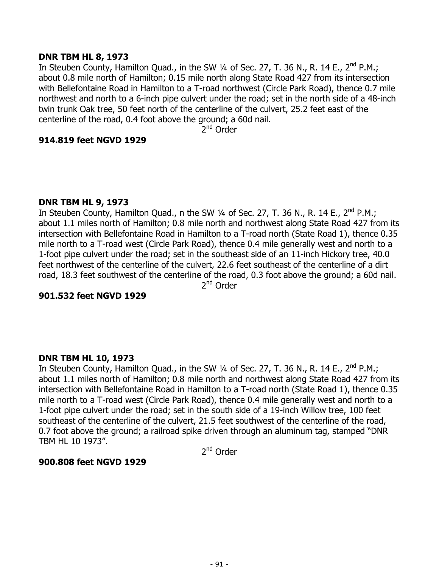#### **DNR TBM HL 8, 1973**

In Steuben County, Hamilton Quad., in the SW 1/4 of Sec. 27, T. 36 N., R. 14 E., 2<sup>nd</sup> P.M.; about 0.8 mile north of Hamilton; 0.15 mile north along State Road 427 from its intersection with Bellefontaine Road in Hamilton to a T-road northwest (Circle Park Road), thence 0.7 mile northwest and north to a 6-inch pipe culvert under the road; set in the north side of a 48-inch twin trunk Oak tree, 50 feet north of the centerline of the culvert, 25.2 feet east of the centerline of the road, 0.4 foot above the ground; a 60d nail.

2<sup>nd</sup> Order

#### **914.819 feet NGVD 1929**

#### **DNR TBM HL 9, 1973**

In Steuben County, Hamilton Quad., n the SW  $\frac{1}{4}$  of Sec. 27, T. 36 N., R. 14 E., 2<sup>nd</sup> P.M.; about 1.1 miles north of Hamilton; 0.8 mile north and northwest along State Road 427 from its intersection with Bellefontaine Road in Hamilton to a T-road north (State Road 1), thence 0.35 mile north to a T-road west (Circle Park Road), thence 0.4 mile generally west and north to a 1-foot pipe culvert under the road; set in the southeast side of an 11-inch Hickory tree, 40.0 feet northwest of the centerline of the culvert, 22.6 feet southeast of the centerline of a dirt road, 18.3 feet southwest of the centerline of the road, 0.3 foot above the ground; a 60d nail. 2nd Order

### **901.532 feet NGVD 1929**

### **DNR TBM HL 10, 1973**

In Steuben County, Hamilton Quad., in the SW 1/4 of Sec. 27, T. 36 N., R. 14 E., 2<sup>nd</sup> P.M.; about 1.1 miles north of Hamilton; 0.8 mile north and northwest along State Road 427 from its intersection with Bellefontaine Road in Hamilton to a T-road north (State Road 1), thence 0.35 mile north to a T-road west (Circle Park Road), thence 0.4 mile generally west and north to a 1-foot pipe culvert under the road; set in the south side of a 19-inch Willow tree, 100 feet southeast of the centerline of the culvert, 21.5 feet southwest of the centerline of the road, 0.7 foot above the ground; a railroad spike driven through an aluminum tag, stamped "DNR TBM HL 10 1973".

2<sup>nd</sup> Order

#### **900.808 feet NGVD 1929**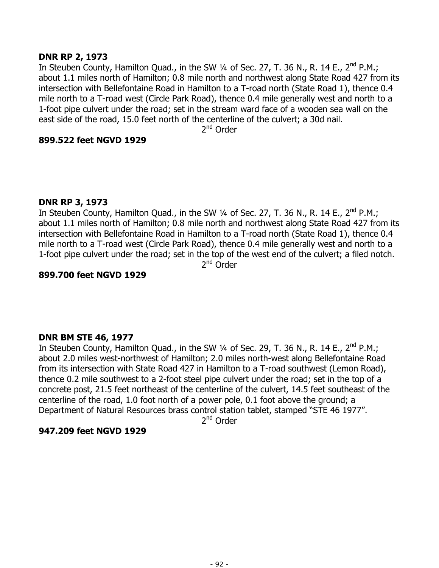### **DNR RP 2, 1973**

In Steuben County, Hamilton Quad., in the SW 1/4 of Sec. 27, T. 36 N., R. 14 E., 2<sup>nd</sup> P.M.; about 1.1 miles north of Hamilton; 0.8 mile north and northwest along State Road 427 from its intersection with Bellefontaine Road in Hamilton to a T-road north (State Road 1), thence 0.4 mile north to a T-road west (Circle Park Road), thence 0.4 mile generally west and north to a 1-foot pipe culvert under the road; set in the stream ward face of a wooden sea wall on the east side of the road, 15.0 feet north of the centerline of the culvert; a 30d nail.

2<sup>nd</sup> Order

# **899.522 feet NGVD 1929**

### **DNR RP 3, 1973**

In Steuben County, Hamilton Quad., in the SW  $\frac{1}{4}$  of Sec. 27, T. 36 N., R. 14 E., 2<sup>nd</sup> P.M.; about 1.1 miles north of Hamilton; 0.8 mile north and northwest along State Road 427 from its intersection with Bellefontaine Road in Hamilton to a T-road north (State Road 1), thence 0.4 mile north to a T-road west (Circle Park Road), thence 0.4 mile generally west and north to a 1-foot pipe culvert under the road; set in the top of the west end of the culvert; a filed notch.

2<sup>nd</sup> Order

### **899.700 feet NGVD 1929**

# **DNR BM STE 46, 1977**

In Steuben County, Hamilton Quad., in the SW 1/4 of Sec. 29, T. 36 N., R. 14 E., 2<sup>nd</sup> P.M.; about 2.0 miles west-northwest of Hamilton; 2.0 miles north-west along Bellefontaine Road from its intersection with State Road 427 in Hamilton to a T-road southwest (Lemon Road), thence 0.2 mile southwest to a 2-foot steel pipe culvert under the road; set in the top of a concrete post, 21.5 feet northeast of the centerline of the culvert, 14.5 feet southeast of the centerline of the road, 1.0 foot north of a power pole, 0.1 foot above the ground; a Department of Natural Resources brass control station tablet, stamped "STE 46 1977".

2<sup>nd</sup> Order

# **947.209 feet NGVD 1929**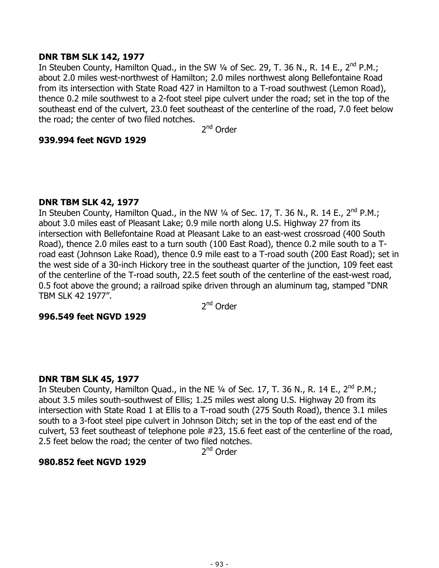### **DNR TBM SLK 142, 1977**

In Steuben County, Hamilton Quad., in the SW 1/4 of Sec. 29, T. 36 N., R. 14 E., 2<sup>nd</sup> P.M.; about 2.0 miles west-northwest of Hamilton; 2.0 miles northwest along Bellefontaine Road from its intersection with State Road 427 in Hamilton to a T-road southwest (Lemon Road), thence 0.2 mile southwest to a 2-foot steel pipe culvert under the road; set in the top of the southeast end of the culvert, 23.0 feet southeast of the centerline of the road, 7.0 feet below the road; the center of two filed notches.

2<sup>nd</sup> Order

# **939.994 feet NGVD 1929**

### **DNR TBM SLK 42, 1977**

In Steuben County, Hamilton Quad., in the NW 1/4 of Sec. 17, T. 36 N., R. 14 E., 2<sup>nd</sup> P.M.; about 3.0 miles east of Pleasant Lake; 0.9 mile north along U.S. Highway 27 from its intersection with Bellefontaine Road at Pleasant Lake to an east-west crossroad (400 South Road), thence 2.0 miles east to a turn south (100 East Road), thence 0.2 mile south to a Troad east (Johnson Lake Road), thence 0.9 mile east to a T-road south (200 East Road); set in the west side of a 30-inch Hickory tree in the southeast quarter of the junction, 109 feet east of the centerline of the T-road south, 22.5 feet south of the centerline of the east-west road, 0.5 foot above the ground; a railroad spike driven through an aluminum tag, stamped "DNR TBM SLK 42 1977".

2<sup>nd</sup> Order

### **996.549 feet NGVD 1929**

# **DNR TBM SLK 45, 1977**

In Steuben County, Hamilton Quad., in the NE  $\frac{1}{4}$  of Sec. 17, T. 36 N., R. 14 E., 2<sup>nd</sup> P.M.; about 3.5 miles south-southwest of Ellis; 1.25 miles west along U.S. Highway 20 from its intersection with State Road 1 at Ellis to a T-road south (275 South Road), thence 3.1 miles south to a 3-foot steel pipe culvert in Johnson Ditch; set in the top of the east end of the culvert, 53 feet southeast of telephone pole #23, 15.6 feet east of the centerline of the road, 2.5 feet below the road; the center of two filed notches.

2<sup>nd</sup> Order

### **980.852 feet NGVD 1929**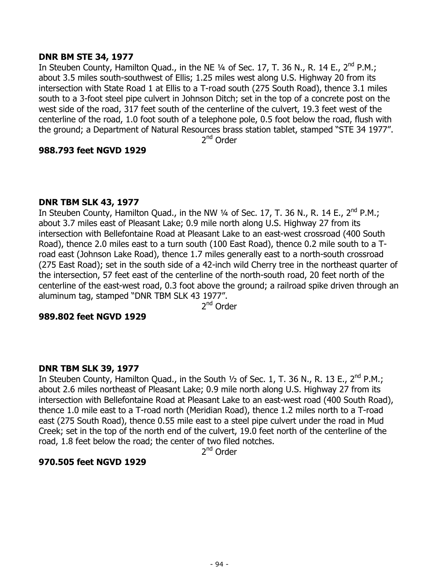### **DNR BM STE 34, 1977**

In Steuben County, Hamilton Quad., in the NE 1/4 of Sec. 17, T. 36 N., R. 14 E., 2<sup>nd</sup> P.M.; about 3.5 miles south-southwest of Ellis; 1.25 miles west along U.S. Highway 20 from its intersection with State Road 1 at Ellis to a T-road south (275 South Road), thence 3.1 miles south to a 3-foot steel pipe culvert in Johnson Ditch; set in the top of a concrete post on the west side of the road, 317 feet south of the centerline of the culvert, 19.3 feet west of the centerline of the road, 1.0 foot south of a telephone pole, 0.5 foot below the road, flush with the ground; a Department of Natural Resources brass station tablet, stamped "STE 34 1977".

2nd Order

### **988.793 feet NGVD 1929**

### **DNR TBM SLK 43, 1977**

In Steuben County, Hamilton Quad., in the NW  $\frac{1}{4}$  of Sec. 17, T. 36 N., R. 14 E., 2<sup>nd</sup> P.M.; about 3.7 miles east of Pleasant Lake; 0.9 mile north along U.S. Highway 27 from its intersection with Bellefontaine Road at Pleasant Lake to an east-west crossroad (400 South Road), thence 2.0 miles east to a turn south (100 East Road), thence 0.2 mile south to a Troad east (Johnson Lake Road), thence 1.7 miles generally east to a north-south crossroad (275 East Road); set in the south side of a 42-inch wild Cherry tree in the northeast quarter of the intersection, 57 feet east of the centerline of the north-south road, 20 feet north of the centerline of the east-west road, 0.3 foot above the ground; a railroad spike driven through an aluminum tag, stamped "DNR TBM SLK 43 1977".

2nd Order

### **989.802 feet NGVD 1929**

### **DNR TBM SLK 39, 1977**

In Steuben County, Hamilton Quad., in the South 1/2 of Sec. 1, T. 36 N., R. 13 E., 2<sup>nd</sup> P.M.; about 2.6 miles northeast of Pleasant Lake; 0.9 mile north along U.S. Highway 27 from its intersection with Bellefontaine Road at Pleasant Lake to an east-west road (400 South Road), thence 1.0 mile east to a T-road north (Meridian Road), thence 1.2 miles north to a T-road east (275 South Road), thence 0.55 mile east to a steel pipe culvert under the road in Mud Creek; set in the top of the north end of the culvert, 19.0 feet north of the centerline of the road, 1.8 feet below the road; the center of two filed notches.

2<sup>nd</sup> Order

### **970.505 feet NGVD 1929**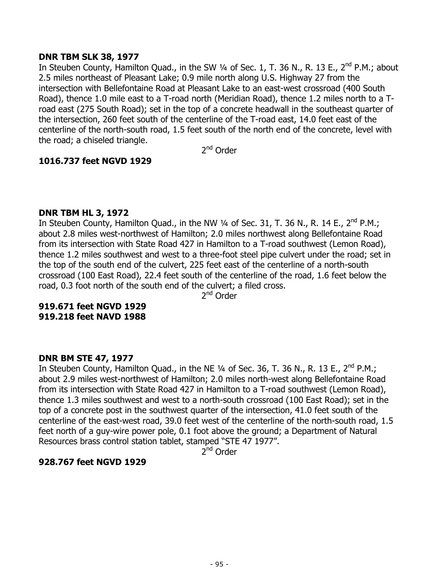### **DNR TBM SLK 38, 1977**

In Steuben County, Hamilton Quad., in the SW 1/4 of Sec. 1, T. 36 N., R. 13 E., 2<sup>nd</sup> P.M.; about 2.5 miles northeast of Pleasant Lake; 0.9 mile north along U.S. Highway 27 from the intersection with Bellefontaine Road at Pleasant Lake to an east-west crossroad (400 South Road), thence 1.0 mile east to a T-road north (Meridian Road), thence 1.2 miles north to a Troad east (275 South Road); set in the top of a concrete headwall in the southeast quarter of the intersection, 260 feet south of the centerline of the T-road east, 14.0 feet east of the centerline of the north-south road, 1.5 feet south of the north end of the concrete, level with the road; a chiseled triangle.

2<sup>nd</sup> Order

# **1016.737 feet NGVD 1929**

### **DNR TBM HL 3, 1972**

In Steuben County, Hamilton Quad., in the NW 1/4 of Sec. 31, T. 36 N., R. 14 E., 2<sup>nd</sup> P.M.; about 2.8 miles west-northwest of Hamilton; 2.0 miles northwest along Bellefontaine Road from its intersection with State Road 427 in Hamilton to a T-road southwest (Lemon Road), thence 1.2 miles southwest and west to a three-foot steel pipe culvert under the road; set in the top of the south end of the culvert, 225 feet east of the centerline of a north-south crossroad (100 East Road), 22.4 feet south of the centerline of the road, 1.6 feet below the road, 0.3 foot north of the south end of the culvert; a filed cross.

2<sup>nd</sup> Order

# **919.671 feet NGVD 1929 919.218 feet NAVD 1988**

# **DNR BM STE 47, 1977**

In Steuben County, Hamilton Quad., in the NE  $\frac{1}{4}$  of Sec. 36, T. 36 N., R. 13 E., 2<sup>nd</sup> P.M.; about 2.9 miles west-northwest of Hamilton; 2.0 miles north-west along Bellefontaine Road from its intersection with State Road 427 in Hamilton to a T-road southwest (Lemon Road), thence 1.3 miles southwest and west to a north-south crossroad (100 East Road); set in the top of a concrete post in the southwest quarter of the intersection, 41.0 feet south of the centerline of the east-west road, 39.0 feet west of the centerline of the north-south road, 1.5 feet north of a guy-wire power pole, 0.1 foot above the ground; a Department of Natural Resources brass control station tablet, stamped "STE 47 1977".

 $2^{nd}$  Order

# **928.767 feet NGVD 1929**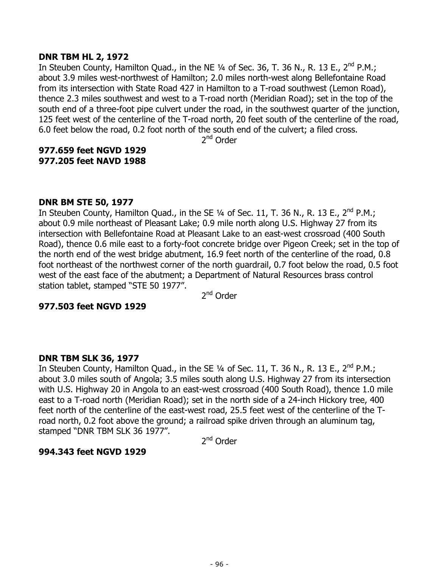#### **DNR TBM HL 2, 1972**

In Steuben County, Hamilton Quad., in the NE 1/4 of Sec. 36, T. 36 N., R. 13 E., 2<sup>nd</sup> P.M.; about 3.9 miles west-northwest of Hamilton; 2.0 miles north-west along Bellefontaine Road from its intersection with State Road 427 in Hamilton to a T-road southwest (Lemon Road), thence 2.3 miles southwest and west to a T-road north (Meridian Road); set in the top of the south end of a three-foot pipe culvert under the road, in the southwest quarter of the junction, 125 feet west of the centerline of the T-road north, 20 feet south of the centerline of the road, 6.0 feet below the road, 0.2 foot north of the south end of the culvert; a filed cross.

2nd Order

### **977.659 feet NGVD 1929 977.205 feet NAVD 1988**

### **DNR BM STE 50, 1977**

In Steuben County, Hamilton Quad., in the SE  $\frac{1}{4}$  of Sec. 11, T. 36 N., R. 13 E., 2<sup>nd</sup> P.M.; about 0.9 mile northeast of Pleasant Lake; 0.9 mile north along U.S. Highway 27 from its intersection with Bellefontaine Road at Pleasant Lake to an east-west crossroad (400 South Road), thence 0.6 mile east to a forty-foot concrete bridge over Pigeon Creek; set in the top of the north end of the west bridge abutment, 16.9 feet north of the centerline of the road, 0.8 foot northeast of the northwest corner of the north guardrail, 0.7 foot below the road, 0.5 foot west of the east face of the abutment; a Department of Natural Resources brass control station tablet, stamped "STE 50 1977".

2<sup>nd</sup> Order

### **977.503 feet NGVD 1929**

### **DNR TBM SLK 36, 1977**

In Steuben County, Hamilton Quad., in the SE 1/4 of Sec. 11, T. 36 N., R. 13 E., 2<sup>nd</sup> P.M.; about 3.0 miles south of Angola; 3.5 miles south along U.S. Highway 27 from its intersection with U.S. Highway 20 in Angola to an east-west crossroad (400 South Road), thence 1.0 mile east to a T-road north (Meridian Road); set in the north side of a 24-inch Hickory tree, 400 feet north of the centerline of the east-west road, 25.5 feet west of the centerline of the Troad north, 0.2 foot above the ground; a railroad spike driven through an aluminum tag, stamped "DNR TBM SLK 36 1977".

2<sup>nd</sup> Order

### **994.343 feet NGVD 1929**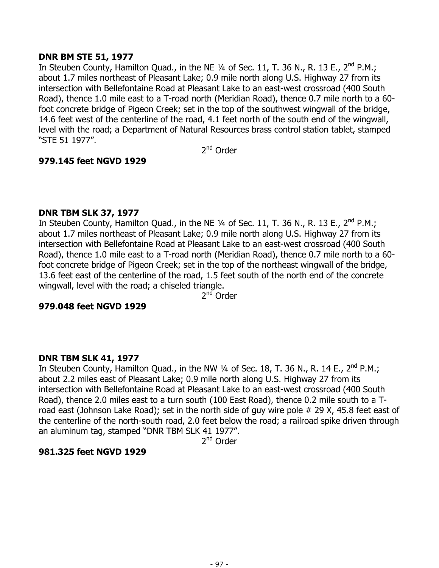### **DNR BM STE 51, 1977**

In Steuben County, Hamilton Quad., in the NE  $\frac{1}{4}$  of Sec. 11, T. 36 N., R. 13 E., 2<sup>nd</sup> P.M.; about 1.7 miles northeast of Pleasant Lake; 0.9 mile north along U.S. Highway 27 from its intersection with Bellefontaine Road at Pleasant Lake to an east-west crossroad (400 South Road), thence 1.0 mile east to a T-road north (Meridian Road), thence 0.7 mile north to a 60 foot concrete bridge of Pigeon Creek; set in the top of the southwest wingwall of the bridge, 14.6 feet west of the centerline of the road, 4.1 feet north of the south end of the wingwall, level with the road; a Department of Natural Resources brass control station tablet, stamped "STE 51 1977".

2<sup>nd</sup> Order

# **979.145 feet NGVD 1929**

### **DNR TBM SLK 37, 1977**

In Steuben County, Hamilton Quad., in the NE 1/4 of Sec. 11, T. 36 N., R. 13 E., 2<sup>nd</sup> P.M.; about 1.7 miles northeast of Pleasant Lake; 0.9 mile north along U.S. Highway 27 from its intersection with Bellefontaine Road at Pleasant Lake to an east-west crossroad (400 South Road), thence 1.0 mile east to a T-road north (Meridian Road), thence 0.7 mile north to a 60 foot concrete bridge of Pigeon Creek; set in the top of the northeast wingwall of the bridge, 13.6 feet east of the centerline of the road, 1.5 feet south of the north end of the concrete wingwall, level with the road; a chiseled triangle.

2<sup>nd</sup> Order

### **979.048 feet NGVD 1929**

# **DNR TBM SLK 41, 1977**

In Steuben County, Hamilton Quad., in the NW 1/4 of Sec. 18, T. 36 N., R. 14 E., 2<sup>nd</sup> P.M.; about 2.2 miles east of Pleasant Lake; 0.9 mile north along U.S. Highway 27 from its intersection with Bellefontaine Road at Pleasant Lake to an east-west crossroad (400 South Road), thence 2.0 miles east to a turn south (100 East Road), thence 0.2 mile south to a Troad east (Johnson Lake Road); set in the north side of guy wire pole # 29 X, 45.8 feet east of the centerline of the north-south road, 2.0 feet below the road; a railroad spike driven through an aluminum tag, stamped "DNR TBM SLK 41 1977".

2nd Order

### **981.325 feet NGVD 1929**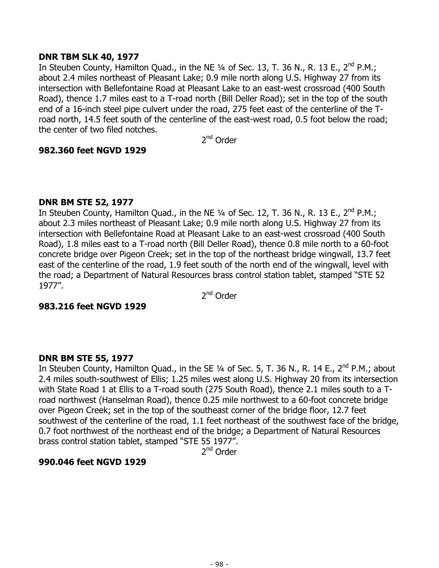### **DNR TBM SLK 40, 1977**

In Steuben County, Hamilton Quad., in the NE  $\frac{1}{4}$  of Sec. 13, T. 36 N., R. 13 E., 2<sup>nd</sup> P.M.; about 2.4 miles northeast of Pleasant Lake; 0.9 mile north along U.S. Highway 27 from its intersection with Bellefontaine Road at Pleasant Lake to an east-west crossroad (400 South Road), thence 1.7 miles east to a T-road north (Bill Deller Road); set in the top of the south end of a 16-inch steel pipe culvert under the road, 275 feet east of the centerline of the Troad north, 14.5 feet south of the centerline of the east-west road, 0.5 foot below the road; the center of two filed notches.

2nd Order

### **982.360 feet NGVD 1929**

# **DNR BM STE 52, 1977**

In Steuben County, Hamilton Quad., in the NE  $\frac{1}{4}$  of Sec. 12, T. 36 N., R. 13 E., 2<sup>nd</sup> P.M.; about 2.3 miles northeast of Pleasant Lake; 0.9 mile north along U.S. Highway 27 from its intersection with Bellefontaine Road at Pleasant Lake to an east-west crossroad (400 South Road), 1.8 miles east to a T-road north (Bill Deller Road), thence 0.8 mile north to a 60-foot concrete bridge over Pigeon Creek; set in the top of the northeast bridge wingwall, 13.7 feet east of the centerline of the road, 1.9 feet south of the north end of the wingwall, level with the road; a Department of Natural Resources brass control station tablet, stamped "STE 52 1977".

2<sup>nd</sup> Order

### **983.216 feet NGVD 1929**

# **DNR BM STE 55, 1977**

In Steuben County, Hamilton Quad., in the SE 1/4 of Sec. 5, T. 36 N., R. 14 E., 2<sup>nd</sup> P.M.; about 2.4 miles south-southwest of Ellis; 1.25 miles west along U.S. Highway 20 from its intersection with State Road 1 at Ellis to a T-road south (275 South Road), thence 2.1 miles south to a Troad northwest (Hanselman Road), thence 0.25 mile northwest to a 60-foot concrete bridge over Pigeon Creek; set in the top of the southeast corner of the bridge floor, 12.7 feet southwest of the centerline of the road, 1.1 feet northeast of the southwest face of the bridge, 0.7 foot northwest of the northeast end of the bridge; a Department of Natural Resources brass control station tablet, stamped "STE 55 1977".

2<sup>nd</sup> Order

### **990.046 feet NGVD 1929**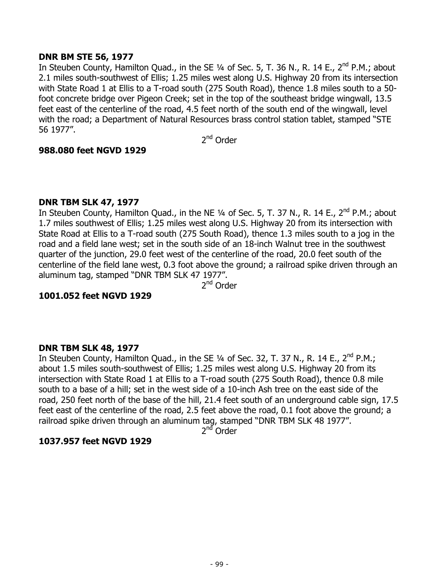#### **DNR BM STE 56, 1977**

In Steuben County, Hamilton Quad., in the SE 1/4 of Sec. 5, T. 36 N., R. 14 E., 2<sup>nd</sup> P.M.; about 2.1 miles south-southwest of Ellis; 1.25 miles west along U.S. Highway 20 from its intersection with State Road 1 at Ellis to a T-road south (275 South Road), thence 1.8 miles south to a 50 foot concrete bridge over Pigeon Creek; set in the top of the southeast bridge wingwall, 13.5 feet east of the centerline of the road, 4.5 feet north of the south end of the wingwall, level with the road; a Department of Natural Resources brass control station tablet, stamped "STE 56 1977".

2nd Order

#### **988.080 feet NGVD 1929**

#### **DNR TBM SLK 47, 1977**

In Steuben County, Hamilton Quad., in the NE  $\frac{1}{4}$  of Sec. 5, T. 37 N., R. 14 E., 2<sup>nd</sup> P.M.; about 1.7 miles southwest of Ellis; 1.25 miles west along U.S. Highway 20 from its intersection with State Road at Ellis to a T-road south (275 South Road), thence 1.3 miles south to a jog in the road and a field lane west; set in the south side of an 18-inch Walnut tree in the southwest quarter of the junction, 29.0 feet west of the centerline of the road, 20.0 feet south of the centerline of the field lane west, 0.3 foot above the ground; a railroad spike driven through an aluminum tag, stamped "DNR TBM SLK 47 1977".

2nd Order

### **1001.052 feet NGVD 1929**

#### **DNR TBM SLK 48, 1977**

In Steuben County, Hamilton Quad., in the SE  $\frac{1}{4}$  of Sec. 32, T. 37 N., R. 14 E., 2<sup>nd</sup> P.M.; about 1.5 miles south-southwest of Ellis; 1.25 miles west along U.S. Highway 20 from its intersection with State Road 1 at Ellis to a T-road south (275 South Road), thence 0.8 mile south to a base of a hill; set in the west side of a 10-inch Ash tree on the east side of the road, 250 feet north of the base of the hill, 21.4 feet south of an underground cable sign, 17.5 feet east of the centerline of the road, 2.5 feet above the road, 0.1 foot above the ground; a railroad spike driven through an aluminum tag, stamped "DNR TBM SLK 48 1977".

2<sup>nd</sup> Order

### **1037.957 feet NGVD 1929**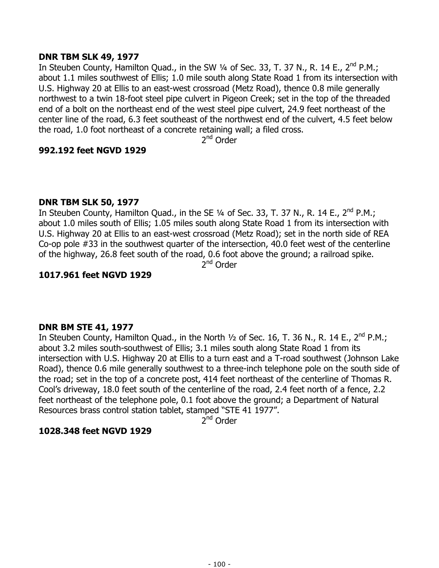### **DNR TBM SLK 49, 1977**

In Steuben County, Hamilton Quad., in the SW 1/4 of Sec. 33, T. 37 N., R. 14 E., 2<sup>nd</sup> P.M.; about 1.1 miles southwest of Ellis; 1.0 mile south along State Road 1 from its intersection with U.S. Highway 20 at Ellis to an east-west crossroad (Metz Road), thence 0.8 mile generally northwest to a twin 18-foot steel pipe culvert in Pigeon Creek; set in the top of the threaded end of a bolt on the northeast end of the west steel pipe culvert, 24.9 feet northeast of the center line of the road, 6.3 feet southeast of the northwest end of the culvert, 4.5 feet below the road, 1.0 foot northeast of a concrete retaining wall; a filed cross.

2nd Order

# **992.192 feet NGVD 1929**

# **DNR TBM SLK 50, 1977**

In Steuben County, Hamilton Quad., in the SE  $\frac{1}{4}$  of Sec. 33, T. 37 N., R. 14 E., 2<sup>nd</sup> P.M.; about 1.0 miles south of Ellis; 1.05 miles south along State Road 1 from its intersection with U.S. Highway 20 at Ellis to an east-west crossroad (Metz Road); set in the north side of REA Co-op pole #33 in the southwest quarter of the intersection, 40.0 feet west of the centerline of the highway, 26.8 feet south of the road, 0.6 foot above the ground; a railroad spike.

2<sup>nd</sup> Order

# **1017.961 feet NGVD 1929**

# **DNR BM STE 41, 1977**

In Steuben County, Hamilton Quad., in the North  $\frac{1}{2}$  of Sec. 16, T. 36 N., R. 14 E., 2<sup>nd</sup> P.M.; about 3.2 miles south-southwest of Ellis; 3.1 miles south along State Road 1 from its intersection with U.S. Highway 20 at Ellis to a turn east and a T-road southwest (Johnson Lake Road), thence 0.6 mile generally southwest to a three-inch telephone pole on the south side of the road; set in the top of a concrete post, 414 feet northeast of the centerline of Thomas R. Cool's driveway, 18.0 feet south of the centerline of the road, 2.4 feet north of a fence, 2.2 feet northeast of the telephone pole, 0.1 foot above the ground; a Department of Natural Resources brass control station tablet, stamped "STE 41 1977".

 $2^{nd}$  Order

# **1028.348 feet NGVD 1929**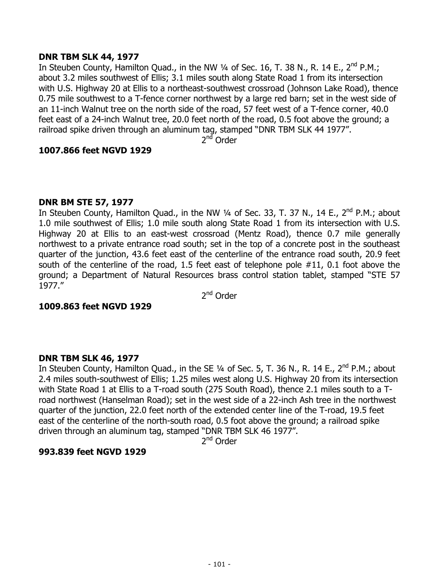### **DNR TBM SLK 44, 1977**

In Steuben County, Hamilton Quad., in the NW 1/4 of Sec. 16, T. 38 N., R. 14 E., 2<sup>nd</sup> P.M.; about 3.2 miles southwest of Ellis; 3.1 miles south along State Road 1 from its intersection with U.S. Highway 20 at Ellis to a northeast-southwest crossroad (Johnson Lake Road), thence 0.75 mile southwest to a T-fence corner northwest by a large red barn; set in the west side of an 11-inch Walnut tree on the north side of the road, 57 feet west of a T-fence corner, 40.0 feet east of a 24-inch Walnut tree, 20.0 feet north of the road, 0.5 foot above the ground; a railroad spike driven through an aluminum tag, stamped "DNR TBM SLK 44 1977".

2<sup>nd</sup> Order

# **1007.866 feet NGVD 1929**

### **DNR BM STE 57, 1977**

In Steuben County, Hamilton Quad., in the NW  $\frac{1}{4}$  of Sec. 33, T. 37 N., 14 E., 2<sup>nd</sup> P.M.; about 1.0 mile southwest of Ellis; 1.0 mile south along State Road 1 from its intersection with U.S. Highway 20 at Ellis to an east-west crossroad (Mentz Road), thence 0.7 mile generally northwest to a private entrance road south; set in the top of a concrete post in the southeast quarter of the junction, 43.6 feet east of the centerline of the entrance road south, 20.9 feet south of the centerline of the road, 1.5 feet east of telephone pole #11, 0.1 foot above the ground; a Department of Natural Resources brass control station tablet, stamped "STE 57 1977."

2<sup>nd</sup> Order

### **1009.863 feet NGVD 1929**

# **DNR TBM SLK 46, 1977**

In Steuben County, Hamilton Quad., in the SE 1/4 of Sec. 5, T. 36 N., R. 14 E., 2<sup>nd</sup> P.M.; about 2.4 miles south-southwest of Ellis; 1.25 miles west along U.S. Highway 20 from its intersection with State Road 1 at Ellis to a T-road south (275 South Road), thence 2.1 miles south to a Troad northwest (Hanselman Road); set in the west side of a 22-inch Ash tree in the northwest quarter of the junction, 22.0 feet north of the extended center line of the T-road, 19.5 feet east of the centerline of the north-south road, 0.5 foot above the ground; a railroad spike driven through an aluminum tag, stamped "DNR TBM SLK 46 1977".

2nd Order

### **993.839 feet NGVD 1929**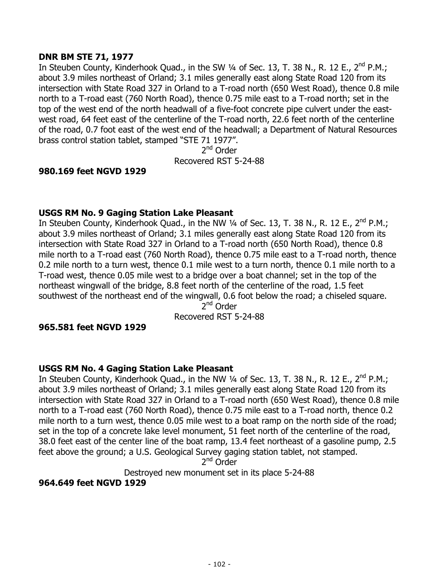### **DNR BM STE 71, 1977**

In Steuben County, Kinderhook Quad., in the SW 1/4 of Sec. 13, T. 38 N., R. 12 E., 2<sup>nd</sup> P.M.; about 3.9 miles northeast of Orland; 3.1 miles generally east along State Road 120 from its intersection with State Road 327 in Orland to a T-road north (650 West Road), thence 0.8 mile north to a T-road east (760 North Road), thence 0.75 mile east to a T-road north; set in the top of the west end of the north headwall of a five-foot concrete pipe culvert under the eastwest road, 64 feet east of the centerline of the T-road north, 22.6 feet north of the centerline of the road, 0.7 foot east of the west end of the headwall; a Department of Natural Resources brass control station tablet, stamped "STE 71 1977".

2<sup>nd</sup> Order

Recovered RST 5-24-88

### **980.169 feet NGVD 1929**

# **USGS RM No. 9 Gaging Station Lake Pleasant**

In Steuben County, Kinderhook Quad., in the NW 1/4 of Sec. 13, T. 38 N., R. 12 E., 2<sup>nd</sup> P.M.; about 3.9 miles northeast of Orland; 3.1 miles generally east along State Road 120 from its intersection with State Road 327 in Orland to a T-road north (650 North Road), thence 0.8 mile north to a T-road east (760 North Road), thence 0.75 mile east to a T-road north, thence 0.2 mile north to a turn west, thence 0.1 mile west to a turn north, thence 0.1 mile north to a T-road west, thence 0.05 mile west to a bridge over a boat channel; set in the top of the northeast wingwall of the bridge, 8.8 feet north of the centerline of the road, 1.5 feet southwest of the northeast end of the wingwall, 0.6 foot below the road; a chiseled square.

2nd Order Recovered RST 5-24-88

### **965.581 feet NGVD 1929**

### **USGS RM No. 4 Gaging Station Lake Pleasant**

In Steuben County, Kinderhook Quad., in the NW 1/4 of Sec. 13, T. 38 N., R. 12 E., 2<sup>nd</sup> P.M.; about 3.9 miles northeast of Orland; 3.1 miles generally east along State Road 120 from its intersection with State Road 327 in Orland to a T-road north (650 West Road), thence 0.8 mile north to a T-road east (760 North Road), thence 0.75 mile east to a T-road north, thence 0.2 mile north to a turn west, thence 0.05 mile west to a boat ramp on the north side of the road; set in the top of a concrete lake level monument, 51 feet north of the centerline of the road, 38.0 feet east of the center line of the boat ramp, 13.4 feet northeast of a gasoline pump, 2.5 feet above the ground; a U.S. Geological Survey gaging station tablet, not stamped.

2<sup>nd</sup> Order

Destroyed new monument set in its place 5-24-88

**964.649 feet NGVD 1929**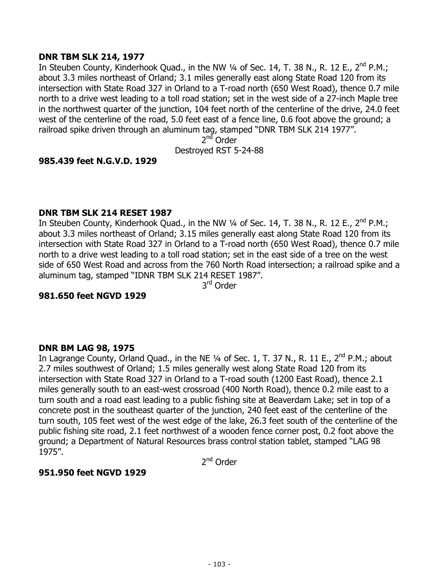### **DNR TBM SLK 214, 1977**

In Steuben County, Kinderhook Quad., in the NW 1/4 of Sec. 14, T. 38 N., R. 12 E., 2<sup>nd</sup> P.M.; about 3.3 miles northeast of Orland; 3.1 miles generally east along State Road 120 from its intersection with State Road 327 in Orland to a T-road north (650 West Road), thence 0.7 mile north to a drive west leading to a toll road station; set in the west side of a 27-inch Maple tree in the northwest quarter of the junction, 104 feet north of the centerline of the drive, 24.0 feet west of the centerline of the road, 5.0 feet east of a fence line, 0.6 foot above the ground; a railroad spike driven through an aluminum tag, stamped "DNR TBM SLK 214 1977".

2<sup>nd</sup> Order

Destroyed RST 5-24-88

# **985.439 feet N.G.V.D. 1929**

### **DNR TBM SLK 214 RESET 1987**

In Steuben County, Kinderhook Quad., in the NW 1/4 of Sec. 14, T. 38 N., R. 12 E., 2<sup>nd</sup> P.M.; about 3.3 miles northeast of Orland; 3.15 miles generally east along State Road 120 from its intersection with State Road 327 in Orland to a T-road north (650 West Road), thence 0.7 mile north to a drive west leading to a toll road station; set in the east side of a tree on the west side of 650 West Road and across from the 760 North Road intersection; a railroad spike and a aluminum tag, stamped "IDNR TBM SLK 214 RESET 1987".

3rd Order

#### **981.650 feet NGVD 1929**

#### **DNR BM LAG 98, 1975**

In Lagrange County, Orland Quad., in the NE 1/4 of Sec. 1, T. 37 N., R. 11 E., 2<sup>nd</sup> P.M.; about 2.7 miles southwest of Orland; 1.5 miles generally west along State Road 120 from its intersection with State Road 327 in Orland to a T-road south (1200 East Road), thence 2.1 miles generally south to an east-west crossroad (400 North Road), thence 0.2 mile east to a turn south and a road east leading to a public fishing site at Beaverdam Lake; set in top of a concrete post in the southeast quarter of the junction, 240 feet east of the centerline of the turn south, 105 feet west of the west edge of the lake, 26.3 feet south of the centerline of the public fishing site road, 2.1 feet northwest of a wooden fence corner post, 0.2 foot above the ground; a Department of Natural Resources brass control station tablet, stamped "LAG 98 1975".

2<sup>nd</sup> Order

### **951.950 feet NGVD 1929**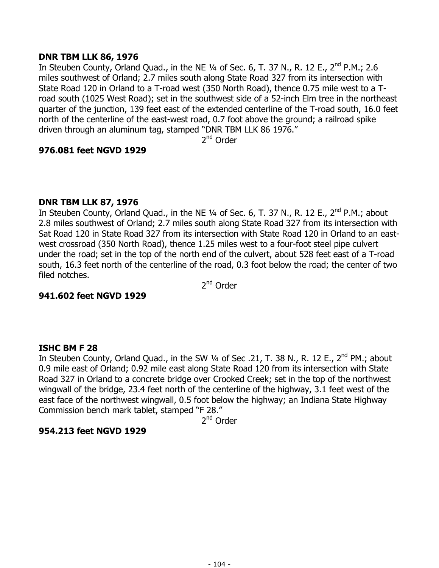### **DNR TBM LLK 86, 1976**

In Steuben County, Orland Quad., in the NE  $\frac{1}{4}$  of Sec. 6, T. 37 N., R. 12 E., 2<sup>nd</sup> P.M.; 2.6 miles southwest of Orland; 2.7 miles south along State Road 327 from its intersection with State Road 120 in Orland to a T-road west (350 North Road), thence 0.75 mile west to a Troad south (1025 West Road); set in the southwest side of a 52-inch Elm tree in the northeast quarter of the junction, 139 feet east of the extended centerline of the T-road south, 16.0 feet north of the centerline of the east-west road, 0.7 foot above the ground; a railroad spike driven through an aluminum tag, stamped "DNR TBM LLK 86 1976."

2<sup>nd</sup> Order

### **976.081 feet NGVD 1929**

# **DNR TBM LLK 87, 1976**

In Steuben County, Orland Quad., in the NE  $\frac{1}{4}$  of Sec. 6, T. 37 N., R. 12 E., 2<sup>nd</sup> P.M.; about 2.8 miles southwest of Orland; 2.7 miles south along State Road 327 from its intersection with Sat Road 120 in State Road 327 from its intersection with State Road 120 in Orland to an eastwest crossroad (350 North Road), thence 1.25 miles west to a four-foot steel pipe culvert under the road; set in the top of the north end of the culvert, about 528 feet east of a T-road south, 16.3 feet north of the centerline of the road, 0.3 foot below the road; the center of two filed notches.

2<sup>nd</sup> Order

### **941.602 feet NGVD 1929**

### **ISHC BM F 28**

In Steuben County, Orland Quad., in the SW 1/4 of Sec .21, T. 38 N., R. 12 E., 2<sup>nd</sup> PM.; about 0.9 mile east of Orland; 0.92 mile east along State Road 120 from its intersection with State Road 327 in Orland to a concrete bridge over Crooked Creek; set in the top of the northwest wingwall of the bridge, 23.4 feet north of the centerline of the highway, 3.1 feet west of the east face of the northwest wingwall, 0.5 foot below the highway; an Indiana State Highway Commission bench mark tablet, stamped "F 28."

2<sup>nd</sup> Order

# **954.213 feet NGVD 1929**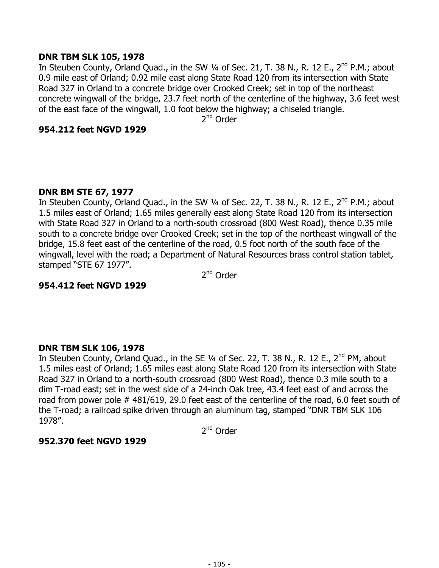#### **DNR TBM SLK 105, 1978**

In Steuben County, Orland Quad., in the SW  $\frac{1}{4}$  of Sec. 21, T. 38 N., R. 12 E., 2<sup>nd</sup> P.M.; about 0.9 mile east of Orland; 0.92 mile east along State Road 120 from its intersection with State Road 327 in Orland to a concrete bridge over Crooked Creek; set in top of the northeast concrete wingwall of the bridge, 23.7 feet north of the centerline of the highway, 3.6 feet west of the east face of the wingwall, 1.0 foot below the highway; a chiseled triangle.

2<sup>nd</sup> Order

#### **954.212 feet NGVD 1929**

### **DNR BM STE 67, 1977**

In Steuben County, Orland Quad., in the SW 1/4 of Sec. 22, T. 38 N., R. 12 E., 2<sup>nd</sup> P.M.; about 1.5 miles east of Orland; 1.65 miles generally east along State Road 120 from its intersection with State Road 327 in Orland to a north-south crossroad (800 West Road), thence 0.35 mile south to a concrete bridge over Crooked Creek; set in the top of the northeast wingwall of the bridge, 15.8 feet east of the centerline of the road, 0.5 foot north of the south face of the wingwall, level with the road; a Department of Natural Resources brass control station tablet, stamped "STE 67 1977".

2<sup>nd</sup> Order

### **954.412 feet NGVD 1929**

### **DNR TBM SLK 106, 1978**

In Steuben County, Orland Quad., in the SE 1/4 of Sec. 22, T. 38 N., R. 12 E., 2<sup>nd</sup> PM, about 1.5 miles east of Orland; 1.65 miles east along State Road 120 from its intersection with State Road 327 in Orland to a north-south crossroad (800 West Road), thence 0.3 mile south to a dim T-road east; set in the west side of a 24-inch Oak tree, 43.4 feet east of and across the road from power pole # 481/619, 29.0 feet east of the centerline of the road, 6.0 feet south of the T-road; a railroad spike driven through an aluminum tag, stamped "DNR TBM SLK 106 1978".

2<sup>nd</sup> Order

### **952.370 feet NGVD 1929**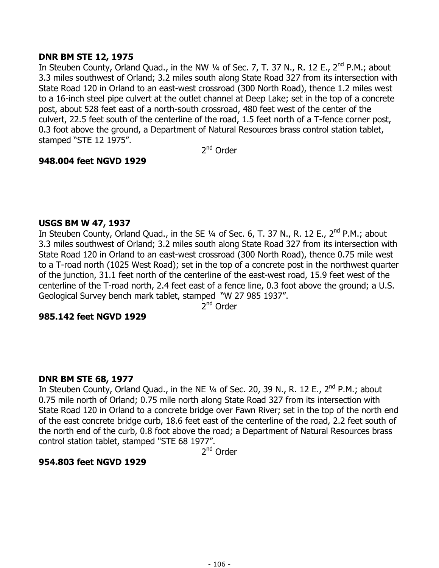### **DNR BM STE 12, 1975**

In Steuben County, Orland Quad., in the NW 1/4 of Sec. 7, T. 37 N., R. 12 E., 2<sup>nd</sup> P.M.; about 3.3 miles southwest of Orland; 3.2 miles south along State Road 327 from its intersection with State Road 120 in Orland to an east-west crossroad (300 North Road), thence 1.2 miles west to a 16-inch steel pipe culvert at the outlet channel at Deep Lake; set in the top of a concrete post, about 528 feet east of a north-south crossroad, 480 feet west of the center of the culvert, 22.5 feet south of the centerline of the road, 1.5 feet north of a T-fence corner post, 0.3 foot above the ground, a Department of Natural Resources brass control station tablet, stamped "STE 12 1975".

2<sup>nd</sup> Order

# **948.004 feet NGVD 1929**

### **USGS BM W 47, 1937**

In Steuben County, Orland Quad., in the SE  $\frac{1}{4}$  of Sec. 6, T. 37 N., R. 12 E., 2<sup>nd</sup> P.M.; about 3.3 miles southwest of Orland; 3.2 miles south along State Road 327 from its intersection with State Road 120 in Orland to an east-west crossroad (300 North Road), thence 0.75 mile west to a T-road north (1025 West Road); set in the top of a concrete post in the northwest quarter of the junction, 31.1 feet north of the centerline of the east-west road, 15.9 feet west of the centerline of the T-road north, 2.4 feet east of a fence line, 0.3 foot above the ground; a U.S. Geological Survey bench mark tablet, stamped "W 27 985 1937".

2nd Order

### **985.142 feet NGVD 1929**

### **DNR BM STE 68, 1977**

In Steuben County, Orland Quad., in the NE 1/4 of Sec. 20, 39 N., R. 12 E., 2<sup>nd</sup> P.M.; about 0.75 mile north of Orland; 0.75 mile north along State Road 327 from its intersection with State Road 120 in Orland to a concrete bridge over Fawn River; set in the top of the north end of the east concrete bridge curb, 18.6 feet east of the centerline of the road, 2.2 feet south of the north end of the curb, 0.8 foot above the road; a Department of Natural Resources brass control station tablet, stamped "STE 68 1977".

2nd Order

### **954.803 feet NGVD 1929**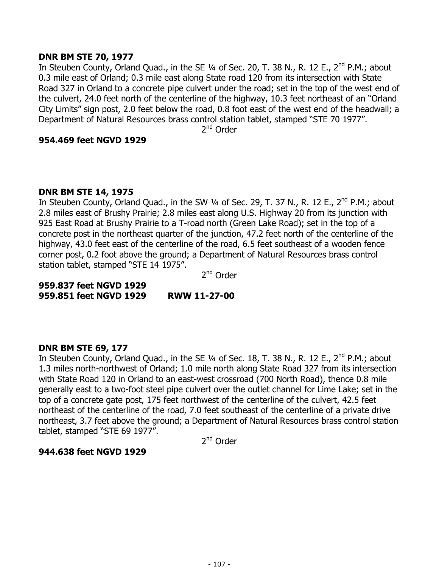#### **DNR BM STE 70, 1977**

In Steuben County, Orland Quad., in the SE 1/4 of Sec. 20, T. 38 N., R. 12 E., 2<sup>nd</sup> P.M.; about 0.3 mile east of Orland; 0.3 mile east along State road 120 from its intersection with State Road 327 in Orland to a concrete pipe culvert under the road; set in the top of the west end of the culvert, 24.0 feet north of the centerline of the highway, 10.3 feet northeast of an "Orland City Limits" sign post, 2.0 feet below the road, 0.8 foot east of the west end of the headwall; a Department of Natural Resources brass control station tablet, stamped "STE 70 1977".

2<sup>nd</sup> Order

#### **954.469 feet NGVD 1929**

#### **DNR BM STE 14, 1975**

In Steuben County, Orland Quad., in the SW 1/4 of Sec. 29, T. 37 N., R. 12 E., 2<sup>nd</sup> P.M.; about 2.8 miles east of Brushy Prairie; 2.8 miles east along U.S. Highway 20 from its junction with 925 East Road at Brushy Prairie to a T-road north (Green Lake Road); set in the top of a concrete post in the northeast quarter of the junction, 47.2 feet north of the centerline of the highway, 43.0 feet east of the centerline of the road, 6.5 feet southeast of a wooden fence corner post, 0.2 foot above the ground; a Department of Natural Resources brass control station tablet, stamped "STE 14 1975".

2<sup>nd</sup> Order

**959.837 feet NGVD 1929 959.851 feet NGVD 1929 RWW 11-27-00** 

#### **DNR BM STE 69, 177**

In Steuben County, Orland Quad., in the SE 1/4 of Sec. 18, T. 38 N., R. 12 E., 2<sup>nd</sup> P.M.; about 1.3 miles north-northwest of Orland; 1.0 mile north along State Road 327 from its intersection with State Road 120 in Orland to an east-west crossroad (700 North Road), thence 0.8 mile generally east to a two-foot steel pipe culvert over the outlet channel for Lime Lake; set in the top of a concrete gate post, 175 feet northwest of the centerline of the culvert, 42.5 feet northeast of the centerline of the road, 7.0 feet southeast of the centerline of a private drive northeast, 3.7 feet above the ground; a Department of Natural Resources brass control station tablet, stamped "STE 69 1977".

2<sup>nd</sup> Order

### **944.638 feet NGVD 1929**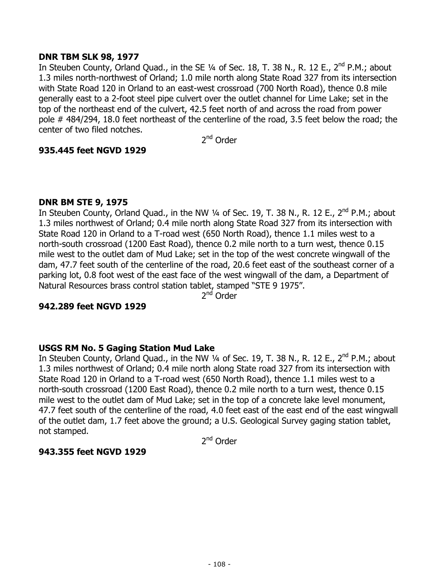### **DNR TBM SLK 98, 1977**

In Steuben County, Orland Quad., in the SE 1/4 of Sec. 18, T. 38 N., R. 12 E., 2<sup>nd</sup> P.M.; about 1.3 miles north-northwest of Orland; 1.0 mile north along State Road 327 from its intersection with State Road 120 in Orland to an east-west crossroad (700 North Road), thence 0.8 mile generally east to a 2-foot steel pipe culvert over the outlet channel for Lime Lake; set in the top of the northeast end of the culvert, 42.5 feet north of and across the road from power pole # 484/294, 18.0 feet northeast of the centerline of the road, 3.5 feet below the road; the center of two filed notches.

2nd Order

# **935.445 feet NGVD 1929**

### **DNR BM STE 9, 1975**

In Steuben County, Orland Quad., in the NW  $\frac{1}{4}$  of Sec. 19, T. 38 N., R. 12 E., 2<sup>nd</sup> P.M.; about 1.3 miles northwest of Orland; 0.4 mile north along State Road 327 from its intersection with State Road 120 in Orland to a T-road west (650 North Road), thence 1.1 miles west to a north-south crossroad (1200 East Road), thence 0.2 mile north to a turn west, thence 0.15 mile west to the outlet dam of Mud Lake; set in the top of the west concrete wingwall of the dam, 47.7 feet south of the centerline of the road, 20.6 feet east of the southeast corner of a parking lot, 0.8 foot west of the east face of the west wingwall of the dam, a Department of Natural Resources brass control station tablet, stamped "STE 9 1975".

2<sup>nd</sup> Order

### **942.289 feet NGVD 1929**

### **USGS RM No. 5 Gaging Station Mud Lake**

In Steuben County, Orland Quad., in the NW 1/4 of Sec. 19, T. 38 N., R. 12 E., 2<sup>nd</sup> P.M.; about 1.3 miles northwest of Orland; 0.4 mile north along State road 327 from its intersection with State Road 120 in Orland to a T-road west (650 North Road), thence 1.1 miles west to a north-south crossroad (1200 East Road), thence 0.2 mile north to a turn west, thence 0.15 mile west to the outlet dam of Mud Lake; set in the top of a concrete lake level monument, 47.7 feet south of the centerline of the road, 4.0 feet east of the east end of the east wingwall of the outlet dam, 1.7 feet above the ground; a U.S. Geological Survey gaging station tablet, not stamped.

2<sup>nd</sup> Order

### **943.355 feet NGVD 1929**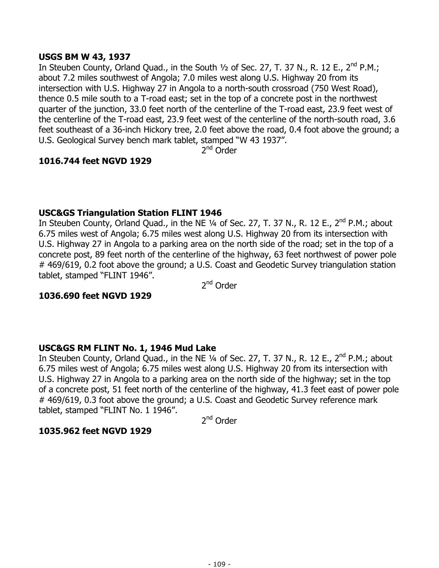## **USGS BM W 43, 1937**

In Steuben County, Orland Quad., in the South  $\frac{1}{2}$  of Sec. 27, T. 37 N., R. 12 E., 2<sup>nd</sup> P.M.; about 7.2 miles southwest of Angola; 7.0 miles west along U.S. Highway 20 from its intersection with U.S. Highway 27 in Angola to a north-south crossroad (750 West Road), thence 0.5 mile south to a T-road east; set in the top of a concrete post in the northwest quarter of the junction, 33.0 feet north of the centerline of the T-road east, 23.9 feet west of the centerline of the T-road east, 23.9 feet west of the centerline of the north-south road, 3.6 feet southeast of a 36-inch Hickory tree, 2.0 feet above the road, 0.4 foot above the ground; a U.S. Geological Survey bench mark tablet, stamped "W 43 1937".

 $2<sup>nd</sup>$  Order

# **1016.744 feet NGVD 1929**

#### **USC&GS Triangulation Station FLINT 1946**

In Steuben County, Orland Quad., in the NE 1/4 of Sec. 27, T. 37 N., R. 12 E., 2<sup>nd</sup> P.M.; about 6.75 miles west of Angola; 6.75 miles west along U.S. Highway 20 from its intersection with U.S. Highway 27 in Angola to a parking area on the north side of the road; set in the top of a concrete post, 89 feet north of the centerline of the highway, 63 feet northwest of power pole # 469/619, 0.2 foot above the ground; a U.S. Coast and Geodetic Survey triangulation station tablet, stamped "FLINT 1946".

2<sup>nd</sup> Order

#### **1036.690 feet NGVD 1929**

#### **USC&GS RM FLINT No. 1, 1946 Mud Lake**

In Steuben County, Orland Quad., in the NE  $\frac{1}{4}$  of Sec. 27, T. 37 N., R. 12 E., 2<sup>nd</sup> P.M.; about 6.75 miles west of Angola; 6.75 miles west along U.S. Highway 20 from its intersection with U.S. Highway 27 in Angola to a parking area on the north side of the highway; set in the top of a concrete post, 51 feet north of the centerline of the highway, 41.3 feet east of power pole # 469/619, 0.3 foot above the ground; a U.S. Coast and Geodetic Survey reference mark tablet, stamped "FLINT No. 1 1946".

2<sup>nd</sup> Order

## **1035.962 feet NGVD 1929**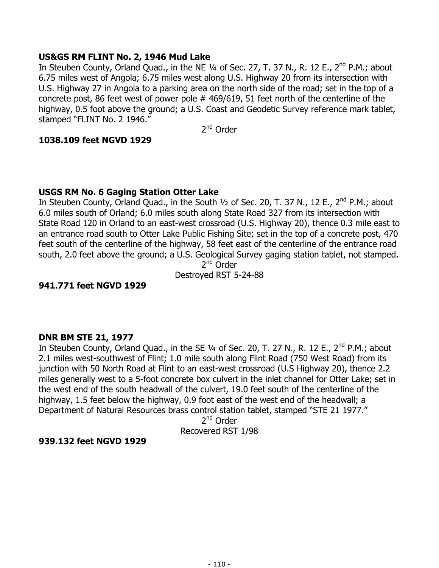## **US&GS RM FLINT No. 2, 1946 Mud Lake**

In Steuben County, Orland Quad., in the NE 1/4 of Sec. 27, T. 37 N., R. 12 E., 2<sup>nd</sup> P.M.; about 6.75 miles west of Angola; 6.75 miles west along U.S. Highway 20 from its intersection with U.S. Highway 27 in Angola to a parking area on the north side of the road; set in the top of a concrete post, 86 feet west of power pole # 469/619, 51 feet north of the centerline of the highway, 0.5 foot above the ground; a U.S. Coast and Geodetic Survey reference mark tablet, stamped "FLINT No. 2 1946."

2<sup>nd</sup> Order

# **1038.109 feet NGVD 1929**

# **USGS RM No. 6 Gaging Station Otter Lake**

In Steuben County, Orland Quad., in the South 1/2 of Sec. 20, T. 37 N., 12 E., 2<sup>nd</sup> P.M.; about 6.0 miles south of Orland; 6.0 miles south along State Road 327 from its intersection with State Road 120 in Orland to an east-west crossroad (U.S. Highway 20), thence 0.3 mile east to an entrance road south to Otter Lake Public Fishing Site; set in the top of a concrete post, 470 feet south of the centerline of the highway, 58 feet east of the centerline of the entrance road south, 2.0 feet above the ground; a U.S. Geological Survey gaging station tablet, not stamped.

2<sup>nd</sup> Order Destroyed RST 5-24-88

**941.771 feet NGVD 1929** 

## **DNR BM STE 21, 1977**

In Steuben County, Orland Quad., in the SE 1/4 of Sec. 20, T. 27 N., R. 12 E., 2<sup>nd</sup> P.M.; about 2.1 miles west-southwest of Flint; 1.0 mile south along Flint Road (750 West Road) from its junction with 50 North Road at Flint to an east-west crossroad (U.S Highway 20), thence 2.2 miles generally west to a 5-foot concrete box culvert in the inlet channel for Otter Lake; set in the west end of the south headwall of the culvert, 19.0 feet south of the centerline of the highway, 1.5 feet below the highway, 0.9 foot east of the west end of the headwall; a Department of Natural Resources brass control station tablet, stamped "STE 21 1977."

> 2<sup>nd</sup> Order Recovered RST 1/98

## **939.132 feet NGVD 1929**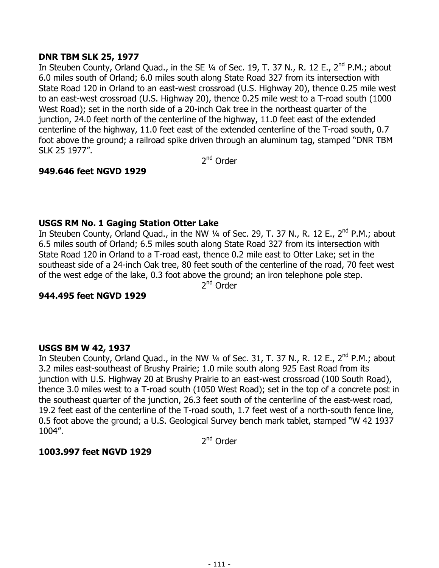## **DNR TBM SLK 25, 1977**

In Steuben County, Orland Quad., in the SE 1/4 of Sec. 19, T. 37 N., R. 12 E., 2<sup>nd</sup> P.M.; about 6.0 miles south of Orland; 6.0 miles south along State Road 327 from its intersection with State Road 120 in Orland to an east-west crossroad (U.S. Highway 20), thence 0.25 mile west to an east-west crossroad (U.S. Highway 20), thence 0.25 mile west to a T-road south (1000 West Road); set in the north side of a 20-inch Oak tree in the northeast quarter of the junction, 24.0 feet north of the centerline of the highway, 11.0 feet east of the extended centerline of the highway, 11.0 feet east of the extended centerline of the T-road south, 0.7 foot above the ground; a railroad spike driven through an aluminum tag, stamped "DNR TBM SLK 25 1977".

2<sup>nd</sup> Order

# **949.646 feet NGVD 1929**

# **USGS RM No. 1 Gaging Station Otter Lake**

In Steuben County, Orland Quad., in the NW  $\frac{1}{4}$  of Sec. 29, T. 37 N., R. 12 E., 2<sup>nd</sup> P.M.; about 6.5 miles south of Orland; 6.5 miles south along State Road 327 from its intersection with State Road 120 in Orland to a T-road east, thence 0.2 mile east to Otter Lake; set in the southeast side of a 24-inch Oak tree, 80 feet south of the centerline of the road, 70 feet west of the west edge of the lake, 0.3 foot above the ground; an iron telephone pole step. 2<sup>nd</sup> Order

## **944.495 feet NGVD 1929**

## **USGS BM W 42, 1937**

In Steuben County, Orland Quad., in the NW  $\frac{1}{4}$  of Sec. 31, T. 37 N., R. 12 E., 2<sup>nd</sup> P.M.; about 3.2 miles east-southeast of Brushy Prairie; 1.0 mile south along 925 East Road from its junction with U.S. Highway 20 at Brushy Prairie to an east-west crossroad (100 South Road), thence 3.0 miles west to a T-road south (1050 West Road); set in the top of a concrete post in the southeast quarter of the junction, 26.3 feet south of the centerline of the east-west road, 19.2 feet east of the centerline of the T-road south, 1.7 feet west of a north-south fence line, 0.5 foot above the ground; a U.S. Geological Survey bench mark tablet, stamped "W 42 1937 1004".

2nd Order

## **1003.997 feet NGVD 1929**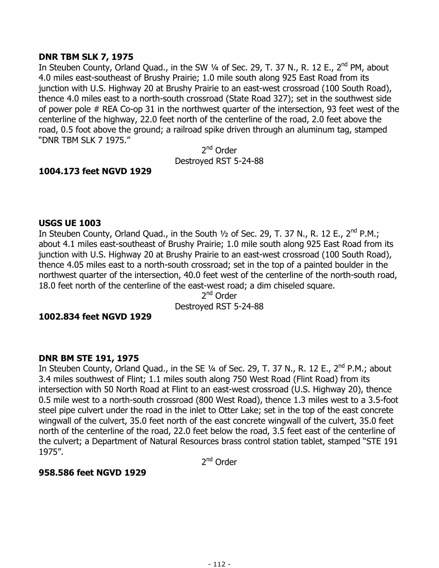## **DNR TBM SLK 7, 1975**

In Steuben County, Orland Quad., in the SW 1/4 of Sec. 29, T. 37 N., R. 12 E., 2<sup>nd</sup> PM, about 4.0 miles east-southeast of Brushy Prairie; 1.0 mile south along 925 East Road from its junction with U.S. Highway 20 at Brushy Prairie to an east-west crossroad (100 South Road), thence 4.0 miles east to a north-south crossroad (State Road 327); set in the southwest side of power pole # REA Co-op 31 in the northwest quarter of the intersection, 93 feet west of the centerline of the highway, 22.0 feet north of the centerline of the road, 2.0 feet above the road, 0.5 foot above the ground; a railroad spike driven through an aluminum tag, stamped "DNR TBM SLK 7 1975."

2<sup>nd</sup> Order Destroyed RST 5-24-88

## **1004.173 feet NGVD 1929**

#### **USGS UE 1003**

In Steuben County, Orland Quad., in the South  $1/2$  of Sec. 29, T. 37 N., R. 12 E., 2<sup>nd</sup> P.M.; about 4.1 miles east-southeast of Brushy Prairie; 1.0 mile south along 925 East Road from its junction with U.S. Highway 20 at Brushy Prairie to an east-west crossroad (100 South Road), thence 4.05 miles east to a north-south crossroad; set in the top of a painted boulder in the northwest quarter of the intersection, 40.0 feet west of the centerline of the north-south road, 18.0 feet north of the centerline of the east-west road; a dim chiseled square.

2<sup>nd</sup> Order Destroyed RST 5-24-88

#### **1002.834 feet NGVD 1929**

#### **DNR BM STE 191, 1975**

In Steuben County, Orland Quad., in the SE 1/4 of Sec. 29, T. 37 N., R. 12 E., 2<sup>nd</sup> P.M.; about 3.4 miles southwest of Flint; 1.1 miles south along 750 West Road (Flint Road) from its intersection with 50 North Road at Flint to an east-west crossroad (U.S. Highway 20), thence 0.5 mile west to a north-south crossroad (800 West Road), thence 1.3 miles west to a 3.5-foot steel pipe culvert under the road in the inlet to Otter Lake; set in the top of the east concrete wingwall of the culvert, 35.0 feet north of the east concrete wingwall of the culvert, 35.0 feet north of the centerline of the road, 22.0 feet below the road, 3.5 feet east of the centerline of the culvert; a Department of Natural Resources brass control station tablet, stamped "STE 191 1975".

2<sup>nd</sup> Order

## **958.586 feet NGVD 1929**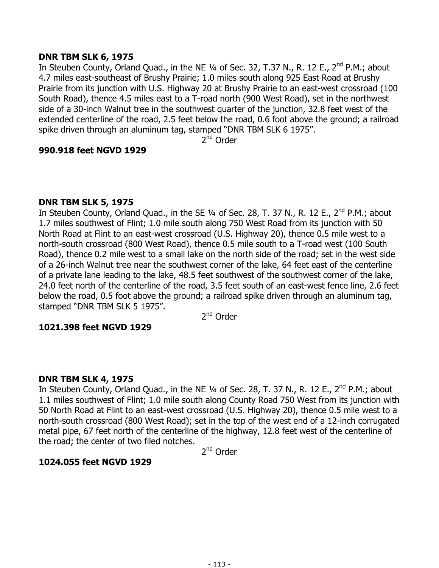## **DNR TBM SLK 6, 1975**

In Steuben County, Orland Quad., in the NE 1/4 of Sec. 32, T.37 N., R. 12 E., 2<sup>nd</sup> P.M.; about 4.7 miles east-southeast of Brushy Prairie; 1.0 miles south along 925 East Road at Brushy Prairie from its junction with U.S. Highway 20 at Brushy Prairie to an east-west crossroad (100 South Road), thence 4.5 miles east to a T-road north (900 West Road), set in the northwest side of a 30-inch Walnut tree in the southwest quarter of the junction, 32.8 feet west of the extended centerline of the road, 2.5 feet below the road, 0.6 foot above the ground; a railroad spike driven through an aluminum tag, stamped "DNR TBM SLK 6 1975".

 $2<sup>nd</sup>$  Order

#### **990.918 feet NGVD 1929**

#### **DNR TBM SLK 5, 1975**

In Steuben County, Orland Quad., in the SE  $\frac{1}{4}$  of Sec. 28, T. 37 N., R. 12 E., 2<sup>nd</sup> P.M.; about 1.7 miles southwest of Flint; 1.0 mile south along 750 West Road from its junction with 50 North Road at Flint to an east-west crossroad (U.S. Highway 20), thence 0.5 mile west to a north-south crossroad (800 West Road), thence 0.5 mile south to a T-road west (100 South Road), thence 0.2 mile west to a small lake on the north side of the road; set in the west side of a 26-inch Walnut tree near the southwest corner of the lake, 64 feet east of the centerline of a private lane leading to the lake, 48.5 feet southwest of the southwest corner of the lake, 24.0 feet north of the centerline of the road, 3.5 feet south of an east-west fence line, 2.6 feet below the road, 0.5 foot above the ground; a railroad spike driven through an aluminum tag, stamped "DNR TBM SLK 5 1975".

2<sup>nd</sup> Order

## **1021.398 feet NGVD 1929**

## **DNR TBM SLK 4, 1975**

In Steuben County, Orland Quad., in the NE  $\frac{1}{4}$  of Sec. 28, T. 37 N., R. 12 E., 2<sup>nd</sup> P.M.; about 1.1 miles southwest of Flint; 1.0 mile south along County Road 750 West from its junction with 50 North Road at Flint to an east-west crossroad (U.S. Highway 20), thence 0.5 mile west to a north-south crossroad (800 West Road); set in the top of the west end of a 12-inch corrugated metal pipe, 67 feet north of the centerline of the highway, 12.8 feet west of the centerline of the road; the center of two filed notches.

2<sup>nd</sup> Order

## **1024.055 feet NGVD 1929**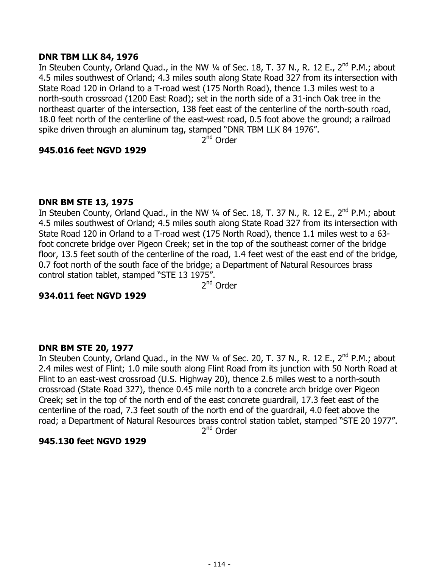## **DNR TBM LLK 84, 1976**

In Steuben County, Orland Quad., in the NW  $\frac{1}{4}$  of Sec. 18, T. 37 N., R. 12 E., 2<sup>nd</sup> P.M.; about 4.5 miles southwest of Orland; 4.3 miles south along State Road 327 from its intersection with State Road 120 in Orland to a T-road west (175 North Road), thence 1.3 miles west to a north-south crossroad (1200 East Road); set in the north side of a 31-inch Oak tree in the northeast quarter of the intersection, 138 feet east of the centerline of the north-south road, 18.0 feet north of the centerline of the east-west road, 0.5 foot above the ground; a railroad spike driven through an aluminum tag, stamped "DNR TBM LLK 84 1976".

 $2<sup>nd</sup>$  Order

## **945.016 feet NGVD 1929**

# **DNR BM STE 13, 1975**

In Steuben County, Orland Quad., in the NW 1/4 of Sec. 18, T. 37 N., R. 12 E., 2<sup>nd</sup> P.M.; about 4.5 miles southwest of Orland; 4.5 miles south along State Road 327 from its intersection with State Road 120 in Orland to a T-road west (175 North Road), thence 1.1 miles west to a 63 foot concrete bridge over Pigeon Creek; set in the top of the southeast corner of the bridge floor, 13.5 feet south of the centerline of the road, 1.4 feet west of the east end of the bridge, 0.7 foot north of the south face of the bridge; a Department of Natural Resources brass control station tablet, stamped "STE 13 1975".

2nd Order

## **934.011 feet NGVD 1929**

## **DNR BM STE 20, 1977**

In Steuben County, Orland Quad., in the NW 1/4 of Sec. 20, T. 37 N., R. 12 E., 2<sup>nd</sup> P.M.; about 2.4 miles west of Flint; 1.0 mile south along Flint Road from its junction with 50 North Road at Flint to an east-west crossroad (U.S. Highway 20), thence 2.6 miles west to a north-south crossroad (State Road 327), thence 0.45 mile north to a concrete arch bridge over Pigeon Creek; set in the top of the north end of the east concrete guardrail, 17.3 feet east of the centerline of the road, 7.3 feet south of the north end of the guardrail, 4.0 feet above the road; a Department of Natural Resources brass control station tablet, stamped "STE 20 1977".

2<sup>nd</sup> Order

## **945.130 feet NGVD 1929**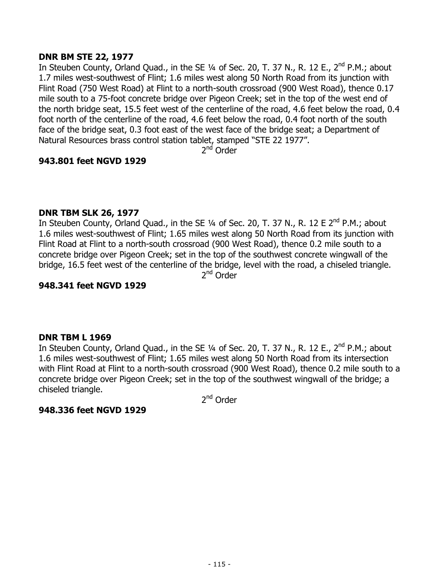## **DNR BM STE 22, 1977**

In Steuben County, Orland Quad., in the SE 1/4 of Sec. 20, T. 37 N., R. 12 E., 2<sup>nd</sup> P.M.; about 1.7 miles west-southwest of Flint; 1.6 miles west along 50 North Road from its junction with Flint Road (750 West Road) at Flint to a north-south crossroad (900 West Road), thence 0.17 mile south to a 75-foot concrete bridge over Pigeon Creek; set in the top of the west end of the north bridge seat, 15.5 feet west of the centerline of the road, 4.6 feet below the road, 0.4 foot north of the centerline of the road, 4.6 feet below the road, 0.4 foot north of the south face of the bridge seat, 0.3 foot east of the west face of the bridge seat; a Department of Natural Resources brass control station tablet, stamped "STE 22 1977".

2<sup>nd</sup> Order

# **943.801 feet NGVD 1929**

## **DNR TBM SLK 26, 1977**

In Steuben County, Orland Quad., in the SE  $\frac{1}{4}$  of Sec. 20, T. 37 N., R. 12 E 2<sup>nd</sup> P.M.; about 1.6 miles west-southwest of Flint; 1.65 miles west along 50 North Road from its junction with Flint Road at Flint to a north-south crossroad (900 West Road), thence 0.2 mile south to a concrete bridge over Pigeon Creek; set in the top of the southwest concrete wingwall of the bridge, 16.5 feet west of the centerline of the bridge, level with the road, a chiseled triangle. 2nd Order

## **948.341 feet NGVD 1929**

## **DNR TBM L 1969**

In Steuben County, Orland Quad., in the SE 1/4 of Sec. 20, T. 37 N., R. 12 E., 2<sup>nd</sup> P.M.; about 1.6 miles west-southwest of Flint; 1.65 miles west along 50 North Road from its intersection with Flint Road at Flint to a north-south crossroad (900 West Road), thence 0.2 mile south to a concrete bridge over Pigeon Creek; set in the top of the southwest wingwall of the bridge; a chiseled triangle.

2<sup>nd</sup> Order

## **948.336 feet NGVD 1929**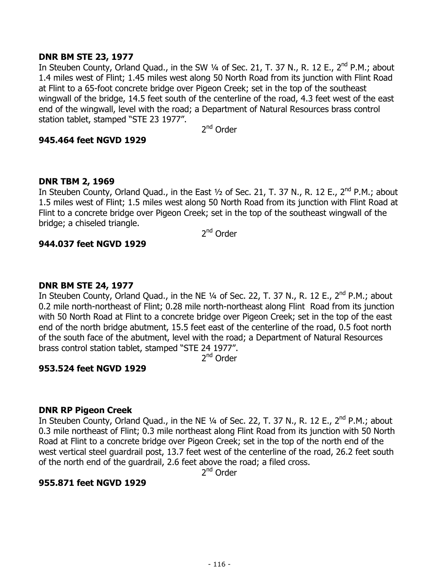## **DNR BM STE 23, 1977**

In Steuben County, Orland Quad., in the SW 1/4 of Sec. 21, T. 37 N., R. 12 E., 2<sup>nd</sup> P.M.; about 1.4 miles west of Flint; 1.45 miles west along 50 North Road from its junction with Flint Road at Flint to a 65-foot concrete bridge over Pigeon Creek; set in the top of the southeast wingwall of the bridge, 14.5 feet south of the centerline of the road, 4.3 feet west of the east end of the wingwall, level with the road; a Department of Natural Resources brass control station tablet, stamped "STE 23 1977".

2<sup>nd</sup> Order

#### **945.464 feet NGVD 1929**

#### **DNR TBM 2, 1969**

In Steuben County, Orland Quad., in the East  $\frac{1}{2}$  of Sec. 21, T. 37 N., R. 12 E., 2<sup>nd</sup> P.M.; about 1.5 miles west of Flint; 1.5 miles west along 50 North Road from its junction with Flint Road at Flint to a concrete bridge over Pigeon Creek; set in the top of the southeast wingwall of the bridge; a chiseled triangle.

2<sup>nd</sup> Order

#### **944.037 feet NGVD 1929**

#### **DNR BM STE 24, 1977**

In Steuben County, Orland Quad., in the NE 1/4 of Sec. 22, T. 37 N., R. 12 E., 2<sup>nd</sup> P.M.; about 0.2 mile north-northeast of Flint; 0.28 mile north-northeast along Flint Road from its junction with 50 North Road at Flint to a concrete bridge over Pigeon Creek; set in the top of the east end of the north bridge abutment, 15.5 feet east of the centerline of the road, 0.5 foot north of the south face of the abutment, level with the road; a Department of Natural Resources brass control station tablet, stamped "STE 24 1977".

2<sup>nd</sup> Order

## **953.524 feet NGVD 1929**

#### **DNR RP Pigeon Creek**

In Steuben County, Orland Quad., in the NE 1/4 of Sec. 22, T. 37 N., R. 12 E., 2<sup>nd</sup> P.M.; about 0.3 mile northeast of Flint; 0.3 mile northeast along Flint Road from its junction with 50 North Road at Flint to a concrete bridge over Pigeon Creek; set in the top of the north end of the west vertical steel guardrail post, 13.7 feet west of the centerline of the road, 26.2 feet south of the north end of the guardrail, 2.6 feet above the road; a filed cross.

2<sup>nd</sup> Order

## **955.871 feet NGVD 1929**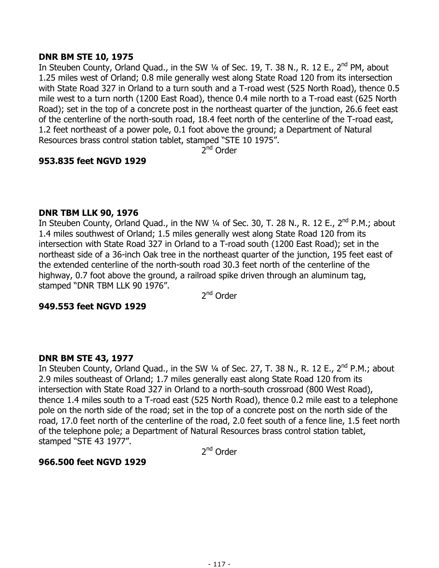## **DNR BM STE 10, 1975**

In Steuben County, Orland Quad., in the SW 1/4 of Sec. 19, T. 38 N., R. 12 E., 2<sup>nd</sup> PM, about 1.25 miles west of Orland; 0.8 mile generally west along State Road 120 from its intersection with State Road 327 in Orland to a turn south and a T-road west (525 North Road), thence 0.5 mile west to a turn north (1200 East Road), thence 0.4 mile north to a T-road east (625 North Road); set in the top of a concrete post in the northeast quarter of the junction, 26.6 feet east of the centerline of the north-south road, 18.4 feet north of the centerline of the T-road east, 1.2 feet northeast of a power pole, 0.1 foot above the ground; a Department of Natural Resources brass control station tablet, stamped "STE 10 1975".

 $2^{nd}$  Order

# **953.835 feet NGVD 1929**

## **DNR TBM LLK 90, 1976**

In Steuben County, Orland Quad., in the NW 1/4 of Sec. 30, T. 28 N., R. 12 E., 2<sup>nd</sup> P.M.; about 1.4 miles southwest of Orland; 1.5 miles generally west along State Road 120 from its intersection with State Road 327 in Orland to a T-road south (1200 East Road); set in the northeast side of a 36-inch Oak tree in the northeast quarter of the junction, 195 feet east of the extended centerline of the north-south road 30.3 feet north of the centerline of the highway, 0.7 foot above the ground, a railroad spike driven through an aluminum tag, stamped "DNR TBM LLK 90 1976".

2<sup>nd</sup> Order

## **949.553 feet NGVD 1929**

## **DNR BM STE 43, 1977**

In Steuben County, Orland Quad., in the SW 1/4 of Sec. 27, T. 38 N., R. 12 E., 2<sup>nd</sup> P.M.; about 2.9 miles southeast of Orland; 1.7 miles generally east along State Road 120 from its intersection with State Road 327 in Orland to a north-south crossroad (800 West Road), thence 1.4 miles south to a T-road east (525 North Road), thence 0.2 mile east to a telephone pole on the north side of the road; set in the top of a concrete post on the north side of the road, 17.0 feet north of the centerline of the road, 2.0 feet south of a fence line, 1.5 feet north of the telephone pole; a Department of Natural Resources brass control station tablet, stamped "STE 43 1977".

2<sup>nd</sup> Order

## **966.500 feet NGVD 1929**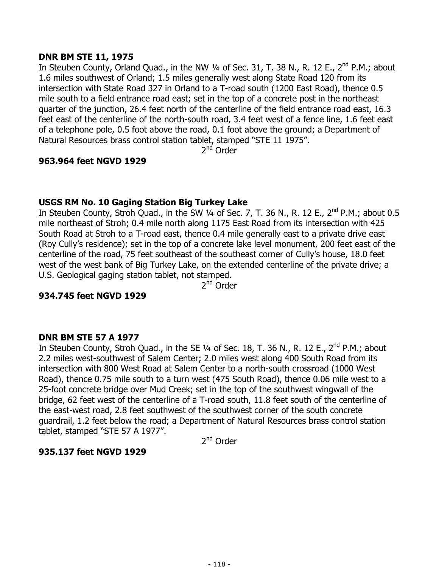## **DNR BM STE 11, 1975**

In Steuben County, Orland Quad., in the NW  $\frac{1}{4}$  of Sec. 31, T. 38 N., R. 12 E., 2<sup>nd</sup> P.M.; about 1.6 miles southwest of Orland; 1.5 miles generally west along State Road 120 from its intersection with State Road 327 in Orland to a T-road south (1200 East Road), thence 0.5 mile south to a field entrance road east; set in the top of a concrete post in the northeast quarter of the junction, 26.4 feet north of the centerline of the field entrance road east, 16.3 feet east of the centerline of the north-south road, 3.4 feet west of a fence line, 1.6 feet east of a telephone pole, 0.5 foot above the road, 0.1 foot above the ground; a Department of Natural Resources brass control station tablet, stamped "STE 11 1975".

2<sup>nd</sup> Order

# **963.964 feet NGVD 1929**

# **USGS RM No. 10 Gaging Station Big Turkey Lake**

In Steuben County, Stroh Quad., in the SW  $\frac{1}{4}$  of Sec. 7, T. 36 N., R. 12 E., 2<sup>nd</sup> P.M.; about 0.5 mile northeast of Stroh; 0.4 mile north along 1175 East Road from its intersection with 425 South Road at Stroh to a T-road east, thence 0.4 mile generally east to a private drive east (Roy Cully's residence); set in the top of a concrete lake level monument, 200 feet east of the centerline of the road, 75 feet southeast of the southeast corner of Cully's house, 18.0 feet west of the west bank of Big Turkey Lake, on the extended centerline of the private drive; a U.S. Geological gaging station tablet, not stamped.

2nd Order

## **934.745 feet NGVD 1929**

## **DNR BM STE 57 A 1977**

In Steuben County, Stroh Quad., in the SE  $1/4$  of Sec. 18, T. 36 N., R. 12 E.,  $2^{nd}$  P.M.; about 2.2 miles west-southwest of Salem Center; 2.0 miles west along 400 South Road from its intersection with 800 West Road at Salem Center to a north-south crossroad (1000 West Road), thence 0.75 mile south to a turn west (475 South Road), thence 0.06 mile west to a 25-foot concrete bridge over Mud Creek; set in the top of the southwest wingwall of the bridge, 62 feet west of the centerline of a T-road south, 11.8 feet south of the centerline of the east-west road, 2.8 feet southwest of the southwest corner of the south concrete guardrail, 1.2 feet below the road; a Department of Natural Resources brass control station tablet, stamped "STE 57 A 1977".

2<sup>nd</sup> Order

## **935.137 feet NGVD 1929**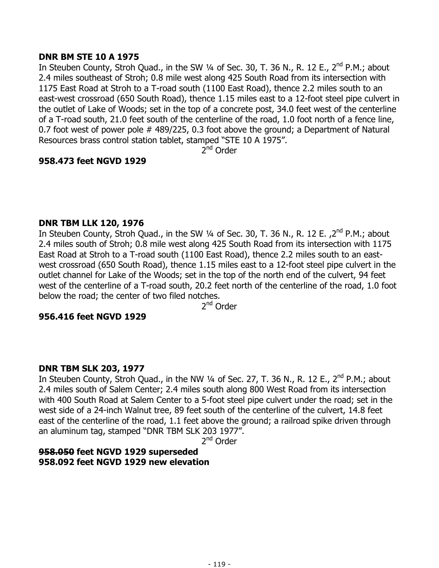# **DNR BM STE 10 A 1975**

In Steuben County, Stroh Quad., in the SW 1/4 of Sec. 30, T. 36 N., R. 12 E., 2<sup>nd</sup> P.M.; about 2.4 miles southeast of Stroh; 0.8 mile west along 425 South Road from its intersection with 1175 East Road at Stroh to a T-road south (1100 East Road), thence 2.2 miles south to an east-west crossroad (650 South Road), thence 1.15 miles east to a 12-foot steel pipe culvert in the outlet of Lake of Woods; set in the top of a concrete post, 34.0 feet west of the centerline of a T-road south, 21.0 feet south of the centerline of the road, 1.0 foot north of a fence line, 0.7 foot west of power pole # 489/225, 0.3 foot above the ground; a Department of Natural Resources brass control station tablet, stamped "STE 10 A 1975".

 $2^{nd}$  Order

# **958.473 feet NGVD 1929**

#### **DNR TBM LLK 120, 1976**

In Steuben County, Stroh Quad., in the SW  $\frac{1}{4}$  of Sec. 30, T. 36 N., R. 12 E.,  $2^{nd}$  P.M.; about 2.4 miles south of Stroh; 0.8 mile west along 425 South Road from its intersection with 1175 East Road at Stroh to a T-road south (1100 East Road), thence 2.2 miles south to an eastwest crossroad (650 South Road), thence 1.15 miles east to a 12-foot steel pipe culvert in the outlet channel for Lake of the Woods; set in the top of the north end of the culvert, 94 feet west of the centerline of a T-road south, 20.2 feet north of the centerline of the road, 1.0 foot below the road; the center of two filed notches.

2nd Order

## **956.416 feet NGVD 1929**

## **DNR TBM SLK 203, 1977**

In Steuben County, Stroh Quad., in the NW  $\frac{1}{4}$  of Sec. 27, T. 36 N., R. 12 E., 2<sup>nd</sup> P.M.; about 2.4 miles south of Salem Center; 2.4 miles south along 800 West Road from its intersection with 400 South Road at Salem Center to a 5-foot steel pipe culvert under the road; set in the west side of a 24-inch Walnut tree, 89 feet south of the centerline of the culvert, 14.8 feet east of the centerline of the road, 1.1 feet above the ground; a railroad spike driven through an aluminum tag, stamped "DNR TBM SLK 203 1977".

2nd Order

**958.050 feet NGVD 1929 superseded 958.092 feet NGVD 1929 new elevation**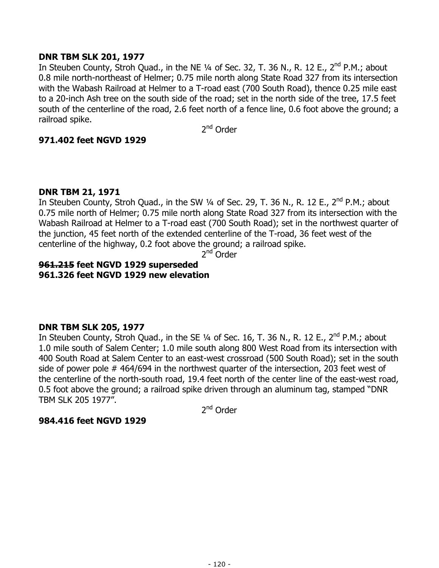## **DNR TBM SLK 201, 1977**

In Steuben County, Stroh Quad., in the NE  $\frac{1}{4}$  of Sec. 32, T. 36 N., R. 12 E., 2<sup>nd</sup> P.M.; about 0.8 mile north-northeast of Helmer; 0.75 mile north along State Road 327 from its intersection with the Wabash Railroad at Helmer to a T-road east (700 South Road), thence 0.25 mile east to a 20-inch Ash tree on the south side of the road; set in the north side of the tree, 17.5 feet south of the centerline of the road, 2.6 feet north of a fence line, 0.6 foot above the ground; a railroad spike.

2<sup>nd</sup> Order

# **971.402 feet NGVD 1929**

## **DNR TBM 21, 1971**

In Steuben County, Stroh Quad., in the SW 1/4 of Sec. 29, T. 36 N., R. 12 E., 2<sup>nd</sup> P.M.; about 0.75 mile north of Helmer; 0.75 mile north along State Road 327 from its intersection with the Wabash Railroad at Helmer to a T-road east (700 South Road); set in the northwest quarter of the junction, 45 feet north of the extended centerline of the T-road, 36 feet west of the centerline of the highway, 0.2 foot above the ground; a railroad spike.

2<sup>nd</sup> Order

# **961.215 feet NGVD 1929 superseded 961.326 feet NGVD 1929 new elevation**

## **DNR TBM SLK 205, 1977**

In Steuben County, Stroh Quad., in the SE  $\frac{1}{4}$  of Sec. 16, T. 36 N., R. 12 E., 2<sup>nd</sup> P.M.; about 1.0 mile south of Salem Center; 1.0 mile south along 800 West Road from its intersection with 400 South Road at Salem Center to an east-west crossroad (500 South Road); set in the south side of power pole # 464/694 in the northwest quarter of the intersection, 203 feet west of the centerline of the north-south road, 19.4 feet north of the center line of the east-west road, 0.5 foot above the ground; a railroad spike driven through an aluminum tag, stamped "DNR TBM SLK 205 1977".

2nd Order

## **984.416 feet NGVD 1929**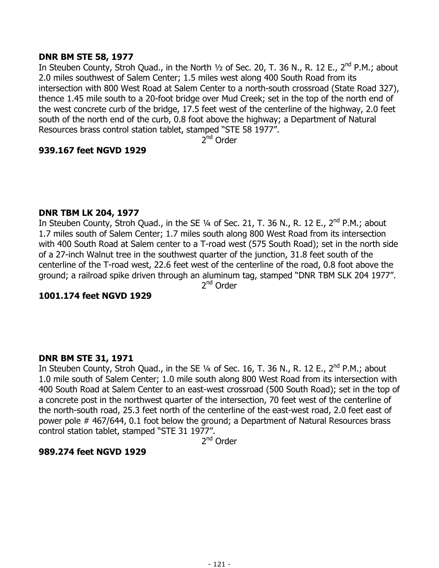## **DNR BM STE 58, 1977**

In Steuben County, Stroh Quad., in the North  $1/2$  of Sec. 20, T. 36 N., R. 12 E., 2<sup>nd</sup> P.M.; about 2.0 miles southwest of Salem Center; 1.5 miles west along 400 South Road from its intersection with 800 West Road at Salem Center to a north-south crossroad (State Road 327), thence 1.45 mile south to a 20-foot bridge over Mud Creek; set in the top of the north end of the west concrete curb of the bridge, 17.5 feet west of the centerline of the highway, 2.0 feet south of the north end of the curb, 0.8 foot above the highway; a Department of Natural Resources brass control station tablet, stamped "STE 58 1977".

 $2^{nd}$  Order

# **939.167 feet NGVD 1929**

## **DNR TBM LK 204, 1977**

In Steuben County, Stroh Quad., in the SE 1/4 of Sec. 21, T. 36 N., R. 12 E., 2<sup>nd</sup> P.M.; about 1.7 miles south of Salem Center; 1.7 miles south along 800 West Road from its intersection with 400 South Road at Salem center to a T-road west (575 South Road); set in the north side of a 27-inch Walnut tree in the southwest quarter of the junction, 31.8 feet south of the centerline of the T-road west, 22.6 feet west of the centerline of the road, 0.8 foot above the ground; a railroad spike driven through an aluminum tag, stamped "DNR TBM SLK 204 1977". 2nd Order

## **1001.174 feet NGVD 1929**

# **DNR BM STE 31, 1971**

In Steuben County, Stroh Quad., in the SE  $\frac{1}{4}$  of Sec. 16, T. 36 N., R. 12 E., 2<sup>nd</sup> P.M.; about 1.0 mile south of Salem Center; 1.0 mile south along 800 West Road from its intersection with 400 South Road at Salem Center to an east-west crossroad (500 South Road); set in the top of a concrete post in the northwest quarter of the intersection, 70 feet west of the centerline of the north-south road, 25.3 feet north of the centerline of the east-west road, 2.0 feet east of power pole # 467/644, 0.1 foot below the ground; a Department of Natural Resources brass control station tablet, stamped "STE 31 1977".

2nd Order

## **989.274 feet NGVD 1929**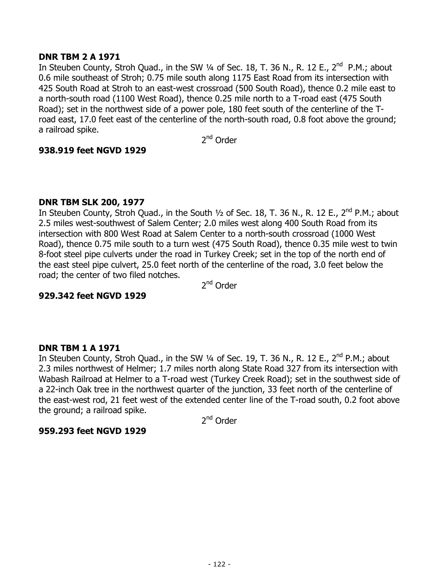## **DNR TBM 2 A 1971**

In Steuben County, Stroh Quad., in the SW 1/4 of Sec. 18, T. 36 N., R. 12 E., 2<sup>nd</sup> P.M.; about 0.6 mile southeast of Stroh; 0.75 mile south along 1175 East Road from its intersection with 425 South Road at Stroh to an east-west crossroad (500 South Road), thence 0.2 mile east to a north-south road (1100 West Road), thence 0.25 mile north to a T-road east (475 South Road); set in the northwest side of a power pole, 180 feet south of the centerline of the Troad east, 17.0 feet east of the centerline of the north-south road, 0.8 foot above the ground; a railroad spike.

2nd Order

## **938.919 feet NGVD 1929**

# **DNR TBM SLK 200, 1977**

In Steuben County, Stroh Quad., in the South  $1/2$  of Sec. 18, T. 36 N., R. 12 E., 2<sup>nd</sup> P.M.; about 2.5 miles west-southwest of Salem Center; 2.0 miles west along 400 South Road from its intersection with 800 West Road at Salem Center to a north-south crossroad (1000 West Road), thence 0.75 mile south to a turn west (475 South Road), thence 0.35 mile west to twin 8-foot steel pipe culverts under the road in Turkey Creek; set in the top of the north end of the east steel pipe culvert, 25.0 feet north of the centerline of the road, 3.0 feet below the road; the center of two filed notches.

2<sup>nd</sup> Order

# **929.342 feet NGVD 1929**

## **DNR TBM 1 A 1971**

In Steuben County, Stroh Quad., in the SW 1/4 of Sec. 19, T. 36 N., R. 12 E., 2<sup>nd</sup> P.M.; about 2.3 miles northwest of Helmer; 1.7 miles north along State Road 327 from its intersection with Wabash Railroad at Helmer to a T-road west (Turkey Creek Road); set in the southwest side of a 22-inch Oak tree in the northwest quarter of the junction, 33 feet north of the centerline of the east-west rod, 21 feet west of the extended center line of the T-road south, 0.2 foot above the ground; a railroad spike.

2<sup>nd</sup> Order

# **959.293 feet NGVD 1929**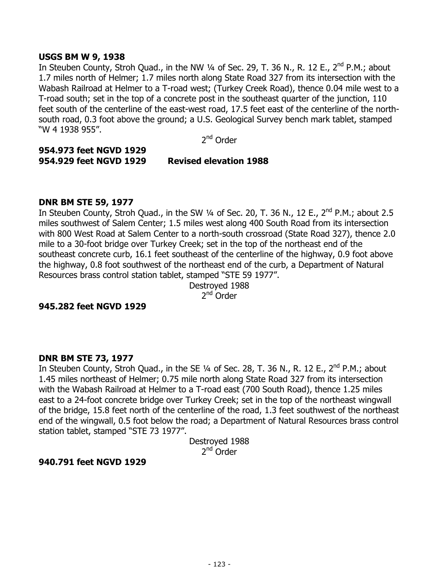#### **USGS BM W 9, 1938**

In Steuben County, Stroh Quad., in the NW 1/4 of Sec. 29, T. 36 N., R. 12 E., 2<sup>nd</sup> P.M.; about 1.7 miles north of Helmer; 1.7 miles north along State Road 327 from its intersection with the Wabash Railroad at Helmer to a T-road west; (Turkey Creek Road), thence 0.04 mile west to a T-road south; set in the top of a concrete post in the southeast quarter of the junction, 110 feet south of the centerline of the east-west road, 17.5 feet east of the centerline of the northsouth road, 0.3 foot above the ground; a U.S. Geological Survey bench mark tablet, stamped "W 4 1938 955".

2nd Order

#### **954.973 feet NGVD 1929 954.929 feet NGVD 1929 Revised elevation 1988**

#### **DNR BM STE 59, 1977**

In Steuben County, Stroh Quad., in the SW  $\frac{1}{4}$  of Sec. 20, T. 36 N., 12 E., 2<sup>nd</sup> P.M.; about 2.5 miles southwest of Salem Center; 1.5 miles west along 400 South Road from its intersection with 800 West Road at Salem Center to a north-south crossroad (State Road 327), thence 2.0 mile to a 30-foot bridge over Turkey Creek; set in the top of the northeast end of the southeast concrete curb, 16.1 feet southeast of the centerline of the highway, 0.9 foot above the highway, 0.8 foot southwest of the northeast end of the curb, a Department of Natural Resources brass control station tablet, stamped "STE 59 1977".

> Destroyed 1988 2<sup>nd</sup> Order

#### **945.282 feet NGVD 1929**

## **DNR BM STE 73, 1977**

In Steuben County, Stroh Quad., in the SE 1/4 of Sec. 28, T. 36 N., R. 12 E., 2<sup>nd</sup> P.M.; about 1.45 miles northeast of Helmer; 0.75 mile north along State Road 327 from its intersection with the Wabash Railroad at Helmer to a T-road east (700 South Road), thence 1.25 miles east to a 24-foot concrete bridge over Turkey Creek; set in the top of the northeast wingwall of the bridge, 15.8 feet north of the centerline of the road, 1.3 feet southwest of the northeast end of the wingwall, 0.5 foot below the road; a Department of Natural Resources brass control station tablet, stamped "STE 73 1977".

Destroyed 1988  $2^{nd}$  Order

## **940.791 feet NGVD 1929**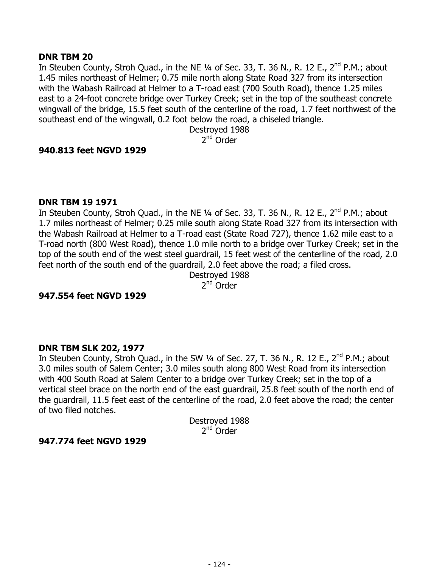#### **DNR TBM 20**

In Steuben County, Stroh Quad., in the NE  $\frac{1}{4}$  of Sec. 33, T. 36 N., R. 12 E., 2<sup>nd</sup> P.M.; about 1.45 miles northeast of Helmer; 0.75 mile north along State Road 327 from its intersection with the Wabash Railroad at Helmer to a T-road east (700 South Road), thence 1.25 miles east to a 24-foot concrete bridge over Turkey Creek; set in the top of the southeast concrete wingwall of the bridge, 15.5 feet south of the centerline of the road, 1.7 feet northwest of the southeast end of the wingwall, 0.2 foot below the road, a chiseled triangle.

> Destroyed 1988 2nd Order

#### **940.813 feet NGVD 1929**

#### **DNR TBM 19 1971**

In Steuben County, Stroh Quad., in the NE  $\frac{1}{4}$  of Sec. 33, T. 36 N., R. 12 E., 2<sup>nd</sup> P.M.; about 1.7 miles northeast of Helmer; 0.25 mile south along State Road 327 from its intersection with the Wabash Railroad at Helmer to a T-road east (State Road 727), thence 1.62 mile east to a T-road north (800 West Road), thence 1.0 mile north to a bridge over Turkey Creek; set in the top of the south end of the west steel guardrail, 15 feet west of the centerline of the road, 2.0 feet north of the south end of the guardrail, 2.0 feet above the road; a filed cross.

Destroyed 1988 2<sup>nd</sup> Order

## **947.554 feet NGVD 1929**

#### **DNR TBM SLK 202, 1977**

In Steuben County, Stroh Quad., in the SW 1/4 of Sec. 27, T. 36 N., R. 12 E., 2<sup>nd</sup> P.M.; about 3.0 miles south of Salem Center; 3.0 miles south along 800 West Road from its intersection with 400 South Road at Salem Center to a bridge over Turkey Creek; set in the top of a vertical steel brace on the north end of the east guardrail, 25.8 feet south of the north end of the guardrail, 11.5 feet east of the centerline of the road, 2.0 feet above the road; the center of two filed notches.

> Destroyed 1988  $2<sup>nd</sup>$  Order

#### **947.774 feet NGVD 1929**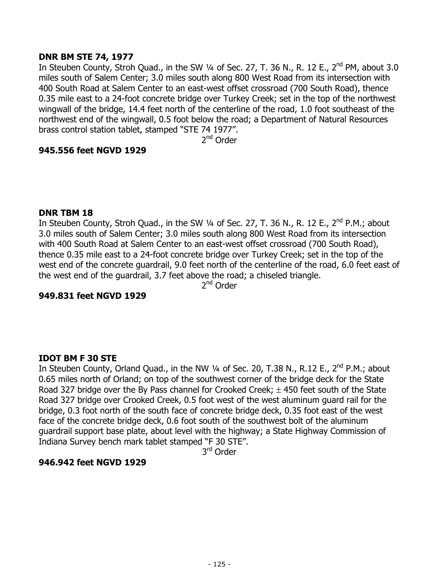## **DNR BM STE 74, 1977**

In Steuben County, Stroh Quad., in the SW  $\frac{1}{4}$  of Sec. 27, T. 36 N., R. 12 E., 2<sup>nd</sup> PM, about 3.0 miles south of Salem Center; 3.0 miles south along 800 West Road from its intersection with 400 South Road at Salem Center to an east-west offset crossroad (700 South Road), thence 0.35 mile east to a 24-foot concrete bridge over Turkey Creek; set in the top of the northwest wingwall of the bridge, 14.4 feet north of the centerline of the road, 1.0 foot southeast of the northwest end of the wingwall, 0.5 foot below the road; a Department of Natural Resources brass control station tablet, stamped "STE 74 1977".

2nd Order

# **945.556 feet NGVD 1929**

#### **DNR TBM 18**

In Steuben County, Stroh Quad., in the SW 1/4 of Sec. 27, T. 36 N., R. 12 E., 2<sup>nd</sup> P.M.; about 3.0 miles south of Salem Center; 3.0 miles south along 800 West Road from its intersection with 400 South Road at Salem Center to an east-west offset crossroad (700 South Road), thence 0.35 mile east to a 24-foot concrete bridge over Turkey Creek; set in the top of the west end of the concrete guardrail, 9.0 feet north of the centerline of the road, 6.0 feet east of the west end of the guardrail, 3.7 feet above the road; a chiseled triangle.

2<sup>nd</sup> Order

## **949.831 feet NGVD 1929**

# **IDOT BM F 30 STE**

In Steuben County, Orland Quad., in the NW 1/4 of Sec. 20, T.38 N., R.12 E., 2<sup>nd</sup> P.M.; about 0.65 miles north of Orland; on top of the southwest corner of the bridge deck for the State Road 327 bridge over the By Pass channel for Crooked Creek;  $\pm$  450 feet south of the State Road 327 bridge over Crooked Creek, 0.5 foot west of the west aluminum guard rail for the bridge, 0.3 foot north of the south face of concrete bridge deck, 0.35 foot east of the west face of the concrete bridge deck, 0.6 foot south of the southwest bolt of the aluminum guardrail support base plate, about level with the highway; a State Highway Commission of Indiana Survey bench mark tablet stamped "F 30 STE".

3rd Order

## **946.942 feet NGVD 1929**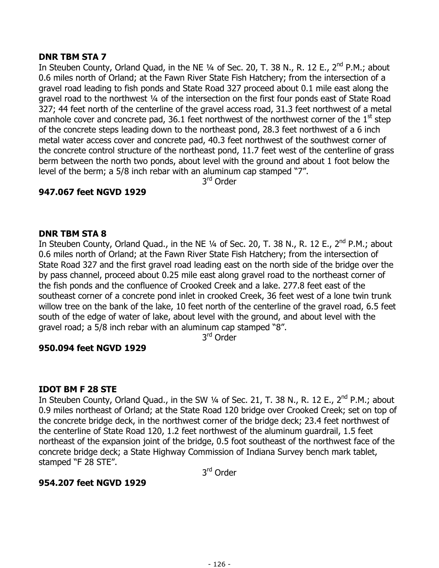# **DNR TBM STA 7**

In Steuben County, Orland Quad, in the NE 1/4 of Sec. 20, T. 38 N., R. 12 E., 2<sup>nd</sup> P.M.; about 0.6 miles north of Orland; at the Fawn River State Fish Hatchery; from the intersection of a gravel road leading to fish ponds and State Road 327 proceed about 0.1 mile east along the gravel road to the northwest ¼ of the intersection on the first four ponds east of State Road 327; 44 feet north of the centerline of the gravel access road, 31.3 feet northwest of a metal manhole cover and concrete pad, 36.1 feet northwest of the northwest corner of the  $1<sup>st</sup>$  step of the concrete steps leading down to the northeast pond, 28.3 feet northwest of a 6 inch metal water access cover and concrete pad, 40.3 feet northwest of the southwest corner of the concrete control structure of the northeast pond, 11.7 feet west of the centerline of grass berm between the north two ponds, about level with the ground and about 1 foot below the level of the berm; a 5/8 inch rebar with an aluminum cap stamped "7".

3<sup>rd</sup> Order

# **947.067 feet NGVD 1929**

# **DNR TBM STA 8**

In Steuben County, Orland Quad., in the NE  $\frac{1}{4}$  of Sec. 20, T. 38 N., R. 12 E., 2<sup>nd</sup> P.M.; about 0.6 miles north of Orland; at the Fawn River State Fish Hatchery; from the intersection of State Road 327 and the first gravel road leading east on the north side of the bridge over the by pass channel, proceed about 0.25 mile east along gravel road to the northeast corner of the fish ponds and the confluence of Crooked Creek and a lake. 277.8 feet east of the southeast corner of a concrete pond inlet in crooked Creek, 36 feet west of a lone twin trunk willow tree on the bank of the lake, 10 feet north of the centerline of the gravel road, 6.5 feet south of the edge of water of lake, about level with the ground, and about level with the gravel road; a 5/8 inch rebar with an aluminum cap stamped "8".

3rd Order

## **950.094 feet NGVD 1929**

## **IDOT BM F 28 STE**

In Steuben County, Orland Quad., in the SW 1/4 of Sec. 21, T. 38 N., R. 12 E., 2<sup>nd</sup> P.M.; about 0.9 miles northeast of Orland; at the State Road 120 bridge over Crooked Creek; set on top of the concrete bridge deck, in the northwest corner of the bridge deck; 23.4 feet northwest of the centerline of State Road 120, 1.2 feet northwest of the aluminum guardrail, 1.5 feet northeast of the expansion joint of the bridge, 0.5 foot southeast of the northwest face of the concrete bridge deck; a State Highway Commission of Indiana Survey bench mark tablet, stamped "F 28 STE".

3rd Order

## **954.207 feet NGVD 1929**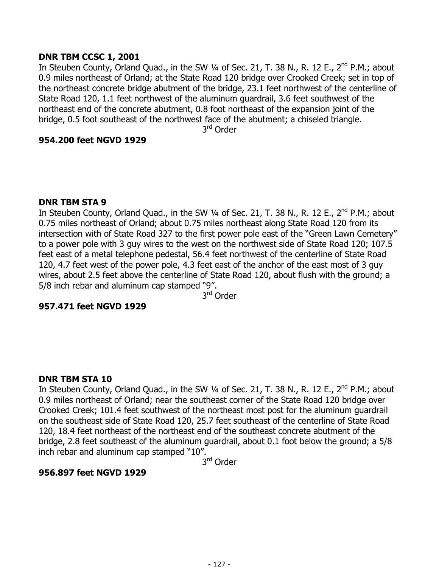## **DNR TBM CCSC 1, 2001**

In Steuben County, Orland Quad., in the SW 1/4 of Sec. 21, T. 38 N., R. 12 E., 2<sup>nd</sup> P.M.; about 0.9 miles northeast of Orland; at the State Road 120 bridge over Crooked Creek; set in top of the northeast concrete bridge abutment of the bridge, 23.1 feet northwest of the centerline of State Road 120, 1.1 feet northwest of the aluminum guardrail, 3.6 feet southwest of the northeast end of the concrete abutment, 0.8 foot northeast of the expansion joint of the bridge, 0.5 foot southeast of the northwest face of the abutment; a chiseled triangle.

3<sup>rd</sup> Order

## **954.200 feet NGVD 1929**

## **DNR TBM STA 9**

In Steuben County, Orland Quad., in the SW 1/4 of Sec. 21, T. 38 N., R. 12 E., 2<sup>nd</sup> P.M.; about 0.75 miles northeast of Orland; about 0.75 miles northeast along State Road 120 from its intersection with of State Road 327 to the first power pole east of the "Green Lawn Cemetery" to a power pole with 3 guy wires to the west on the northwest side of State Road 120; 107.5 feet east of a metal telephone pedestal, 56.4 feet northwest of the centerline of State Road 120, 4.7 feet west of the power pole, 4.3 feet east of the anchor of the east most of 3 guy wires, about 2.5 feet above the centerline of State Road 120, about flush with the ground; a 5/8 inch rebar and aluminum cap stamped "9".

3rd Order

# **957.471 feet NGVD 1929**

## **DNR TBM STA 10**

In Steuben County, Orland Quad., in the SW  $\frac{1}{4}$  of Sec. 21, T. 38 N., R. 12 E.,  $2^{nd}$  P.M.; about 0.9 miles northeast of Orland; near the southeast corner of the State Road 120 bridge over Crooked Creek; 101.4 feet southwest of the northeast most post for the aluminum guardrail on the southeast side of State Road 120, 25.7 feet southeast of the centerline of State Road 120, 18.4 feet northeast of the northeast end of the southeast concrete abutment of the bridge, 2.8 feet southeast of the aluminum guardrail, about 0.1 foot below the ground; a 5/8 inch rebar and aluminum cap stamped "10".

3rd Order

# **956.897 feet NGVD 1929**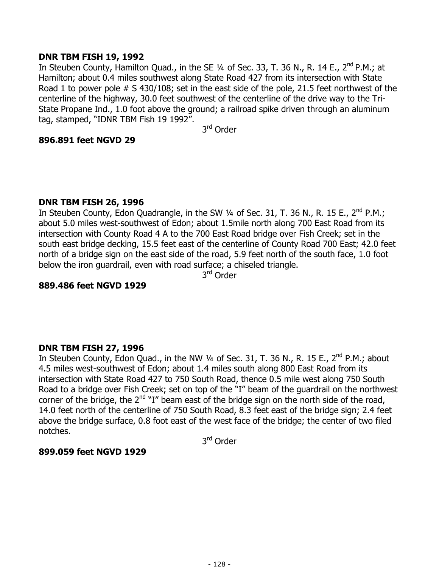## **DNR TBM FISH 19, 1992**

In Steuben County, Hamilton Quad., in the SE 1/4 of Sec. 33, T. 36 N., R. 14 E., 2<sup>nd</sup> P.M.; at Hamilton; about 0.4 miles southwest along State Road 427 from its intersection with State Road 1 to power pole # S 430/108; set in the east side of the pole, 21.5 feet northwest of the centerline of the highway, 30.0 feet southwest of the centerline of the drive way to the Tri-State Propane Ind., 1.0 foot above the ground; a railroad spike driven through an aluminum tag, stamped, "IDNR TBM Fish 19 1992".

3rd Order

## **896.891 feet NGVD 29**

## **DNR TBM FISH 26, 1996**

In Steuben County, Edon Quadrangle, in the SW 1/4 of Sec. 31, T. 36 N., R. 15 E., 2<sup>nd</sup> P.M.; about 5.0 miles west-southwest of Edon; about 1.5mile north along 700 East Road from its intersection with County Road 4 A to the 700 East Road bridge over Fish Creek; set in the south east bridge decking, 15.5 feet east of the centerline of County Road 700 East; 42.0 feet north of a bridge sign on the east side of the road, 5.9 feet north of the south face, 1.0 foot below the iron guardrail, even with road surface; a chiseled triangle.

3rd Order

# **889.486 feet NGVD 1929**

## **DNR TBM FISH 27, 1996**

In Steuben County, Edon Quad., in the NW 1/4 of Sec. 31, T. 36 N., R. 15 E., 2<sup>nd</sup> P.M.; about 4.5 miles west-southwest of Edon; about 1.4 miles south along 800 East Road from its intersection with State Road 427 to 750 South Road, thence 0.5 mile west along 750 South Road to a bridge over Fish Creek; set on top of the "I" beam of the guardrail on the northwest corner of the bridge, the  $2<sup>nd</sup>$ "I" beam east of the bridge sign on the north side of the road, 14.0 feet north of the centerline of 750 South Road, 8.3 feet east of the bridge sign; 2.4 feet above the bridge surface, 0.8 foot east of the west face of the bridge; the center of two filed notches.

3rd Order

## **899.059 feet NGVD 1929**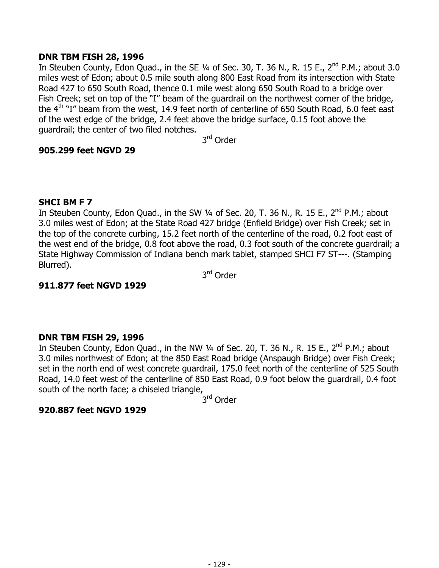## **DNR TBM FISH 28, 1996**

In Steuben County, Edon Quad., in the SE  $1/4$  of Sec. 30, T. 36 N., R. 15 E., 2<sup>nd</sup> P.M.; about 3.0 miles west of Edon; about 0.5 mile south along 800 East Road from its intersection with State Road 427 to 650 South Road, thence 0.1 mile west along 650 South Road to a bridge over Fish Creek; set on top of the "I" beam of the guardrail on the northwest corner of the bridge, the  $4<sup>th</sup>$  "I" beam from the west, 14.9 feet north of centerline of 650 South Road, 6.0 feet east of the west edge of the bridge, 2.4 feet above the bridge surface, 0.15 foot above the guardrail; the center of two filed notches.

3rd Order

## **905.299 feet NGVD 29**

# **SHCI BM F 7**

In Steuben County, Edon Quad., in the SW  $\frac{1}{4}$  of Sec. 20, T. 36 N., R. 15 E., 2<sup>nd</sup> P.M.; about 3.0 miles west of Edon; at the State Road 427 bridge (Enfield Bridge) over Fish Creek; set in the top of the concrete curbing, 15.2 feet north of the centerline of the road, 0.2 foot east of the west end of the bridge, 0.8 foot above the road, 0.3 foot south of the concrete guardrail; a State Highway Commission of Indiana bench mark tablet, stamped SHCI F7 ST---. (Stamping Blurred).

3rd Order

# **911.877 feet NGVD 1929**

## **DNR TBM FISH 29, 1996**

In Steuben County, Edon Quad., in the NW  $\frac{1}{4}$  of Sec. 20, T. 36 N., R. 15 E., 2<sup>nd</sup> P.M.; about 3.0 miles northwest of Edon; at the 850 East Road bridge (Anspaugh Bridge) over Fish Creek; set in the north end of west concrete guardrail, 175.0 feet north of the centerline of 525 South Road, 14.0 feet west of the centerline of 850 East Road, 0.9 foot below the guardrail, 0.4 foot south of the north face; a chiseled triangle,

3rd Order

## **920.887 feet NGVD 1929**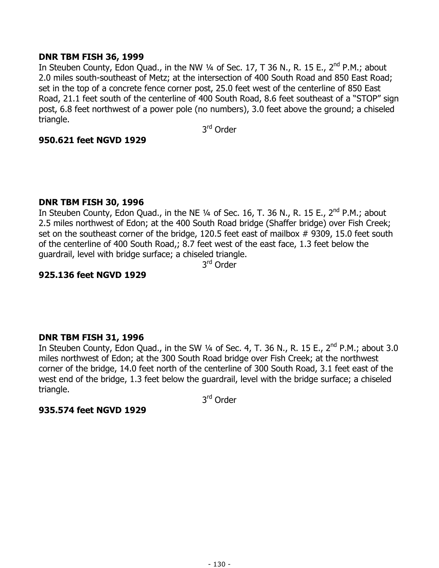## **DNR TBM FISH 36, 1999**

In Steuben County, Edon Quad., in the NW  $\frac{1}{4}$  of Sec. 17, T 36 N., R. 15 E., 2<sup>nd</sup> P.M.; about 2.0 miles south-southeast of Metz; at the intersection of 400 South Road and 850 East Road; set in the top of a concrete fence corner post, 25.0 feet west of the centerline of 850 East Road, 21.1 feet south of the centerline of 400 South Road, 8.6 feet southeast of a "STOP" sign post, 6.8 feet northwest of a power pole (no numbers), 3.0 feet above the ground; a chiseled triangle.

3rd Order

## **950.621 feet NGVD 1929**

#### **DNR TBM FISH 30, 1996**

In Steuben County, Edon Quad., in the NE 1/4 of Sec. 16, T. 36 N., R. 15 E., 2<sup>nd</sup> P.M.; about 2.5 miles northwest of Edon; at the 400 South Road bridge (Shaffer bridge) over Fish Creek; set on the southeast corner of the bridge, 120.5 feet east of mailbox # 9309, 15.0 feet south of the centerline of 400 South Road,; 8.7 feet west of the east face, 1.3 feet below the guardrail, level with bridge surface; a chiseled triangle.

3rd Order

#### **925.136 feet NGVD 1929**

#### **DNR TBM FISH 31, 1996**

In Steuben County, Edon Quad., in the SW  $\frac{1}{4}$  of Sec. 4, T. 36 N., R. 15 E., 2<sup>nd</sup> P.M.; about 3.0 miles northwest of Edon; at the 300 South Road bridge over Fish Creek; at the northwest corner of the bridge, 14.0 feet north of the centerline of 300 South Road, 3.1 feet east of the west end of the bridge, 1.3 feet below the guardrail, level with the bridge surface; a chiseled triangle.

3rd Order

#### **935.574 feet NGVD 1929**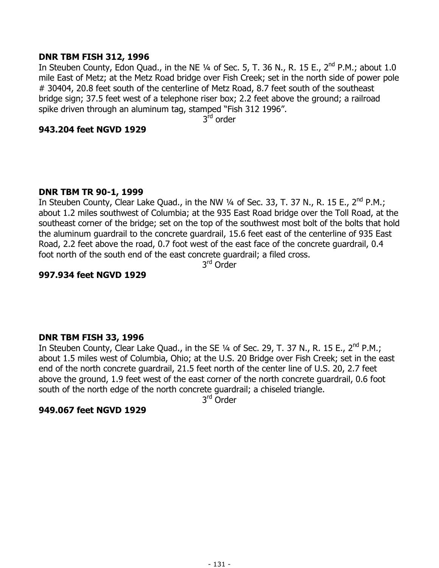## **DNR TBM FISH 312, 1996**

In Steuben County, Edon Quad., in the NE  $\frac{1}{4}$  of Sec. 5, T. 36 N., R. 15 E., 2<sup>nd</sup> P.M.; about 1.0 mile East of Metz; at the Metz Road bridge over Fish Creek; set in the north side of power pole # 30404, 20.8 feet south of the centerline of Metz Road, 8.7 feet south of the southeast bridge sign; 37.5 feet west of a telephone riser box; 2.2 feet above the ground; a railroad spike driven through an aluminum tag, stamped "Fish 312 1996".

3<sup>rd</sup> order

#### **943.204 feet NGVD 1929**

## **DNR TBM TR 90-1, 1999**

In Steuben County, Clear Lake Quad., in the NW 1/4 of Sec. 33, T. 37 N., R. 15 E., 2<sup>nd</sup> P.M.; about 1.2 miles southwest of Columbia; at the 935 East Road bridge over the Toll Road, at the southeast corner of the bridge; set on the top of the southwest most bolt of the bolts that hold the aluminum guardrail to the concrete guardrail, 15.6 feet east of the centerline of 935 East Road, 2.2 feet above the road, 0.7 foot west of the east face of the concrete guardrail, 0.4 foot north of the south end of the east concrete guardrail; a filed cross.

3rd Order

#### **997.934 feet NGVD 1929**

#### **DNR TBM FISH 33, 1996**

In Steuben County, Clear Lake Quad., in the SE 1/4 of Sec. 29, T. 37 N., R. 15 E., 2<sup>nd</sup> P.M.; about 1.5 miles west of Columbia, Ohio; at the U.S. 20 Bridge over Fish Creek; set in the east end of the north concrete guardrail, 21.5 feet north of the center line of U.S. 20, 2.7 feet above the ground, 1.9 feet west of the east corner of the north concrete guardrail, 0.6 foot south of the north edge of the north concrete guardrail; a chiseled triangle.

3<sup>rd</sup> Order

#### **949.067 feet NGVD 1929**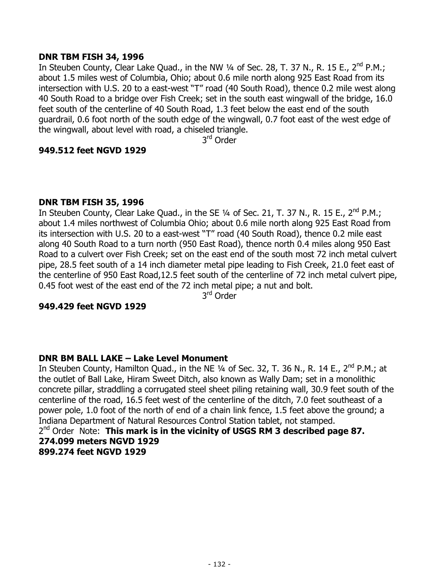## **DNR TBM FISH 34, 1996**

In Steuben County, Clear Lake Quad., in the NW 1/4 of Sec. 28, T. 37 N., R. 15 E., 2<sup>nd</sup> P.M.; about 1.5 miles west of Columbia, Ohio; about 0.6 mile north along 925 East Road from its intersection with U.S. 20 to a east-west "T" road (40 South Road), thence 0.2 mile west along 40 South Road to a bridge over Fish Creek; set in the south east wingwall of the bridge, 16.0 feet south of the centerline of 40 South Road, 1.3 feet below the east end of the south guardrail, 0.6 foot north of the south edge of the wingwall, 0.7 foot east of the west edge of the wingwall, about level with road, a chiseled triangle.

3<sup>rd</sup> Order

#### **949.512 feet NGVD 1929**

#### **DNR TBM FISH 35, 1996**

In Steuben County, Clear Lake Quad., in the SE  $1/4$  of Sec. 21, T. 37 N., R. 15 E., 2<sup>nd</sup> P.M.; about 1.4 miles northwest of Columbia Ohio; about 0.6 mile north along 925 East Road from its intersection with U.S. 20 to a east-west "T" road (40 South Road), thence 0.2 mile east along 40 South Road to a turn north (950 East Road), thence north 0.4 miles along 950 East Road to a culvert over Fish Creek; set on the east end of the south most 72 inch metal culvert pipe, 28.5 feet south of a 14 inch diameter metal pipe leading to Fish Creek, 21.0 feet east of the centerline of 950 East Road,12.5 feet south of the centerline of 72 inch metal culvert pipe, 0.45 foot west of the east end of the 72 inch metal pipe; a nut and bolt.

3rd Order

#### **949.429 feet NGVD 1929**

## **DNR BM BALL LAKE – Lake Level Monument**

In Steuben County, Hamilton Quad., in the NE 1/4 of Sec. 32, T. 36 N., R. 14 E., 2<sup>nd</sup> P.M.; at the outlet of Ball Lake, Hiram Sweet Ditch, also known as Wally Dam; set in a monolithic concrete pillar, straddling a corrugated steel sheet piling retaining wall, 30.9 feet south of the centerline of the road, 16.5 feet west of the centerline of the ditch, 7.0 feet southeast of a power pole, 1.0 foot of the north of end of a chain link fence, 1.5 feet above the ground; a Indiana Department of Natural Resources Control Station tablet, not stamped. 2<sup>nd</sup> Order Note: **This mark is in the vicinity of USGS RM 3 described page 87. 274.099 meters NGVD 1929** 

**899.274 feet NGVD 1929**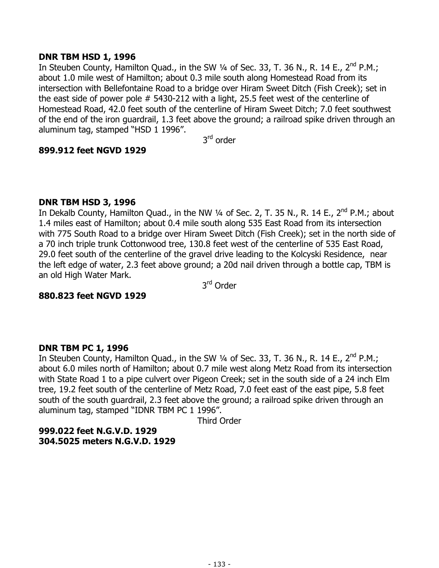## **DNR TBM HSD 1, 1996**

In Steuben County, Hamilton Quad., in the SW 1/4 of Sec. 33, T. 36 N., R. 14 E., 2<sup>nd</sup> P.M.; about 1.0 mile west of Hamilton; about 0.3 mile south along Homestead Road from its intersection with Bellefontaine Road to a bridge over Hiram Sweet Ditch (Fish Creek); set in the east side of power pole # 5430-212 with a light, 25.5 feet west of the centerline of Homestead Road, 42.0 feet south of the centerline of Hiram Sweet Ditch; 7.0 feet southwest of the end of the iron guardrail, 1.3 feet above the ground; a railroad spike driven through an aluminum tag, stamped "HSD 1 1996".

3rd order

## **899.912 feet NGVD 1929**

## **DNR TBM HSD 3, 1996**

In Dekalb County, Hamilton Quad., in the NW  $\frac{1}{4}$  of Sec. 2, T. 35 N., R. 14 E., 2<sup>nd</sup> P.M.; about 1.4 miles east of Hamilton; about 0.4 mile south along 535 East Road from its intersection with 775 South Road to a bridge over Hiram Sweet Ditch (Fish Creek); set in the north side of a 70 inch triple trunk Cottonwood tree, 130.8 feet west of the centerline of 535 East Road, 29.0 feet south of the centerline of the gravel drive leading to the Kolcyski Residence, near the left edge of water, 2.3 feet above ground; a 20d nail driven through a bottle cap, TBM is an old High Water Mark.

3rd Order

## **880.823 feet NGVD 1929**

## **DNR TBM PC 1, 1996**

In Steuben County, Hamilton Quad., in the SW 1/4 of Sec. 33, T. 36 N., R. 14 E., 2<sup>nd</sup> P.M.; about 6.0 miles north of Hamilton; about 0.7 mile west along Metz Road from its intersection with State Road 1 to a pipe culvert over Pigeon Creek; set in the south side of a 24 inch Elm tree, 19.2 feet south of the centerline of Metz Road, 7.0 feet east of the east pipe, 5.8 feet south of the south guardrail, 2.3 feet above the ground; a railroad spike driven through an aluminum tag, stamped "IDNR TBM PC 1 1996".

Third Order

**999.022 feet N.G.V.D. 1929 304.5025 meters N.G.V.D. 1929**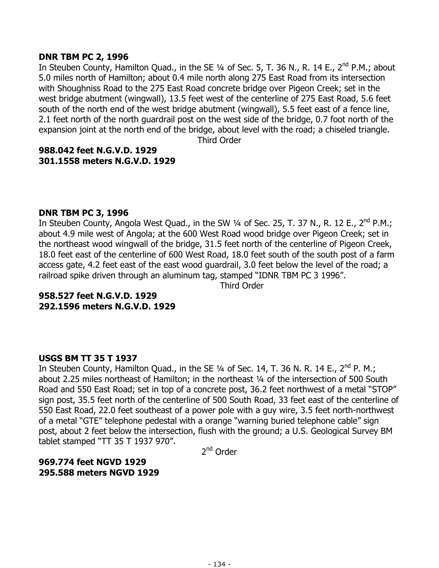#### **DNR TBM PC 2, 1996**

In Steuben County, Hamilton Quad., in the SE 1/4 of Sec. 5, T. 36 N., R. 14 E., 2<sup>nd</sup> P.M.; about 5.0 miles north of Hamilton; about 0.4 mile north along 275 East Road from its intersection with Shoughniss Road to the 275 East Road concrete bridge over Pigeon Creek; set in the west bridge abutment (wingwall), 13.5 feet west of the centerline of 275 East Road, 5.6 feet south of the north end of the west bridge abutment (wingwall), 5.5 feet east of a fence line, 2.1 feet north of the north guardrail post on the west side of the bridge, 0.7 foot north of the expansion joint at the north end of the bridge, about level with the road; a chiseled triangle.

Third Order

## **988.042 feet N.G.V.D. 1929 301.1558 meters N.G.V.D. 1929**

#### **DNR TBM PC 3, 1996**

In Steuben County, Angola West Quad., in the SW 1/4 of Sec. 25, T. 37 N., R. 12 E., 2<sup>nd</sup> P.M.; about 4.9 mile west of Angola; at the 600 West Road wood bridge over Pigeon Creek; set in the northeast wood wingwall of the bridge, 31.5 feet north of the centerline of Pigeon Creek, 18.0 feet east of the centerline of 600 West Road, 18.0 feet south of the south post of a farm access gate, 4.2 feet east of the east wood guardrail, 3.0 feet below the level of the road; a railroad spike driven through an aluminum tag, stamped "IDNR TBM PC 3 1996".

Third Order

## **958.527 feet N.G.V.D. 1929 292.1596 meters N.G.V.D. 1929**

## **USGS BM TT 35 T 1937**

In Steuben County, Hamilton Quad., in the SE  $\frac{1}{4}$  of Sec. 14, T. 36 N. R. 14 E., 2<sup>nd</sup> P. M.; about 2.25 miles northeast of Hamilton; in the northeast ¼ of the intersection of 500 South Road and 550 East Road; set in top of a concrete post, 36.2 feet northwest of a metal "STOP" sign post, 35.5 feet north of the centerline of 500 South Road, 33 feet east of the centerline of 550 East Road, 22.0 feet southeast of a power pole with a guy wire, 3.5 feet north-northwest of a metal "GTE" telephone pedestal with a orange "warning buried telephone cable" sign post, about 2 feet below the intersection, flush with the ground; a U.S. Geological Survey BM tablet stamped "TT 35 T 1937 970".

2<sup>nd</sup> Order

#### **969.774 feet NGVD 1929 295.588 meters NGVD 1929**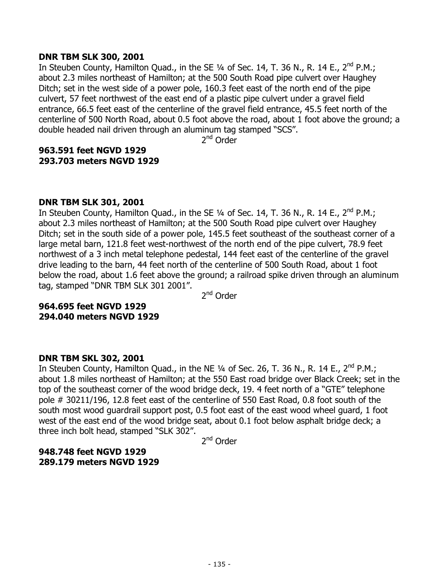#### **DNR TBM SLK 300, 2001**

In Steuben County, Hamilton Quad., in the SE  $\frac{1}{4}$  of Sec. 14, T. 36 N., R. 14 E., 2<sup>nd</sup> P.M.; about 2.3 miles northeast of Hamilton; at the 500 South Road pipe culvert over Haughey Ditch; set in the west side of a power pole, 160.3 feet east of the north end of the pipe culvert, 57 feet northwest of the east end of a plastic pipe culvert under a gravel field entrance, 66.5 feet east of the centerline of the gravel field entrance, 45.5 feet north of the centerline of 500 North Road, about 0.5 foot above the road, about 1 foot above the ground; a double headed nail driven through an aluminum tag stamped "SCS".

2nd Order

# **963.591 feet NGVD 1929 293.703 meters NGVD 1929**

## **DNR TBM SLK 301, 2001**

In Steuben County, Hamilton Quad., in the SE  $\frac{1}{4}$  of Sec. 14, T. 36 N., R. 14 E., 2<sup>nd</sup> P.M.; about 2.3 miles northeast of Hamilton; at the 500 South Road pipe culvert over Haughey Ditch; set in the south side of a power pole, 145.5 feet southeast of the southeast corner of a large metal barn, 121.8 feet west-northwest of the north end of the pipe culvert, 78.9 feet northwest of a 3 inch metal telephone pedestal, 144 feet east of the centerline of the gravel drive leading to the barn, 44 feet north of the centerline of 500 South Road, about 1 foot below the road, about 1.6 feet above the ground; a railroad spike driven through an aluminum tag, stamped "DNR TBM SLK 301 2001".

2<sup>nd</sup> Order

# **964.695 feet NGVD 1929 294.040 meters NGVD 1929**

## **DNR TBM SKL 302, 2001**

In Steuben County, Hamilton Quad., in the NE  $\frac{1}{4}$  of Sec. 26, T. 36 N., R. 14 E., 2<sup>nd</sup> P.M.; about 1.8 miles northeast of Hamilton; at the 550 East road bridge over Black Creek; set in the top of the southeast corner of the wood bridge deck, 19. 4 feet north of a "GTE" telephone pole # 30211/196, 12.8 feet east of the centerline of 550 East Road, 0.8 foot south of the south most wood guardrail support post, 0.5 foot east of the east wood wheel guard, 1 foot west of the east end of the wood bridge seat, about 0.1 foot below asphalt bridge deck; a three inch bolt head, stamped "SLK 302".

2nd Order

## **948.748 feet NGVD 1929 289.179 meters NGVD 1929**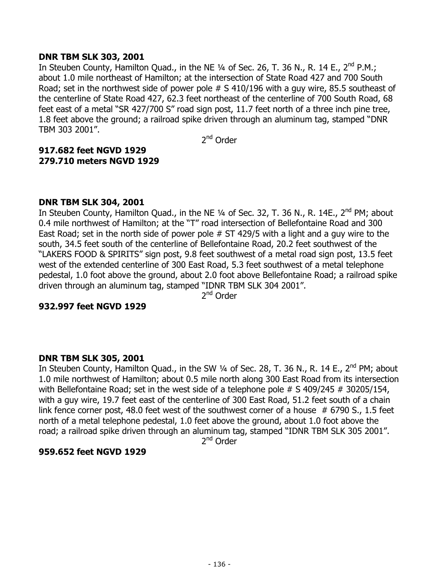## **DNR TBM SLK 303, 2001**

In Steuben County, Hamilton Quad., in the NE 1/4 of Sec. 26, T. 36 N., R. 14 E., 2<sup>nd</sup> P.M.; about 1.0 mile northeast of Hamilton; at the intersection of State Road 427 and 700 South Road; set in the northwest side of power pole # S 410/196 with a guy wire, 85.5 southeast of the centerline of State Road 427, 62.3 feet northeast of the centerline of 700 South Road, 68 feet east of a metal "SR 427/700 S" road sign post, 11.7 feet north of a three inch pine tree, 1.8 feet above the ground; a railroad spike driven through an aluminum tag, stamped "DNR TBM 303 2001".

2nd Order

# **917.682 feet NGVD 1929 279.710 meters NGVD 1929**

#### **DNR TBM SLK 304, 2001**

In Steuben County, Hamilton Quad., in the NE  $\frac{1}{4}$  of Sec. 32, T. 36 N., R. 14E., 2<sup>nd</sup> PM; about 0.4 mile northwest of Hamilton; at the "T" road intersection of Bellefontaine Road and 300 East Road; set in the north side of power pole # ST 429/5 with a light and a guy wire to the south, 34.5 feet south of the centerline of Bellefontaine Road, 20.2 feet southwest of the "LAKERS FOOD & SPIRITS" sign post, 9.8 feet southwest of a metal road sign post, 13.5 feet west of the extended centerline of 300 East Road, 5.3 feet southwest of a metal telephone pedestal, 1.0 foot above the ground, about 2.0 foot above Bellefontaine Road; a railroad spike driven through an aluminum tag, stamped "IDNR TBM SLK 304 2001".

2<sup>nd</sup> Order

#### **932.997 feet NGVD 1929**

## **DNR TBM SLK 305, 2001**

In Steuben County, Hamilton Quad., in the SW 1/4 of Sec. 28, T. 36 N., R. 14 E., 2<sup>nd</sup> PM; about 1.0 mile northwest of Hamilton; about 0.5 mile north along 300 East Road from its intersection with Bellefontaine Road; set in the west side of a telephone pole # S 409/245 # 30205/154, with a guy wire, 19.7 feet east of the centerline of 300 East Road, 51.2 feet south of a chain link fence corner post, 48.0 feet west of the southwest corner of a house  $# 6790$  S., 1.5 feet north of a metal telephone pedestal, 1.0 feet above the ground, about 1.0 foot above the road; a railroad spike driven through an aluminum tag, stamped "IDNR TBM SLK 305 2001".

2<sup>nd</sup> Order

#### **959.652 feet NGVD 1929**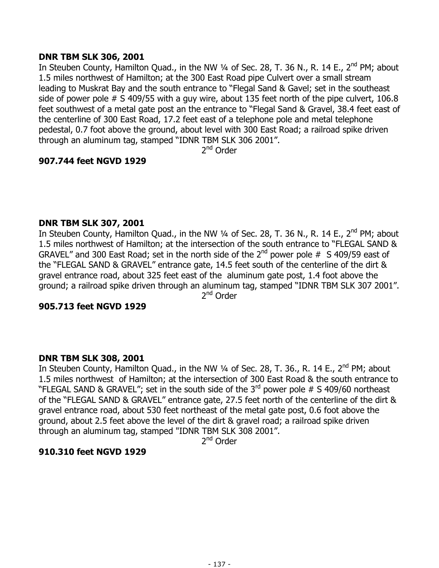## **DNR TBM SLK 306, 2001**

In Steuben County, Hamilton Quad., in the NW 1/4 of Sec. 28, T. 36 N., R. 14 E., 2<sup>nd</sup> PM; about 1.5 miles northwest of Hamilton; at the 300 East Road pipe Culvert over a small stream leading to Muskrat Bay and the south entrance to "Flegal Sand & Gavel; set in the southeast side of power pole # S 409/55 with a guy wire, about 135 feet north of the pipe culvert, 106.8 feet southwest of a metal gate post an the entrance to "Flegal Sand & Gravel, 38.4 feet east of the centerline of 300 East Road, 17.2 feet east of a telephone pole and metal telephone pedestal, 0.7 foot above the ground, about level with 300 East Road; a railroad spike driven through an aluminum tag, stamped "IDNR TBM SLK 306 2001".

2<sup>nd</sup> Order

# **907.744 feet NGVD 1929**

# **DNR TBM SLK 307, 2001**

In Steuben County, Hamilton Quad., in the NW  $\frac{1}{4}$  of Sec. 28, T. 36 N., R. 14 E., 2<sup>nd</sup> PM; about 1.5 miles northwest of Hamilton; at the intersection of the south entrance to "FLEGAL SAND & GRAVEL" and 300 East Road; set in the north side of the  $2^{nd}$  power pole # S 409/59 east of the "FLEGAL SAND & GRAVEL" entrance gate, 14.5 feet south of the centerline of the dirt & gravel entrance road, about 325 feet east of the aluminum gate post, 1.4 foot above the ground; a railroad spike driven through an aluminum tag, stamped "IDNR TBM SLK 307 2001".

2<sup>nd</sup> Order

## **905.713 feet NGVD 1929**

## **DNR TBM SLK 308, 2001**

In Steuben County, Hamilton Quad., in the NW 1/4 of Sec. 28, T. 36., R. 14 E., 2<sup>nd</sup> PM; about 1.5 miles northwest of Hamilton; at the intersection of 300 East Road & the south entrance to "FLEGAL SAND & GRAVEL"; set in the south side of the  $3^{rd}$  power pole # S 409/60 northeast of the "FLEGAL SAND & GRAVEL" entrance gate, 27.5 feet north of the centerline of the dirt & gravel entrance road, about 530 feet northeast of the metal gate post, 0.6 foot above the ground, about 2.5 feet above the level of the dirt & gravel road; a railroad spike driven through an aluminum tag, stamped "IDNR TBM SLK 308 2001".

2nd Order

## **910.310 feet NGVD 1929**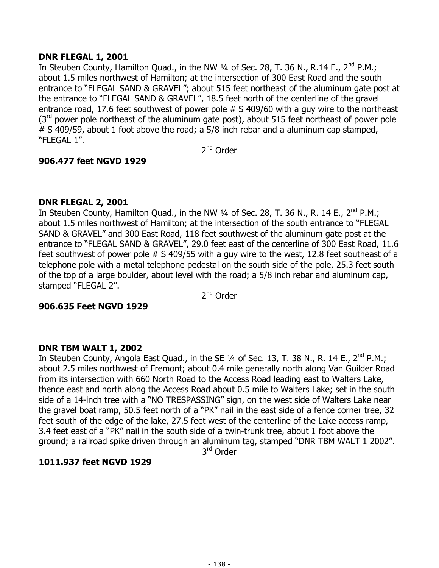## **DNR FLEGAL 1, 2001**

In Steuben County, Hamilton Quad., in the NW 1/4 of Sec. 28, T. 36 N., R.14 E., 2<sup>nd</sup> P.M.; about 1.5 miles northwest of Hamilton; at the intersection of 300 East Road and the south entrance to "FLEGAL SAND & GRAVEL"; about 515 feet northeast of the aluminum gate post at the entrance to "FLEGAL SAND & GRAVEL", 18.5 feet north of the centerline of the gravel entrance road, 17.6 feet southwest of power pole # S 409/60 with a guy wire to the northeast  $3<sup>rd</sup>$  power pole northeast of the aluminum gate post), about 515 feet northeast of power pole # S 409/59, about 1 foot above the road; a 5/8 inch rebar and a aluminum cap stamped, "FLEGAL 1".

2<sup>nd</sup> Order

# **906.477 feet NGVD 1929**

# **DNR FLEGAL 2, 2001**

In Steuben County, Hamilton Quad., in the NW 1/4 of Sec. 28, T. 36 N., R. 14 E., 2<sup>nd</sup> P.M.; about 1.5 miles northwest of Hamilton; at the intersection of the south entrance to "FLEGAL SAND & GRAVEL" and 300 East Road, 118 feet southwest of the aluminum gate post at the entrance to "FLEGAL SAND & GRAVEL", 29.0 feet east of the centerline of 300 East Road, 11.6 feet southwest of power pole # S 409/55 with a guy wire to the west, 12.8 feet southeast of a telephone pole with a metal telephone pedestal on the south side of the pole, 25.3 feet south of the top of a large boulder, about level with the road; a 5/8 inch rebar and aluminum cap, stamped "FLEGAL 2".

2<sup>nd</sup> Order

## **906.635 Feet NGVD 1929**

## **DNR TBM WALT 1, 2002**

In Steuben County, Angola East Quad., in the SE 1/4 of Sec. 13, T. 38 N., R. 14 E., 2<sup>nd</sup> P.M.; about 2.5 miles northwest of Fremont; about 0.4 mile generally north along Van Guilder Road from its intersection with 660 North Road to the Access Road leading east to Walters Lake, thence east and north along the Access Road about 0.5 mile to Walters Lake; set in the south side of a 14-inch tree with a "NO TRESPASSING" sign, on the west side of Walters Lake near the gravel boat ramp, 50.5 feet north of a "PK" nail in the east side of a fence corner tree, 32 feet south of the edge of the lake, 27.5 feet west of the centerline of the Lake access ramp, 3.4 feet east of a "PK" nail in the south side of a twin-trunk tree, about 1 foot above the ground; a railroad spike driven through an aluminum tag, stamped "DNR TBM WALT 1 2002". 3rd Order

**1011.937 feet NGVD 1929**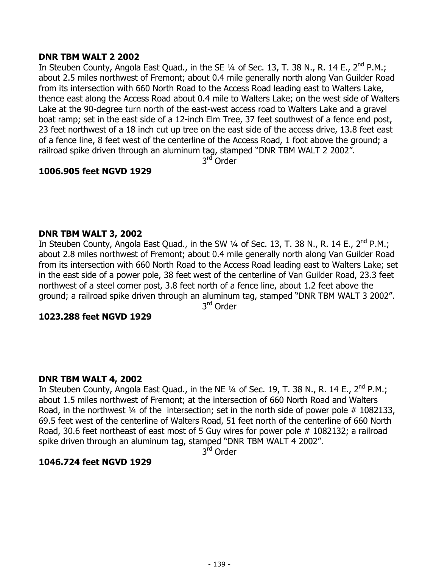#### **DNR TBM WALT 2 2002**

In Steuben County, Angola East Quad., in the SE 1/4 of Sec. 13, T. 38 N., R. 14 E., 2<sup>nd</sup> P.M.; about 2.5 miles northwest of Fremont; about 0.4 mile generally north along Van Guilder Road from its intersection with 660 North Road to the Access Road leading east to Walters Lake, thence east along the Access Road about 0.4 mile to Walters Lake; on the west side of Walters Lake at the 90-degree turn north of the east-west access road to Walters Lake and a gravel boat ramp; set in the east side of a 12-inch Elm Tree, 37 feet southwest of a fence end post, 23 feet northwest of a 18 inch cut up tree on the east side of the access drive, 13.8 feet east of a fence line, 8 feet west of the centerline of the Access Road, 1 foot above the ground; a railroad spike driven through an aluminum tag, stamped "DNR TBM WALT 2 2002".

3rd Order

## **1006.905 feet NGVD 1929**

## **DNR TBM WALT 3, 2002**

In Steuben County, Angola East Quad., in the SW  $\frac{1}{4}$  of Sec. 13, T. 38 N., R. 14 E., 2<sup>nd</sup> P.M.; about 2.8 miles northwest of Fremont; about 0.4 mile generally north along Van Guilder Road from its intersection with 660 North Road to the Access Road leading east to Walters Lake; set in the east side of a power pole, 38 feet west of the centerline of Van Guilder Road, 23.3 feet northwest of a steel corner post, 3.8 feet north of a fence line, about 1.2 feet above the ground; a railroad spike driven through an aluminum tag, stamped "DNR TBM WALT 3 2002".

3rd Order

#### **1023.288 feet NGVD 1929**

#### **DNR TBM WALT 4, 2002**

In Steuben County, Angola East Quad., in the NE  $\frac{1}{4}$  of Sec. 19, T. 38 N., R. 14 E., 2<sup>nd</sup> P.M.; about 1.5 miles northwest of Fremont; at the intersection of 660 North Road and Walters Road, in the northwest  $\frac{1}{4}$  of the intersection; set in the north side of power pole # 1082133, 69.5 feet west of the centerline of Walters Road, 51 feet north of the centerline of 660 North Road, 30.6 feet northeast of east most of 5 Guy wires for power pole # 1082132; a railroad spike driven through an aluminum tag, stamped "DNR TBM WALT 4 2002".

3<sup>rd</sup> Order

## **1046.724 feet NGVD 1929**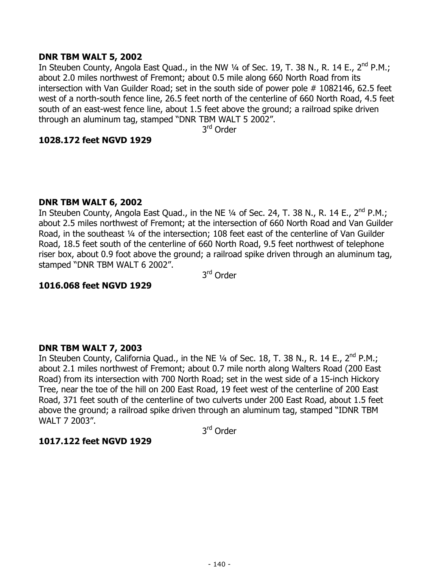#### **DNR TBM WALT 5, 2002**

In Steuben County, Angola East Quad., in the NW 1/4 of Sec. 19, T. 38 N., R. 14 E., 2<sup>nd</sup> P.M.; about 2.0 miles northwest of Fremont; about 0.5 mile along 660 North Road from its intersection with Van Guilder Road; set in the south side of power pole # 1082146, 62.5 feet west of a north-south fence line, 26.5 feet north of the centerline of 660 North Road, 4.5 feet south of an east-west fence line, about 1.5 feet above the ground; a railroad spike driven through an aluminum tag, stamped "DNR TBM WALT 5 2002".

3<sup>rd</sup> Order

#### **1028.172 feet NGVD 1929**

#### **DNR TBM WALT 6, 2002**

In Steuben County, Angola East Quad., in the NE  $\frac{1}{4}$  of Sec. 24, T. 38 N., R. 14 E., 2<sup>nd</sup> P.M.; about 2.5 miles northwest of Fremont; at the intersection of 660 North Road and Van Guilder Road, in the southeast ¼ of the intersection; 108 feet east of the centerline of Van Guilder Road, 18.5 feet south of the centerline of 660 North Road, 9.5 feet northwest of telephone riser box, about 0.9 foot above the ground; a railroad spike driven through an aluminum tag, stamped "DNR TBM WALT 6 2002".

3rd Order

## **1016.068 feet NGVD 1929**

#### **DNR TBM WALT 7, 2003**

In Steuben County, California Quad., in the NE 1/4 of Sec. 18, T. 38 N., R. 14 E., 2<sup>nd</sup> P.M.; about 2.1 miles northwest of Fremont; about 0.7 mile north along Walters Road (200 East Road) from its intersection with 700 North Road; set in the west side of a 15-inch Hickory Tree, near the toe of the hill on 200 East Road, 19 feet west of the centerline of 200 East Road, 371 feet south of the centerline of two culverts under 200 East Road, about 1.5 feet above the ground; a railroad spike driven through an aluminum tag, stamped "IDNR TBM WALT 7 2003".

3rd Order

## **1017.122 feet NGVD 1929**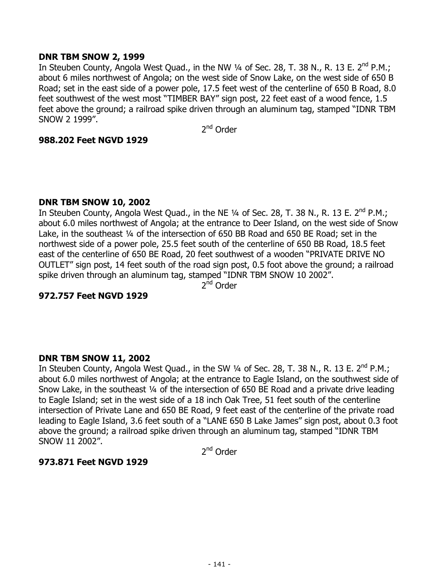#### **DNR TBM SNOW 2, 1999**

In Steuben County, Angola West Quad., in the NW 1/4 of Sec. 28, T. 38 N., R. 13 E. 2<sup>nd</sup> P.M.; about 6 miles northwest of Angola; on the west side of Snow Lake, on the west side of 650 B Road; set in the east side of a power pole, 17.5 feet west of the centerline of 650 B Road, 8.0 feet southwest of the west most "TIMBER BAY" sign post, 22 feet east of a wood fence, 1.5 feet above the ground; a railroad spike driven through an aluminum tag, stamped "IDNR TBM SNOW 2 1999".

2<sup>nd</sup> Order

#### **988.202 Feet NGVD 1929**

#### **DNR TBM SNOW 10, 2002**

In Steuben County, Angola West Quad., in the NE 1/4 of Sec. 28, T. 38 N., R. 13 E. 2<sup>nd</sup> P.M.; about 6.0 miles northwest of Angola; at the entrance to Deer Island, on the west side of Snow Lake, in the southeast ¼ of the intersection of 650 BB Road and 650 BE Road; set in the northwest side of a power pole, 25.5 feet south of the centerline of 650 BB Road, 18.5 feet east of the centerline of 650 BE Road, 20 feet southwest of a wooden "PRIVATE DRIVE NO OUTLET" sign post, 14 feet south of the road sign post, 0.5 foot above the ground; a railroad spike driven through an aluminum tag, stamped "IDNR TBM SNOW 10 2002".

2<sup>nd</sup> Order

# **972.757 Feet NGVD 1929**

## **DNR TBM SNOW 11, 2002**

In Steuben County, Angola West Quad., in the SW 1/4 of Sec. 28, T. 38 N., R. 13 E. 2<sup>nd</sup> P.M.; about 6.0 miles northwest of Angola; at the entrance to Eagle Island, on the southwest side of Snow Lake, in the southeast ¼ of the intersection of 650 BE Road and a private drive leading to Eagle Island; set in the west side of a 18 inch Oak Tree, 51 feet south of the centerline intersection of Private Lane and 650 BE Road, 9 feet east of the centerline of the private road leading to Eagle Island, 3.6 feet south of a "LANE 650 B Lake James" sign post, about 0.3 foot above the ground; a railroad spike driven through an aluminum tag, stamped "IDNR TBM SNOW 11 2002".

2<sup>nd</sup> Order

#### **973.871 Feet NGVD 1929**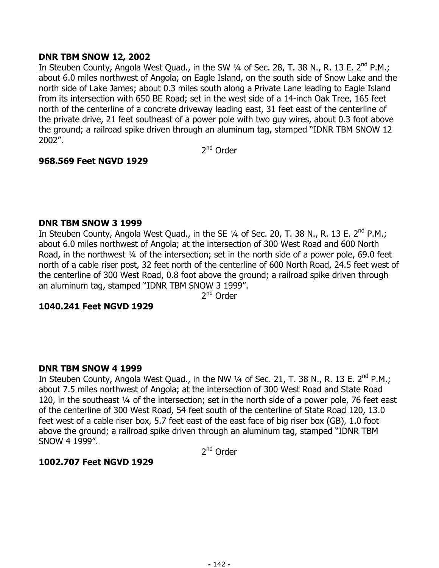## **DNR TBM SNOW 12, 2002**

In Steuben County, Angola West Quad., in the SW 1/4 of Sec. 28, T. 38 N., R. 13 E. 2<sup>nd</sup> P.M.; about 6.0 miles northwest of Angola; on Eagle Island, on the south side of Snow Lake and the north side of Lake James; about 0.3 miles south along a Private Lane leading to Eagle Island from its intersection with 650 BE Road; set in the west side of a 14-inch Oak Tree, 165 feet north of the centerline of a concrete driveway leading east, 31 feet east of the centerline of the private drive, 21 feet southeast of a power pole with two guy wires, about 0.3 foot above the ground; a railroad spike driven through an aluminum tag, stamped "IDNR TBM SNOW 12 2002".

2<sup>nd</sup> Order

## **968.569 Feet NGVD 1929**

#### **DNR TBM SNOW 3 1999**

In Steuben County, Angola West Quad., in the SE 1/4 of Sec. 20, T. 38 N., R. 13 E. 2<sup>nd</sup> P.M.; about 6.0 miles northwest of Angola; at the intersection of 300 West Road and 600 North Road, in the northwest 1/4 of the intersection; set in the north side of a power pole, 69.0 feet north of a cable riser post, 32 feet north of the centerline of 600 North Road, 24.5 feet west of the centerline of 300 West Road, 0.8 foot above the ground; a railroad spike driven through an aluminum tag, stamped "IDNR TBM SNOW 3 1999".

2<sup>nd</sup> Order

#### **1040.241 Feet NGVD 1929**

#### **DNR TBM SNOW 4 1999**

In Steuben County, Angola West Quad., in the NW 1/4 of Sec. 21, T. 38 N., R. 13 E. 2<sup>nd</sup> P.M.; about 7.5 miles northwest of Angola; at the intersection of 300 West Road and State Road 120, in the southeast ¼ of the intersection; set in the north side of a power pole, 76 feet east of the centerline of 300 West Road, 54 feet south of the centerline of State Road 120, 13.0 feet west of a cable riser box, 5.7 feet east of the east face of big riser box (GB), 1.0 foot above the ground; a railroad spike driven through an aluminum tag, stamped "IDNR TBM SNOW 4 1999".

2<sup>nd</sup> Order

#### **1002.707 Feet NGVD 1929**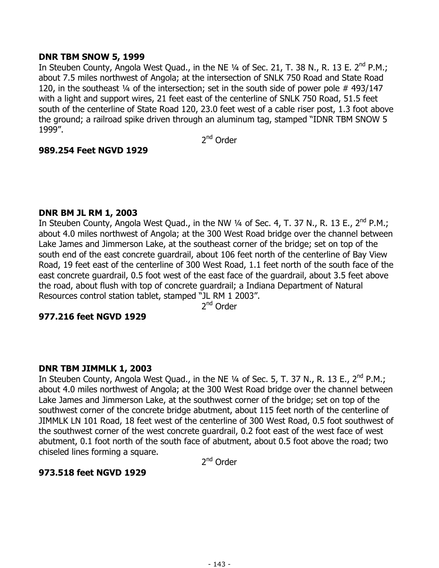## **DNR TBM SNOW 5, 1999**

In Steuben County, Angola West Quad., in the NE 1/4 of Sec. 21, T. 38 N., R. 13 E. 2<sup>nd</sup> P.M.; about 7.5 miles northwest of Angola; at the intersection of SNLK 750 Road and State Road 120, in the southeast ¼ of the intersection; set in the south side of power pole # 493/147 with a light and support wires, 21 feet east of the centerline of SNLK 750 Road, 51.5 feet south of the centerline of State Road 120, 23.0 feet west of a cable riser post, 1.3 foot above the ground; a railroad spike driven through an aluminum tag, stamped "IDNR TBM SNOW 5 1999".

2nd Order

# **989.254 Feet NGVD 1929**

## **DNR BM JL RM 1, 2003**

In Steuben County, Angola West Quad., in the NW 1/4 of Sec. 4, T. 37 N., R. 13 E., 2<sup>nd</sup> P.M.; about 4.0 miles northwest of Angola; at the 300 West Road bridge over the channel between Lake James and Jimmerson Lake, at the southeast corner of the bridge; set on top of the south end of the east concrete guardrail, about 106 feet north of the centerline of Bay View Road, 19 feet east of the centerline of 300 West Road, 1.1 feet north of the south face of the east concrete guardrail, 0.5 foot west of the east face of the guardrail, about 3.5 feet above the road, about flush with top of concrete guardrail; a Indiana Department of Natural Resources control station tablet, stamped "JL RM 1 2003".

2nd Order

## **977.216 feet NGVD 1929**

## **DNR TBM JIMMLK 1, 2003**

In Steuben County, Angola West Quad., in the NE 1/4 of Sec. 5, T. 37 N., R. 13 E., 2<sup>nd</sup> P.M.; about 4.0 miles northwest of Angola; at the 300 West Road bridge over the channel between Lake James and Jimmerson Lake, at the southwest corner of the bridge; set on top of the southwest corner of the concrete bridge abutment, about 115 feet north of the centerline of JIMMLK LN 101 Road, 18 feet west of the centerline of 300 West Road, 0.5 foot southwest of the southwest corner of the west concrete guardrail, 0.2 foot east of the west face of west abutment, 0.1 foot north of the south face of abutment, about 0.5 foot above the road; two chiseled lines forming a square.

2<sup>nd</sup> Order

# **973.518 feet NGVD 1929**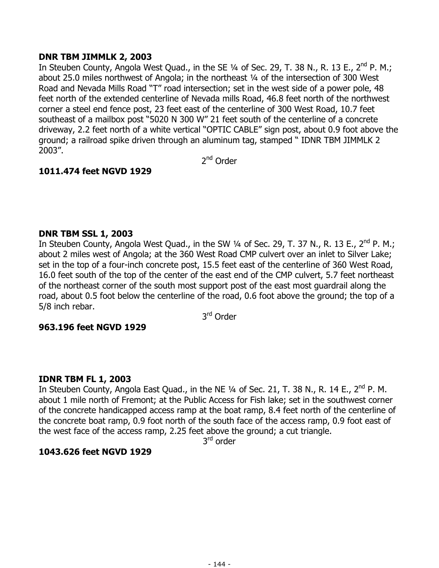## **DNR TBM JIMMLK 2, 2003**

In Steuben County, Angola West Quad., in the SE  $\frac{1}{4}$  of Sec. 29, T. 38 N., R. 13 E., 2<sup>nd</sup> P. M.; about 25.0 miles northwest of Angola; in the northeast ¼ of the intersection of 300 West Road and Nevada Mills Road "T" road intersection; set in the west side of a power pole, 48 feet north of the extended centerline of Nevada mills Road, 46.8 feet north of the northwest corner a steel end fence post, 23 feet east of the centerline of 300 West Road, 10.7 feet southeast of a mailbox post "5020 N 300 W" 21 feet south of the centerline of a concrete driveway, 2.2 feet north of a white vertical "OPTIC CABLE" sign post, about 0.9 foot above the ground; a railroad spike driven through an aluminum tag, stamped " IDNR TBM JIMMLK 2 2003".

2<sup>nd</sup> Order

# **1011.474 feet NGVD 1929**

# **DNR TBM SSL 1, 2003**

In Steuben County, Angola West Quad., in the SW 1/4 of Sec. 29, T. 37 N., R. 13 E., 2<sup>nd</sup> P. M.; about 2 miles west of Angola; at the 360 West Road CMP culvert over an inlet to Silver Lake; set in the top of a four-inch concrete post, 15.5 feet east of the centerline of 360 West Road, 16.0 feet south of the top of the center of the east end of the CMP culvert, 5.7 feet northeast of the northeast corner of the south most support post of the east most guardrail along the road, about 0.5 foot below the centerline of the road, 0.6 foot above the ground; the top of a 5/8 inch rebar.

3rd Order

## **963.196 feet NGVD 1929**

## **IDNR TBM FL 1, 2003**

In Steuben County, Angola East Quad., in the NE 1/4 of Sec. 21, T. 38 N., R. 14 E., 2<sup>nd</sup> P. M. about 1 mile north of Fremont; at the Public Access for Fish lake; set in the southwest corner of the concrete handicapped access ramp at the boat ramp, 8.4 feet north of the centerline of the concrete boat ramp, 0.9 foot north of the south face of the access ramp, 0.9 foot east of the west face of the access ramp, 2.25 feet above the ground; a cut triangle.

3<sup>rd</sup> order

## **1043.626 feet NGVD 1929**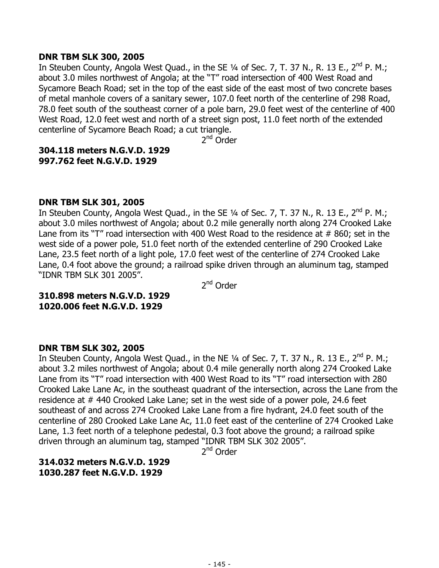### **DNR TBM SLK 300, 2005**

In Steuben County, Angola West Quad., in the SE  $\frac{1}{4}$  of Sec. 7, T. 37 N., R. 13 E., 2<sup>nd</sup> P. M.; about 3.0 miles northwest of Angola; at the "T" road intersection of 400 West Road and Sycamore Beach Road; set in the top of the east side of the east most of two concrete bases of metal manhole covers of a sanitary sewer, 107.0 feet north of the centerline of 298 Road, 78.0 feet south of the southeast corner of a pole barn, 29.0 feet west of the centerline of 400 West Road, 12.0 feet west and north of a street sign post, 11.0 feet north of the extended centerline of Sycamore Beach Road; a cut triangle.

2nd Order

## **304.118 meters N.G.V.D. 1929 997.762 feet N.G.V.D. 1929**

### **DNR TBM SLK 301, 2005**

In Steuben County, Angola West Quad., in the SE  $\frac{1}{4}$  of Sec. 7, T. 37 N., R. 13 E., 2<sup>nd</sup> P. M.; about 3.0 miles northwest of Angola; about 0.2 mile generally north along 274 Crooked Lake Lane from its "T" road intersection with 400 West Road to the residence at  $#860$ ; set in the west side of a power pole, 51.0 feet north of the extended centerline of 290 Crooked Lake Lane, 23.5 feet north of a light pole, 17.0 feet west of the centerline of 274 Crooked Lake Lane, 0.4 foot above the ground; a railroad spike driven through an aluminum tag, stamped "IDNR TBM SLK 301 2005".

2<sup>nd</sup> Order

**310.898 meters N.G.V.D. 1929 1020.006 feet N.G.V.D. 1929** 

#### **DNR TBM SLK 302, 2005**

In Steuben County, Angola West Quad., in the NE 1/4 of Sec. 7, T. 37 N., R. 13 E., 2<sup>nd</sup> P. M.; about 3.2 miles northwest of Angola; about 0.4 mile generally north along 274 Crooked Lake Lane from its "T" road intersection with 400 West Road to its "T" road intersection with 280 Crooked Lake Lane Ac, in the southeast quadrant of the intersection, across the Lane from the residence at # 440 Crooked Lake Lane; set in the west side of a power pole, 24.6 feet southeast of and across 274 Crooked Lake Lane from a fire hydrant, 24.0 feet south of the centerline of 280 Crooked Lake Lane Ac, 11.0 feet east of the centerline of 274 Crooked Lake Lane, 1.3 feet north of a telephone pedestal, 0.3 foot above the ground; a railroad spike driven through an aluminum tag, stamped "IDNR TBM SLK 302 2005".

2<sup>nd</sup> Order

**314.032 meters N.G.V.D. 1929 1030.287 feet N.G.V.D. 1929**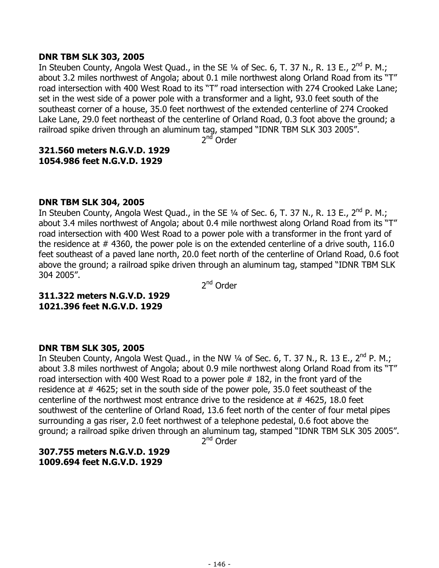### **DNR TBM SLK 303, 2005**

In Steuben County, Angola West Quad., in the SE 1/4 of Sec. 6, T. 37 N., R. 13 E., 2<sup>nd</sup> P. M.; about 3.2 miles northwest of Angola; about 0.1 mile northwest along Orland Road from its "T" road intersection with 400 West Road to its "T" road intersection with 274 Crooked Lake Lane; set in the west side of a power pole with a transformer and a light, 93.0 feet south of the southeast corner of a house, 35.0 feet northwest of the extended centerline of 274 Crooked Lake Lane, 29.0 feet northeast of the centerline of Orland Road, 0.3 foot above the ground; a railroad spike driven through an aluminum tag, stamped "IDNR TBM SLK 303 2005".

2<sup>nd</sup> Order

### **321.560 meters N.G.V.D. 1929 1054.986 feet N.G.V.D. 1929**

### **DNR TBM SLK 304, 2005**

In Steuben County, Angola West Quad., in the SE  $\frac{1}{4}$  of Sec. 6, T. 37 N., R. 13 E., 2<sup>nd</sup> P. M.; about 3.4 miles northwest of Angola; about 0.4 mile northwest along Orland Road from its "T" road intersection with 400 West Road to a power pole with a transformer in the front yard of the residence at # 4360, the power pole is on the extended centerline of a drive south, 116.0 feet southeast of a paved lane north, 20.0 feet north of the centerline of Orland Road, 0.6 foot above the ground; a railroad spike driven through an aluminum tag, stamped "IDNR TBM SLK 304 2005".

2<sup>nd</sup> Order

**311.322 meters N.G.V.D. 1929 1021.396 feet N.G.V.D. 1929** 

#### **DNR TBM SLK 305, 2005**

In Steuben County, Angola West Quad., in the NW  $\frac{1}{4}$  of Sec. 6, T. 37 N., R. 13 E., 2<sup>nd</sup> P. M.; about 3.8 miles northwest of Angola; about 0.9 mile northwest along Orland Road from its "T" road intersection with 400 West Road to a power pole # 182, in the front yard of the residence at # 4625; set in the south side of the power pole, 35.0 feet southeast of the centerline of the northwest most entrance drive to the residence at  $#$  4625, 18.0 feet southwest of the centerline of Orland Road, 13.6 feet north of the center of four metal pipes surrounding a gas riser, 2.0 feet northwest of a telephone pedestal, 0.6 foot above the ground; a railroad spike driven through an aluminum tag, stamped "IDNR TBM SLK 305 2005".

2<sup>nd</sup> Order

## **307.755 meters N.G.V.D. 1929 1009.694 feet N.G.V.D. 1929**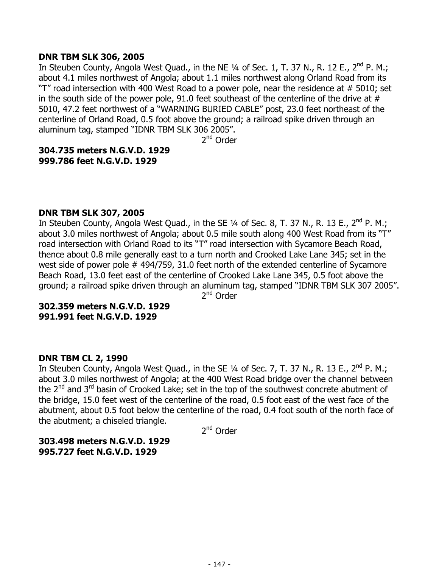### **DNR TBM SLK 306, 2005**

In Steuben County, Angola West Quad., in the NE  $\frac{1}{4}$  of Sec. 1, T. 37 N., R. 12 E., 2<sup>nd</sup> P. M.; about 4.1 miles northwest of Angola; about 1.1 miles northwest along Orland Road from its "T" road intersection with 400 West Road to a power pole, near the residence at # 5010; set in the south side of the power pole, 91.0 feet southeast of the centerline of the drive at  $#$ 5010, 47.2 feet northwest of a "WARNING BURIED CABLE" post, 23.0 feet northeast of the centerline of Orland Road, 0.5 foot above the ground; a railroad spike driven through an aluminum tag, stamped "IDNR TBM SLK 306 2005".

2nd Order

## **304.735 meters N.G.V.D. 1929 999.786 feet N.G.V.D. 1929**

### **DNR TBM SLK 307, 2005**

In Steuben County, Angola West Quad., in the SE 1/4 of Sec. 8, T. 37 N., R. 13 E., 2<sup>nd</sup> P. M.; about 3.0 miles northwest of Angola; about 0.5 mile south along 400 West Road from its "T" road intersection with Orland Road to its "T" road intersection with Sycamore Beach Road, thence about 0.8 mile generally east to a turn north and Crooked Lake Lane 345; set in the west side of power pole # 494/759, 31.0 feet north of the extended centerline of Sycamore Beach Road, 13.0 feet east of the centerline of Crooked Lake Lane 345, 0.5 foot above the ground; a railroad spike driven through an aluminum tag, stamped "IDNR TBM SLK 307 2005".

2<sup>nd</sup> Order

## **302.359 meters N.G.V.D. 1929 991.991 feet N.G.V.D. 1929**

## **DNR TBM CL 2, 1990**

In Steuben County, Angola West Quad., in the SE 1/4 of Sec. 7, T. 37 N., R. 13 E., 2<sup>nd</sup> P. M.; about 3.0 miles northwest of Angola; at the 400 West Road bridge over the channel between the  $2^{nd}$  and  $3^{rd}$  basin of Crooked Lake; set in the top of the southwest concrete abutment of the bridge, 15.0 feet west of the centerline of the road, 0.5 foot east of the west face of the abutment, about 0.5 foot below the centerline of the road, 0.4 foot south of the north face of the abutment; a chiseled triangle.

2<sup>nd</sup> Order

**303.498 meters N.G.V.D. 1929 995.727 feet N.G.V.D. 1929**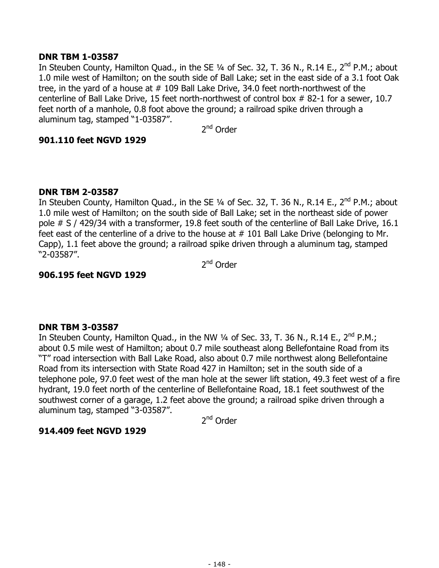## **DNR TBM 1-03587**

In Steuben County, Hamilton Ouad., in the SE  $\frac{1}{4}$  of Sec. 32, T. 36 N., R.14 E., 2<sup>nd</sup> P.M.; about 1.0 mile west of Hamilton; on the south side of Ball Lake; set in the east side of a 3.1 foot Oak tree, in the yard of a house at # 109 Ball Lake Drive, 34.0 feet north-northwest of the centerline of Ball Lake Drive, 15 feet north-northwest of control box # 82-1 for a sewer, 10.7 feet north of a manhole, 0.8 foot above the ground; a railroad spike driven through a aluminum tag, stamped "1-03587".

2<sup>nd</sup> Order

### **901.110 feet NGVD 1929**

### **DNR TBM 2-03587**

In Steuben County, Hamilton Quad., in the SE  $\frac{1}{4}$  of Sec. 32, T. 36 N., R.14 E., 2<sup>nd</sup> P.M.; about 1.0 mile west of Hamilton; on the south side of Ball Lake; set in the northeast side of power pole # S / 429/34 with a transformer, 19.8 feet south of the centerline of Ball Lake Drive, 16.1 feet east of the centerline of a drive to the house at # 101 Ball Lake Drive (belonging to Mr. Capp), 1.1 feet above the ground; a railroad spike driven through a aluminum tag, stamped "2-03587".

2<sup>nd</sup> Order

#### **906.195 feet NGVD 1929**

#### **DNR TBM 3-03587**

In Steuben County, Hamilton Quad., in the NW  $\frac{1}{4}$  of Sec. 33, T. 36 N., R.14 E., 2<sup>nd</sup> P.M.; about 0.5 mile west of Hamilton; about 0.7 mile southeast along Bellefontaine Road from its "T" road intersection with Ball Lake Road, also about 0.7 mile northwest along Bellefontaine Road from its intersection with State Road 427 in Hamilton; set in the south side of a telephone pole, 97.0 feet west of the man hole at the sewer lift station, 49.3 feet west of a fire hydrant, 19.0 feet north of the centerline of Bellefontaine Road, 18.1 feet southwest of the southwest corner of a garage, 1.2 feet above the ground; a railroad spike driven through a aluminum tag, stamped "3-03587".

2<sup>nd</sup> Order

## **914.409 feet NGVD 1929**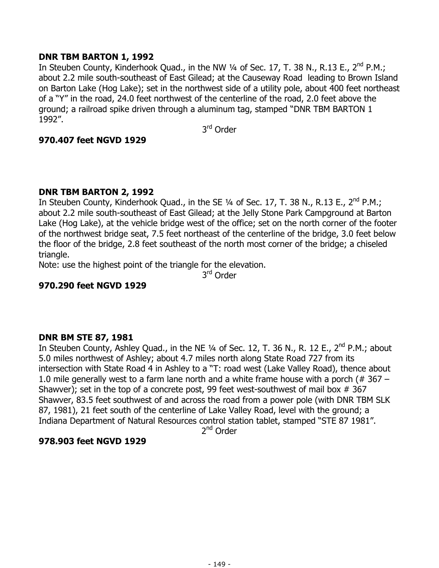## **DNR TBM BARTON 1, 1992**

In Steuben County, Kinderhook Quad., in the NW 1/4 of Sec. 17, T. 38 N., R.13 E., 2<sup>nd</sup> P.M.; about 2.2 mile south-southeast of East Gilead; at the Causeway Road leading to Brown Island on Barton Lake (Hog Lake); set in the northwest side of a utility pole, about 400 feet northeast of a "Y" in the road, 24.0 feet northwest of the centerline of the road, 2.0 feet above the ground; a railroad spike driven through a aluminum tag, stamped "DNR TBM BARTON 1 1992".

3rd Order

## **970.407 feet NGVD 1929**

# **DNR TBM BARTON 2, 1992**

In Steuben County, Kinderhook Quad., in the SE 1/4 of Sec. 17, T. 38 N., R.13 E., 2<sup>nd</sup> P.M.; about 2.2 mile south-southeast of East Gilead; at the Jelly Stone Park Campground at Barton Lake (Hog Lake), at the vehicle bridge west of the office; set on the north corner of the footer of the northwest bridge seat, 7.5 feet northeast of the centerline of the bridge, 3.0 feet below the floor of the bridge, 2.8 feet southeast of the north most corner of the bridge; a chiseled triangle.

Note: use the highest point of the triangle for the elevation.

3<sup>rd</sup> Order

# **970.290 feet NGVD 1929**

## **DNR BM STE 87, 1981**

In Steuben County, Ashley Quad., in the NE  $\frac{1}{4}$  of Sec. 12, T. 36 N., R. 12 E., 2<sup>nd</sup> P.M.; about 5.0 miles northwest of Ashley; about 4.7 miles north along State Road 727 from its intersection with State Road 4 in Ashley to a "T: road west (Lake Valley Road), thence about 1.0 mile generally west to a farm lane north and a white frame house with a porch ( $\#$  367 – Shawver); set in the top of a concrete post, 99 feet west-southwest of mail box  $# 367$ Shawver, 83.5 feet southwest of and across the road from a power pole (with DNR TBM SLK 87, 1981), 21 feet south of the centerline of Lake Valley Road, level with the ground; a Indiana Department of Natural Resources control station tablet, stamped "STE 87 1981".

2<sup>nd</sup> Order

## **978.903 feet NGVD 1929**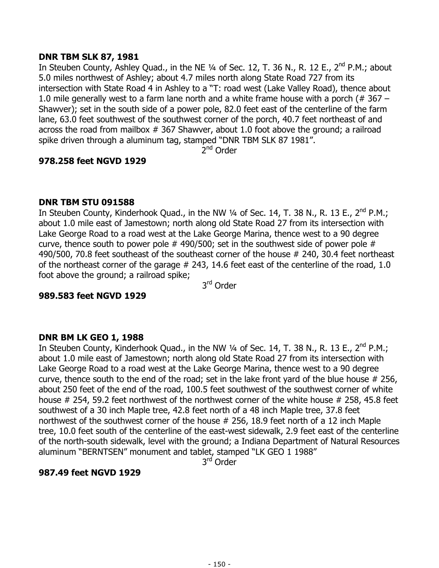## **DNR TBM SLK 87, 1981**

In Steuben County, Ashley Quad., in the NE  $\frac{1}{4}$  of Sec. 12, T. 36 N., R. 12 E., 2<sup>nd</sup> P.M.; about 5.0 miles northwest of Ashley; about 4.7 miles north along State Road 727 from its intersection with State Road 4 in Ashley to a "T: road west (Lake Valley Road), thence about 1.0 mile generally west to a farm lane north and a white frame house with a porch ( $\#$  367 – Shawver); set in the south side of a power pole, 82.0 feet east of the centerline of the farm lane, 63.0 feet southwest of the southwest corner of the porch, 40.7 feet northeast of and across the road from mailbox # 367 Shawver, about 1.0 foot above the ground; a railroad spike driven through a aluminum tag, stamped "DNR TBM SLK 87 1981".

 $2<sup>nd</sup>$  Order

# **978.258 feet NGVD 1929**

## **DNR TBM STU 091588**

In Steuben County, Kinderhook Quad., in the NW 1/4 of Sec. 14, T. 38 N., R. 13 E., 2<sup>nd</sup> P.M.; about 1.0 mile east of Jamestown; north along old State Road 27 from its intersection with Lake George Road to a road west at the Lake George Marina, thence west to a 90 degree curve, thence south to power pole  $#$  490/500; set in the southwest side of power pole  $#$ 490/500, 70.8 feet southeast of the southeast corner of the house # 240, 30.4 feet northeast of the northeast corner of the garage  $#$  243, 14.6 feet east of the centerline of the road, 1.0 foot above the ground; a railroad spike;

3rd Order

## **989.583 feet NGVD 1929**

## **DNR BM LK GEO 1, 1988**

In Steuben County, Kinderhook Quad., in the NW 1/4 of Sec. 14, T. 38 N., R. 13 E., 2<sup>nd</sup> P.M.; about 1.0 mile east of Jamestown; north along old State Road 27 from its intersection with Lake George Road to a road west at the Lake George Marina, thence west to a 90 degree curve, thence south to the end of the road; set in the lake front yard of the blue house # 256, about 250 feet of the end of the road, 100.5 feet southwest of the southwest corner of white house # 254, 59.2 feet northwest of the northwest corner of the white house # 258, 45.8 feet southwest of a 30 inch Maple tree, 42.8 feet north of a 48 inch Maple tree, 37.8 feet northwest of the southwest corner of the house # 256, 18.9 feet north of a 12 inch Maple tree, 10.0 feet south of the centerline of the east-west sidewalk, 2.9 feet east of the centerline of the north-south sidewalk, level with the ground; a Indiana Department of Natural Resources aluminum "BERNTSEN" monument and tablet, stamped "LK GEO 1 1988"

3<sup>rd</sup> Order

# **987.49 feet NGVD 1929**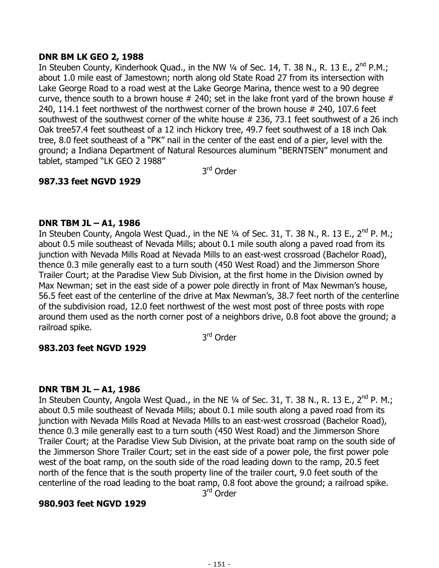## **DNR BM LK GEO 2, 1988**

In Steuben County, Kinderhook Quad., in the NW 1/4 of Sec. 14, T. 38 N., R. 13 E., 2<sup>nd</sup> P.M.; about 1.0 mile east of Jamestown; north along old State Road 27 from its intersection with Lake George Road to a road west at the Lake George Marina, thence west to a 90 degree curve, thence south to a brown house  $#$  240; set in the lake front yard of the brown house  $#$ 240, 114.1 feet northwest of the northwest corner of the brown house # 240, 107.6 feet southwest of the southwest corner of the white house # 236, 73.1 feet southwest of a 26 inch Oak tree57.4 feet southeast of a 12 inch Hickory tree, 49.7 feet southwest of a 18 inch Oak tree, 8.0 feet southeast of a "PK" nail in the center of the east end of a pier, level with the ground; a Indiana Department of Natural Resources aluminum "BERNTSEN" monument and tablet, stamped "LK GEO 2 1988"

3rd Order

# **987.33 feet NGVD 1929**

## **DNR TBM JL – A1, 1986**

In Steuben County, Angola West Quad., in the NE  $\frac{1}{4}$  of Sec. 31, T. 38 N., R. 13 E., 2<sup>nd</sup> P. M.; about 0.5 mile southeast of Nevada Mills; about 0.1 mile south along a paved road from its junction with Nevada Mills Road at Nevada Mills to an east-west crossroad (Bachelor Road), thence 0.3 mile generally east to a turn south (450 West Road) and the Jimmerson Shore Trailer Court; at the Paradise View Sub Division, at the first home in the Division owned by Max Newman; set in the east side of a power pole directly in front of Max Newman's house, 56.5 feet east of the centerline of the drive at Max Newman's, 38.7 feet north of the centerline of the subdivision road, 12.0 feet northwest of the west most post of three posts with rope around them used as the north corner post of a neighbors drive, 0.8 foot above the ground; a railroad spike.

3rd Order

# **983.203 feet NGVD 1929**

## **DNR TBM JL – A1, 1986**

In Steuben County, Angola West Quad., in the NE 1/4 of Sec. 31, T. 38 N., R. 13 E., 2<sup>nd</sup> P. M.; about 0.5 mile southeast of Nevada Mills; about 0.1 mile south along a paved road from its junction with Nevada Mills Road at Nevada Mills to an east-west crossroad (Bachelor Road), thence 0.3 mile generally east to a turn south (450 West Road) and the Jimmerson Shore Trailer Court; at the Paradise View Sub Division, at the private boat ramp on the south side of the Jimmerson Shore Trailer Court; set in the east side of a power pole, the first power pole west of the boat ramp, on the south side of the road leading down to the ramp, 20.5 feet north of the fence that is the south property line of the trailer court, 9.0 feet south of the centerline of the road leading to the boat ramp, 0.8 foot above the ground; a railroad spike.

3<sup>rd</sup> Order

## **980.903 feet NGVD 1929**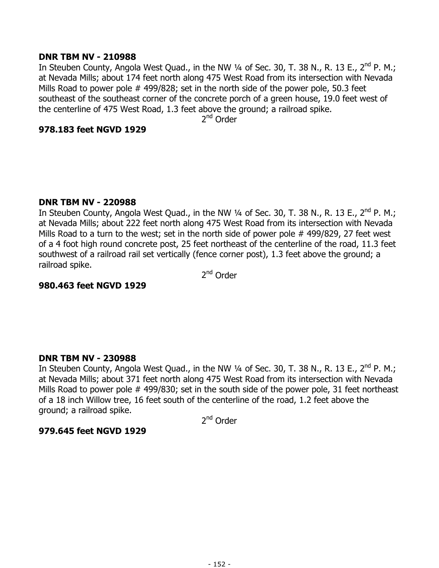### **DNR TBM NV - 210988**

In Steuben County, Angola West Quad., in the NW 1/4 of Sec. 30, T. 38 N., R. 13 E., 2<sup>nd</sup> P. M.; at Nevada Mills; about 174 feet north along 475 West Road from its intersection with Nevada Mills Road to power pole # 499/828; set in the north side of the power pole, 50.3 feet southeast of the southeast corner of the concrete porch of a green house, 19.0 feet west of the centerline of 475 West Road, 1.3 feet above the ground; a railroad spike.

2<sup>nd</sup> Order

### **978.183 feet NGVD 1929**

### **DNR TBM NV - 220988**

In Steuben County, Angola West Quad., in the NW  $\frac{1}{4}$  of Sec. 30, T. 38 N., R. 13 E., 2<sup>nd</sup> P. M.; at Nevada Mills; about 222 feet north along 475 West Road from its intersection with Nevada Mills Road to a turn to the west; set in the north side of power pole #499/829, 27 feet west of a 4 foot high round concrete post, 25 feet northeast of the centerline of the road, 11.3 feet southwest of a railroad rail set vertically (fence corner post), 1.3 feet above the ground; a railroad spike.

2<sup>nd</sup> Order

### **980.463 feet NGVD 1929**

## **DNR TBM NV - 230988**

In Steuben County, Angola West Quad., in the NW 1/4 of Sec. 30, T. 38 N., R. 13 E., 2<sup>nd</sup> P. M.; at Nevada Mills; about 371 feet north along 475 West Road from its intersection with Nevada Mills Road to power pole # 499/830; set in the south side of the power pole, 31 feet northeast of a 18 inch Willow tree, 16 feet south of the centerline of the road, 1.2 feet above the ground; a railroad spike.

2nd Order

## **979.645 feet NGVD 1929**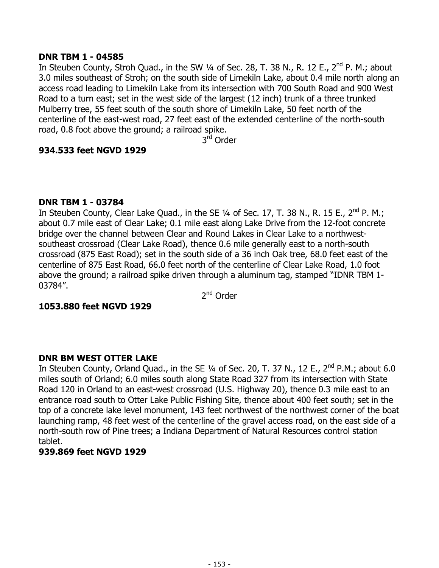## **DNR TBM 1 - 04585**

In Steuben County, Stroh Quad., in the SW  $\frac{1}{4}$  of Sec. 28, T. 38 N., R. 12 E., 2<sup>nd</sup> P. M.; about 3.0 miles southeast of Stroh; on the south side of Limekiln Lake, about 0.4 mile north along an access road leading to Limekiln Lake from its intersection with 700 South Road and 900 West Road to a turn east; set in the west side of the largest (12 inch) trunk of a three trunked Mulberry tree, 55 feet south of the south shore of Limekiln Lake, 50 feet north of the centerline of the east-west road, 27 feet east of the extended centerline of the north-south road, 0.8 foot above the ground; a railroad spike.

3rd Order

### **934.533 feet NGVD 1929**

### **DNR TBM 1 - 03784**

In Steuben County, Clear Lake Quad., in the SE  $\frac{1}{4}$  of Sec. 17, T. 38 N., R. 15 E., 2<sup>nd</sup> P. M.; about 0.7 mile east of Clear Lake; 0.1 mile east along Lake Drive from the 12-foot concrete bridge over the channel between Clear and Round Lakes in Clear Lake to a northwestsoutheast crossroad (Clear Lake Road), thence 0.6 mile generally east to a north-south crossroad (875 East Road); set in the south side of a 36 inch Oak tree, 68.0 feet east of the centerline of 875 East Road, 66.0 feet north of the centerline of Clear Lake Road, 1.0 foot above the ground; a railroad spike driven through a aluminum tag, stamped "IDNR TBM 1- 03784".

2<sup>nd</sup> Order

## **1053.880 feet NGVD 1929**

## **DNR BM WEST OTTER LAKE**

In Steuben County, Orland Quad., in the SE  $\frac{1}{4}$  of Sec. 20, T. 37 N., 12 E., 2<sup>nd</sup> P.M.; about 6.0 miles south of Orland; 6.0 miles south along State Road 327 from its intersection with State Road 120 in Orland to an east-west crossroad (U.S. Highway 20), thence 0.3 mile east to an entrance road south to Otter Lake Public Fishing Site, thence about 400 feet south; set in the top of a concrete lake level monument, 143 feet northwest of the northwest corner of the boat launching ramp, 48 feet west of the centerline of the gravel access road, on the east side of a north-south row of Pine trees; a Indiana Department of Natural Resources control station tablet.

#### **939.869 feet NGVD 1929**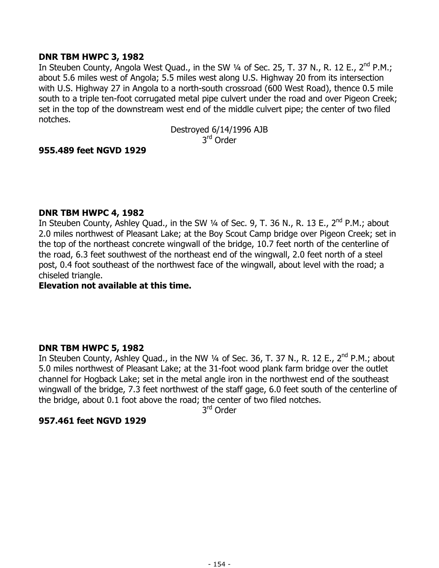## **DNR TBM HWPC 3, 1982**

In Steuben County, Angola West Quad., in the SW 1/4 of Sec. 25, T. 37 N., R. 12 E., 2<sup>nd</sup> P.M.; about 5.6 miles west of Angola; 5.5 miles west along U.S. Highway 20 from its intersection with U.S. Highway 27 in Angola to a north-south crossroad (600 West Road), thence 0.5 mile south to a triple ten-foot corrugated metal pipe culvert under the road and over Pigeon Creek; set in the top of the downstream west end of the middle culvert pipe; the center of two filed notches.

> Destroyed 6/14/1996 AJB 3<sup>rd</sup> Order

## **955.489 feet NGVD 1929**

## **DNR TBM HWPC 4, 1982**

In Steuben County, Ashley Quad., in the SW 1/4 of Sec. 9, T. 36 N., R. 13 E., 2<sup>nd</sup> P.M.; about 2.0 miles northwest of Pleasant Lake; at the Boy Scout Camp bridge over Pigeon Creek; set in the top of the northeast concrete wingwall of the bridge, 10.7 feet north of the centerline of the road, 6.3 feet southwest of the northeast end of the wingwall, 2.0 feet north of a steel post, 0.4 foot southeast of the northwest face of the wingwall, about level with the road; a chiseled triangle.

## **Elevation not available at this time.**

## **DNR TBM HWPC 5, 1982**

In Steuben County, Ashley Quad., in the NW  $\frac{1}{4}$  of Sec. 36, T. 37 N., R. 12 E., 2<sup>nd</sup> P.M.; about 5.0 miles northwest of Pleasant Lake; at the 31-foot wood plank farm bridge over the outlet channel for Hogback Lake; set in the metal angle iron in the northwest end of the southeast wingwall of the bridge, 7.3 feet northwest of the staff gage, 6.0 feet south of the centerline of the bridge, about 0.1 foot above the road; the center of two filed notches.

3rd Order

## **957.461 feet NGVD 1929**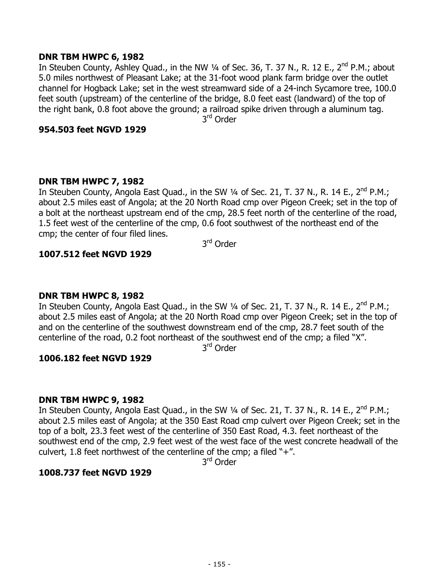#### **DNR TBM HWPC 6, 1982**

In Steuben County, Ashley Quad., in the NW 1/4 of Sec. 36, T. 37 N., R. 12 E., 2<sup>nd</sup> P.M.; about 5.0 miles northwest of Pleasant Lake; at the 31-foot wood plank farm bridge over the outlet channel for Hogback Lake; set in the west streamward side of a 24-inch Sycamore tree, 100.0 feet south (upstream) of the centerline of the bridge, 8.0 feet east (landward) of the top of the right bank, 0.8 foot above the ground; a railroad spike driven through a aluminum tag.

3rd Order

#### **954.503 feet NGVD 1929**

## **DNR TBM HWPC 7, 1982**

In Steuben County, Angola East Quad., in the SW 1/4 of Sec. 21, T. 37 N., R. 14 E., 2<sup>nd</sup> P.M.; about 2.5 miles east of Angola; at the 20 North Road cmp over Pigeon Creek; set in the top of a bolt at the northeast upstream end of the cmp, 28.5 feet north of the centerline of the road, 1.5 feet west of the centerline of the cmp, 0.6 foot southwest of the northeast end of the cmp; the center of four filed lines.

3rd Order

## **1007.512 feet NGVD 1929**

#### **DNR TBM HWPC 8, 1982**

In Steuben County, Angola East Quad., in the SW 1/4 of Sec. 21, T. 37 N., R. 14 E., 2<sup>nd</sup> P.M.; about 2.5 miles east of Angola; at the 20 North Road cmp over Pigeon Creek; set in the top of and on the centerline of the southwest downstream end of the cmp, 28.7 feet south of the centerline of the road, 0.2 foot northeast of the southwest end of the cmp; a filed "X".

3rd Order

## **1006.182 feet NGVD 1929**

#### **DNR TBM HWPC 9, 1982**

In Steuben County, Angola East Quad., in the SW 1/4 of Sec. 21, T. 37 N., R. 14 E., 2<sup>nd</sup> P.M.; about 2.5 miles east of Angola; at the 350 East Road cmp culvert over Pigeon Creek; set in the top of a bolt, 23.3 feet west of the centerline of 350 East Road, 4.3. feet northeast of the southwest end of the cmp, 2.9 feet west of the west face of the west concrete headwall of the culvert, 1.8 feet northwest of the centerline of the cmp; a filed " $+$ ".

3rd Order

## **1008.737 feet NGVD 1929**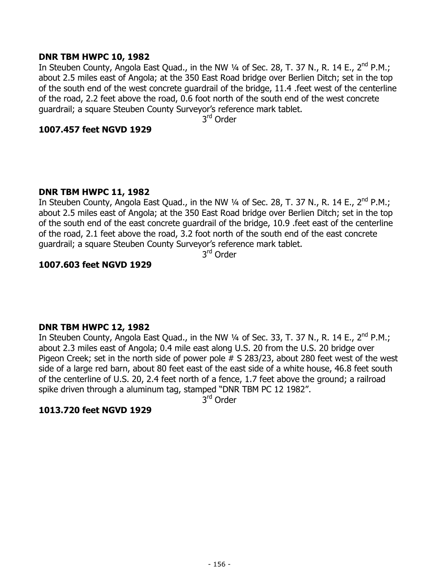### **DNR TBM HWPC 10, 1982**

In Steuben County, Angola East Quad., in the NW 1/4 of Sec. 28, T. 37 N., R. 14 E., 2<sup>nd</sup> P.M.; about 2.5 miles east of Angola; at the 350 East Road bridge over Berlien Ditch; set in the top of the south end of the west concrete guardrail of the bridge, 11.4 .feet west of the centerline of the road, 2.2 feet above the road, 0.6 foot north of the south end of the west concrete guardrail; a square Steuben County Surveyor's reference mark tablet.

3rd Order

### **1007.457 feet NGVD 1929**

## **DNR TBM HWPC 11, 1982**

In Steuben County, Angola East Quad., in the NW 1/4 of Sec. 28, T. 37 N., R. 14 E., 2<sup>nd</sup> P.M.; about 2.5 miles east of Angola; at the 350 East Road bridge over Berlien Ditch; set in the top of the south end of the east concrete guardrail of the bridge, 10.9 .feet east of the centerline of the road, 2.1 feet above the road, 3.2 foot north of the south end of the east concrete guardrail; a square Steuben County Surveyor's reference mark tablet.

3rd Order

# **1007.603 feet NGVD 1929**

## **DNR TBM HWPC 12, 1982**

In Steuben County, Angola East Quad., in the NW 1/4 of Sec. 33, T. 37 N., R. 14 E., 2<sup>nd</sup> P.M.; about 2.3 miles east of Angola; 0.4 mile east along U.S. 20 from the U.S. 20 bridge over Pigeon Creek; set in the north side of power pole # S 283/23, about 280 feet west of the west side of a large red barn, about 80 feet east of the east side of a white house, 46.8 feet south of the centerline of U.S. 20, 2.4 feet north of a fence, 1.7 feet above the ground; a railroad spike driven through a aluminum tag, stamped "DNR TBM PC 12 1982".

3<sup>rd</sup> Order

## **1013.720 feet NGVD 1929**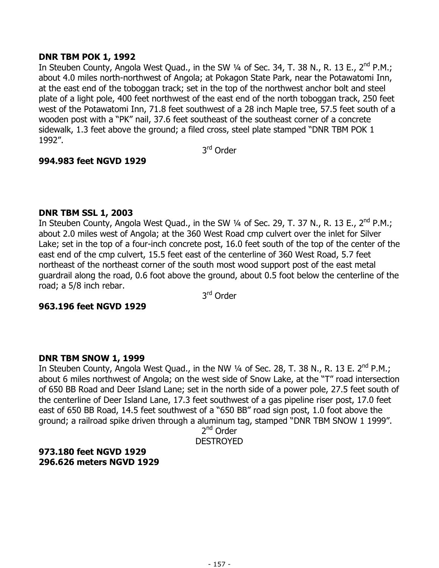### **DNR TBM POK 1, 1992**

In Steuben County, Angola West Quad., in the SW 1/4 of Sec. 34, T. 38 N., R. 13 E., 2<sup>nd</sup> P.M.; about 4.0 miles north-northwest of Angola; at Pokagon State Park, near the Potawatomi Inn, at the east end of the toboggan track; set in the top of the northwest anchor bolt and steel plate of a light pole, 400 feet northwest of the east end of the north toboggan track, 250 feet west of the Potawatomi Inn, 71.8 feet southwest of a 28 inch Maple tree, 57.5 feet south of a wooden post with a "PK" nail, 37.6 feet southeast of the southeast corner of a concrete sidewalk, 1.3 feet above the ground; a filed cross, steel plate stamped "DNR TBM POK 1 1992".

3rd Order

## **994.983 feet NGVD 1929**

### **DNR TBM SSL 1, 2003**

In Steuben County, Angola West Quad., in the SW 1/4 of Sec. 29, T. 37 N., R. 13 E., 2<sup>nd</sup> P.M.; about 2.0 miles west of Angola; at the 360 West Road cmp culvert over the inlet for Silver Lake; set in the top of a four-inch concrete post, 16.0 feet south of the top of the center of the east end of the cmp culvert, 15.5 feet east of the centerline of 360 West Road, 5.7 feet northeast of the northeast corner of the south most wood support post of the east metal guardrail along the road, 0.6 foot above the ground, about 0.5 foot below the centerline of the road; a 5/8 inch rebar.

3rd Order

## **963.196 feet NGVD 1929**

## **DNR TBM SNOW 1, 1999**

In Steuben County, Angola West Quad., in the NW 1/4 of Sec. 28, T. 38 N., R. 13 E. 2<sup>nd</sup> P.M.; about 6 miles northwest of Angola; on the west side of Snow Lake, at the "T" road intersection of 650 BB Road and Deer Island Lane; set in the north side of a power pole, 27.5 feet south of the centerline of Deer Island Lane, 17.3 feet southwest of a gas pipeline riser post, 17.0 feet east of 650 BB Road, 14.5 feet southwest of a "650 BB" road sign post, 1.0 foot above the ground; a railroad spike driven through a aluminum tag, stamped "DNR TBM SNOW 1 1999".

2<sup>nd</sup> Order

DESTROYED

## **973.180 feet NGVD 1929 296.626 meters NGVD 1929**